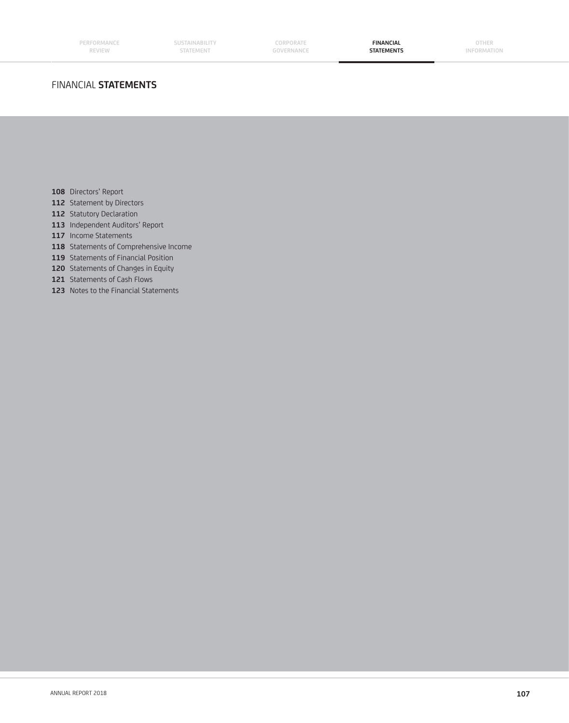# FINANCIAL **STATEMENTS**

- **108** Directors' Report
- **112** Statement by Directors
- 112 Statutory Declaration
- **113** Independent Auditors' Report
- **117** Income Statements
- **118** Statements of Comprehensive Income
- 119 Statements of Financial Position
- 120 Statements of Changes in Equity
- **121** Statements of Cash Flows
- **123** Notes to the Financial Statements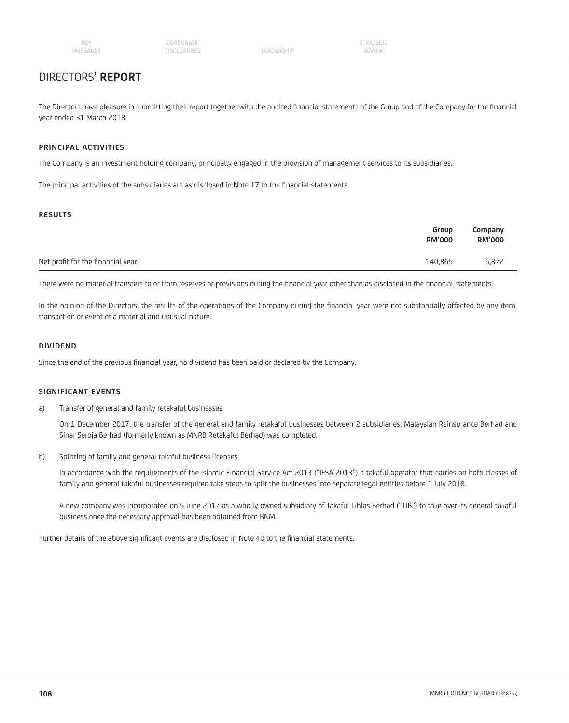# DIRECTORS' **REPORT**

The Directors have pleasure in submitting their report together with the audited financial statements of the Group and of the Company for the financial year ended 31 March 2018.

# **PRINCIPAL ACTIVITIES**

The Company is an investment holding company, principally engaged in the provision of management services to its subsidiaries.

The principal activities of the subsidiaries are as disclosed in Note 17 to the financial statements.

# **RESULTS**

|                                   | Group<br><b>RM'000</b> | Company<br><b>RM'000</b> |
|-----------------------------------|------------------------|--------------------------|
| Net profit for the financial year | 140,865                | 6,872                    |

There were no material transfers to or from reserves or provisions during the financial year other than as disclosed in the financial statements.

In the opinion of the Directors, the results of the operations of the Company during the financial year were not substantially affected by any item, transaction or event of a material and unusual nature.

# **DIVIDEND**

Since the end of the previous financial year, no dividend has been paid or declared by the Company.

### **SIGNIFICANT EVENTS**

a) Transfer of general and family retakaful businesses

 On 1 December 2017, the transfer of the general and family retakaful businesses between 2 subsidiaries, Malaysian Reinsurance Berhad and Sinar Seroja Berhad (formerly known as MNRB Retakaful Berhad) was completed.

b) Splitting of family and general takaful business licenses

 In accordance with the requirements of the Islamic Financial Service Act 2013 ("IFSA 2013") a takaful operator that carries on both classes of family and general takaful businesses required take steps to split the businesses into separate legal entities before 1 July 2018.

 A new company was incorporated on 5 June 2017 as a wholly-owned subsidiary of Takaful Ikhlas Berhad ("TIB") to take over its general takaful business once the necessary approval has been obtained from BNM.

Further details of the above significant events are disclosed in Note 40 to the financial statements.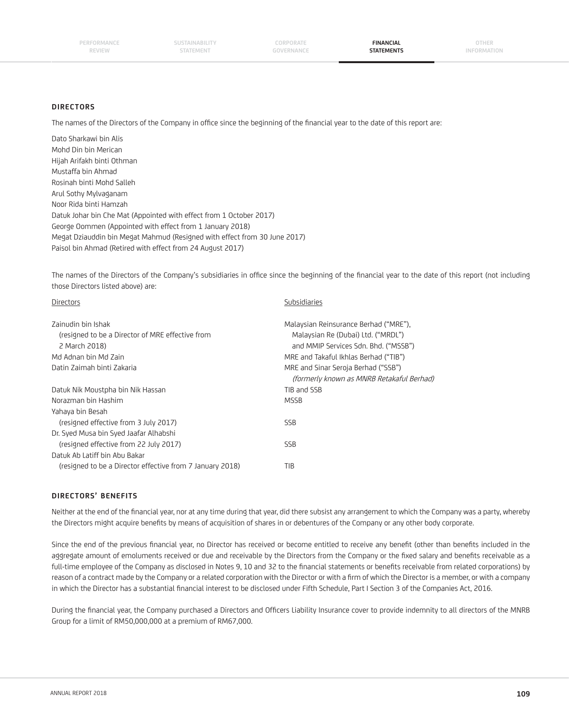**SUSTAINABILITY STATEMENT**

**CORPORATE GOVERNANCE**

**FINANCIAL STATEMENTS**

### **DIRECTORS**

The names of the Directors of the Company in office since the beginning of the financial year to the date of this report are:

Dato Sharkawi bin Alis Mohd Din bin Merican Hijah Arifakh binti Othman Mustaffa bin Ahmad Rosinah binti Mohd Salleh Arul Sothy Mylvaganam Noor Rida binti Hamzah Datuk Johar bin Che Mat (Appointed with effect from 1 October 2017) George Oommen (Appointed with effect from 1 January 2018) Megat Dziauddin bin Megat Mahmud (Resigned with effect from 30 June 2017) Paisol bin Ahmad (Retired with effect from 24 August 2017)

The names of the Directors of the Company's subsidiaries in office since the beginning of the financial year to the date of this report (not including those Directors listed above) are:

| <b>Directors</b>                                                       | Subsidiaries                                                                     |
|------------------------------------------------------------------------|----------------------------------------------------------------------------------|
| Zainudin bin Ishak<br>(resigned to be a Director of MRE effective from | Malaysian Reinsurance Berhad ("MRE").<br>Malaysian Re (Dubai) Ltd. ("MRDL")      |
| 2 March 2018)                                                          | and MMIP Services Sdn. Bhd. ("MSSB")                                             |
| Md Adnan bin Md Zain                                                   | MRE and Takaful Ikhlas Berhad ("TIB")                                            |
| Datin Zaimah binti Zakaria                                             | MRE and Sinar Seroja Berhad ("SSB")<br>(formerly known as MNRB Retakaful Berhad) |
| Datuk Nik Moustpha bin Nik Hassan                                      | TIB and SSB                                                                      |
| Norazman bin Hashim                                                    | <b>MSSB</b>                                                                      |
| Yahaya bin Besah                                                       |                                                                                  |
| (resigned effective from 3 July 2017)                                  | <b>SSB</b>                                                                       |
| Dr. Syed Musa bin Syed Jaafar Alhabshi                                 |                                                                                  |
| (resigned effective from 22 July 2017)                                 | <b>SSB</b>                                                                       |
| Datuk Ab Latiff bin Abu Bakar                                          |                                                                                  |
| (resigned to be a Director effective from 7 January 2018)              | TIB                                                                              |
|                                                                        |                                                                                  |

# **DIRECTORS' BENEFITS**

Neither at the end of the financial year, nor at any time during that year, did there subsist any arrangement to which the Company was a party, whereby the Directors might acquire benefits by means of acquisition of shares in or debentures of the Company or any other body corporate.

Since the end of the previous financial year, no Director has received or become entitled to receive any benefit (other than benefits included in the aggregate amount of emoluments received or due and receivable by the Directors from the Company or the fixed salary and benefits receivable as a full-time employee of the Company as disclosed in Notes 9, 10 and 32 to the financial statements or benefits receivable from related corporations) by reason of a contract made by the Company or a related corporation with the Director or with a firm of which the Director is a member, or with a company in which the Director has a substantial financial interest to be disclosed under Fifth Schedule, Part I Section 3 of the Companies Act, 2016.

During the financial year, the Company purchased a Directors and Officers Liability Insurance cover to provide indemnity to all directors of the MNRB Group for a limit of RM50,000,000 at a premium of RM67,000.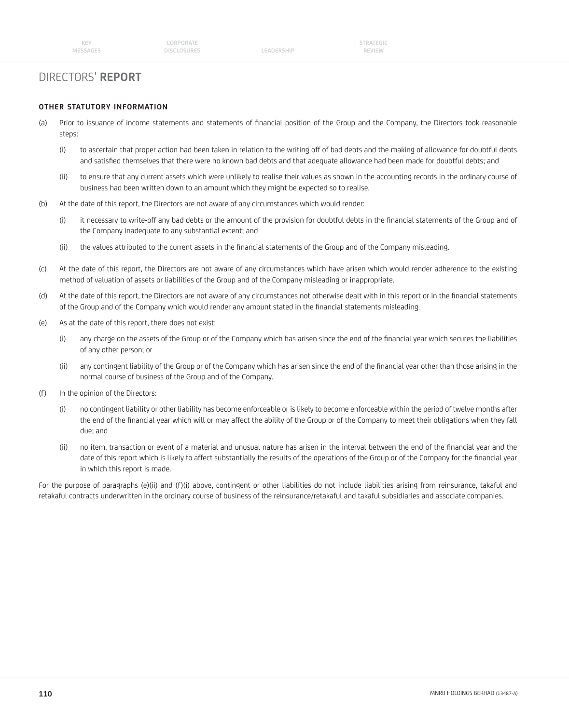# DIRECTORS' **REPORT**

## **OTHER STATUTORY INFORMATION**

- (a) Prior to issuance of income statements and statements of financial position of the Group and the Company, the Directors took reasonable steps:
	- (i) to ascertain that proper action had been taken in relation to the writing off of bad debts and the making of allowance for doubtful debts and satisfied themselves that there were no known bad debts and that adequate allowance had been made for doubtful debts; and
	- (ii) to ensure that any current assets which were unlikely to realise their values as shown in the accounting records in the ordinary course of business had been written down to an amount which they might be expected so to realise.
- (b) At the date of this report, the Directors are not aware of any circumstances which would render:
	- (i) it necessary to write-off any bad debts or the amount of the provision for doubtful debts in the financial statements of the Group and of the Company inadequate to any substantial extent; and
	- (ii) the values attributed to the current assets in the financial statements of the Group and of the Company misleading.
- (c) At the date of this report, the Directors are not aware of any circumstances which have arisen which would render adherence to the existing method of valuation of assets or liabilities of the Group and of the Company misleading or inappropriate.
- (d) At the date of this report, the Directors are not aware of any circumstances not otherwise dealt with in this report or in the financial statements of the Group and of the Company which would render any amount stated in the financial statements misleading.
- (e) As at the date of this report, there does not exist:
	- (i) any charge on the assets of the Group or of the Company which has arisen since the end of the financial year which secures the liabilities of any other person; or
	- (ii) any contingent liability of the Group or of the Company which has arisen since the end of the financial year other than those arising in the normal course of business of the Group and of the Company.
- (f) In the opinion of the Directors:
	- (i) no contingent liability or other liability has become enforceable or is likely to become enforceable within the period of twelve months after the end of the financial year which will or may affect the ability of the Group or of the Company to meet their obligations when they fall due; and
	- (ii) no item, transaction or event of a material and unusual nature has arisen in the interval between the end of the financial year and the date of this report which is likely to affect substantially the results of the operations of the Group or of the Company for the financial year in which this report is made.

For the purpose of paragraphs (e)(ii) and (f)(i) above, contingent or other liabilities do not include liabilities arising from reinsurance, takaful and retakaful contracts underwritten in the ordinary course of business of the reinsurance/retakaful and takaful subsidiaries and associate companies.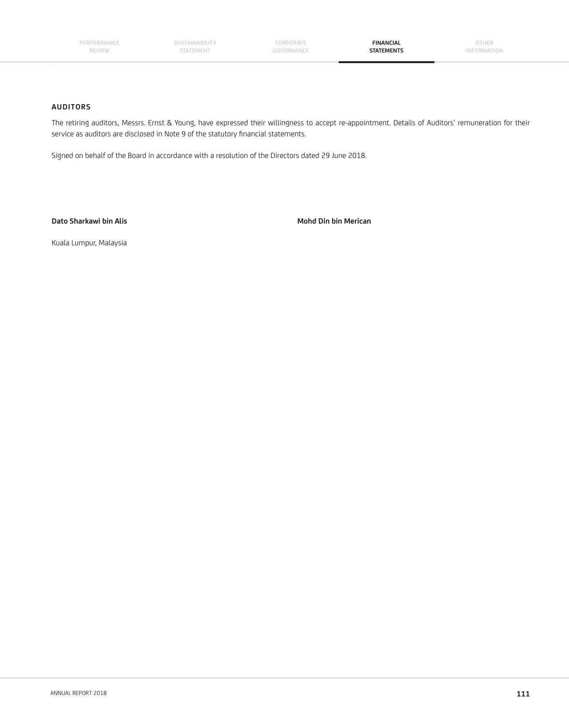**SUSTAINABILITY STATEMENT** 

**CORPORATE GOVERNANCE**

**FINANCIAL STATEMENTS**

**OTHER INFORMATION**

## **AUDITORS**

The retiring auditors, Messrs. Ernst & Young, have expressed their willingness to accept re-appointment. Details of Auditors' remuneration for their service as auditors are disclosed in Note 9 of the statutory financial statements.

Signed on behalf of the Board in accordance with a resolution of the Directors dated 29 June 2018.

Dato Sharkawi bin Alis **Mohd Din bin Merican** 

Kuala Lumpur, Malaysia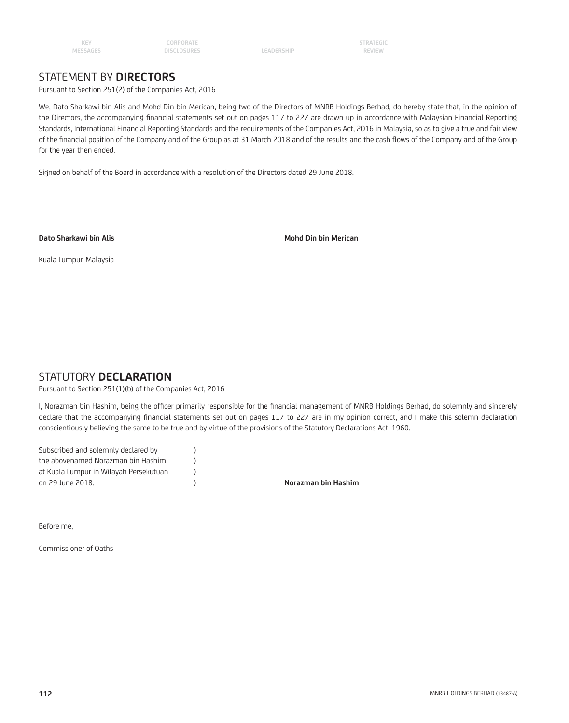**STRATEGIC REVIEW**

# STATEMENT BY **DIRECTORS**

Pursuant to Section 251(2) of the Companies Act, 2016

We, Dato Sharkawi bin Alis and Mohd Din bin Merican, being two of the Directors of MNRB Holdings Berhad, do hereby state that, in the opinion of the Directors, the accompanying financial statements set out on pages 117 to 227 are drawn up in accordance with Malaysian Financial Reporting Standards, International Financial Reporting Standards and the requirements of the Companies Act, 2016 in Malaysia, so as to give a true and fair view of the financial position of the Company and of the Group as at 31 March 2018 and of the results and the cash flows of the Company and of the Group for the year then ended.

Signed on behalf of the Board in accordance with a resolution of the Directors dated 29 June 2018.

**Dato Sharkawi bin Alis Mohd Din bin Merican**

Kuala Lumpur, Malaysia

# STATUTORY **DECLARATION**

Pursuant to Section 251(1)(b) of the Companies Act, 2016

I, Norazman bin Hashim, being the officer primarily responsible for the financial management of MNRB Holdings Berhad, do solemnly and sincerely declare that the accompanying financial statements set out on pages 117 to 227 are in my opinion correct, and I make this solemn declaration conscientiously believing the same to be true and by virtue of the provisions of the Statutory Declarations Act, 1960.

| Subscribed and solemnly declared by    |                     |
|----------------------------------------|---------------------|
| the abovenamed Norazman bin Hashim     |                     |
| at Kuala Lumpur in Wilayah Persekutuan |                     |
| on 29 June 2018.                       | Norazman bin Hashim |
|                                        |                     |

Before me,

Commissioner of Oaths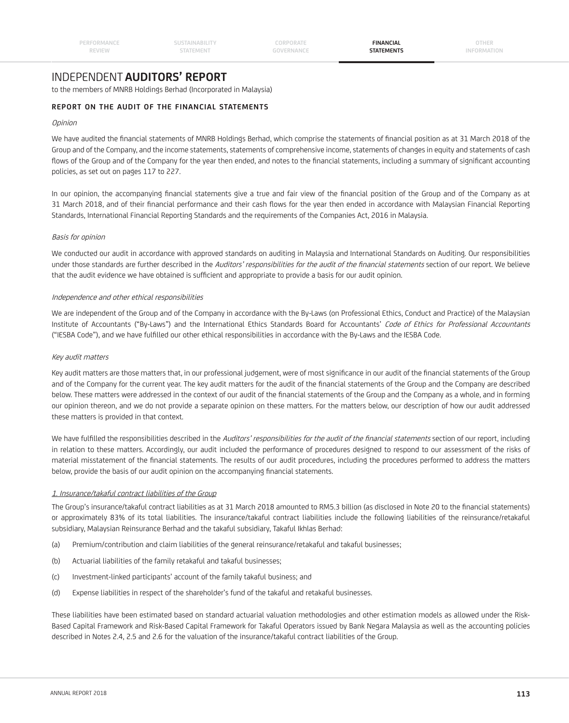# INDEPENDENT **AUDITORS' REPORT**

to the members of MNRB Holdings Berhad (Incorporated in Malaysia)

# **REPORT ON THE AUDIT OF THE FINANCIAL STATEMENTS**

## **Opinion**

We have audited the financial statements of MNRB Holdings Berhad, which comprise the statements of financial position as at 31 March 2018 of the Group and of the Company, and the income statements, statements of comprehensive income, statements of changes in equity and statements of cash flows of the Group and of the Company for the year then ended, and notes to the financial statements, including a summary of significant accounting policies, as set out on pages 117 to 227.

In our opinion, the accompanying financial statements give a true and fair view of the financial position of the Group and of the Company as at 31 March 2018, and of their financial performance and their cash flows for the year then ended in accordance with Malaysian Financial Reporting Standards, International Financial Reporting Standards and the requirements of the Companies Act, 2016 in Malaysia.

### Basis for opinion

We conducted our audit in accordance with approved standards on auditing in Malaysia and International Standards on Auditing. Our responsibilities under those standards are further described in the Auditors' responsibilities for the audit of the financial statements section of our report. We believe that the audit evidence we have obtained is sufficient and appropriate to provide a basis for our audit opinion.

### Independence and other ethical responsibilities

We are independent of the Group and of the Company in accordance with the By-Laws (on Professional Ethics, Conduct and Practice) of the Malaysian Institute of Accountants ("By-Laws") and the International Ethics Standards Board for Accountants' Code of Ethics for Professional Accountants ("IESBA Code"), and we have fulfilled our other ethical responsibilities in accordance with the By-Laws and the IESBA Code.

### Key audit matters

Key audit matters are those matters that, in our professional judgement, were of most significance in our audit of the financial statements of the Group and of the Company for the current year. The key audit matters for the audit of the financial statements of the Group and the Company are described below. These matters were addressed in the context of our audit of the financial statements of the Group and the Company as a whole, and in forming our opinion thereon, and we do not provide a separate opinion on these matters. For the matters below, our description of how our audit addressed these matters is provided in that context.

We have fulfilled the responsibilities described in the Auditors' responsibilities for the audit of the financial statements section of our report, including in relation to these matters. Accordingly, our audit included the performance of procedures designed to respond to our assessment of the risks of material misstatement of the financial statements. The results of our audit procedures, including the procedures performed to address the matters below, provide the basis of our audit opinion on the accompanying financial statements.

# 1. Insurance/takaful contract liabilities of the Group

The Group's insurance/takaful contract liabilities as at 31 March 2018 amounted to RM5.3 billion (as disclosed in Note 20 to the financial statements) or approximately 83% of its total liabilities. The insurance/takaful contract liabilities include the following liabilities of the reinsurance/retakaful subsidiary, Malaysian Reinsurance Berhad and the takaful subsidiary, Takaful Ikhlas Berhad:

- (a) Premium/contribution and claim liabilities of the general reinsurance/retakaful and takaful businesses;
- (b) Actuarial liabilities of the family retakaful and takaful businesses;
- (c) Investment-linked participants' account of the family takaful business; and
- (d) Expense liabilities in respect of the shareholder's fund of the takaful and retakaful businesses.

These liabilities have been estimated based on standard actuarial valuation methodologies and other estimation models as allowed under the Risk-Based Capital Framework and Risk-Based Capital Framework for Takaful Operators issued by Bank Negara Malaysia as well as the accounting policies described in Notes 2.4, 2.5 and 2.6 for the valuation of the insurance/takaful contract liabilities of the Group.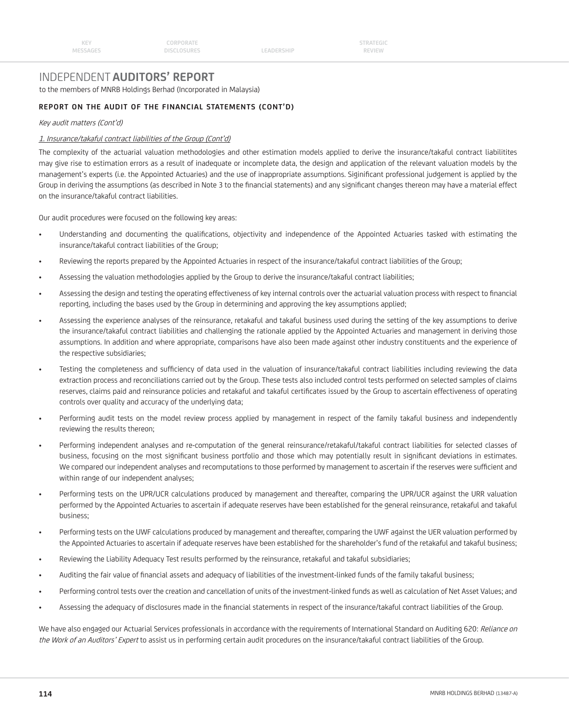# INDEPENDENT **AUDITORS' REPORT**

to the members of MNRB Holdings Berhad (Incorporated in Malaysia)

# **REPORT ON THE AUDIT OF THE FINANCIAL STATEMENTS (CONT'D)**

Key audit matters (Cont'd)

### 1. Insurance/takaful contract liabilities of the Group (Cont'd)

The complexity of the actuarial valuation methodologies and other estimation models applied to derive the insurance/takaful contract liabilitites may give rise to estimation errors as a result of inadequate or incomplete data, the design and application of the relevant valuation models by the management's experts (i.e. the Appointed Actuaries) and the use of inappropriate assumptions. Siginificant professional judgement is applied by the Group in deriving the assumptions (as described in Note 3 to the financial statements) and any significant changes thereon may have a material effect on the insurance/takaful contract liabilities.

Our audit procedures were focused on the following key areas:

- Understanding and documenting the qualifications, objectivity and independence of the Appointed Actuaries tasked with estimating the insurance/takaful contract liabilities of the Group;
- Reviewing the reports prepared by the Appointed Actuaries in respect of the insurance/takaful contract liabilities of the Group;
- Assessing the valuation methodologies applied by the Group to derive the insurance/takaful contract liabilities;
- Assessing the design and testing the operating effectiveness of key internal controls over the actuarial valuation process with respect to financial reporting, including the bases used by the Group in determining and approving the key assumptions applied;
- Assessing the experience analyses of the reinsurance, retakaful and takaful business used during the setting of the key assumptions to derive the insurance/takaful contract liabilities and challenging the rationale applied by the Appointed Actuaries and management in deriving those assumptions. In addition and where appropriate, comparisons have also been made against other industry constituents and the experience of the respective subsidiaries;
- Testing the completeness and sufficiency of data used in the valuation of insurance/takaful contract liabilities including reviewing the data extraction process and reconciliations carried out by the Group. These tests also included control tests performed on selected samples of claims reserves, claims paid and reinsurance policies and retakaful and takaful certificates issued by the Group to ascertain effectiveness of operating controls over quality and accuracy of the underlying data;
- Performing audit tests on the model review process applied by management in respect of the family takaful business and independently reviewing the results thereon;
- Performing independent analyses and re-computation of the general reinsurance/retakaful/takaful contract liabilities for selected classes of business, focusing on the most significant business portfolio and those which may potentially result in significant deviations in estimates. We compared our independent analyses and recomputations to those performed by management to ascertain if the reserves were sufficient and within range of our independent analyses;
- Performing tests on the UPR/UCR calculations produced by management and thereafter, comparing the UPR/UCR against the URR valuation performed by the Appointed Actuaries to ascertain if adequate reserves have been established for the general reinsurance, retakaful and takaful business;
- Performing tests on the UWF calculations produced by management and thereafter, comparing the UWF against the UER valuation performed by the Appointed Actuaries to ascertain if adequate reserves have been established for the shareholder's fund of the retakaful and takaful business;
- Reviewing the Liability Adequacy Test results performed by the reinsurance, retakaful and takaful subsidiaries;
- Auditing the fair value of financial assets and adequacy of liabilities of the investment-linked funds of the family takaful business;
- Performing control tests over the creation and cancellation of units of the investment-linked funds as well as calculation of Net Asset Values; and
- Assessing the adequacy of disclosures made in the financial statements in respect of the insurance/takaful contract liabilities of the Group.

We have also engaged our Actuarial Services professionals in accordance with the requirements of International Standard on Auditing 620: Reliance on the Work of an Auditors' Expert to assist us in performing certain audit procedures on the insurance/takaful contract liabilities of the Group.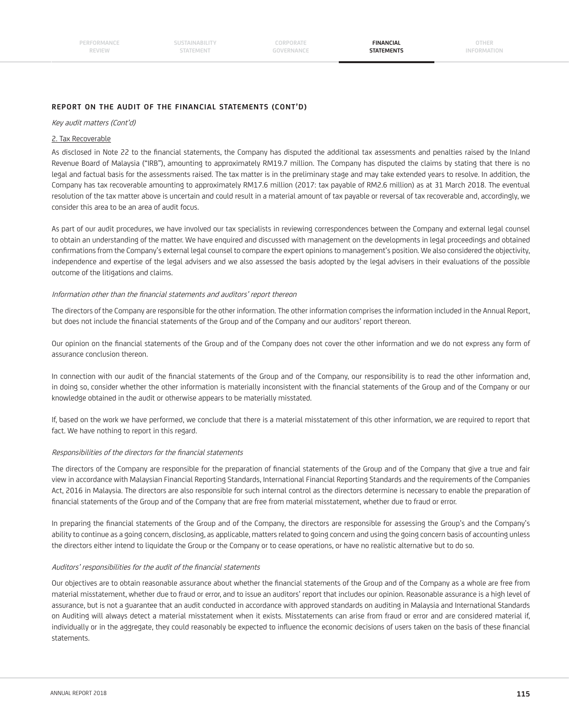**SUSTAINABILITY STATEMENT**

**CORPORATE GOVERNANCE**

**FINANCIAL STATEMENTS**

**OTHER INFORMATION**

# **REPORT ON THE AUDIT OF THE FINANCIAL STATEMENTS (CONT'D)**

#### Key audit matters (Cont'd)

### 2. Tax Recoverable

As disclosed in Note 22 to the financial statements, the Company has disputed the additional tax assessments and penalties raised by the Inland Revenue Board of Malaysia ("IRB"), amounting to approximately RM19.7 million. The Company has disputed the claims by stating that there is no legal and factual basis for the assessments raised. The tax matter is in the preliminary stage and may take extended years to resolve. In addition, the Company has tax recoverable amounting to approximately RM17.6 million (2017: tax payable of RM2.6 million) as at 31 March 2018. The eventual resolution of the tax matter above is uncertain and could result in a material amount of tax payable or reversal of tax recoverable and, accordingly, we consider this area to be an area of audit focus.

As part of our audit procedures, we have involved our tax specialists in reviewing correspondences between the Company and external legal counsel to obtain an understanding of the matter. We have enquired and discussed with management on the developments in legal proceedings and obtained confirmations from the Company's external legal counsel to compare the expert opinions to management's position. We also considered the objectivity, independence and expertise of the legal advisers and we also assessed the basis adopted by the legal advisers in their evaluations of the possible outcome of the litigations and claims.

### Information other than the financial statements and auditors' report thereon

The directors of the Company are responsible for the other information. The other information comprises the information included in the Annual Report, but does not include the financial statements of the Group and of the Company and our auditors' report thereon.

Our opinion on the financial statements of the Group and of the Company does not cover the other information and we do not express any form of assurance conclusion thereon.

In connection with our audit of the financial statements of the Group and of the Company, our responsibility is to read the other information and, in doing so, consider whether the other information is materially inconsistent with the financial statements of the Group and of the Company or our knowledge obtained in the audit or otherwise appears to be materially misstated.

If, based on the work we have performed, we conclude that there is a material misstatement of this other information, we are required to report that fact. We have nothing to report in this regard.

### Responsibilities of the directors for the financial statements

The directors of the Company are responsible for the preparation of financial statements of the Group and of the Company that give a true and fair view in accordance with Malaysian Financial Reporting Standards, International Financial Reporting Standards and the requirements of the Companies Act, 2016 in Malaysia. The directors are also responsible for such internal control as the directors determine is necessary to enable the preparation of financial statements of the Group and of the Company that are free from material misstatement, whether due to fraud or error.

In preparing the financial statements of the Group and of the Company, the directors are responsible for assessing the Group's and the Company's ability to continue as a going concern, disclosing, as applicable, matters related to going concern and using the going concern basis of accounting unless the directors either intend to liquidate the Group or the Company or to cease operations, or have no realistic alternative but to do so.

### Auditors' responsibilities for the audit of the financial statements

Our objectives are to obtain reasonable assurance about whether the financial statements of the Group and of the Company as a whole are free from material misstatement, whether due to fraud or error, and to issue an auditors' report that includes our opinion. Reasonable assurance is a high level of assurance, but is not a guarantee that an audit conducted in accordance with approved standards on auditing in Malaysia and International Standards on Auditing will always detect a material misstatement when it exists. Misstatements can arise from fraud or error and are considered material if, individually or in the aggregate, they could reasonably be expected to influence the economic decisions of users taken on the basis of these financial statements.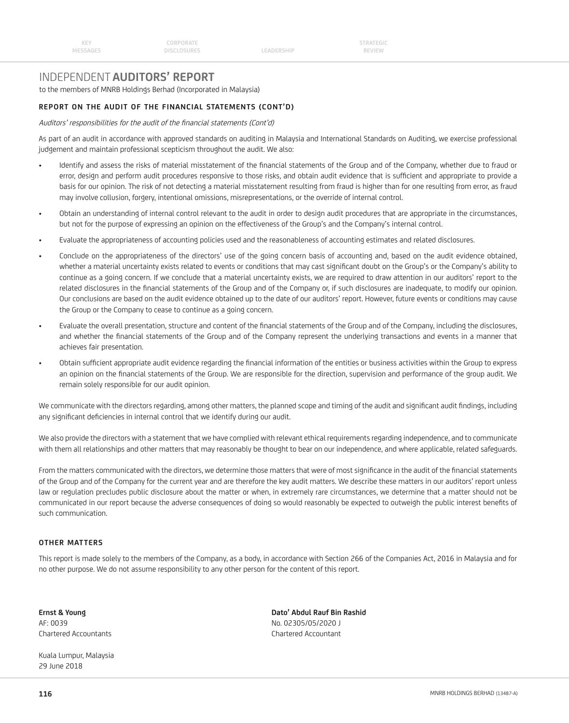# INDEPENDENT **AUDITORS' REPORT**

to the members of MNRB Holdings Berhad (Incorporated in Malaysia)

# **REPORT ON THE AUDIT OF THE FINANCIAL STATEMENTS (CONT'D)**

Auditors' responsibilities for the audit of the financial statements (Cont'd)

As part of an audit in accordance with approved standards on auditing in Malaysia and International Standards on Auditing, we exercise professional judgement and maintain professional scepticism throughout the audit. We also:

- Identify and assess the risks of material misstatement of the financial statements of the Group and of the Company, whether due to fraud or error, design and perform audit procedures responsive to those risks, and obtain audit evidence that is sufficient and appropriate to provide a basis for our opinion. The risk of not detecting a material misstatement resulting from fraud is higher than for one resulting from error, as fraud may involve collusion, forgery, intentional omissions, misrepresentations, or the override of internal control.
- Obtain an understanding of internal control relevant to the audit in order to design audit procedures that are appropriate in the circumstances, but not for the purpose of expressing an opinion on the effectiveness of the Group's and the Company's internal control.
- Evaluate the appropriateness of accounting policies used and the reasonableness of accounting estimates and related disclosures.
- Conclude on the appropriateness of the directors' use of the going concern basis of accounting and, based on the audit evidence obtained, whether a material uncertainty exists related to events or conditions that may cast significant doubt on the Group's or the Company's ability to continue as a going concern. If we conclude that a material uncertainty exists, we are required to draw attention in our auditors' report to the related disclosures in the financial statements of the Group and of the Company or, if such disclosures are inadequate, to modify our opinion. Our conclusions are based on the audit evidence obtained up to the date of our auditors' report. However, future events or conditions may cause the Group or the Company to cease to continue as a going concern.
- Evaluate the overall presentation, structure and content of the financial statements of the Group and of the Company, including the disclosures, and whether the financial statements of the Group and of the Company represent the underlying transactions and events in a manner that achieves fair presentation.
- Obtain sufficient appropriate audit evidence regarding the financial information of the entities or business activities within the Group to express an opinion on the financial statements of the Group. We are responsible for the direction, supervision and performance of the group audit. We remain solely responsible for our audit opinion.

We communicate with the directors regarding, among other matters, the planned scope and timing of the audit and significant audit findings, including any significant deficiencies in internal control that we identify during our audit.

We also provide the directors with a statement that we have complied with relevant ethical requirements regarding independence, and to communicate with them all relationships and other matters that may reasonably be thought to bear on our independence, and where applicable, related safeguards.

From the matters communicated with the directors, we determine those matters that were of most significance in the audit of the financial statements of the Group and of the Company for the current year and are therefore the key audit matters. We describe these matters in our auditors' report unless law or regulation precludes public disclosure about the matter or when, in extremely rare circumstances, we determine that a matter should not be communicated in our report because the adverse consequences of doing so would reasonably be expected to outweigh the public interest benefits of such communication.

### **OTHER MATTERS**

This report is made solely to the members of the Company, as a body, in accordance with Section 266 of the Companies Act, 2016 in Malaysia and for no other purpose. We do not assume responsibility to any other person for the content of this report.

AF: 0039 No. 02305/05/2020 J Chartered Accountants Chartered Accountant

Kuala Lumpur, Malaysia 29 June 2018

**Ernst & Young Dato' Abdul Rauf Bin Rashid**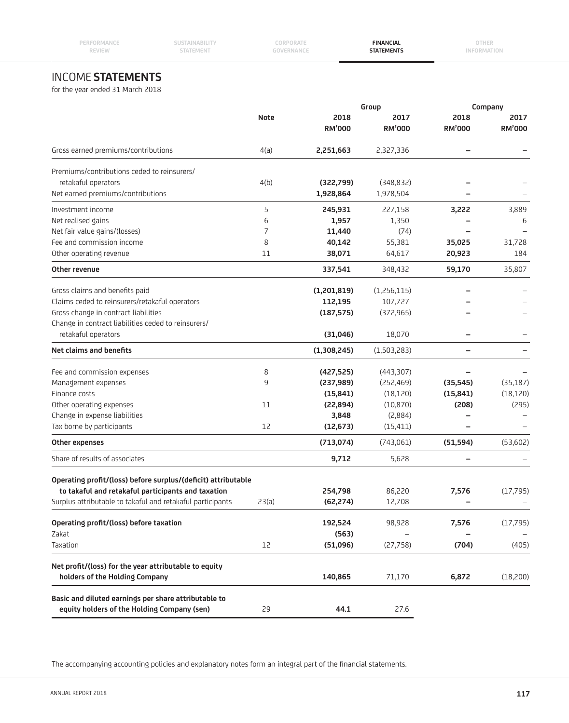|  | $\frac{1}{2}$ |  |  |  |
|--|---------------|--|--|--|

**SUSTAINABILITY STATEMENT**

**CORPORATE GOVERNANCE**

**FINANCIAL STATEMENTS**

# INCOME **STATEMENTS**

for the year ended 31 March 2018

|                                                               | Group       |               |               | Company                  |               |
|---------------------------------------------------------------|-------------|---------------|---------------|--------------------------|---------------|
|                                                               | <b>Note</b> | 2018          | 2017          | 2018                     | 2017          |
|                                                               |             | <b>RM'000</b> | <b>RM'000</b> | <b>RM'000</b>            | <b>RM'000</b> |
| Gross earned premiums/contributions                           | 4(a)        | 2,251,663     | 2,327,336     | $\overline{\phantom{0}}$ |               |
| Premiums/contributions ceded to reinsurers/                   |             |               |               |                          |               |
| retakaful operators                                           | 4(b)        | (322,799)     | (348, 832)    |                          |               |
| Net earned premiums/contributions                             |             | 1,928,864     | 1,978,504     |                          |               |
| Investment income                                             | 5           | 245,931       | 227,158       | 3,222                    | 3,889         |
| Net realised gains                                            | 6           | 1,957         | 1,350         |                          | 6             |
| Net fair value gains/(losses)                                 | 7           | 11,440        | (74)          |                          |               |
| Fee and commission income                                     | 8           | 40,142        | 55,381        | 35,025                   | 31,728        |
| Other operating revenue                                       | 11          | 38,071        | 64,617        | 20,923                   | 184           |
| Other revenue                                                 |             | 337,541       | 348,432       | 59,170                   | 35,807        |
| Gross claims and benefits paid                                |             | (1,201,819)   | (1,256,115)   |                          |               |
| Claims ceded to reinsurers/retakaful operators                |             | 112,195       | 107,727       |                          |               |
| Gross change in contract liabilities                          |             | (187, 575)    | (372,965)     |                          |               |
| Change in contract liabilities ceded to reinsurers/           |             |               |               |                          |               |
| retakaful operators                                           |             | (31,046)      | 18,070        |                          |               |
| Net claims and benefits                                       |             | (1,308,245)   | (1,503,283)   |                          |               |
| Fee and commission expenses                                   | 8           | (427, 525)    | (443,307)     |                          |               |
| Management expenses                                           | 9           | (237, 989)    | (252, 469)    | (35, 545)                | (35, 187)     |
| Finance costs                                                 |             | (15, 841)     | (18, 120)     | (15, 841)                | (18, 120)     |
| Other operating expenses                                      | 11          | (22, 894)     | (10, 870)     | (208)                    | (295)         |
| Change in expense liabilities                                 |             | 3,848         | (2,884)       |                          |               |
| Tax borne by participants                                     | 12          | (12, 673)     | (15, 411)     |                          |               |
| Other expenses                                                |             | (713,074)     | (743,061)     | (51, 594)                | (53,602)      |
| Share of results of associates                                |             | 9,712         | 5,628         |                          |               |
| Operating profit/(loss) before surplus/(deficit) attributable |             |               |               |                          |               |
| to takaful and retakaful participants and taxation            |             | 254,798       | 86,220        | 7,576                    | (17, 795)     |
| Surplus attributable to takaful and retakaful participants    | 23(a)       | (62, 274)     | 12,708        |                          |               |
|                                                               |             |               |               |                          |               |
| Operating profit/(loss) before taxation                       |             | 192,524       | 98,928        | 7,576                    | (17, 795)     |
| Zakat                                                         |             | (563)         |               |                          |               |
| Taxation                                                      | 12          | (51,096)      | (27, 758)     | (704)                    | (405)         |
| Net profit/(loss) for the year attributable to equity         |             |               |               |                          |               |
| holders of the Holding Company                                |             | 140,865       | 71,170        | 6,872                    | (18,200)      |
|                                                               |             |               |               |                          |               |
| Basic and diluted earnings per share attributable to          |             |               |               |                          |               |
| equity holders of the Holding Company (sen)                   | 29          | 44.1          | 27.6          |                          |               |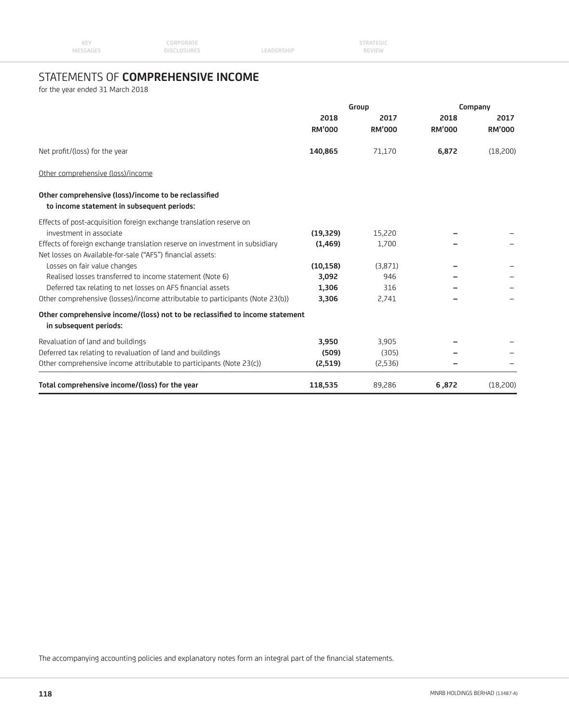| <b>KEY</b> | CORPORATE          |            | <b>STRATEGIC</b> |  |
|------------|--------------------|------------|------------------|--|
| MESSAGES   | <b>DISCLOSURES</b> | LEADERSHIP | REVIEW           |  |

# STATEMENTS OF **COMPREHENSIVE INCOME**

for the year ended 31 March 2018

|                                                                                                        | Group         |               | Company       |               |  |
|--------------------------------------------------------------------------------------------------------|---------------|---------------|---------------|---------------|--|
|                                                                                                        | 2018          | 2017          | 2018          | 2017          |  |
|                                                                                                        | <b>RM'000</b> | <b>RM'000</b> | <b>RM'000</b> | <b>RM'000</b> |  |
| Net profit/(loss) for the year                                                                         | 140,865       | 71,170        | 6,872         | (18,200)      |  |
| Other comprehensive (loss)/income                                                                      |               |               |               |               |  |
| Other comprehensive (loss)/income to be reclassified<br>to income statement in subsequent periods:     |               |               |               |               |  |
| Effects of post-acquisition foreign exchange translation reserve on                                    |               |               |               |               |  |
| investment in associate                                                                                | (19, 329)     | 15,220        |               |               |  |
| Effects of foreign exchange translation reserve on investment in subsidiary                            | (1, 469)      | 1.700         |               |               |  |
| Net losses on Available-for-sale ("AFS") financial assets:                                             |               |               |               |               |  |
| Losses on fair value changes                                                                           | (10, 158)     | (3,871)       |               |               |  |
| Realised losses transferred to income statement (Note 6)                                               | 3,092         | 946           |               |               |  |
| Deferred tax relating to net losses on AFS financial assets                                            | 1,306         | 316           |               |               |  |
| Other comprehensive (losses)/income attributable to participants (Note 23(b))                          | 3,306         | 2,741         |               |               |  |
| Other comprehensive income/(loss) not to be reclassified to income statement<br>in subsequent periods: |               |               |               |               |  |
| Revaluation of land and buildings                                                                      | 3,950         | 3,905         |               |               |  |
| Deferred tax relating to revaluation of land and buildings                                             | (509)         | (305)         |               |               |  |
| Other comprehensive income attributable to participants (Note 23(c))                                   | (2,519)       | (2,536)       |               |               |  |
| Total comprehensive income/(loss) for the year                                                         | 118,535       | 89,286        | 6,872         | (18,200)      |  |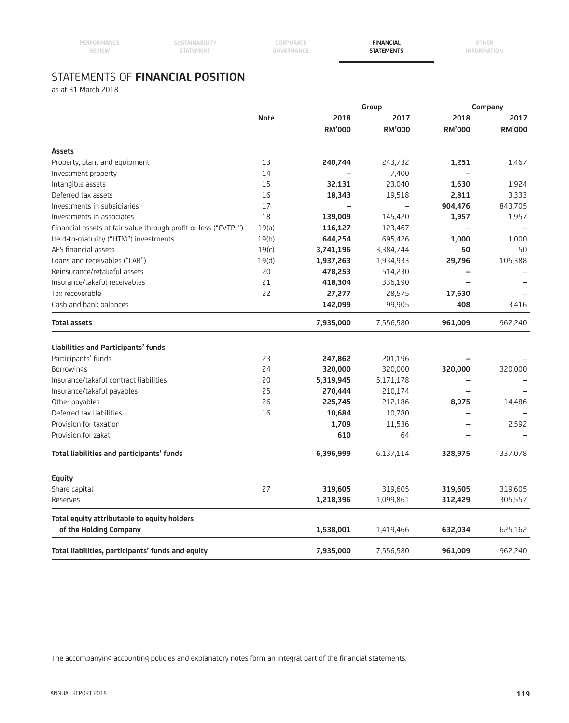| REVIEW | 'AILMLN | ------------<br>ΓΔΤΕΜΕΝΤ |  |
|--------|---------|--------------------------|--|
|        |         |                          |  |

**CORPORATE**

**FINANCIAL**

**OTHER INFORMATION**

# STATEMENTS OF **FINANCIAL POSITION**

**SUSTAINABILITY**

as at 31 March 2018

**PERFORMANCE**

|                                                                 |             |               | Group         |                          | Company       |  |
|-----------------------------------------------------------------|-------------|---------------|---------------|--------------------------|---------------|--|
|                                                                 | <b>Note</b> | 2018          | 2017          | 2018                     | 2017          |  |
|                                                                 |             | <b>RM'000</b> | <b>RM'000</b> | <b>RM'000</b>            | <b>RM'000</b> |  |
| <b>Assets</b>                                                   |             |               |               |                          |               |  |
| Property, plant and equipment                                   | 13          | 240,744       | 243,732       | 1,251                    | 1,467         |  |
| Investment property                                             | 14          |               | 7,400         |                          |               |  |
| Intangible assets                                               | 15          | 32,131        | 23,040        | 1,630                    | 1,924         |  |
| Deferred tax assets                                             | 16          | 18,343        | 19,518        | 2,811                    | 3,333         |  |
| Investments in subsidiaries                                     | 17          |               |               | 904,476                  | 843,705       |  |
| Investments in associates                                       | 18          | 139,009       | 145,420       | 1,957                    | 1,957         |  |
| Financial assets at fair value through profit or loss ("FVTPL") | 19(a)       | 116,127       | 123,467       | $\overline{\phantom{0}}$ |               |  |
| Held-to-maturity ("HTM") investments                            | 19(b)       | 644,254       | 695,426       | 1,000                    | 1,000         |  |
| AFS financial assets                                            | 19(c)       | 3,741,196     | 3,384,744     | 50                       | 50            |  |
| Loans and receivables ("LAR")                                   | 19(d)       | 1,937,263     | 1,934,933     | 29,796                   | 105,388       |  |
| Reinsurance/retakaful assets                                    | 20          | 478,253       | 514,230       |                          |               |  |
| Insurance/takaful receivables                                   | 21          | 418,304       | 336,190       | $\overline{\phantom{0}}$ |               |  |
| Tax recoverable                                                 | 22          | 27,277        | 28,575        | 17,630                   |               |  |
| Cash and bank balances                                          |             | 142,099       | 99,905        | 408                      | 3,416         |  |
| <b>Total assets</b>                                             |             | 7,935,000     | 7,556,580     | 961,009                  | 962,240       |  |
| Liabilities and Participants' funds                             |             |               |               |                          |               |  |
| Participants' funds                                             | 23          | 247,862       | 201,196       |                          |               |  |
| Borrowings                                                      | 24          | 320,000       | 320,000       | 320,000                  | 320,000       |  |
| Insurance/takaful contract liabilities                          | 20          | 5,319,945     | 5,171,178     |                          |               |  |
| Insurance/takaful payables                                      | 25          | 270,444       | 210,174       |                          |               |  |
| Other payables                                                  | 26          | 225,745       | 212,186       | 8,975                    | 14,486        |  |
| Deferred tax liabilities                                        | 16          | 10,684        | 10,780        |                          |               |  |
| Provision for taxation                                          |             | 1,709         | 11,536        | -                        | 2,592         |  |
| Provision for zakat                                             |             | 610           | 64            |                          |               |  |
| Total liabilities and participants' funds                       |             | 6,396,999     | 6,137,114     | 328,975                  | 337,078       |  |
| Equity                                                          |             |               |               |                          |               |  |
| Share capital                                                   | 27          | 319,605       | 319,605       | 319,605                  | 319,605       |  |
| Reserves                                                        |             | 1,218,396     | 1,099,861     | 312,429                  | 305,557       |  |
| Total equity attributable to equity holders                     |             |               |               |                          |               |  |
| of the Holding Company                                          |             | 1,538,001     | 1,419,466     | 632,034                  | 625,162       |  |
| Total liabilities, participants' funds and equity               |             | 7,935,000     | 7,556,580     | 961,009                  | 962,240       |  |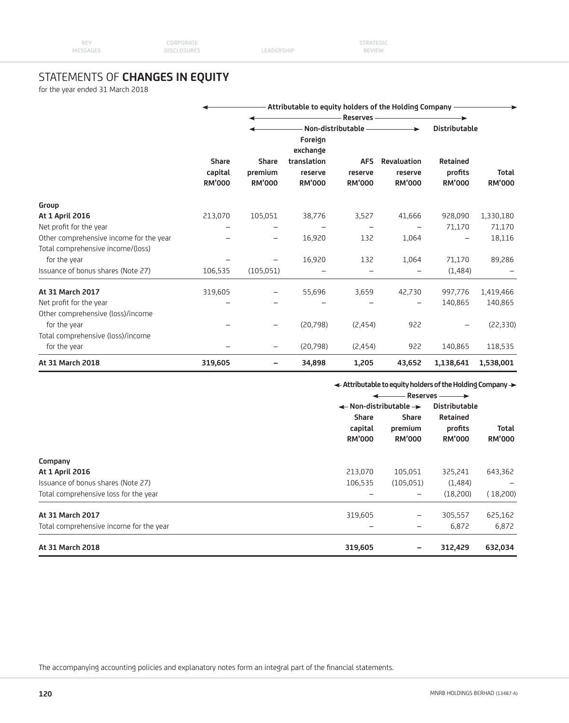# STATEMENTS OF **CHANGES IN EQUITY**

for the year ended 31 March 2018

|                                         |                          | Attributable to equity holders of the Holding Company - |                                    |                          |                                                |                                  |                               |  |
|-----------------------------------------|--------------------------|---------------------------------------------------------|------------------------------------|--------------------------|------------------------------------------------|----------------------------------|-------------------------------|--|
|                                         |                          |                                                         | Reserves-                          |                          |                                                |                                  |                               |  |
|                                         | <b>Share</b>             | <b>Share</b>                                            | Foreign<br>exchange<br>translation | <b>AFS</b>               | Non-distributable ——————<br><b>Revaluation</b> | <b>Distributable</b><br>Retained |                               |  |
|                                         | capital<br><b>RM'000</b> | premium<br><b>RM'000</b>                                | reserve<br><b>RM'000</b>           | reserve<br><b>RM'000</b> | reserve<br><b>RM'000</b>                       | profits<br><b>RM'000</b>         | <b>Total</b><br><b>RM'000</b> |  |
| Group                                   |                          |                                                         |                                    |                          |                                                |                                  |                               |  |
| At 1 April 2016                         | 213,070                  | 105,051                                                 | 38,776                             | 3,527                    | 41,666                                         | 928,090                          | 1,330,180                     |  |
| Net profit for the year                 |                          |                                                         |                                    |                          |                                                | 71,170                           | 71,170                        |  |
| Other comprehensive income for the year |                          |                                                         | 16,920                             | 132                      | 1,064                                          |                                  | 18,116                        |  |
| Total comprehensive income/(loss)       |                          |                                                         |                                    |                          |                                                |                                  |                               |  |
| for the year                            |                          |                                                         | 16,920                             | 132                      | 1,064                                          | 71,170                           | 89,286                        |  |
| Issuance of bonus shares (Note 27)      | 106,535                  | (105, 051)                                              |                                    |                          |                                                | (1,484)                          |                               |  |
| At 31 March 2017                        | 319,605                  |                                                         | 55,696                             | 3,659                    | 42,730                                         | 997,776                          | 1,419,466                     |  |
| Net profit for the year                 |                          |                                                         |                                    |                          |                                                | 140,865                          | 140,865                       |  |
| Other comprehensive (loss)/income       |                          |                                                         |                                    |                          |                                                |                                  |                               |  |
| for the year                            |                          |                                                         | (20,798)                           | (2,454)                  | 922                                            |                                  | (22, 330)                     |  |
| Total comprehensive (loss)/income       |                          |                                                         |                                    |                          |                                                |                                  |                               |  |
| for the year                            |                          |                                                         | (20,798)                           | (2,454)                  | 922                                            | 140,865                          | 118,535                       |  |
| At 31 March 2018                        | 319,605                  |                                                         | 34,898                             | 1,205                    | 43,652                                         | 1,138,641                        | 1,538,001                     |  |

**Attributable to equity holders of the Holding Company**

|                                         | Reserves -                                   |                                   |                                      |                               |
|-----------------------------------------|----------------------------------------------|-----------------------------------|--------------------------------------|-------------------------------|
|                                         | $\leftarrow$ Non-distributable $\rightarrow$ |                                   | <b>Distributable</b>                 |                               |
|                                         | Share<br>capital<br><b>RM'000</b>            | Share<br>premium<br><b>RM'000</b> | Retained<br>profits<br><b>RM'000</b> | <b>Total</b><br><b>RM'000</b> |
| Company                                 |                                              |                                   |                                      |                               |
| At 1 April 2016                         | 213,070                                      | 105,051                           | 325,241                              | 643,362                       |
| Issuance of bonus shares (Note 27)      | 106,535                                      | (105, 051)                        | (1, 484)                             |                               |
| Total comprehensive loss for the year   |                                              | -                                 | (18,200)                             | (18,200)                      |
| At 31 March 2017                        | 319,605                                      | $\qquad \qquad -$                 | 305,557                              | 625,162                       |
| Total comprehensive income for the year |                                              | -                                 | 6,872                                | 6,872                         |
| At 31 March 2018                        | 319,605                                      | -                                 | 312,429                              | 632,034                       |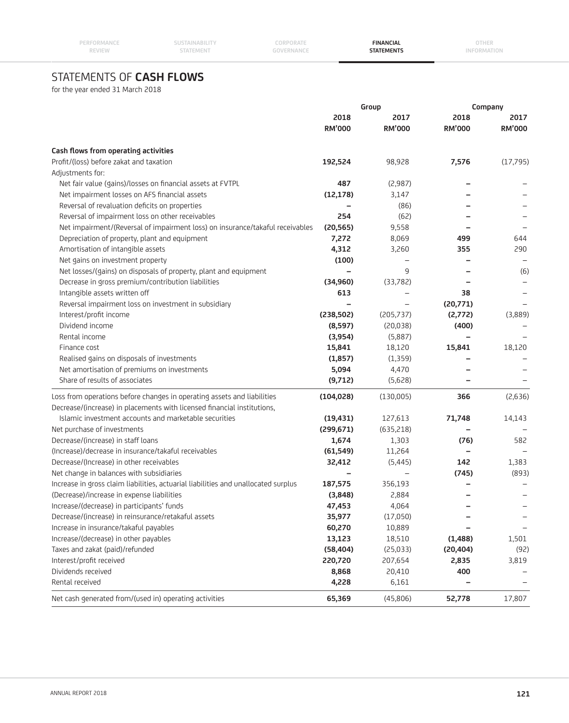**CORPORATE GOVERNANCE**

**FINANCIAL STATEMENTS**

**OTHER INFORMATION**

# STATEMENTS OF **CASH FLOWS**

for the year ended 31 March 2018

|                                                                                    |               | Group                    |               | Company       |
|------------------------------------------------------------------------------------|---------------|--------------------------|---------------|---------------|
|                                                                                    | 2018          | 2017                     | 2018          | 2017          |
|                                                                                    | <b>RM'000</b> | <b>RM'000</b>            | <b>RM'000</b> | <b>RM'000</b> |
| Cash flows from operating activities                                               |               |                          |               |               |
| Profit/(loss) before zakat and taxation                                            | 192,524       | 98,928                   | 7,576         | (17,795)      |
| Adjustments for:                                                                   |               |                          |               |               |
| Net fair value (gains)/losses on financial assets at FVTPL                         | 487           | (2,987)                  |               |               |
| Net impairment losses on AFS financial assets                                      | (12, 178)     | 3,147                    |               |               |
| Reversal of revaluation deficits on properties                                     |               | (86)                     |               |               |
| Reversal of impairment loss on other receivables                                   | 254           | (62)                     |               |               |
| Net impairment/(Reversal of impairment loss) on insurance/takaful receivables      | (20, 565)     | 9,558                    |               |               |
| Depreciation of property, plant and equipment                                      | 7,272         | 8,069                    | 499           | 644           |
| Amortisation of intangible assets                                                  | 4,312         | 3,260                    | 355           | 290           |
| Net gains on investment property                                                   | (100)         | $\overline{\phantom{0}}$ |               |               |
| Net losses/(gains) on disposals of property, plant and equipment                   | -             | 9                        |               | (6)           |
| Decrease in gross premium/contribution liabilities                                 | (34, 960)     | (33,782)                 |               |               |
| Intangible assets written off                                                      | 613           |                          | 38            |               |
| Reversal impairment loss on investment in subsidiary                               |               |                          | (20,771)      |               |
| Interest/profit income                                                             | (238, 502)    | (205, 737)               | (2,772)       | (3,889)       |
| Dividend income                                                                    | (8, 597)      | (20, 038)                | (400)         |               |
| Rental income                                                                      | (3,954)       | (5,887)                  |               |               |
| Finance cost                                                                       | 15,841        | 18,120                   | 15,841        | 18,120        |
| Realised gains on disposals of investments                                         | (1, 857)      | (1, 359)                 |               |               |
| Net amortisation of premiums on investments                                        | 5,094         | 4,470                    |               |               |
| Share of results of associates                                                     | (9,712)       | (5,628)                  |               |               |
| Loss from operations before changes in operating assets and liabilities            | (104, 028)    | (130,005)                | 366           | (2,636)       |
| Decrease/(increase) in placements with licensed financial institutions,            |               |                          |               |               |
| Islamic investment accounts and marketable securities                              | (19, 431)     | 127,613                  | 71,748        | 14,143        |
| Net purchase of investments                                                        | (299, 671)    | (635,218)                |               |               |
| Decrease/(increase) in staff loans                                                 | 1,674         | 1,303                    | (76)          | 582           |
| (Increase)/decrease in insurance/takaful receivables                               | (61, 549)     | 11,264                   |               |               |
| Decrease/(Increase) in other receivables                                           | 32,412        | (5, 445)                 | 142           | 1,383         |
| Net change in balances with subsidiaries                                           |               |                          | (745)         | (893)         |
| Increase in gross claim liabilities, actuarial liabilities and unallocated surplus | 187,575       | 356,193                  |               |               |
| (Decrease)/increase in expense liabilities                                         | (3,848)       | 2,884                    |               |               |
| Increase/(decrease) in participants' funds                                         | 47,453        | 4,064                    |               |               |
| Decrease/(increase) in reinsurance/retakaful assets                                | 35,977        | (17,050)                 |               |               |
| Increase in insurance/takaful payables                                             | 60,270        | 10,889                   |               |               |
| Increase/(decrease) in other payables                                              | 13,123        | 18,510                   | (1,488)       | 1,501         |
| Taxes and zakat (paid)/refunded                                                    | (58, 404)     | (25, 033)                | (20, 404)     | (92)          |
| Interest/profit received                                                           | 220,720       | 207,654                  | 2,835         | 3,819         |
| Dividends received                                                                 | 8,868         | 20,410                   | 400           |               |
| Rental received                                                                    | 4,228         | 6,161                    |               |               |
| Net cash generated from/(used in) operating activities                             | 65,369        | (45,806)                 | 52,778        | 17,807        |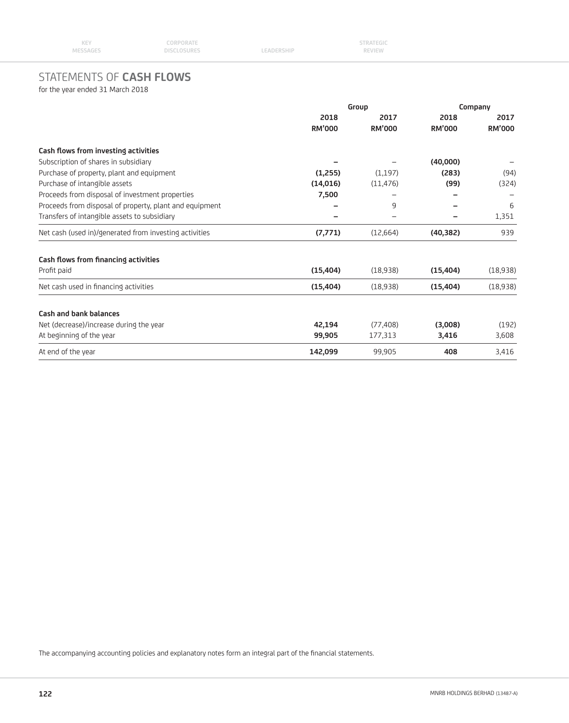# STATEMENTS OF **CASH FLOWS**

for the year ended 31 March 2018

|                                                         | Group         |               | Company       |               |
|---------------------------------------------------------|---------------|---------------|---------------|---------------|
|                                                         | 2018          | 2017          | 2018          | 2017          |
|                                                         | <b>RM'000</b> | <b>RM'000</b> | <b>RM'000</b> | <b>RM'000</b> |
| Cash flows from investing activities                    |               |               |               |               |
| Subscription of shares in subsidiary                    |               |               | (40,000)      |               |
| Purchase of property, plant and equipment               | (1,255)       | (1,197)       | (283)         | (94)          |
| Purchase of intangible assets                           | (14,016)      | (11, 476)     | (99)          | (324)         |
| Proceeds from disposal of investment properties         | 7,500         |               |               |               |
| Proceeds from disposal of property, plant and equipment |               | 9             |               | 6             |
| Transfers of intangible assets to subsidiary            |               |               |               | 1,351         |
| Net cash (used in)/generated from investing activities  | (7,771)       | (12,664)      | (40, 382)     | 939           |
| Cash flows from financing activities                    |               |               |               |               |
| Profit paid                                             | (15, 404)     | (18,938)      | (15, 404)     | (18,938)      |
| Net cash used in financing activities                   | (15, 404)     | (18,938)      | (15, 404)     | (18,938)      |
| Cash and bank balances                                  |               |               |               |               |
| Net (decrease)/increase during the year                 | 42,194        | (77, 408)     | (3,008)       | (192)         |
| At beginning of the year                                | 99,905        | 177,313       | 3,416         | 3,608         |
| At end of the year                                      | 142,099       | 99,905        | 408           | 3,416         |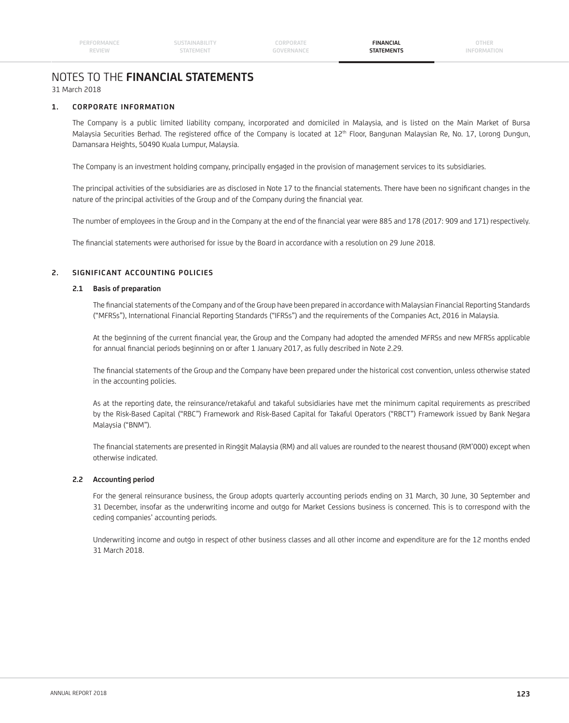# NOTES TO THE **FINANCIAL STATEMENTS** 31 March 2018

# **1. CORPORATE INFORMATION**

 The Company is a public limited liability company, incorporated and domiciled in Malaysia, and is listed on the Main Market of Bursa Malaysia Securities Berhad. The registered office of the Company is located at 12<sup>th</sup> Floor, Bangunan Malaysian Re, No. 17, Lorong Dungun, Damansara Heights, 50490 Kuala Lumpur, Malaysia.

The Company is an investment holding company, principally engaged in the provision of management services to its subsidiaries.

The principal activities of the subsidiaries are as disclosed in Note 17 to the financial statements. There have been no significant changes in the nature of the principal activities of the Group and of the Company during the financial year.

The number of employees in the Group and in the Company at the end of the financial year were 885 and 178 (2017: 909 and 171) respectively.

The financial statements were authorised for issue by the Board in accordance with a resolution on 29 June 2018.

# **2. SIGNIFICANT ACCOUNTING POLICIES**

### **2.1 Basis of preparation**

The financial statements of the Company and of the Group have been prepared in accordance with Malaysian Financial Reporting Standards ("MFRSs"), International Financial Reporting Standards ("IFRSs") and the requirements of the Companies Act, 2016 in Malaysia.

At the beginning of the current financial year, the Group and the Company had adopted the amended MFRSs and new MFRSs applicable for annual financial periods beginning on or after 1 January 2017, as fully described in Note 2.29.

The financial statements of the Group and the Company have been prepared under the historical cost convention, unless otherwise stated in the accounting policies.

 As at the reporting date, the reinsurance/retakaful and takaful subsidiaries have met the minimum capital requirements as prescribed by the Risk-Based Capital ("RBC") Framework and Risk-Based Capital for Takaful Operators ("RBCT") Framework issued by Bank Negara Malaysia ("BNM").

The financial statements are presented in Ringgit Malaysia (RM) and all values are rounded to the nearest thousand (RM'000) except when otherwise indicated.

# **2.2 Accounting period**

 For the general reinsurance business, the Group adopts quarterly accounting periods ending on 31 March, 30 June, 30 September and 31 December, insofar as the underwriting income and outgo for Market Cessions business is concerned. This is to correspond with the ceding companies' accounting periods.

 Underwriting income and outgo in respect of other business classes and all other income and expenditure are for the 12 months ended 31 March 2018.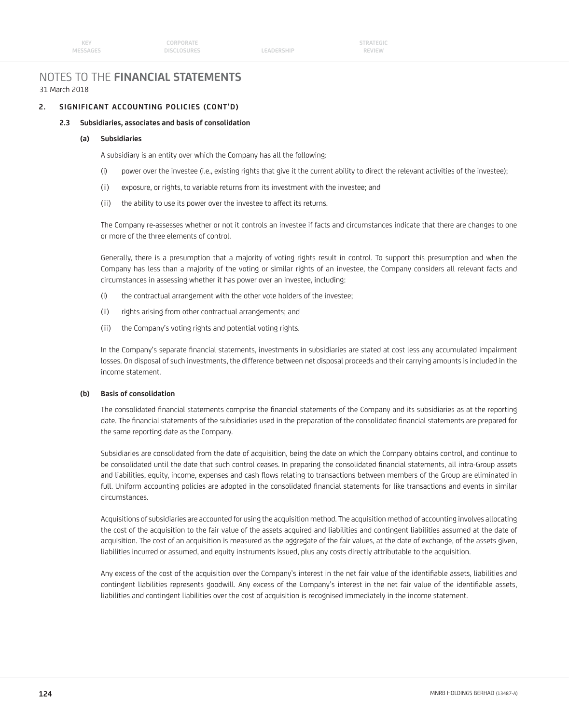LEADERSHIP

# NOTES TO THE **FINANCIAL STATEMENTS** 31 March 2018

# **2. SIGNIFICANT ACCOUNTING POLICIES (CONT'D)**

# **2.3 Subsidiaries, associates and basis of consolidation**

### **(a) Subsidiaries**

A subsidiary is an entity over which the Company has all the following:

- (i) power over the investee (i.e., existing rights that give it the current ability to direct the relevant activities of the investee);
- (ii) exposure, or rights, to variable returns from its investment with the investee; and
- (iii) the ability to use its power over the investee to affect its returns.

 The Company re-assesses whether or not it controls an investee if facts and circumstances indicate that there are changes to one or more of the three elements of control.

 Generally, there is a presumption that a majority of voting rights result in control. To support this presumption and when the Company has less than a majority of the voting or similar rights of an investee, the Company considers all relevant facts and circumstances in assessing whether it has power over an investee, including:

- (i) the contractual arrangement with the other vote holders of the investee;
- (ii) rights arising from other contractual arrangements; and
- (iii) the Company's voting rights and potential voting rights.

In the Company's separate financial statements, investments in subsidiaries are stated at cost less any accumulated impairment losses. On disposal of such investments, the difference between net disposal proceeds and their carrying amounts is included in the income statement.

# **(b) Basis of consolidation**

The consolidated financial statements comprise the financial statements of the Company and its subsidiaries as at the reporting date. The financial statements of the subsidiaries used in the preparation of the consolidated financial statements are prepared for the same reporting date as the Company.

 Subsidiaries are consolidated from the date of acquisition, being the date on which the Company obtains control, and continue to be consolidated until the date that such control ceases. In preparing the consolidated financial statements, all intra-Group assets and liabilities, equity, income, expenses and cash flows relating to transactions between members of the Group are eliminated in full. Uniform accounting policies are adopted in the consolidated financial statements for like transactions and events in similar circumstances.

 Acquisitions of subsidiaries are accounted for using the acquisition method. The acquisition method of accounting involves allocating the cost of the acquisition to the fair value of the assets acquired and liabilities and contingent liabilities assumed at the date of acquisition. The cost of an acquisition is measured as the aggregate of the fair values, at the date of exchange, of the assets given, liabilities incurred or assumed, and equity instruments issued, plus any costs directly attributable to the acquisition.

Any excess of the cost of the acquisition over the Company's interest in the net fair value of the identifiable assets, liabilities and contingent liabilities represents goodwill. Any excess of the Company's interest in the net fair value of the identifiable assets, liabilities and contingent liabilities over the cost of acquisition is recognised immediately in the income statement.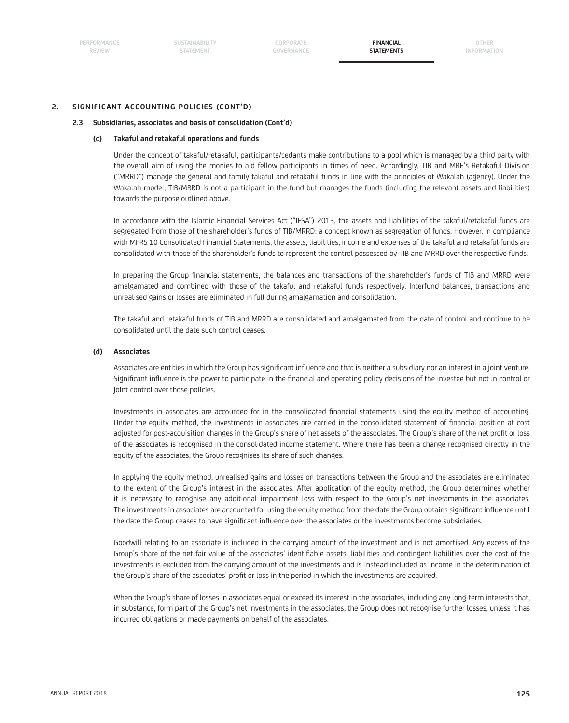**SUSTAINABILITY STATEMENT**

**CORPORATE GOVERNANCE**

**FINANCIAL STATEMENTS**

### **2. SIGNIFICANT ACCOUNTING POLICIES (CONT'D)**

### **2.3 Subsidiaries, associates and basis of consolidation (Cont'd)**

#### **(c) Takaful and retakaful operations and funds**

 Under the concept of takaful/retakaful, participants/cedants make contributions to a pool which is managed by a third party with the overall aim of using the monies to aid fellow participants in times of need. Accordingly, TIB and MRE's Retakaful Division ("MRRD") manage the general and family takaful and retakaful funds in line with the principles of Wakalah (agency). Under the Wakalah model, TIB/MRRD is not a participant in the fund but manages the funds (including the relevant assets and liabilities) towards the purpose outlined above.

 In accordance with the Islamic Financial Services Act ("IFSA") 2013, the assets and liabilities of the takaful/retakaful funds are segregated from those of the shareholder's funds of TIB/MRRD: a concept known as segregation of funds. However, in compliance with MFRS 10 Consolidated Financial Statements, the assets, liabilities, income and expenses of the takaful and retakaful funds are consolidated with those of the shareholder's funds to represent the control possessed by TIB and MRRD over the respective funds.

In preparing the Group financial statements, the balances and transactions of the shareholder's funds of TIB and MRRD were amalgamated and combined with those of the takaful and retakaful funds respectively. Interfund balances, transactions and unrealised gains or losses are eliminated in full during amalgamation and consolidation.

 The takaful and retakaful funds of TIB and MRRD are consolidated and amalgamated from the date of control and continue to be consolidated until the date such control ceases.

#### **(d) Associates**

Associates are entities in which the Group has significant influence and that is neither a subsidiary nor an interest in a joint venture. Significant influence is the power to participate in the financial and operating policy decisions of the investee but not in control or joint control over those policies.

Investments in associates are accounted for in the consolidated financial statements using the equity method of accounting. Under the equity method, the investments in associates are carried in the consolidated statement of financial position at cost adjusted for post-acquisition changes in the Group's share of net assets of the associates. The Group's share of the net profit or loss of the associates is recognised in the consolidated income statement. Where there has been a change recognised directly in the equity of the associates, the Group recognises its share of such changes.

 In applying the equity method, unrealised gains and losses on transactions between the Group and the associates are eliminated to the extent of the Group's interest in the associates. After application of the equity method, the Group determines whether it is necessary to recognise any additional impairment loss with respect to the Group's net investments in the associates. The investments in associates are accounted for using the equity method from the date the Group obtains significant influence until the date the Group ceases to have significant influence over the associates or the investments become subsidiaries.

 Goodwill relating to an associate is included in the carrying amount of the investment and is not amortised. Any excess of the Group's share of the net fair value of the associates' identifiable assets, liabilities and contingent liabilities over the cost of the investments is excluded from the carrying amount of the investments and is instead included as income in the determination of the Group's share of the associates' profit or loss in the period in which the investments are acquired.

 When the Group's share of losses in associates equal or exceed its interest in the associates, including any long-term interests that, in substance, form part of the Group's net investments in the associates, the Group does not recognise further losses, unless it has incurred obligations or made payments on behalf of the associates.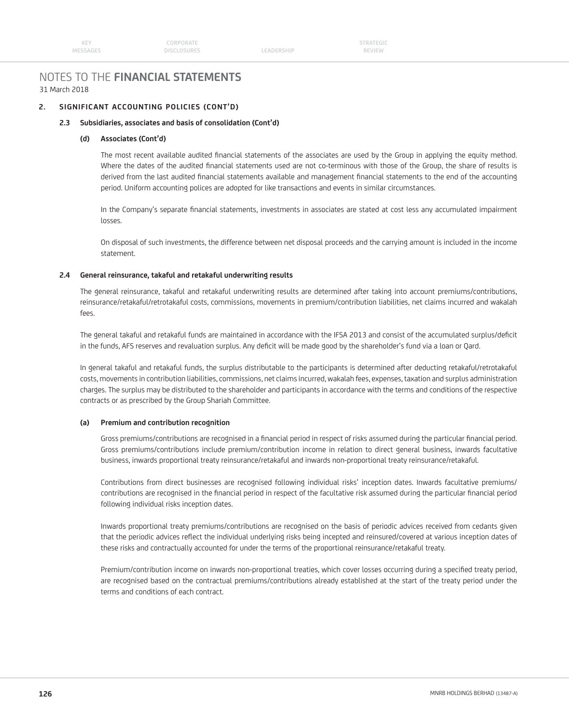# 31 March 2018 NOTES TO THE **FINANCIAL STATEMENTS**

# **2. SIGNIFICANT ACCOUNTING POLICIES (CONT'D)**

# **2.3 Subsidiaries, associates and basis of consolidation (Cont'd)**

### **(d) Associates (Cont'd)**

The most recent available audited financial statements of the associates are used by the Group in applying the equity method. Where the dates of the audited financial statements used are not co-terminous with those of the Group, the share of results is derived from the last audited financial statements available and management financial statements to the end of the accounting period. Uniform accounting polices are adopted for like transactions and events in similar circumstances.

In the Company's separate financial statements, investments in associates are stated at cost less any accumulated impairment losses.

 On disposal of such investments, the difference between net disposal proceeds and the carrying amount is included in the income statement.

### **2.4 General reinsurance, takaful and retakaful underwriting results**

 The general reinsurance, takaful and retakaful underwriting results are determined after taking into account premiums/contributions, reinsurance/retakaful/retrotakaful costs, commissions, movements in premium/contribution liabilities, net claims incurred and wakalah fees.

The general takaful and retakaful funds are maintained in accordance with the IFSA 2013 and consist of the accumulated surplus/deficit in the funds, AFS reserves and revaluation surplus. Any deficit will be made good by the shareholder's fund via a loan or Qard.

 In general takaful and retakaful funds, the surplus distributable to the participants is determined after deducting retakaful/retrotakaful costs, movements in contribution liabilities, commissions, net claims incurred, wakalah fees, expenses, taxation and surplus administration charges. The surplus may be distributed to the shareholder and participants in accordance with the terms and conditions of the respective contracts or as prescribed by the Group Shariah Committee.

### **(a) Premium and contribution recognition**

Gross premiums/contributions are recognised in a financial period in respect of risks assumed during the particular financial period. Gross premiums/contributions include premium/contribution income in relation to direct general business, inwards facultative business, inwards proportional treaty reinsurance/retakaful and inwards non-proportional treaty reinsurance/retakaful.

 Contributions from direct businesses are recognised following individual risks' inception dates. Inwards facultative premiums/ contributions are recognised in the financial period in respect of the facultative risk assumed during the particular financial period following individual risks inception dates.

 Inwards proportional treaty premiums/contributions are recognised on the basis of periodic advices received from cedants given that the periodic advices reflect the individual underlying risks being incepted and reinsured/covered at various inception dates of these risks and contractually accounted for under the terms of the proportional reinsurance/retakaful treaty.

Premium/contribution income on inwards non-proportional treaties, which cover losses occurring during a specified treaty period, are recognised based on the contractual premiums/contributions already established at the start of the treaty period under the terms and conditions of each contract.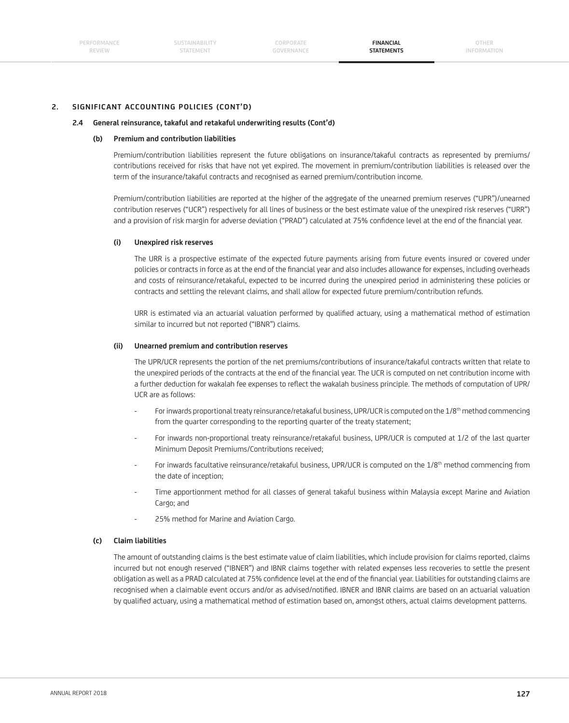# **2. SIGNIFICANT ACCOUNTING POLICIES (CONT'D)**

### **2.4 General reinsurance, takaful and retakaful underwriting results (Cont'd)**

### **(b) Premium and contribution liabilities**

 Premium/contribution liabilities represent the future obligations on insurance/takaful contracts as represented by premiums/ contributions received for risks that have not yet expired. The movement in premium/contribution liabilities is released over the term of the insurance/takaful contracts and recognised as earned premium/contribution income.

 Premium/contribution liabilities are reported at the higher of the aggregate of the unearned premium reserves ("UPR")/unearned contribution reserves ("UCR") respectively for all lines of business or the best estimate value of the unexpired risk reserves ("URR") and a provision of risk margin for adverse deviation ("PRAD") calculated at 75% confidence level at the end of the financial year.

#### **(i) Unexpired risk reserves**

 The URR is a prospective estimate of the expected future payments arising from future events insured or covered under policies or contracts in force as at the end of the financial year and also includes allowance for expenses, including overheads and costs of reinsurance/retakaful, expected to be incurred during the unexpired period in administering these policies or contracts and settling the relevant claims, and shall allow for expected future premium/contribution refunds.

URR is estimated via an actuarial valuation performed by qualified actuary, using a mathematical method of estimation similar to incurred but not reported ("IBNR") claims.

#### **(ii) Unearned premium and contribution reserves**

 The UPR/UCR represents the portion of the net premiums/contributions of insurance/takaful contracts written that relate to the unexpired periods of the contracts at the end of the financial year. The UCR is computed on net contribution income with a further deduction for wakalah fee expenses to reflect the wakalah business principle. The methods of computation of UPR/ UCR are as follows:

- For inwards proportional treaty reinsurance/retakaful business, UPR/UCR is computed on the 1/8<sup>th</sup> method commencing from the quarter corresponding to the reporting quarter of the treaty statement;
- For inwards non-proportional treaty reinsurance/retakaful business, UPR/UCR is computed at 1/2 of the last quarter Minimum Deposit Premiums/Contributions received;
- For inwards facultative reinsurance/retakaful business, UPR/UCR is computed on the 1/8<sup>th</sup> method commencing from the date of inception;
- Time apportionment method for all classes of general takaful business within Malaysia except Marine and Aviation Cargo; and
- 25% method for Marine and Aviation Cargo.

### **(c) Claim liabilities**

 The amount of outstanding claims is the best estimate value of claim liabilities, which include provision for claims reported, claims incurred but not enough reserved ("IBNER") and IBNR claims together with related expenses less recoveries to settle the present obligation as well as a PRAD calculated at 75% confidence level at the end of the financial year. Liabilities for outstanding claims are recognised when a claimable event occurs and/or as advised/notified. IBNER and IBNR claims are based on an actuarial valuation by qualified actuary, using a mathematical method of estimation based on, amongst others, actual claims development patterns.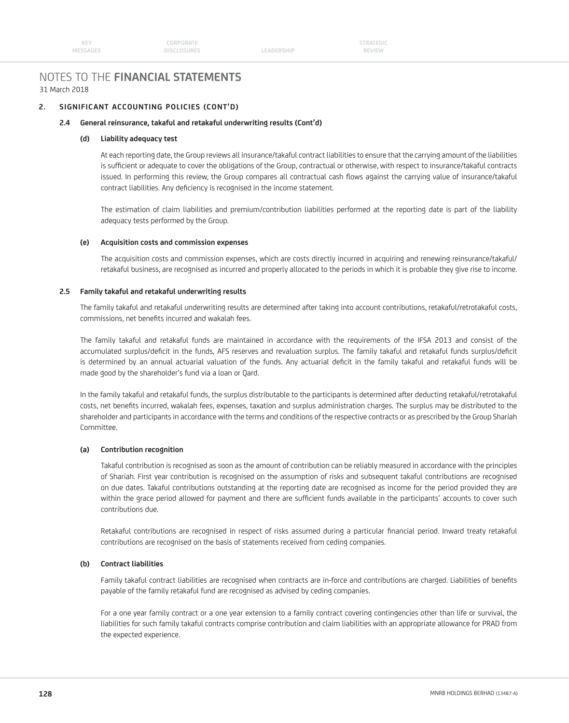# NOTES TO THE **FINANCIAL STATEMENTS** 31 March 2018

# **2. SIGNIFICANT ACCOUNTING POLICIES (CONT'D)**

## **2.4 General reinsurance, takaful and retakaful underwriting results (Cont'd)**

### **(d) Liability adequacy test**

 At each reporting date, the Group reviews all insurance/takaful contract liabilities to ensure that the carrying amount of the liabilities is sufficient or adequate to cover the obligations of the Group, contractual or otherwise, with respect to insurance/takaful contracts issued. In performing this review, the Group compares all contractual cash flows against the carrying value of insurance/takaful contract liabilities. Any deficiency is recognised in the income statement.

 The estimation of claim liabilities and premium/contribution liabilities performed at the reporting date is part of the liability adequacy tests performed by the Group.

### **(e) Acquisition costs and commission expenses**

 The acquisition costs and commission expenses, which are costs directly incurred in acquiring and renewing reinsurance/takaful/ retakaful business, are recognised as incurred and properly allocated to the periods in which it is probable they give rise to income.

# **2.5 Family takaful and retakaful underwriting results**

 The family takaful and retakaful underwriting results are determined after taking into account contributions, retakaful/retrotakaful costs, commissions, net benefits incurred and wakalah fees.

 The family takaful and retakaful funds are maintained in accordance with the requirements of the IFSA 2013 and consist of the accumulated surplus/deficit in the funds, AFS reserves and revaluation surplus. The family takaful and retakaful funds surplus/deficit is determined by an annual actuarial valuation of the funds. Any actuarial deficit in the family takaful and retakaful funds will be made good by the shareholder's fund via a loan or Qard.

 In the family takaful and retakaful funds, the surplus distributable to the participants is determined after deducting retakaful/retrotakaful costs, net benefits incurred, wakalah fees, expenses, taxation and surplus administration charges. The surplus may be distributed to the shareholder and participants in accordance with the terms and conditions of the respective contracts or as prescribed by the Group Shariah Committee.

# **(a) Contribution recognition**

 Takaful contribution is recognised as soon as the amount of contribution can be reliably measured in accordance with the principles of Shariah. First year contribution is recognised on the assumption of risks and subsequent takaful contributions are recognised on due dates. Takaful contributions outstanding at the reporting date are recognised as income for the period provided they are within the grace period allowed for payment and there are sufficient funds available in the participants' accounts to cover such contributions due.

Retakaful contributions are recognised in respect of risks assumed during a particular financial period. Inward treaty retakaful contributions are recognised on the basis of statements received from ceding companies.

### **(b) Contract liabilities**

Family takaful contract liabilities are recognised when contracts are in-force and contributions are charged. Liabilities of benefits payable of the family retakaful fund are recognised as advised by ceding companies.

 For a one year family contract or a one year extension to a family contract covering contingencies other than life or survival, the liabilities for such family takaful contracts comprise contribution and claim liabilities with an appropriate allowance for PRAD from the expected experience.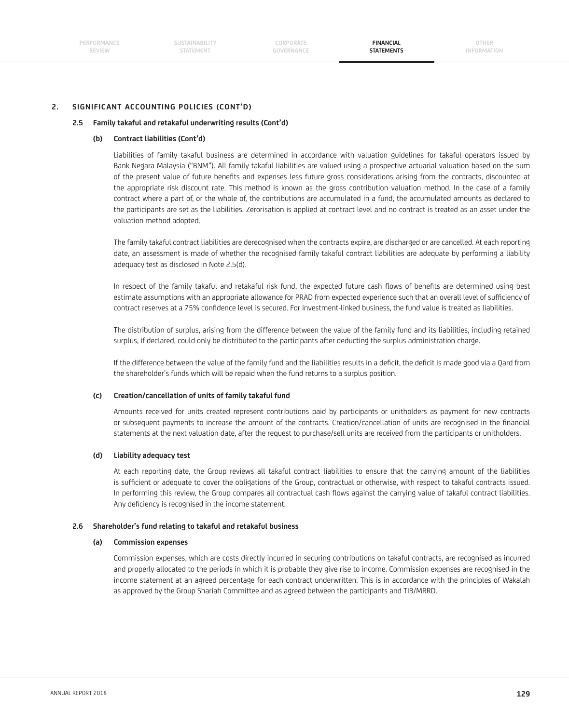**SUSTAINABILITY STATEMENT**

**CORPORATE GOVERNANCE**

**FINANCIAL STATEMENTS**

**OTHER INFORMATION**

# **2. SIGNIFICANT ACCOUNTING POLICIES (CONT'D)**

### **2.5 Family takaful and retakaful underwriting results (Cont'd)**

### **(b) Contract liabilities (Cont'd)**

 Liabilities of family takaful business are determined in accordance with valuation guidelines for takaful operators issued by Bank Negara Malaysia ("BNM"). All family takaful liabilities are valued using a prospective actuarial valuation based on the sum of the present value of future benefits and expenses less future gross considerations arising from the contracts, discounted at the appropriate risk discount rate. This method is known as the gross contribution valuation method. In the case of a family contract where a part of, or the whole of, the contributions are accumulated in a fund, the accumulated amounts as declared to the participants are set as the liabilities. Zerorisation is applied at contract level and no contract is treated as an asset under the valuation method adopted.

 The family takaful contract liabilities are derecognised when the contracts expire, are discharged or are cancelled. At each reporting date, an assessment is made of whether the recognised family takaful contract liabilities are adequate by performing a liability adequacy test as disclosed in Note 2.5(d).

In respect of the family takaful and retakaful risk fund, the expected future cash flows of benefits are determined using best estimate assumptions with an appropriate allowance for PRAD from expected experience such that an overall level of sufficiency of contract reserves at a 75% confidence level is secured. For investment-linked business, the fund value is treated as liabilities.

 The distribution of surplus, arising from the difference between the value of the family fund and its liabilities, including retained surplus, if declared, could only be distributed to the participants after deducting the surplus administration charge.

If the difference between the value of the family fund and the liabilities results in a deficit, the deficit is made good via a Qard from the shareholder's funds which will be repaid when the fund returns to a surplus position.

### **(c) Creation/cancellation of units of family takaful fund**

 Amounts received for units created represent contributions paid by participants or unitholders as payment for new contracts or subsequent payments to increase the amount of the contracts. Creation/cancellation of units are recognised in the financial statements at the next valuation date, after the request to purchase/sell units are received from the participants or unitholders.

### **(d) Liability adequacy test**

 At each reporting date, the Group reviews all takaful contract liabilities to ensure that the carrying amount of the liabilities is sufficient or adequate to cover the obligations of the Group, contractual or otherwise, with respect to takaful contracts issued. In performing this review, the Group compares all contractual cash flows against the carrying value of takaful contract liabilities. Any deficiency is recognised in the income statement.

#### **2.6 Shareholder's fund relating to takaful and retakaful business**

### **(a) Commission expenses**

 Commission expenses, which are costs directly incurred in securing contributions on takaful contracts, are recognised as incurred and properly allocated to the periods in which it is probable they give rise to income. Commission expenses are recognised in the income statement at an agreed percentage for each contract underwritten. This is in accordance with the principles of Wakalah as approved by the Group Shariah Committee and as agreed between the participants and TIB/MRRD.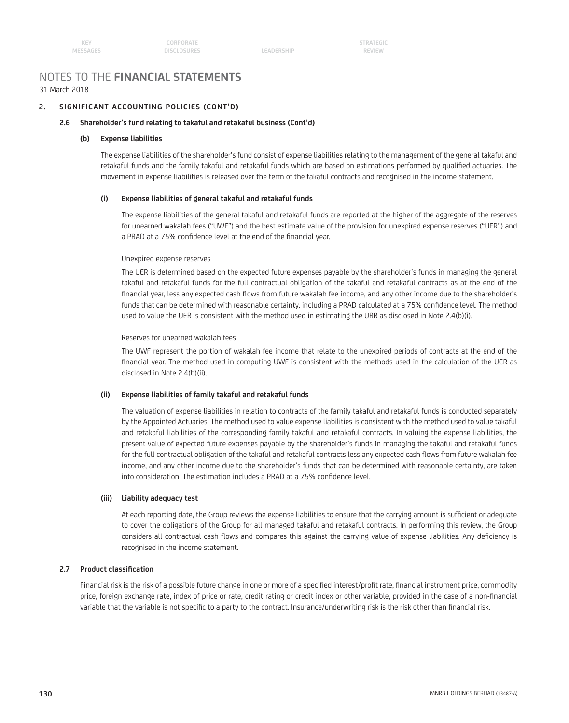LEADERSHIP

# NOTES TO THE **FINANCIAL STATEMENTS** 31 March 2018

# **2. SIGNIFICANT ACCOUNTING POLICIES (CONT'D)**

### **2.6 Shareholder's fund relating to takaful and retakaful business (Cont'd)**

### **(b) Expense liabilities**

 The expense liabilities of the shareholder's fund consist of expense liabilities relating to the management of the general takaful and retakaful funds and the family takaful and retakaful funds which are based on estimations performed by qualified actuaries. The movement in expense liabilities is released over the term of the takaful contracts and recognised in the income statement.

### **(i) Expense liabilities of general takaful and retakaful funds**

 The expense liabilities of the general takaful and retakaful funds are reported at the higher of the aggregate of the reserves for unearned wakalah fees ("UWF") and the best estimate value of the provision for unexpired expense reserves ("UER") and a PRAD at a 75% confidence level at the end of the financial year.

### Unexpired expense reserves

The UER is determined based on the expected future expenses payable by the shareholder's funds in managing the general takaful and retakaful funds for the full contractual obligation of the takaful and retakaful contracts as at the end of the financial year, less any expected cash flows from future wakalah fee income, and any other income due to the shareholder's funds that can be determined with reasonable certainty, including a PRAD calculated at a 75% confidence level. The method used to value the UER is consistent with the method used in estimating the URR as disclosed in Note 2.4(b)(i).

### Reserves for unearned wakalah fees

 The UWF represent the portion of wakalah fee income that relate to the unexpired periods of contracts at the end of the financial year. The method used in computing UWF is consistent with the methods used in the calculation of the UCR as disclosed in Note 2.4(b)(ii).

### **(ii) Expense liabilities of family takaful and retakaful funds**

 The valuation of expense liabilities in relation to contracts of the family takaful and retakaful funds is conducted separately by the Appointed Actuaries. The method used to value expense liabilities is consistent with the method used to value takaful and retakaful liabilities of the corresponding family takaful and retakaful contracts. In valuing the expense liabilities, the present value of expected future expenses payable by the shareholder's funds in managing the takaful and retakaful funds for the full contractual obligation of the takaful and retakaful contracts less any expected cash flows from future wakalah fee income, and any other income due to the shareholder's funds that can be determined with reasonable certainty, are taken into consideration. The estimation includes a PRAD at a 75% confidence level.

### **(iii) Liability adequacy test**

At each reporting date, the Group reviews the expense liabilities to ensure that the carrying amount is sufficient or adequate to cover the obligations of the Group for all managed takaful and retakaful contracts. In performing this review, the Group considers all contractual cash flows and compares this against the carrying value of expense liabilities. Any deficiency is recognised in the income statement.

# **2.7 Product classification**

Financial risk is the risk of a possible future change in one or more of a specified interest/profit rate, financial instrument price, commodity price, foreign exchange rate, index of price or rate, credit rating or credit index or other variable, provided in the case of a non-financial variable that the variable is not specific to a party to the contract. Insurance/underwriting risk is the risk other than financial risk.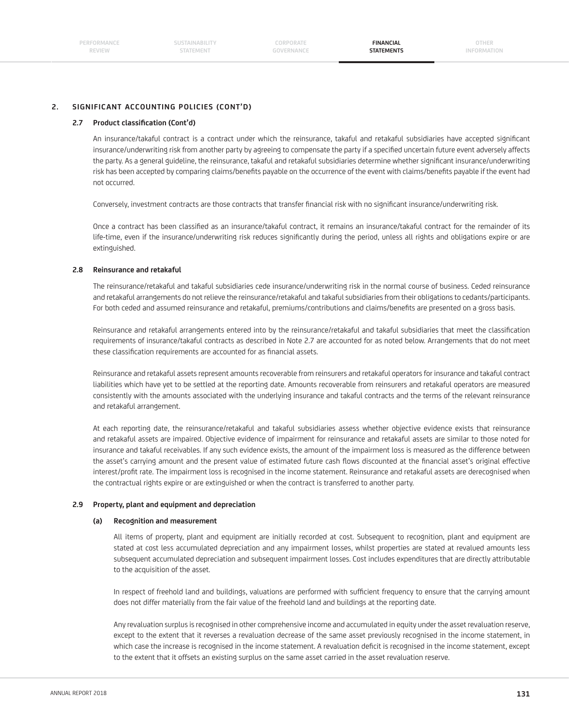**FINANCIAL STATEMENTS**

**OTHER INFORMATION**

# **2. SIGNIFICANT ACCOUNTING POLICIES (CONT'D)**

### **2.7** Product classification (Cont'd)

An insurance/takaful contract is a contract under which the reinsurance, takaful and retakaful subsidiaries have accepted significant insurance/underwriting risk from another party by agreeing to compensate the party if a specified uncertain future event adversely affects the party. As a general guideline, the reinsurance, takaful and retakaful subsidiaries determine whether significant insurance/underwriting risk has been accepted by comparing claims/benefits payable on the occurrence of the event with claims/benefits payable if the event had not occurred.

Conversely, investment contracts are those contracts that transfer financial risk with no significant insurance/underwriting risk.

Once a contract has been classified as an insurance/takaful contract, it remains an insurance/takaful contract for the remainder of its life-time, even if the insurance/underwriting risk reduces significantly during the period, unless all rights and obligations expire or are extinguished.

### **2.8 Reinsurance and retakaful**

 The reinsurance/retakaful and takaful subsidiaries cede insurance/underwriting risk in the normal course of business. Ceded reinsurance and retakaful arrangements do not relieve the reinsurance/retakaful and takaful subsidiaries from their obligations to cedants/participants. For both ceded and assumed reinsurance and retakaful, premiums/contributions and claims/benefits are presented on a gross basis.

Reinsurance and retakaful arrangements entered into by the reinsurance/retakaful and takaful subsidiaries that meet the classification requirements of insurance/takaful contracts as described in Note 2.7 are accounted for as noted below. Arrangements that do not meet these classification requirements are accounted for as financial assets.

 Reinsurance and retakaful assets represent amounts recoverable from reinsurers and retakaful operators for insurance and takaful contract liabilities which have yet to be settled at the reporting date. Amounts recoverable from reinsurers and retakaful operators are measured consistently with the amounts associated with the underlying insurance and takaful contracts and the terms of the relevant reinsurance and retakaful arrangement.

 At each reporting date, the reinsurance/retakaful and takaful subsidiaries assess whether objective evidence exists that reinsurance and retakaful assets are impaired. Objective evidence of impairment for reinsurance and retakaful assets are similar to those noted for insurance and takaful receivables. If any such evidence exists, the amount of the impairment loss is measured as the difference between the asset's carrying amount and the present value of estimated future cash flows discounted at the financial asset's original effective interest/profit rate. The impairment loss is recognised in the income statement. Reinsurance and retakaful assets are derecognised when the contractual rights expire or are extinguished or when the contract is transferred to another party.

### **2.9 Property, plant and equipment and depreciation**

### **(a) Recognition and measurement**

 All items of property, plant and equipment are initially recorded at cost. Subsequent to recognition, plant and equipment are stated at cost less accumulated depreciation and any impairment losses, whilst properties are stated at revalued amounts less subsequent accumulated depreciation and subsequent impairment losses. Cost includes expenditures that are directly attributable to the acquisition of the asset.

In respect of freehold land and buildings, valuations are performed with sufficient frequency to ensure that the carrying amount does not differ materially from the fair value of the freehold land and buildings at the reporting date.

 Any revaluation surplus is recognised in other comprehensive income and accumulated in equity under the asset revaluation reserve, except to the extent that it reverses a revaluation decrease of the same asset previously recognised in the income statement, in which case the increase is recognised in the income statement. A revaluation deficit is recognised in the income statement, except to the extent that it offsets an existing surplus on the same asset carried in the asset revaluation reserve.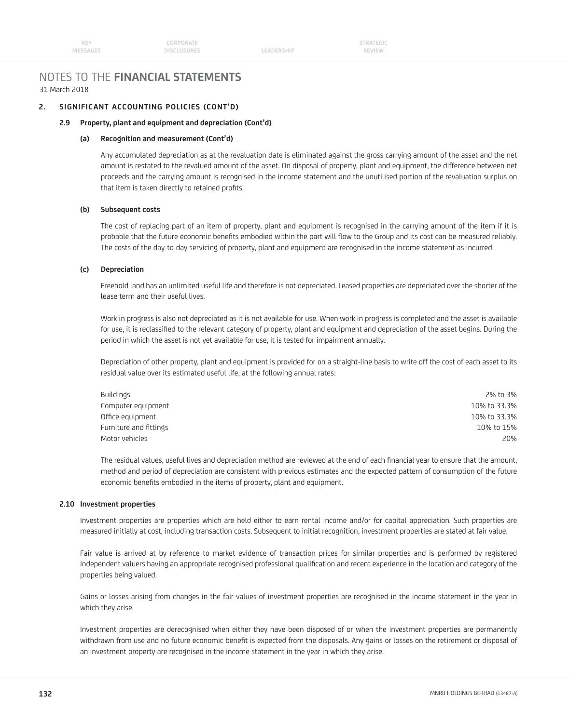LEADERSHIP

# NOTES TO THE **FINANCIAL STATEMENTS** 31 March 2018

# **2. SIGNIFICANT ACCOUNTING POLICIES (CONT'D)**

# **2.9 Property, plant and equipment and depreciation (Cont'd)**

### **(a) Recognition and measurement (Cont'd)**

 Any accumulated depreciation as at the revaluation date is eliminated against the gross carrying amount of the asset and the net amount is restated to the revalued amount of the asset. On disposal of property, plant and equipment, the difference between net proceeds and the carrying amount is recognised in the income statement and the unutilised portion of the revaluation surplus on that item is taken directly to retained profits.

## **(b) Subsequent costs**

 The cost of replacing part of an item of property, plant and equipment is recognised in the carrying amount of the item if it is probable that the future economic benefits embodied within the part will flow to the Group and its cost can be measured reliably. The costs of the day-to-day servicing of property, plant and equipment are recognised in the income statement as incurred.

### **(c) Depreciation**

 Freehold land has an unlimited useful life and therefore is not depreciated. Leased properties are depreciated over the shorter of the lease term and their useful lives.

 Work in progress is also not depreciated as it is not available for use. When work in progress is completed and the asset is available for use, it is reclassified to the relevant category of property, plant and equipment and depreciation of the asset begins. During the period in which the asset is not yet available for use, it is tested for impairment annually.

 Depreciation of other property, plant and equipment is provided for on a straight-line basis to write off the cost of each asset to its residual value over its estimated useful life, at the following annual rates:

| Buildings              | 2% to 3%     |
|------------------------|--------------|
| Computer equipment     | 10% to 33.3% |
| Office equipment       | 10% to 33.3% |
| Furniture and fittings | 10% to 15%   |
| Motor vehicles         | 20%          |

The residual values, useful lives and depreciation method are reviewed at the end of each financial year to ensure that the amount, method and period of depreciation are consistent with previous estimates and the expected pattern of consumption of the future economic benefits embodied in the items of property, plant and equipment.

### **2.10 Investment properties**

 Investment properties are properties which are held either to earn rental income and/or for capital appreciation. Such properties are measured initially at cost, including transaction costs. Subsequent to initial recognition, investment properties are stated at fair value.

 Fair value is arrived at by reference to market evidence of transaction prices for similar properties and is performed by registered independent valuers having an appropriate recognised professional qualification and recent experience in the location and category of the properties being valued.

 Gains or losses arising from changes in the fair values of investment properties are recognised in the income statement in the year in which they arise.

 Investment properties are derecognised when either they have been disposed of or when the investment properties are permanently withdrawn from use and no future economic benefit is expected from the disposals. Any gains or losses on the retirement or disposal of an investment property are recognised in the income statement in the year in which they arise.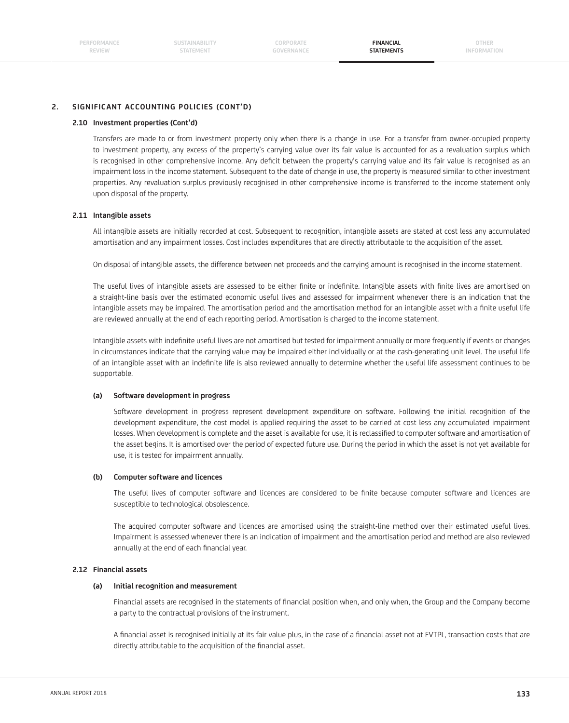**FINANCIAL STATEMENTS**

# **2. SIGNIFICANT ACCOUNTING POLICIES (CONT'D)**

### **2.10 Investment properties (Cont'd)**

 Transfers are made to or from investment property only when there is a change in use. For a transfer from owner-occupied property to investment property, any excess of the property's carrying value over its fair value is accounted for as a revaluation surplus which is recognised in other comprehensive income. Any deficit between the property's carrying value and its fair value is recognised as an impairment loss in the income statement. Subsequent to the date of change in use, the property is measured similar to other investment properties. Any revaluation surplus previously recognised in other comprehensive income is transferred to the income statement only upon disposal of the property.

### **2.11 Intangible assets**

 All intangible assets are initially recorded at cost. Subsequent to recognition, intangible assets are stated at cost less any accumulated amortisation and any impairment losses. Cost includes expenditures that are directly attributable to the acquisition of the asset.

On disposal of intangible assets, the difference between net proceeds and the carrying amount is recognised in the income statement.

The useful lives of intangible assets are assessed to be either finite or indefinite. Intangible assets with finite lives are amortised on a straight-line basis over the estimated economic useful lives and assessed for impairment whenever there is an indication that the intangible assets may be impaired. The amortisation period and the amortisation method for an intangible asset with a finite useful life are reviewed annually at the end of each reporting period. Amortisation is charged to the income statement.

Intangible assets with indefinite useful lives are not amortised but tested for impairment annually or more frequently if events or changes in circumstances indicate that the carrying value may be impaired either individually or at the cash-generating unit level. The useful life of an intangible asset with an indefinite life is also reviewed annually to determine whether the useful life assessment continues to be supportable.

### **(a) Software development in progress**

 Software development in progress represent development expenditure on software. Following the initial recognition of the development expenditure, the cost model is applied requiring the asset to be carried at cost less any accumulated impairment losses. When development is complete and the asset is available for use, it is reclassified to computer software and amortisation of the asset begins. It is amortised over the period of expected future use. During the period in which the asset is not yet available for use, it is tested for impairment annually.

### **(b) Computer software and licences**

The useful lives of computer software and licences are considered to be finite because computer software and licences are susceptible to technological obsolescence.

 The acquired computer software and licences are amortised using the straight-line method over their estimated useful lives. Impairment is assessed whenever there is an indication of impairment and the amortisation period and method are also reviewed annually at the end of each financial year.

### **2.12 Financial assets**

### **(a) Initial recognition and measurement**

Financial assets are recognised in the statements of financial position when, and only when, the Group and the Company become a party to the contractual provisions of the instrument.

A financial asset is recognised initially at its fair value plus, in the case of a financial asset not at FVTPL, transaction costs that are directly attributable to the acquisition of the financial asset.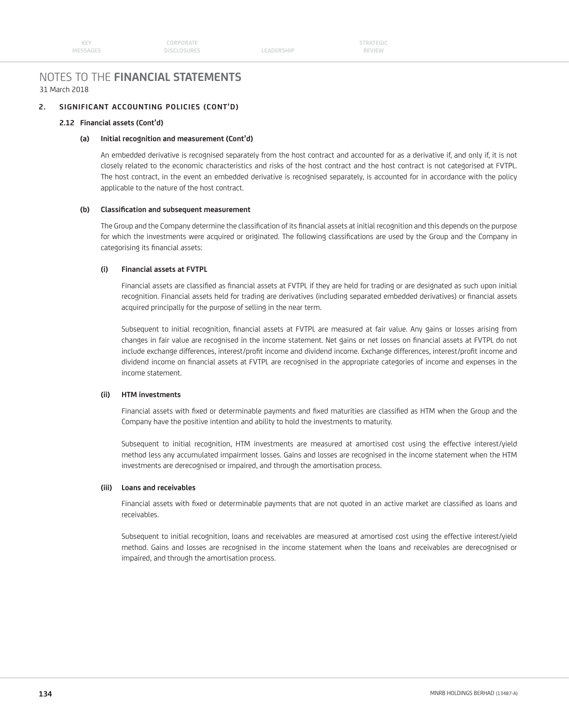LEADERSHIP

# NOTES TO THE **FINANCIAL STATEMENTS** 31 March 2018

# **2. SIGNIFICANT ACCOUNTING POLICIES (CONT'D)**

### **2.12 Financial assets (Cont'd)**

## **(a) Initial recognition and measurement (Cont'd)**

 An embedded derivative is recognised separately from the host contract and accounted for as a derivative if, and only if, it is not closely related to the economic characteristics and risks of the host contract and the host contract is not categorised at FVTPL. The host contract, in the event an embedded derivative is recognised separately, is accounted for in accordance with the policy applicable to the nature of the host contract.

### (b) Classification and subsequent measurement

The Group and the Company determine the classification of its financial assets at initial recognition and this depends on the purpose for which the investments were acquired or originated. The following classifications are used by the Group and the Company in categorising its financial assets:

### **(i) Financial assets at FVTPL**

Financial assets are classified as financial assets at FVTPL if they are held for trading or are designated as such upon initial recognition. Financial assets held for trading are derivatives (including separated embedded derivatives) or financial assets acquired principally for the purpose of selling in the near term.

Subsequent to initial recognition, financial assets at FVTPL are measured at fair value. Any gains or losses arising from changes in fair value are recognised in the income statement. Net gains or net losses on financial assets at FVTPL do not include exchange differences, interest/profit income and dividend income. Exchange differences, interest/profit income and dividend income on financial assets at FVTPL are recognised in the appropriate categories of income and expenses in the income statement.

# **(ii) HTM investments**

Financial assets with fixed or determinable payments and fixed maturities are classified as HTM when the Group and the Company have the positive intention and ability to hold the investments to maturity.

 Subsequent to initial recognition, HTM investments are measured at amortised cost using the effective interest/yield method less any accumulated impairment losses. Gains and losses are recognised in the income statement when the HTM investments are derecognised or impaired, and through the amortisation process.

# **(iii) Loans and receivables**

Financial assets with fixed or determinable payments that are not quoted in an active market are classified as loans and receivables.

 Subsequent to initial recognition, loans and receivables are measured at amortised cost using the effective interest/yield method. Gains and losses are recognised in the income statement when the loans and receivables are derecognised or impaired, and through the amortisation process.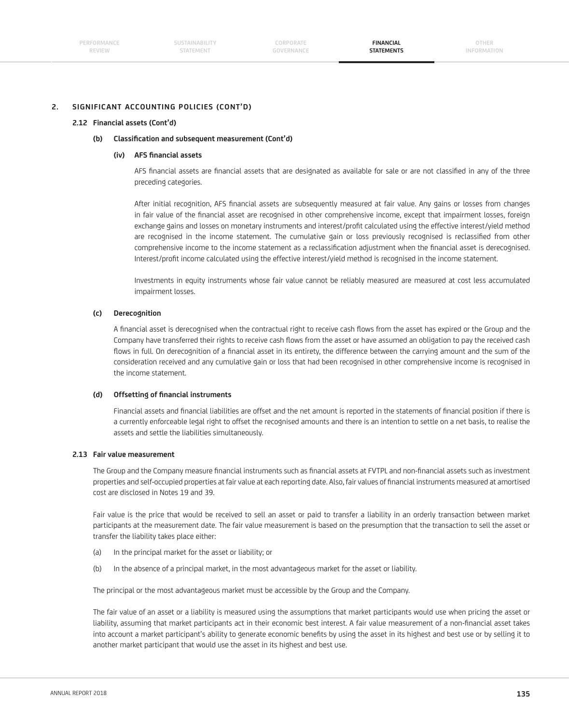**FINANCIAL STATEMENTS**

## **2. SIGNIFICANT ACCOUNTING POLICIES (CONT'D)**

#### **2.12 Financial assets (Cont'd)**

#### **(b) Classifi cation and subsequent measurement (Cont'd)**

### **(iv) AFS fi nancial assets**

AFS financial assets are financial assets that are designated as available for sale or are not classified in any of the three preceding categories.

After initial recognition, AFS financial assets are subsequently measured at fair value. Any gains or losses from changes in fair value of the financial asset are recognised in other comprehensive income, except that impairment losses, foreign exchange gains and losses on monetary instruments and interest/profi t calculated using the effective interest/yield method are recognised in the income statement. The cumulative gain or loss previously recognised is reclassified from other comprehensive income to the income statement as a reclassification adjustment when the financial asset is derecognised. Interest/profit income calculated using the effective interest/yield method is recognised in the income statement.

 Investments in equity instruments whose fair value cannot be reliably measured are measured at cost less accumulated impairment losses.

### **(c) Derecognition**

A financial asset is derecognised when the contractual right to receive cash flows from the asset has expired or the Group and the Company have transferred their rights to receive cash flows from the asset or have assumed an obligation to pay the received cash flows in full. On derecognition of a financial asset in its entirety, the difference between the carrying amount and the sum of the consideration received and any cumulative gain or loss that had been recognised in other comprehensive income is recognised in the income statement.

#### (d) Offsetting of financial instruments

Financial assets and financial liabilities are offset and the net amount is reported in the statements of financial position if there is a currently enforceable legal right to offset the recognised amounts and there is an intention to settle on a net basis, to realise the assets and settle the liabilities simultaneously.

#### **2.13 Fair value measurement**

The Group and the Company measure financial instruments such as financial assets at FVTPL and non-financial assets such as investment properties and self-occupied properties at fair value at each reporting date. Also, fair values of financial instruments measured at amortised cost are disclosed in Notes 19 and 39.

 Fair value is the price that would be received to sell an asset or paid to transfer a liability in an orderly transaction between market participants at the measurement date. The fair value measurement is based on the presumption that the transaction to sell the asset or transfer the liability takes place either:

- (a) In the principal market for the asset or liability; or
- (b) In the absence of a principal market, in the most advantageous market for the asset or liability.

The principal or the most advantageous market must be accessible by the Group and the Company.

 The fair value of an asset or a liability is measured using the assumptions that market participants would use when pricing the asset or liability, assuming that market participants act in their economic best interest. A fair value measurement of a non-financial asset takes into account a market participant's ability to generate economic benefits by using the asset in its highest and best use or by selling it to another market participant that would use the asset in its highest and best use.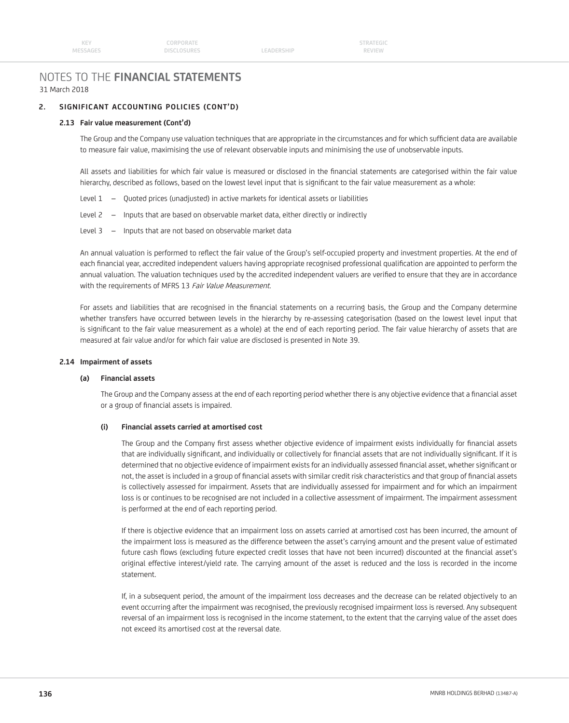LEADERSHIP

# NOTES TO THE **FINANCIAL STATEMENTS** 31 March 2018

# **2. SIGNIFICANT ACCOUNTING POLICIES (CONT'D)**

### **2.13 Fair value measurement (Cont'd)**

The Group and the Company use valuation techniques that are appropriate in the circumstances and for which sufficient data are available to measure fair value, maximising the use of relevant observable inputs and minimising the use of unobservable inputs.

All assets and liabilities for which fair value is measured or disclosed in the financial statements are categorised within the fair value hierarchy, described as follows, based on the lowest level input that is significant to the fair value measurement as a whole:

- Level 1 Quoted prices (unadjusted) in active markets for identical assets or liabilities
- Level 2 Inputs that are based on observable market data, either directly or indirectly
- Level 3 Inputs that are not based on observable market data

An annual valuation is performed to reflect the fair value of the Group's self-occupied property and investment properties. At the end of each financial year, accredited independent valuers having appropriate recognised professional qualification are appointed to perform the annual valuation. The valuation techniques used by the accredited independent valuers are verified to ensure that they are in accordance with the requirements of MFRS 13 Fair Value Measurement.

For assets and liabilities that are recognised in the financial statements on a recurring basis, the Group and the Company determine whether transfers have occurred between levels in the hierarchy by re-assessing categorisation (based on the lowest level input that is significant to the fair value measurement as a whole) at the end of each reporting period. The fair value hierarchy of assets that are measured at fair value and/or for which fair value are disclosed is presented in Note 39.

### **2.14 Impairment of assets**

### **(a) Financial assets**

The Group and the Company assess at the end of each reporting period whether there is any objective evidence that a financial asset or a group of financial assets is impaired.

# **(i) Financial assets carried at amortised cost**

The Group and the Company first assess whether objective evidence of impairment exists individually for financial assets that are individually significant, and individually or collectively for financial assets that are not individually significant. If it is determined that no objective evidence of impairment exists for an individually assessed financial asset, whether significant or not, the asset is included in a group of financial assets with similar credit risk characteristics and that group of financial assets is collectively assessed for impairment. Assets that are individually assessed for impairment and for which an impairment loss is or continues to be recognised are not included in a collective assessment of impairment. The impairment assessment is performed at the end of each reporting period.

 If there is objective evidence that an impairment loss on assets carried at amortised cost has been incurred, the amount of the impairment loss is measured as the difference between the asset's carrying amount and the present value of estimated future cash flows (excluding future expected credit losses that have not been incurred) discounted at the financial asset's original effective interest/yield rate. The carrying amount of the asset is reduced and the loss is recorded in the income statement.

 If, in a subsequent period, the amount of the impairment loss decreases and the decrease can be related objectively to an event occurring after the impairment was recognised, the previously recognised impairment loss is reversed. Any subsequent reversal of an impairment loss is recognised in the income statement, to the extent that the carrying value of the asset does not exceed its amortised cost at the reversal date.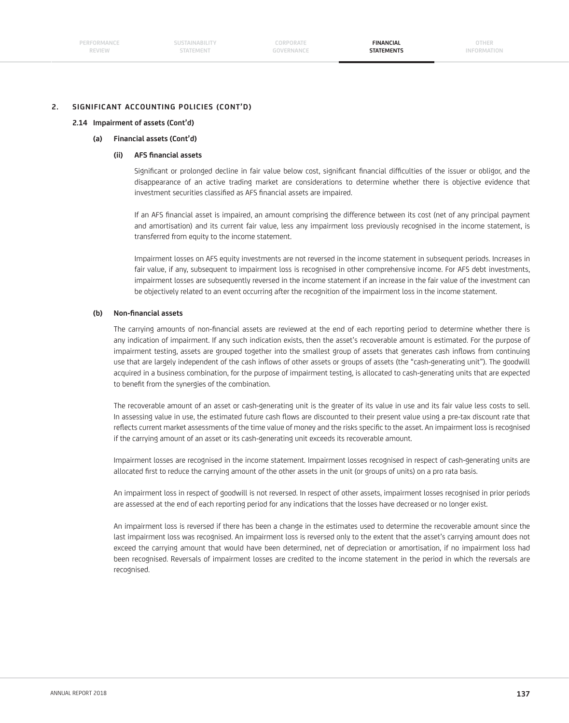# **2. SIGNIFICANT ACCOUNTING POLICIES (CONT'D)**

### **2.14 Impairment of assets (Cont'd)**

## **(a) Financial assets (Cont'd)**

## **(ii) AFS fi nancial assets**

Significant or prolonged decline in fair value below cost, significant financial difficulties of the issuer or obligor, and the disappearance of an active trading market are considerations to determine whether there is objective evidence that investment securities classified as AFS financial assets are impaired.

If an AFS financial asset is impaired, an amount comprising the difference between its cost (net of any principal payment and amortisation) and its current fair value, less any impairment loss previously recognised in the income statement, is transferred from equity to the income statement.

 Impairment losses on AFS equity investments are not reversed in the income statement in subsequent periods. Increases in fair value, if any, subsequent to impairment loss is recognised in other comprehensive income. For AFS debt investments, impairment losses are subsequently reversed in the income statement if an increase in the fair value of the investment can be objectively related to an event occurring after the recognition of the impairment loss in the income statement.

### **(b) Non-fi nancial assets**

The carrying amounts of non-financial assets are reviewed at the end of each reporting period to determine whether there is any indication of impairment. If any such indication exists, then the asset's recoverable amount is estimated. For the purpose of impairment testing, assets are grouped together into the smallest group of assets that generates cash inflows from continuing use that are largely independent of the cash inflows of other assets or groups of assets (the "cash-generating unit"). The goodwill acquired in a business combination, for the purpose of impairment testing, is allocated to cash-generating units that are expected to benefit from the synergies of the combination.

 The recoverable amount of an asset or cash-generating unit is the greater of its value in use and its fair value less costs to sell. In assessing value in use, the estimated future cash flows are discounted to their present value using a pre-tax discount rate that reflects current market assessments of the time value of money and the risks specific to the asset. An impairment loss is recognised if the carrying amount of an asset or its cash-generating unit exceeds its recoverable amount.

 Impairment losses are recognised in the income statement. Impairment losses recognised in respect of cash-generating units are allocated first to reduce the carrying amount of the other assets in the unit (or groups of units) on a pro rata basis.

 An impairment loss in respect of goodwill is not reversed. In respect of other assets, impairment losses recognised in prior periods are assessed at the end of each reporting period for any indications that the losses have decreased or no longer exist.

 An impairment loss is reversed if there has been a change in the estimates used to determine the recoverable amount since the last impairment loss was recognised. An impairment loss is reversed only to the extent that the asset's carrying amount does not exceed the carrying amount that would have been determined, net of depreciation or amortisation, if no impairment loss had been recognised. Reversals of impairment losses are credited to the income statement in the period in which the reversals are recognised.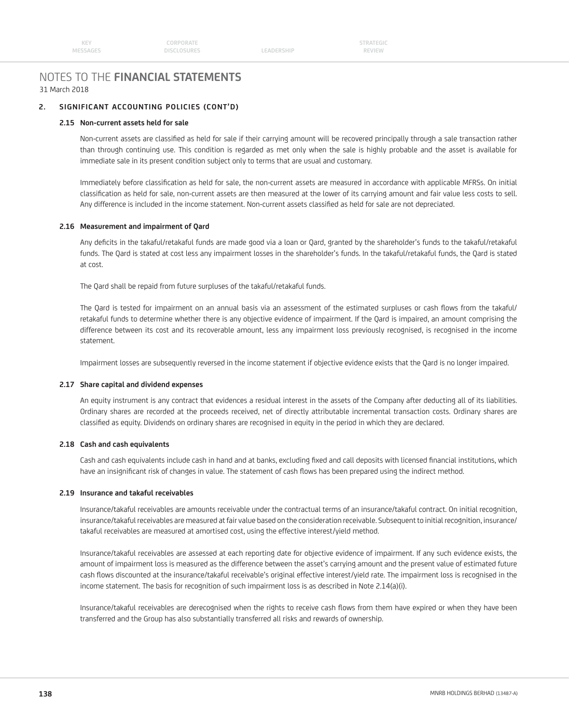LEADERSHIP

# NOTES TO THE **FINANCIAL STATEMENTS** 31 March 2018

# **2. SIGNIFICANT ACCOUNTING POLICIES (CONT'D)**

### **2.15 Non-current assets held for sale**

Non-current assets are classified as held for sale if their carrying amount will be recovered principally through a sale transaction rather than through continuing use. This condition is regarded as met only when the sale is highly probable and the asset is available for immediate sale in its present condition subject only to terms that are usual and customary.

Immediately before classification as held for sale, the non-current assets are measured in accordance with applicable MFRSs. On initial classification as held for sale, non-current assets are then measured at the lower of its carrying amount and fair value less costs to sell. Any difference is included in the income statement. Non-current assets classified as held for sale are not depreciated.

### **2.16 Measurement and impairment of Qard**

Any deficits in the takaful/retakaful funds are made good via a loan or Oard, granted by the shareholder's funds to the takaful/retakaful funds. The Qard is stated at cost less any impairment losses in the shareholder's funds. In the takaful/retakaful funds, the Qard is stated at cost.

The Qard shall be repaid from future surpluses of the takaful/retakaful funds.

The Qard is tested for impairment on an annual basis via an assessment of the estimated surpluses or cash flows from the takaful/ retakaful funds to determine whether there is any objective evidence of impairment. If the Qard is impaired, an amount comprising the difference between its cost and its recoverable amount, less any impairment loss previously recognised, is recognised in the income statement.

Impairment losses are subsequently reversed in the income statement if objective evidence exists that the Qard is no longer impaired.

### **2.17 Share capital and dividend expenses**

 An equity instrument is any contract that evidences a residual interest in the assets of the Company after deducting all of its liabilities. Ordinary shares are recorded at the proceeds received, net of directly attributable incremental transaction costs. Ordinary shares are classified as equity. Dividends on ordinary shares are recognised in equity in the period in which they are declared.

### **2.18 Cash and cash equivalents**

Cash and cash equivalents include cash in hand and at banks, excluding fixed and call deposits with licensed financial institutions, which have an insignificant risk of changes in value. The statement of cash flows has been prepared using the indirect method.

### **2.19 Insurance and takaful receivables**

 Insurance/takaful receivables are amounts receivable under the contractual terms of an insurance/takaful contract. On initial recognition, insurance/takaful receivables are measured at fair value based on the consideration receivable. Subsequent to initial recognition, insurance/ takaful receivables are measured at amortised cost, using the effective interest/yield method.

 Insurance/takaful receivables are assessed at each reporting date for objective evidence of impairment. If any such evidence exists, the amount of impairment loss is measured as the difference between the asset's carrying amount and the present value of estimated future cash flows discounted at the insurance/takaful receivable's original effective interest/yield rate. The impairment loss is recognised in the income statement. The basis for recognition of such impairment loss is as described in Note 2.14(a)(i).

Insurance/takaful receivables are derecognised when the rights to receive cash flows from them have expired or when they have been transferred and the Group has also substantially transferred all risks and rewards of ownership.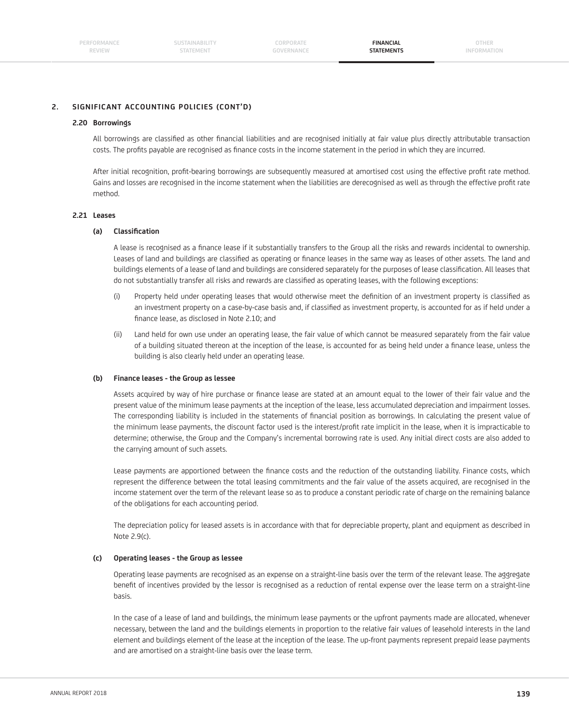**OTHER INFORMATION**

# **2. SIGNIFICANT ACCOUNTING POLICIES (CONT'D)**

### **2.20 Borrowings**

All borrowings are classified as other financial liabilities and are recognised initially at fair value plus directly attributable transaction costs. The profits payable are recognised as finance costs in the income statement in the period in which they are incurred.

After initial recognition, profit-bearing borrowings are subsequently measured at amortised cost using the effective profit rate method. Gains and losses are recognised in the income statement when the liabilities are derecognised as well as through the effective profit rate method.

### **2.21 Leases**

## **(a) Classifi cation**

A lease is recognised as a finance lease if it substantially transfers to the Group all the risks and rewards incidental to ownership. Leases of land and buildings are classified as operating or finance leases in the same way as leases of other assets. The land and buildings elements of a lease of land and buildings are considered separately for the purposes of lease classification. All leases that do not substantially transfer all risks and rewards are classified as operating leases, with the following exceptions:

- (i) Property held under operating leases that would otherwise meet the definition of an investment property is classified as an investment property on a case-by-case basis and, if classified as investment property, is accounted for as if held under a finance lease, as disclosed in Note 2.10; and
- (ii) Land held for own use under an operating lease, the fair value of which cannot be measured separately from the fair value of a building situated thereon at the inception of the lease, is accounted for as being held under a finance lease, unless the building is also clearly held under an operating lease.

### **(b) Finance leases - the Group as lessee**

Assets acquired by way of hire purchase or finance lease are stated at an amount equal to the lower of their fair value and the present value of the minimum lease payments at the inception of the lease, less accumulated depreciation and impairment losses. The corresponding liability is included in the statements of financial position as borrowings. In calculating the present value of the minimum lease payments, the discount factor used is the interest/profit rate implicit in the lease, when it is impracticable to determine; otherwise, the Group and the Company's incremental borrowing rate is used. Any initial direct costs are also added to the carrying amount of such assets.

Lease payments are apportioned between the finance costs and the reduction of the outstanding liability. Finance costs, which represent the difference between the total leasing commitments and the fair value of the assets acquired, are recognised in the income statement over the term of the relevant lease so as to produce a constant periodic rate of charge on the remaining balance of the obligations for each accounting period.

 The depreciation policy for leased assets is in accordance with that for depreciable property, plant and equipment as described in Note 2.9(c).

### **(c) Operating leases - the Group as lessee**

 Operating lease payments are recognised as an expense on a straight-line basis over the term of the relevant lease. The aggregate benefit of incentives provided by the lessor is recognised as a reduction of rental expense over the lease term on a straight-line basis.

 In the case of a lease of land and buildings, the minimum lease payments or the upfront payments made are allocated, whenever necessary, between the land and the buildings elements in proportion to the relative fair values of leasehold interests in the land element and buildings element of the lease at the inception of the lease. The up-front payments represent prepaid lease payments and are amortised on a straight-line basis over the lease term.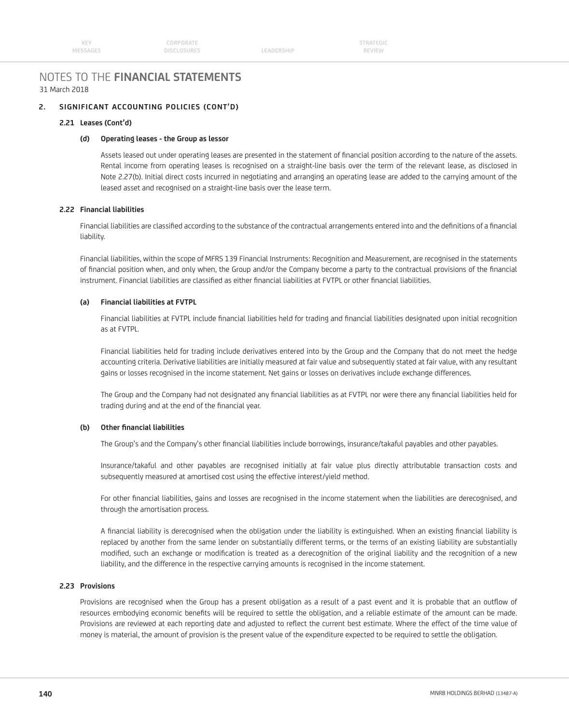LEADERSHIP

# NOTES TO THE **FINANCIAL STATEMENTS** 31 March 2018

# **2. SIGNIFICANT ACCOUNTING POLICIES (CONT'D)**

### **2.21 Leases (Cont'd)**

## **(d) Operating leases - the Group as lessor**

Assets leased out under operating leases are presented in the statement of financial position according to the nature of the assets. Rental income from operating leases is recognised on a straight-line basis over the term of the relevant lease, as disclosed in Note 2.27(b). Initial direct costs incurred in negotiating and arranging an operating lease are added to the carrying amount of the leased asset and recognised on a straight-line basis over the lease term.

### **2.22 Financial liabilities**

Financial liabilities are classified according to the substance of the contractual arrangements entered into and the definitions of a financial liability.

 Financial liabilities, within the scope of MFRS 139 Financial Instruments: Recognition and Measurement, are recognised in the statements of financial position when, and only when, the Group and/or the Company become a party to the contractual provisions of the financial instrument. Financial liabilities are classified as either financial liabilities at FVTPL or other financial liabilities.

# **(a) Financial liabilities at FVTPL**

Financial liabilities at FVTPL include financial liabilities held for trading and financial liabilities designated upon initial recognition as at FVTPL.

 Financial liabilities held for trading include derivatives entered into by the Group and the Company that do not meet the hedge accounting criteria. Derivative liabilities are initially measured at fair value and subsequently stated at fair value, with any resultant gains or losses recognised in the income statement. Net gains or losses on derivatives include exchange differences.

The Group and the Company had not designated any financial liabilities as at FVTPL nor were there any financial liabilities held for trading during and at the end of the financial year.

# **(b) Other fi nancial liabilities**

The Group's and the Company's other financial liabilities include borrowings, insurance/takaful payables and other payables.

 Insurance/takaful and other payables are recognised initially at fair value plus directly attributable transaction costs and subsequently measured at amortised cost using the effective interest/yield method.

For other financial liabilities, gains and losses are recognised in the income statement when the liabilities are derecognised, and through the amortisation process.

A financial liability is derecognised when the obligation under the liability is extinguished. When an existing financial liability is replaced by another from the same lender on substantially different terms, or the terms of an existing liability are substantially modified, such an exchange or modification is treated as a derecognition of the original liability and the recognition of a new liability, and the difference in the respective carrying amounts is recognised in the income statement.

## **2.23 Provisions**

Provisions are recognised when the Group has a present obligation as a result of a past event and it is probable that an outflow of resources embodying economic benefits will be required to settle the obligation, and a reliable estimate of the amount can be made. Provisions are reviewed at each reporting date and adjusted to reflect the current best estimate. Where the effect of the time value of money is material, the amount of provision is the present value of the expenditure expected to be required to settle the obligation.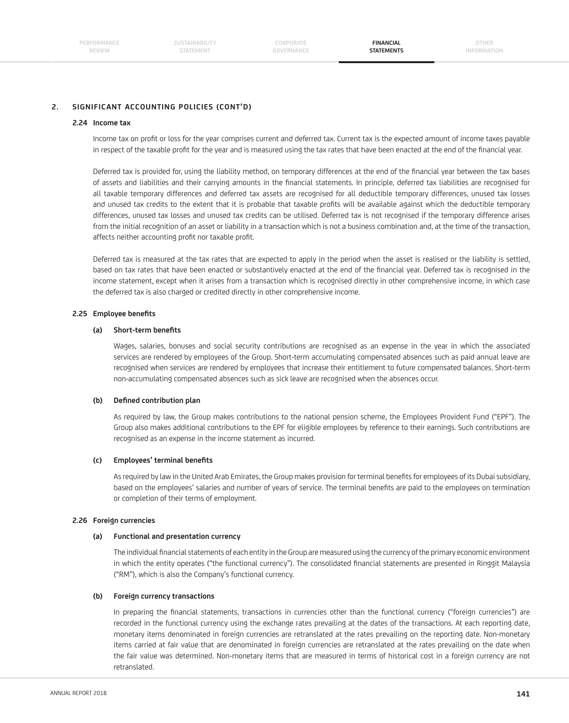**FINANCIAL STATEMENTS**

**OTHER INFORMATION**

# **2. SIGNIFICANT ACCOUNTING POLICIES (CONT'D)**

### **2.24 Income tax**

Income tax on profit or loss for the year comprises current and deferred tax. Current tax is the expected amount of income taxes payable in respect of the taxable profit for the year and is measured using the tax rates that have been enacted at the end of the financial year.

Deferred tax is provided for, using the liability method, on temporary differences at the end of the financial year between the tax bases of assets and liabilities and their carrying amounts in the financial statements. In principle, deferred tax liabilities are recognised for all taxable temporary differences and deferred tax assets are recognised for all deductible temporary differences, unused tax losses and unused tax credits to the extent that it is probable that taxable profits will be available against which the deductible temporary differences, unused tax losses and unused tax credits can be utilised. Deferred tax is not recognised if the temporary difference arises from the initial recognition of an asset or liability in a transaction which is not a business combination and, at the time of the transaction, affects neither accounting profit nor taxable profit.

 Deferred tax is measured at the tax rates that are expected to apply in the period when the asset is realised or the liability is settled, based on tax rates that have been enacted or substantively enacted at the end of the financial year. Deferred tax is recognised in the income statement, except when it arises from a transaction which is recognised directly in other comprehensive income, in which case the deferred tax is also charged or credited directly in other comprehensive income.

### **2.25 Employee benefits**

#### (a) Short-term benefits

 Wages, salaries, bonuses and social security contributions are recognised as an expense in the year in which the associated services are rendered by employees of the Group. Short-term accumulating compensated absences such as paid annual leave are recognised when services are rendered by employees that increase their entitlement to future compensated balances. Short-term non-accumulating compensated absences such as sick leave are recognised when the absences occur.

### (b) Defined contribution plan

 As required by law, the Group makes contributions to the national pension scheme, the Employees Provident Fund ("EPF"). The Group also makes additional contributions to the EPF for eligible employees by reference to their earnings. Such contributions are recognised as an expense in the income statement as incurred.

### **(c) Employees' terminal benefi ts**

As required by law in the United Arab Emirates, the Group makes provision for terminal benefits for employees of its Dubai subsidiary, based on the employees' salaries and number of years of service. The terminal benefits are paid to the employees on termination or completion of their terms of employment.

#### **2.26 Foreign currencies**

#### **(a) Functional and presentation currency**

The individual financial statements of each entity in the Group are measured using the currency of the primary economic environment in which the entity operates ("the functional currency"). The consolidated financial statements are presented in Ringgit Malaysia ("RM"), which is also the Company's functional currency.

#### **(b) Foreign currency transactions**

In preparing the financial statements, transactions in currencies other than the functional currency ("foreign currencies") are recorded in the functional currency using the exchange rates prevailing at the dates of the transactions. At each reporting date, monetary items denominated in foreign currencies are retranslated at the rates prevailing on the reporting date. Non-monetary items carried at fair value that are denominated in foreign currencies are retranslated at the rates prevailing on the date when the fair value was determined. Non-monetary items that are measured in terms of historical cost in a foreign currency are not retranslated.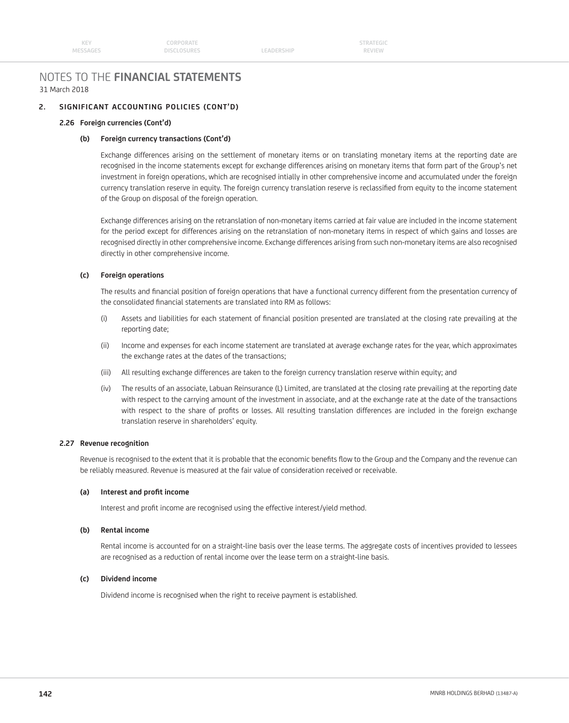# NOTES TO THE **FINANCIAL STATEMENTS** 31 March 2018

# **2. SIGNIFICANT ACCOUNTING POLICIES (CONT'D)**

### **2.26 Foreign currencies (Cont'd)**

## **(b) Foreign currency transactions (Cont'd)**

 Exchange differences arising on the settlement of monetary items or on translating monetary items at the reporting date are recognised in the income statements except for exchange differences arising on monetary items that form part of the Group's net investment in foreign operations, which are recognised intially in other comprehensive income and accumulated under the foreign currency translation reserve in equity. The foreign currency translation reserve is reclassified from equity to the income statement of the Group on disposal of the foreign operation.

 Exchange differences arising on the retranslation of non-monetary items carried at fair value are included in the income statement for the period except for differences arising on the retranslation of non-monetary items in respect of which gains and losses are recognised directly in other comprehensive income. Exchange differences arising from such non-monetary items are also recognised directly in other comprehensive income.

### **(c) Foreign operations**

The results and financial position of foreign operations that have a functional currency different from the presentation currency of the consolidated financial statements are translated into RM as follows:

- (i) Assets and liabilities for each statement of financial position presented are translated at the closing rate prevailing at the reporting date;
- (ii) Income and expenses for each income statement are translated at average exchange rates for the year, which approximates the exchange rates at the dates of the transactions;
- (iii) All resulting exchange differences are taken to the foreign currency translation reserve within equity; and
- (iv) The results of an associate, Labuan Reinsurance (L) Limited, are translated at the closing rate prevailing at the reporting date with respect to the carrying amount of the investment in associate, and at the exchange rate at the date of the transactions with respect to the share of profits or losses. All resulting translation differences are included in the foreign exchange translation reserve in shareholders' equity.

### **2.27 Revenue recognition**

Revenue is recognised to the extent that it is probable that the economic benefits flow to the Group and the Company and the revenue can be reliably measured. Revenue is measured at the fair value of consideration received or receivable.

### (a) Interest and profit income

Interest and profit income are recognised using the effective interest/yield method.

### **(b) Rental income**

 Rental income is accounted for on a straight-line basis over the lease terms. The aggregate costs of incentives provided to lessees are recognised as a reduction of rental income over the lease term on a straight-line basis.

### **(c) Dividend income**

Dividend income is recognised when the right to receive payment is established.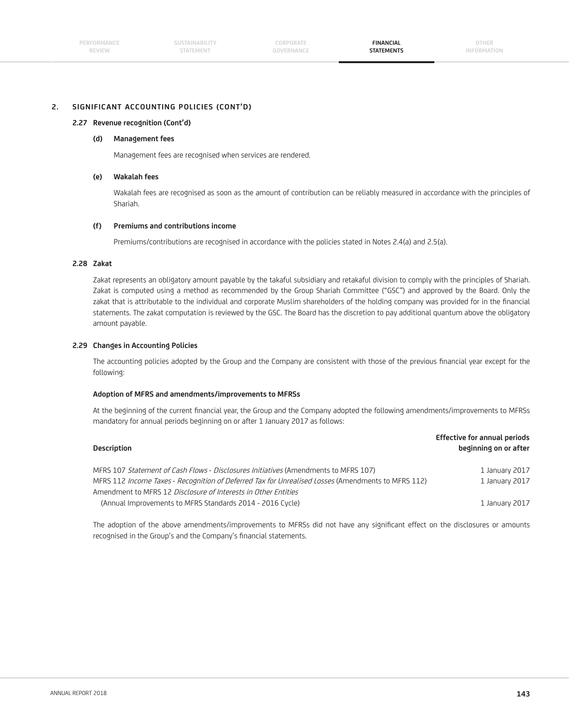#### **2. SIGNIFICANT ACCOUNTING POLICIES (CONT'D)**

#### **2.27 Revenue recognition (Cont'd)**

#### **(d) Management fees**

Management fees are recognised when services are rendered.

#### **(e) Wakalah fees**

 Wakalah fees are recognised as soon as the amount of contribution can be reliably measured in accordance with the principles of Shariah.

#### **(f) Premiums and contributions income**

Premiums/contributions are recognised in accordance with the policies stated in Notes 2.4(a) and 2.5(a).

#### **2.28 Zakat**

 Zakat represents an obligatory amount payable by the takaful subsidiary and retakaful division to comply with the principles of Shariah. Zakat is computed using a method as recommended by the Group Shariah Committee ("GSC") and approved by the Board. Only the zakat that is attributable to the individual and corporate Muslim shareholders of the holding company was provided for in the financial statements. The zakat computation is reviewed by the GSC. The Board has the discretion to pay additional quantum above the obligatory amount payable.

#### **2.29 Changes in Accounting Policies**

The accounting policies adopted by the Group and the Company are consistent with those of the previous financial year except for the following:

#### **Adoption of MFRS and amendments/improvements to MFRSs**

At the beginning of the current financial year, the Group and the Company adopted the following amendments/improvements to MFRSs mandatory for annual periods beginning on or after 1 January 2017 as follows:

| Description                                                                                                                                                          | <b>Effective for annual periods</b><br>beginning on or after |
|----------------------------------------------------------------------------------------------------------------------------------------------------------------------|--------------------------------------------------------------|
| MFRS 107 Statement of Cash Flows - Disclosures Initiatives (Amendments to MFRS 107)                                                                                  | 1 January 2017                                               |
| MFRS 112 Income Taxes - Recognition of Deferred Tax for Unrealised Losses (Amendments to MFRS 112)<br>Amendment to MFRS 12 Disclosure of Interests in Other Entities | 1 January 2017                                               |
| (Annual Improvements to MFRS Standards 2014 - 2016 Cycle)                                                                                                            | 1 January 2017                                               |

The adoption of the above amendments/improvements to MFRSs did not have any significant effect on the disclosures or amounts recognised in the Group's and the Company's financial statements.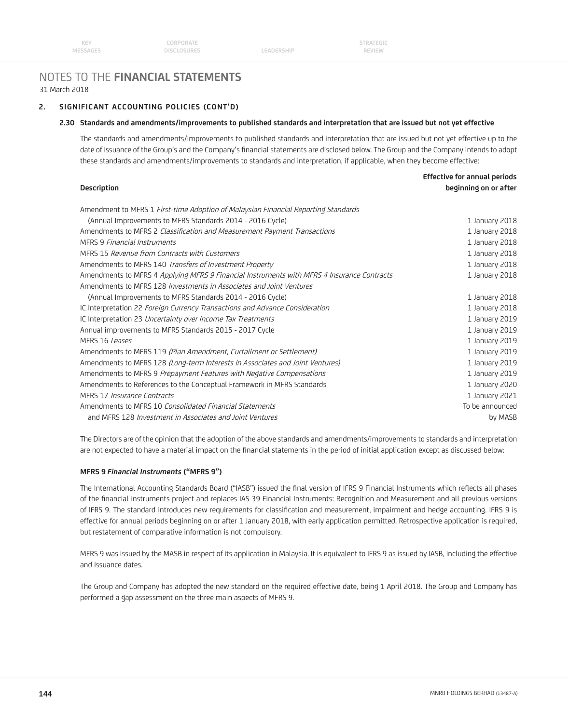## **2. SIGNIFICANT ACCOUNTING POLICIES (CONT'D)**

#### **2.30 Standards and amendments/improvements to published standards and interpretation that are issued but not yet effective**

 The standards and amendments/improvements to published standards and interpretation that are issued but not yet effective up to the date of issuance of the Group's and the Company's financial statements are disclosed below. The Group and the Company intends to adopt these standards and amendments/improvements to standards and interpretation, if applicable, when they become effective:

| <b>Description</b>                                                                         | beginning on or after |
|--------------------------------------------------------------------------------------------|-----------------------|
| Amendment to MFRS 1 First-time Adoption of Malaysian Financial Reporting Standards         |                       |
| (Annual Improvements to MFRS Standards 2014 - 2016 Cycle)                                  | 1 January 2018        |
| Amendments to MFRS 2 Classification and Measurement Payment Transactions                   | 1 January 2018        |
| MFRS 9 Financial Instruments                                                               | 1 January 2018        |
| MFRS 15 Revenue from Contracts with Customers                                              | 1 January 2018        |
| Amendments to MFRS 140 Transfers of Investment Property                                    | 1 January 2018        |
| Amendments to MFRS 4 Applying MFRS 9 Financial Instruments with MFRS 4 Insurance Contracts | 1 January 2018        |
| Amendments to MFRS 128 <i>Investments in Associates and Joint Ventures</i>                 |                       |
| (Annual Improvements to MFRS Standards 2014 - 2016 Cycle)                                  | 1 January 2018        |
| IC Interpretation 22 Foreign Currency Transactions and Advance Consideration               | 1 January 2018        |
| IC Interpretation 23 Uncertainty over Income Tax Treatments                                | 1 January 2019        |
| Annual improvements to MFRS Standards 2015 - 2017 Cycle                                    | 1 January 2019        |
| MFRS 16 Leases                                                                             | 1 January 2019        |
| Amendments to MFRS 119 (Plan Amendment, Curtailment or Settlement)                         | 1 January 2019        |
| Amendments to MFRS 128 (Long-term Interests in Associates and Joint Ventures)              | 1 January 2019        |
| Amendments to MFRS 9 Prepayment Features with Negative Compensations                       | 1 January 2019        |
| Amendments to References to the Conceptual Framework in MFRS Standards                     | 1 January 2020        |
| MFRS 17 Insurance Contracts                                                                | 1 January 2021        |
| Amendments to MFRS 10 Consolidated Financial Statements                                    | To be announced       |
| and MFRS 128 Investment in Associates and Joint Ventures                                   | by MASB               |
|                                                                                            |                       |

 The Directors are of the opinion that the adoption of the above standards and amendments/improvements to standards and interpretation are not expected to have a material impact on the financial statements in the period of initial application except as discussed below:

#### **MFRS 9** *Financial Instruments* **("MFRS 9")**

The International Accounting Standards Board ("IASB") issued the final version of IFRS 9 Financial Instruments which reflects all phases of the financial instruments project and replaces IAS 39 Financial Instruments: Recognition and Measurement and all previous versions of IFRS 9. The standard introduces new requirements for classification and measurement, impairment and hedge accounting. IFRS 9 is effective for annual periods beginning on or after 1 January 2018, with early application permitted. Retrospective application is required, but restatement of comparative information is not compulsory.

 MFRS 9 was issued by the MASB in respect of its application in Malaysia. It is equivalent to IFRS 9 as issued by IASB, including the effective and issuance dates.

 The Group and Company has adopted the new standard on the required effective date, being 1 April 2018. The Group and Company has performed a gap assessment on the three main aspects of MFRS 9.

 **Effective for annual periods**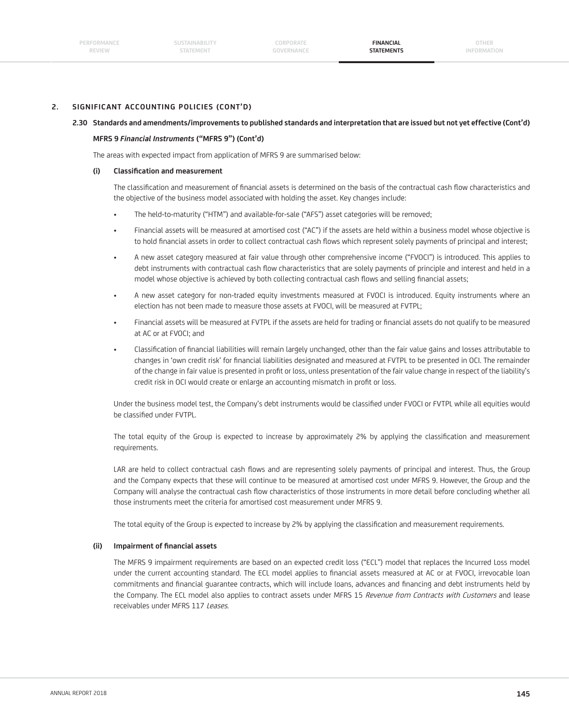### **2. SIGNIFICANT ACCOUNTING POLICIES (CONT'D)**

#### **2.30 Standards and amendments/improvements to published standards and interpretation that are issued but not yet effective (Cont'd)**

#### **MFRS 9** *Financial Instruments* **("MFRS 9") (Cont'd)**

The areas with expected impact from application of MFRS 9 are summarised below:

#### **(i) Classifi cation and measurement**

The classification and measurement of financial assets is determined on the basis of the contractual cash flow characteristics and the objective of the business model associated with holding the asset. Key changes include:

- The held-to-maturity ("HTM") and available-for-sale ("AFS") asset categories will be removed;
- Financial assets will be measured at amortised cost ("AC") if the assets are held within a business model whose objective is to hold financial assets in order to collect contractual cash flows which represent solely payments of principal and interest;
- A new asset category measured at fair value through other comprehensive income ("FVOCI") is introduced. This applies to debt instruments with contractual cash flow characteristics that are solely payments of principle and interest and held in a model whose objective is achieved by both collecting contractual cash flows and selling financial assets;
- A new asset category for non-traded equity investments measured at FVOCI is introduced. Equity instruments where an election has not been made to measure those assets at FVOCI, will be measured at FVTPL;
- Financial assets will be measured at FVTPL if the assets are held for trading or financial assets do not qualify to be measured at AC or at FVOCI; and
- Classification of financial liabilities will remain largely unchanged, other than the fair value gains and losses attributable to changes in 'own credit risk' for financial liabilities designated and measured at FVTPL to be presented in OCI. The remainder of the change in fair value is presented in profit or loss, unless presentation of the fair value change in respect of the liability's credit risk in OCI would create or enlarge an accounting mismatch in profit or loss.

Under the business model test, the Company's debt instruments would be classified under FVOCI or FVTPL while all equities would be classified under FVTPL.

The total equity of the Group is expected to increase by approximately 2% by applying the classification and measurement requirements.

LAR are held to collect contractual cash flows and are representing solely payments of principal and interest. Thus, the Group and the Company expects that these will continue to be measured at amortised cost under MFRS 9. However, the Group and the Company will analyse the contractual cash flow characteristics of those instruments in more detail before concluding whether all those instruments meet the criteria for amortised cost measurement under MFRS 9.

The total equity of the Group is expected to increase by 2% by applying the classification and measurement requirements.

### (ii) Impairment of financial assets

 The MFRS 9 impairment requirements are based on an expected credit loss ("ECL") model that replaces the Incurred Loss model under the current accounting standard. The ECL model applies to financial assets measured at AC or at FVOCI, irrevocable loan commitments and financial guarantee contracts, which will include loans, advances and financing and debt instruments held by the Company. The ECL model also applies to contract assets under MFRS 15 Revenue from Contracts with Customers and lease receivables under MFRS 117 Leases.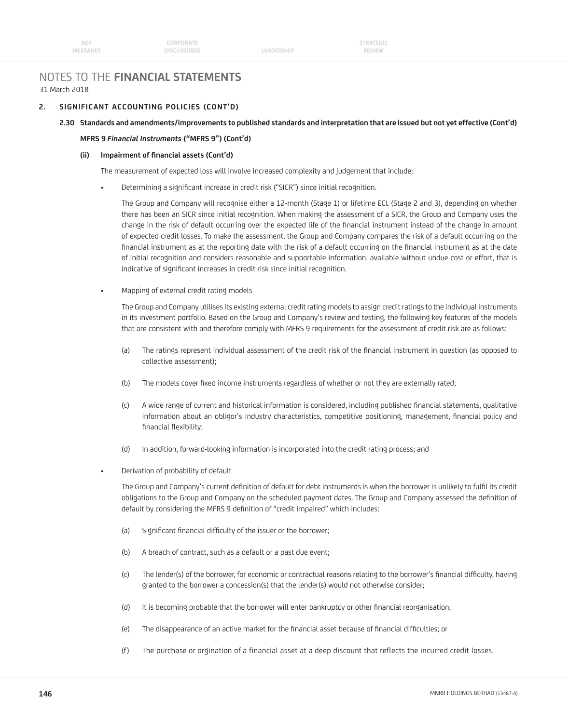## **2. SIGNIFICANT ACCOUNTING POLICIES (CONT'D)**

#### **2.30 Standards and amendments/improvements to published standards and interpretation that are issued but not yet effective (Cont'd)**

#### **MFRS 9** *Financial Instruments* **("MFRS 9") (Cont'd)**

#### (ii) Impairment of financial assets (Cont'd)

The measurement of expected loss will involve increased complexity and judgement that include:

Determining a significant increase in credit risk ("SICR") since initial recognition.

 The Group and Company will recognise either a 12-month (Stage 1) or lifetime ECL (Stage 2 and 3), depending on whether there has been an SICR since initial recognition. When making the assessment of a SICR, the Group and Company uses the change in the risk of default occurring over the expected life of the financial instrument instead of the change in amount of expected credit losses. To make the assessment, the Group and Company compares the risk of a default occurring on the financial instrument as at the reporting date with the risk of a default occurring on the financial instrument as at the date of initial recognition and considers reasonable and supportable information, available without undue cost or effort, that is indicative of significant increases in credit risk since initial recognition.

• Mapping of external credit rating models

 The Group and Company utilises its existing external credit rating models to assign credit ratings to the individual instruments in its investment portfolio. Based on the Group and Company's review and testing, the following key features of the models that are consistent with and therefore comply with MFRS 9 requirements for the assessment of credit risk are as follows:

- (a) The ratings represent individual assessment of the credit risk of the financial instrument in question (as opposed to collective assessment);
- (b) The models cover fixed income instruments regardless of whether or not they are externally rated;
- (c) A wide range of current and historical information is considered, including published fi nancial statements, qualitative information about an obligor's industry characteristics, competitive positioning, management, financial policy and financial flexibility;
- (d) In addition, forward-looking information is incorporated into the credit rating process; and
- Derivation of probability of default

The Group and Company's current definition of default for debt instruments is when the borrower is unlikely to fulfil its credit obligations to the Group and Company on the scheduled payment dates. The Group and Company assessed the definition of default by considering the MFRS 9 definition of "credit impaired" which includes:

- (a) Significant financial difficulty of the issuer or the borrower;
- (b) A breach of contract, such as a default or a past due event;
- (c) The lender(s) of the borrower, for economic or contractual reasons relating to the borrower's financial difficulty, having granted to the borrower a concession(s) that the lender(s) would not otherwise consider;
- (d) It is becoming probable that the borrower will enter bankruptcy or other financial reorganisation;
- (e) The disappearance of an active market for the financial asset because of financial difficulties; or
- (f) The purchase or orgination of a financial asset at a deep discount that reflects the incurred credit losses.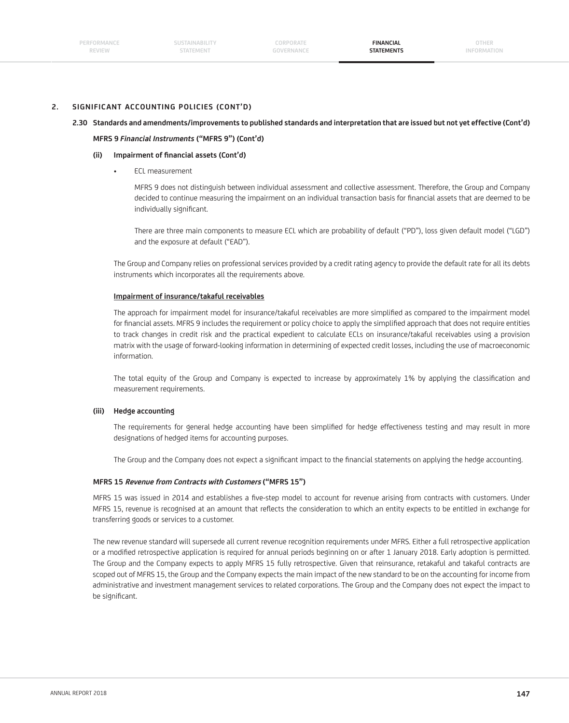### **2. SIGNIFICANT ACCOUNTING POLICIES (CONT'D)**

#### **2.30 Standards and amendments/improvements to published standards and interpretation that are issued but not yet effective (Cont'd)**

#### **MFRS 9** *Financial Instruments* **("MFRS 9") (Cont'd)**

#### (ii) Impairment of financial assets (Cont'd)

• ECL measurement

 MFRS 9 does not distinguish between individual assessment and collective assessment. Therefore, the Group and Company decided to continue measuring the impairment on an individual transaction basis for financial assets that are deemed to be individually significant.

 There are three main components to measure ECL which are probability of default ("PD"), loss given default model ("LGD") and the exposure at default ("EAD").

 The Group and Company relies on professional services provided by a credit rating agency to provide the default rate for all its debts instruments which incorporates all the requirements above.

#### **Impairment of insurance/takaful receivables**

The approach for impairment model for insurance/takaful receivables are more simplified as compared to the impairment model for financial assets. MFRS 9 includes the requirement or policy choice to apply the simplified approach that does not require entities to track changes in credit risk and the practical expedient to calculate ECLs on insurance/takaful receivables using a provision matrix with the usage of forward-looking information in determining of expected credit losses, including the use of macroeconomic information.

The total equity of the Group and Company is expected to increase by approximately 1% by applying the classification and measurement requirements.

#### **(iii) Hedge accounting**

The requirements for general hedge accounting have been simplified for hedge effectiveness testing and may result in more designations of hedged items for accounting purposes.

The Group and the Company does not expect a significant impact to the financial statements on applying the hedge accounting.

#### **MFRS 15 Revenue from Contracts with Customers ("MFRS 15")**

MFRS 15 was issued in 2014 and establishes a five-step model to account for revenue arising from contracts with customers. Under MFRS 15, revenue is recognised at an amount that reflects the consideration to which an entity expects to be entitled in exchange for transferring goods or services to a customer.

 The new revenue standard will supersede all current revenue recognition requirements under MFRS. Either a full retrospective application or a modified retrospective application is required for annual periods beginning on or after 1 January 2018. Early adoption is permitted. The Group and the Company expects to apply MFRS 15 fully retrospective. Given that reinsurance, retakaful and takaful contracts are scoped out of MFRS 15, the Group and the Company expects the main impact of the new standard to be on the accounting for income from administrative and investment management services to related corporations. The Group and the Company does not expect the impact to be significant.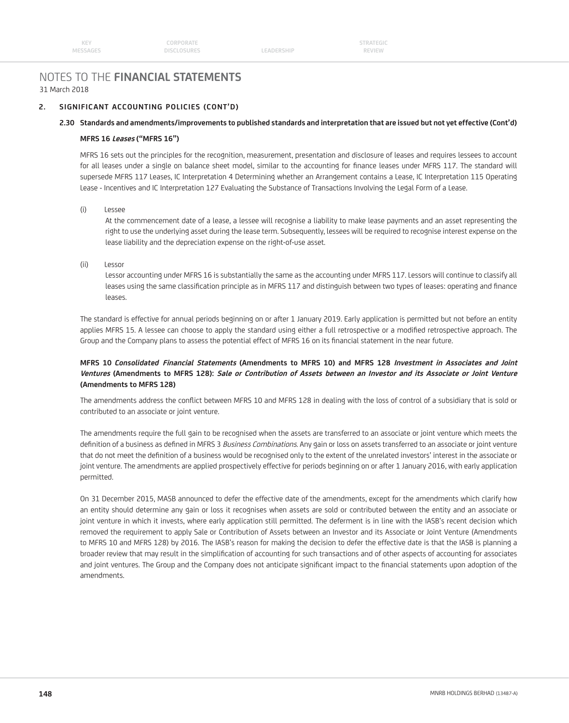## **2. SIGNIFICANT ACCOUNTING POLICIES (CONT'D)**

#### **2.30 Standards and amendments/improvements to published standards and interpretation that are issued but not yet effective (Cont'd)**

#### **MFRS 16 Leases ("MFRS 16")**

 MFRS 16 sets out the principles for the recognition, measurement, presentation and disclosure of leases and requires lessees to account for all leases under a single on balance sheet model, similar to the accounting for finance leases under MFRS 117. The standard will supersede MFRS 117 Leases, IC Interpretation 4 Determining whether an Arrangement contains a Lease, IC Interpretation 115 Operating Lease - Incentives and IC Interpretation 127 Evaluating the Substance of Transactions Involving the Legal Form of a Lease.

(i) Lessee

 At the commencement date of a lease, a lessee will recognise a liability to make lease payments and an asset representing the right to use the underlying asset during the lease term. Subsequently, lessees will be required to recognise interest expense on the lease liability and the depreciation expense on the right-of-use asset.

(ii) Lessor

 Lessor accounting under MFRS 16 is substantially the same as the accounting under MFRS 117. Lessors will continue to classify all leases using the same classification principle as in MFRS 117 and distinguish between two types of leases: operating and finance leases.

 The standard is effective for annual periods beginning on or after 1 January 2019. Early application is permitted but not before an entity applies MFRS 15. A lessee can choose to apply the standard using either a full retrospective or a modified retrospective approach. The Group and the Company plans to assess the potential effect of MFRS 16 on its financial statement in the near future.

## **MFRS 10** *Consolidated* **Financial Statements (Amendments to MFRS 10) and MFRS 128 Investment in Associates and Joint Ventures (Amendments to MFRS 128): Sale or Contribution of Assets between an Investor and its Associate or Joint Venture (Amendments to MFRS 128)**

The amendments address the conflict between MFRS 10 and MFRS 128 in dealing with the loss of control of a subsidiary that is sold or contributed to an associate or joint venture.

 The amendments require the full gain to be recognised when the assets are transferred to an associate or joint venture which meets the definition of a business as defined in MFRS 3 Business Combinations. Any gain or loss on assets transferred to an associate or joint venture that do not meet the definition of a business would be recognised only to the extent of the unrelated investors' interest in the associate or joint venture. The amendments are applied prospectively effective for periods beginning on or after 1 January 2016, with early application permitted.

 On 31 December 2015, MASB announced to defer the effective date of the amendments, except for the amendments which clarify how an entity should determine any gain or loss it recognises when assets are sold or contributed between the entity and an associate or joint venture in which it invests, where early application still permitted. The deferment is in line with the IASB's recent decision which removed the requirement to apply Sale or Contribution of Assets between an Investor and its Associate or Joint Venture (Amendments to MFRS 10 and MFRS 128) by 2016. The IASB's reason for making the decision to defer the effective date is that the IASB is planning a broader review that may result in the simplification of accounting for such transactions and of other aspects of accounting for associates and joint ventures. The Group and the Company does not anticipate significant impact to the financial statements upon adoption of the amendments.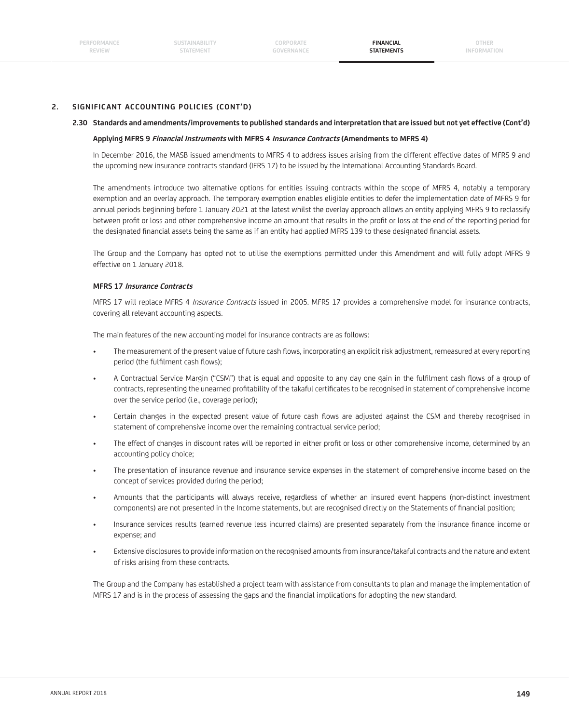## **2. SIGNIFICANT ACCOUNTING POLICIES (CONT'D)**

#### **2.30 Standards and amendments/improvements to published standards and interpretation that are issued but not yet effective (Cont'd)**

#### **Applying MFRS 9 Financial Instruments with MFRS 4 Insurance Contracts (Amendments to MFRS 4)**

 In December 2016, the MASB issued amendments to MFRS 4 to address issues arising from the different effective dates of MFRS 9 and the upcoming new insurance contracts standard (IFRS 17) to be issued by the International Accounting Standards Board.

 The amendments introduce two alternative options for entities issuing contracts within the scope of MFRS 4, notably a temporary exemption and an overlay approach. The temporary exemption enables eligible entities to defer the implementation date of MFRS 9 for annual periods beginning before 1 January 2021 at the latest whilst the overlay approach allows an entity applying MFRS 9 to reclassify between profit or loss and other comprehensive income an amount that results in the profit or loss at the end of the reporting period for the designated financial assets being the same as if an entity had applied MFRS 139 to these designated financial assets.

 The Group and the Company has opted not to utilise the exemptions permitted under this Amendment and will fully adopt MFRS 9 effective on 1 January 2018.

#### **MFRS 17 Insurance Contracts**

MFRS 17 will replace MFRS 4 Insurance Contracts issued in 2005. MFRS 17 provides a comprehensive model for insurance contracts, covering all relevant accounting aspects.

The main features of the new accounting model for insurance contracts are as follows:

- The measurement of the present value of future cash flows, incorporating an explicit risk adjustment, remeasured at every reporting period (the fulfilment cash flows);
- A Contractual Service Margin ("CSM") that is equal and opposite to any day one gain in the fulfilment cash flows of a group of contracts, representing the unearned profitability of the takaful certificates to be recognised in statement of comprehensive income over the service period (i.e., coverage period);
- Certain changes in the expected present value of future cash flows are adjusted against the CSM and thereby recognised in statement of comprehensive income over the remaining contractual service period;
- The effect of changes in discount rates will be reported in either profit or loss or other comprehensive income, determined by an accounting policy choice;
- The presentation of insurance revenue and insurance service expenses in the statement of comprehensive income based on the concept of services provided during the period;
- Amounts that the participants will always receive, regardless of whether an insured event happens (non-distinct investment components) are not presented in the Income statements, but are recognised directly on the Statements of financial position;
- Insurance services results (earned revenue less incurred claims) are presented separately from the insurance finance income or expense; and
- Extensive disclosures to provide information on the recognised amounts from insurance/takaful contracts and the nature and extent of risks arising from these contracts.

 The Group and the Company has established a project team with assistance from consultants to plan and manage the implementation of MFRS 17 and is in the process of assessing the gaps and the financial implications for adopting the new standard.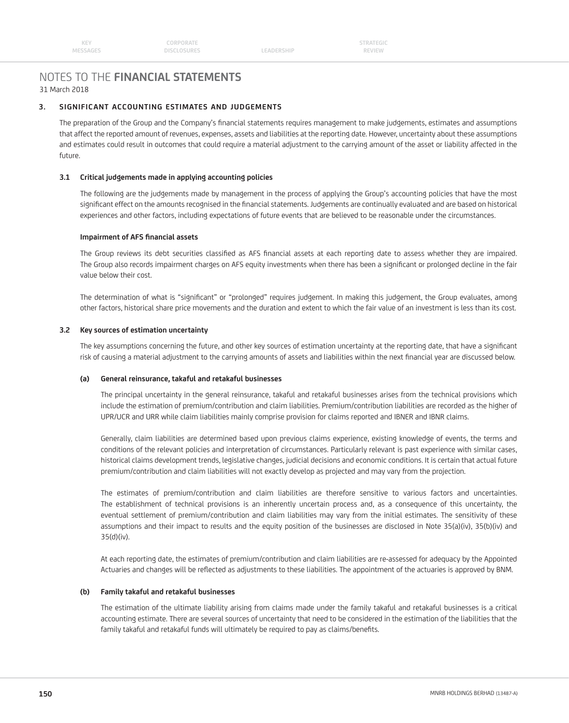## **3. SIGNIFICANT ACCOUNTING ESTIMATES AND JUDGEMENTS**

The preparation of the Group and the Company's financial statements requires management to make judgements, estimates and assumptions that affect the reported amount of revenues, expenses, assets and liabilities at the reporting date. However, uncertainty about these assumptions and estimates could result in outcomes that could require a material adjustment to the carrying amount of the asset or liability affected in the future.

## **3.1 Critical judgements made in applying accounting policies**

 The following are the judgements made by management in the process of applying the Group's accounting policies that have the most significant effect on the amounts recognised in the financial statements. Judgements are continually evaluated and are based on historical experiences and other factors, including expectations of future events that are believed to be reasonable under the circumstances.

### **Impairment of AFS financial assets**

The Group reviews its debt securities classified as AFS financial assets at each reporting date to assess whether they are impaired. The Group also records impairment charges on AFS equity investments when there has been a significant or prolonged decline in the fair value below their cost.

The determination of what is "significant" or "prolonged" requires judgement. In making this judgement, the Group evaluates, among other factors, historical share price movements and the duration and extent to which the fair value of an investment is less than its cost.

### **3.2 Key sources of estimation uncertainty**

The key assumptions concerning the future, and other key sources of estimation uncertainty at the reporting date, that have a significant risk of causing a material adjustment to the carrying amounts of assets and liabilities within the next financial year are discussed below.

### **(a) General reinsurance, takaful and retakaful businesses**

 The principal uncertainty in the general reinsurance, takaful and retakaful businesses arises from the technical provisions which include the estimation of premium/contribution and claim liabilities. Premium/contribution liabilities are recorded as the higher of UPR/UCR and URR while claim liabilities mainly comprise provision for claims reported and IBNER and IBNR claims.

 Generally, claim liabilities are determined based upon previous claims experience, existing knowledge of events, the terms and conditions of the relevant policies and interpretation of circumstances. Particularly relevant is past experience with similar cases, historical claims development trends, legislative changes, judicial decisions and economic conditions. It is certain that actual future premium/contribution and claim liabilities will not exactly develop as projected and may vary from the projection.

 The estimates of premium/contribution and claim liabilities are therefore sensitive to various factors and uncertainties. The establishment of technical provisions is an inherently uncertain process and, as a consequence of this uncertainty, the eventual settlement of premium/contribution and claim liabilities may vary from the initial estimates. The sensitivity of these assumptions and their impact to results and the equity position of the businesses are disclosed in Note 35(a)(iv), 35(b)(iv) and 35(d)(iv).

 At each reporting date, the estimates of premium/contribution and claim liabilities are re-assessed for adequacy by the Appointed Actuaries and changes will be reflected as adjustments to these liabilities. The appointment of the actuaries is approved by BNM.

### **(b) Family takaful and retakaful businesses**

The estimation of the ultimate liability arising from claims made under the family takaful and retakaful businesses is a critical accounting estimate. There are several sources of uncertainty that need to be considered in the estimation of the liabilities that the family takaful and retakaful funds will ultimately be required to pay as claims/benefits.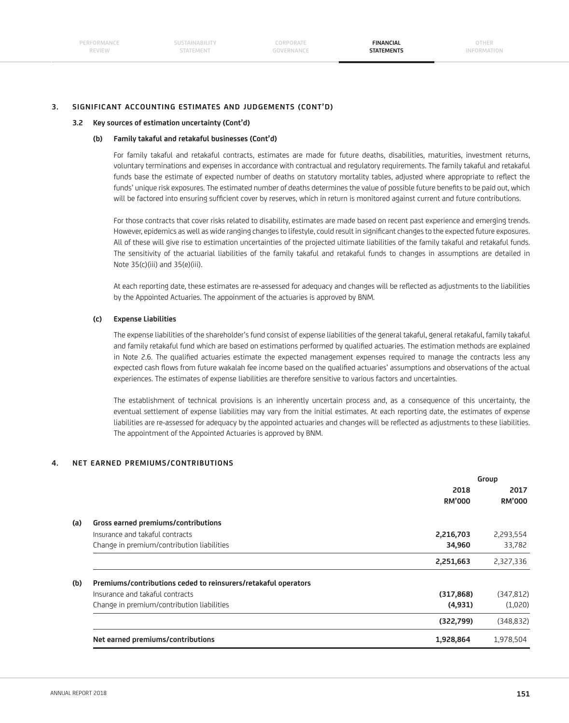### **3. SIGNIFICANT ACCOUNTING ESTIMATES AND JUDGEMENTS (CONT'D)**

#### **3.2 Key sources of estimation uncertainty (Cont'd)**

#### **(b) Family takaful and retakaful businesses (Cont'd)**

 For family takaful and retakaful contracts, estimates are made for future deaths, disabilities, maturities, investment returns, voluntary terminations and expenses in accordance with contractual and regulatory requirements. The family takaful and retakaful funds base the estimate of expected number of deaths on statutory mortality tables, adjusted where appropriate to reflect the funds' unique risk exposures. The estimated number of deaths determines the value of possible future benefits to be paid out, which will be factored into ensuring sufficient cover by reserves, which in return is monitored against current and future contributions.

 For those contracts that cover risks related to disability, estimates are made based on recent past experience and emerging trends. However, epidemics as well as wide ranging changes to lifestyle, could result in significant changes to the expected future exposures. All of these will give rise to estimation uncertainties of the projected ultimate liabilities of the family takaful and retakaful funds. The sensitivity of the actuarial liabilities of the family takaful and retakaful funds to changes in assumptions are detailed in Note 35(c)(iii) and 35(e)(iii).

At each reporting date, these estimates are re-assessed for adequacy and changes will be reflected as adjustments to the liabilities by the Appointed Actuaries. The appoinment of the actuaries is approved by BNM.

#### **(c) Expense Liabilities**

 The expense liabilities of the shareholder's fund consist of expense liabilities of the general takaful, general retakaful, family takaful and family retakaful fund which are based on estimations performed by qualified actuaries. The estimation methods are explained in Note 2.6. The qualified actuaries estimate the expected management expenses required to manage the contracts less any expected cash flows from future wakalah fee income based on the qualified actuaries' assumptions and observations of the actual experiences. The estimates of expense liabilities are therefore sensitive to various factors and uncertainties.

 The establishment of technical provisions is an inherently uncertain process and, as a consequence of this uncertainty, the eventual settlement of expense liabilities may vary from the initial estimates. At each reporting date, the estimates of expense liabilities are re-assessed for adequacy by the appointed actuaries and changes will be reflected as adjustments to these liabilities. The appointment of the Appointed Actuaries is approved by BNM.

### **4. NET EARNED PREMIUMS/CONTRIBUTIONS**

|     |                                                                |               | Group         |
|-----|----------------------------------------------------------------|---------------|---------------|
|     |                                                                | 2018          | 2017          |
|     |                                                                | <b>RM'000</b> | <b>RM'000</b> |
| (a) | Gross earned premiums/contributions                            |               |               |
|     | Insurance and takaful contracts                                | 2,216,703     | 2,293,554     |
|     | Change in premium/contribution liabilities                     | 34,960        | 33,782        |
|     |                                                                | 2,251,663     | 2,327,336     |
| (b) | Premiums/contributions ceded to reinsurers/retakaful operators |               |               |
|     | Insurance and takaful contracts                                | (317, 868)    | (347, 812)    |
|     | Change in premium/contribution liabilities                     | (4,931)       | (1,020)       |
|     |                                                                | (322,799)     | (348, 832)    |
|     | Net earned premiums/contributions                              | 1,928,864     | 1,978,504     |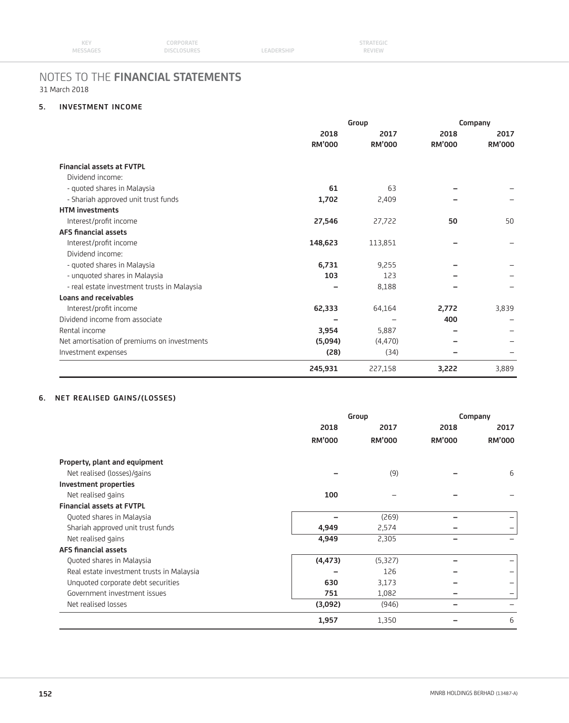| <b>KEY</b> | CORPORATE          |            | <b>STRATEGIC</b> |  |
|------------|--------------------|------------|------------------|--|
| MESSAGES   | <b>DISCLOSURES</b> | LEADERSHIP | <b>REVIEW</b>    |  |

## **5. INVESTMENT INCOME**

|                                             | Group         |               | Company       |               |
|---------------------------------------------|---------------|---------------|---------------|---------------|
|                                             | 2018          | 2017          | 2018          | 2017          |
|                                             | <b>RM'000</b> | <b>RM'000</b> | <b>RM'000</b> | <b>RM'000</b> |
| <b>Financial assets at FVTPL</b>            |               |               |               |               |
| Dividend income:                            |               |               |               |               |
| - quoted shares in Malaysia                 | 61            | 63            |               |               |
| - Shariah approved unit trust funds         | 1,702         | 2,409         |               |               |
| <b>HTM investments</b>                      |               |               |               |               |
| Interest/profit income                      | 27,546        | 27,722        | 50            | 50            |
| <b>AFS financial assets</b>                 |               |               |               |               |
| Interest/profit income                      | 148,623       | 113,851       |               |               |
| Dividend income:                            |               |               |               |               |
| - quoted shares in Malaysia                 | 6,731         | 9,255         |               |               |
| - unquoted shares in Malaysia               | 103           | 123           |               |               |
| - real estate investment trusts in Malaysia |               | 8,188         |               |               |
| <b>Loans and receivables</b>                |               |               |               |               |
| Interest/profit income                      | 62,333        | 64,164        | 2,772         | 3,839         |
| Dividend income from associate              |               |               | 400           |               |
| Rental income                               | 3,954         | 5,887         |               |               |
| Net amortisation of premiums on investments | (5,094)       | (4, 470)      |               |               |
| Investment expenses                         | (28)          | (34)          |               |               |
|                                             | 245,931       | 227,158       | 3,222         | 3,889         |

## **6. NET REALISED GAINS/(LOSSES)**

|                                           |               | Group         |               | Company       |  |
|-------------------------------------------|---------------|---------------|---------------|---------------|--|
|                                           | 2018          | 2017          | 2018          | 2017          |  |
|                                           | <b>RM'000</b> | <b>RM'000</b> | <b>RM'000</b> | <b>RM'000</b> |  |
| Property, plant and equipment             |               |               |               |               |  |
| Net realised (losses)/gains               |               | (9)           |               | 6             |  |
| Investment properties                     |               |               |               |               |  |
| Net realised gains                        | 100           |               |               |               |  |
| <b>Financial assets at FVTPL</b>          |               |               |               |               |  |
| Quoted shares in Malaysia                 |               | (269)         |               |               |  |
| Shariah approved unit trust funds         | 4,949         | 2,574         |               |               |  |
| Net realised gains                        | 4,949         | 2,305         |               |               |  |
| <b>AFS financial assets</b>               |               |               |               |               |  |
| Quoted shares in Malaysia                 | (4, 473)      | (5,327)       |               |               |  |
| Real estate investment trusts in Malaysia |               | 126           |               |               |  |
| Unquoted corporate debt securities        | 630           | 3,173         |               |               |  |
| Government investment issues              | 751           | 1,082         |               |               |  |
| Net realised losses                       | (3,092)       | (946)         | -             |               |  |
|                                           | 1,957         | 1,350         |               | 6             |  |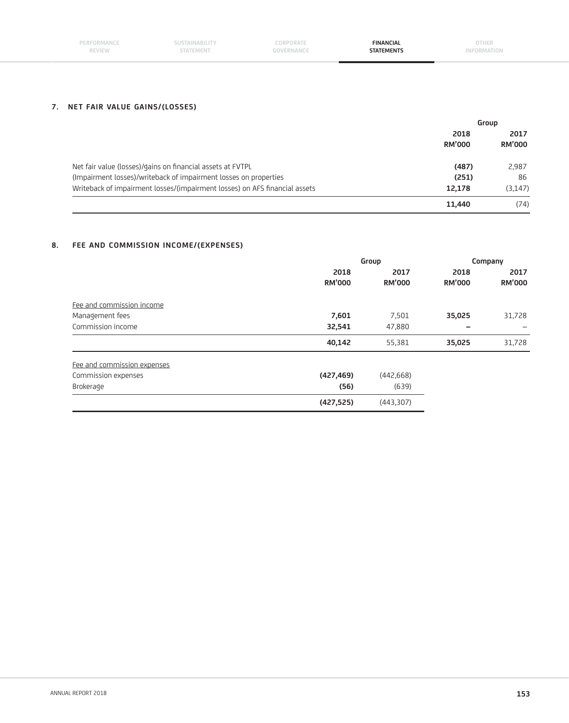| PERFORMANCE<br><b>REVIEW</b> | <b>SUSTAINABILITY</b><br>STATEMENT | CORPORATE<br>GOVERNANCE | <b>FINANCIAL</b><br><b>STATEMENTS</b> | OTHER<br><b>INFORMATION</b> |
|------------------------------|------------------------------------|-------------------------|---------------------------------------|-----------------------------|
|                              |                                    |                         |                                       |                             |

## **7. NET FAIR VALUE GAINS/(LOSSES)**

|                                                                            | Group                 |                       |
|----------------------------------------------------------------------------|-----------------------|-----------------------|
|                                                                            | 2018<br><b>RM'000</b> | 2017<br><b>RM'000</b> |
| Net fair value (losses)/gains on financial assets at FVTPL                 | (487)                 | 2,987                 |
| (Impairment losses)/writeback of impairment losses on properties           | (251)                 | 86                    |
| Writeback of impairment losses/(impairment losses) on AFS financial assets | 12.178                | (3, 147)              |
|                                                                            | 11.440                | (74)                  |

## **8. FEE AND COMMISSION INCOME/(EXPENSES)**

|                             |               | Group         |               | Company                  |  |
|-----------------------------|---------------|---------------|---------------|--------------------------|--|
|                             | 2018          | 2017          | 2018          | 2017                     |  |
|                             | <b>RM'000</b> | <b>RM'000</b> | <b>RM'000</b> | <b>RM'000</b>            |  |
| Fee and commission income   |               |               |               |                          |  |
| Management fees             | 7,601         | 7,501         | 35,025        | 31,728                   |  |
| Commission income           | 32,541        | 47,880        | -             | $\overline{\phantom{0}}$ |  |
|                             | 40,142        | 55,381        | 35,025        | 31,728                   |  |
| Fee and commission expenses |               |               |               |                          |  |
| Commission expenses         | (427, 469)    | (442, 668)    |               |                          |  |
| Brokerage                   | (56)          | (639)         |               |                          |  |
|                             | (427, 525)    | (443,307)     |               |                          |  |
|                             |               |               |               |                          |  |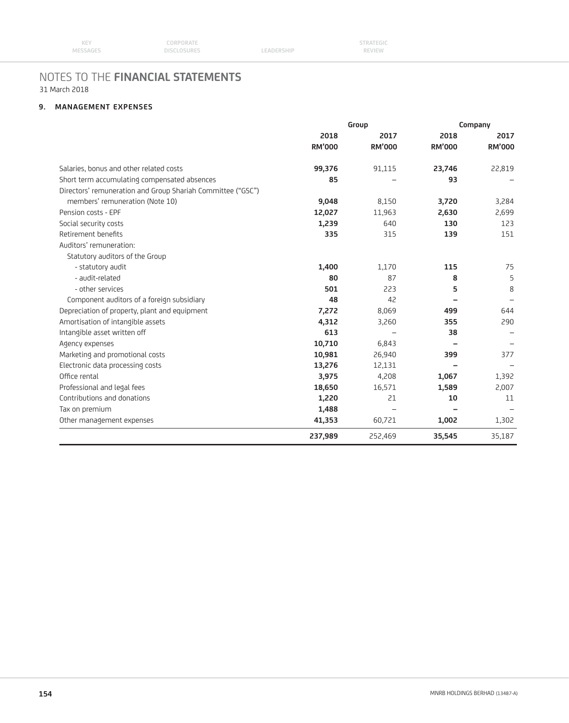## **9. MANAGEMENT EXPENSES**

|                                                             | Group         |               |               | Company       |  |
|-------------------------------------------------------------|---------------|---------------|---------------|---------------|--|
|                                                             | 2018          | 2017          | 2018          | 2017          |  |
|                                                             | <b>RM'000</b> | <b>RM'000</b> | <b>RM'000</b> | <b>RM'000</b> |  |
| Salaries, bonus and other related costs                     | 99,376        | 91,115        | 23,746        | 22,819        |  |
| Short term accumulating compensated absences                | 85            |               | 93            |               |  |
| Directors' remuneration and Group Shariah Committee ("GSC") |               |               |               |               |  |
| members' remuneration (Note 10)                             | 9,048         | 8,150         | 3,720         | 3,284         |  |
| Pension costs - EPF                                         | 12,027        | 11,963        | 2,630         | 2,699         |  |
| Social security costs                                       | 1,239         | 640           | 130           | 123           |  |
| Retirement benefits                                         | 335           | 315           | 139           | 151           |  |
| Auditors' remuneration:                                     |               |               |               |               |  |
| Statutory auditors of the Group                             |               |               |               |               |  |
| - statutory audit                                           | 1,400         | 1,170         | 115           | 75            |  |
| - audit-related                                             | 80            | 87            | 8             | 5             |  |
| - other services                                            | 501           | 223           | 5             | 8             |  |
| Component auditors of a foreign subsidiary                  | 48            | 42            |               |               |  |
| Depreciation of property, plant and equipment               | 7,272         | 8,069         | 499           | 644           |  |
| Amortisation of intangible assets                           | 4,312         | 3,260         | 355           | 290           |  |
| Intangible asset written off                                | 613           |               | 38            |               |  |
| Agency expenses                                             | 10,710        | 6,843         |               |               |  |
| Marketing and promotional costs                             | 10,981        | 26,940        | 399           | 377           |  |
| Electronic data processing costs                            | 13,276        | 12,131        |               |               |  |
| Office rental                                               | 3,975         | 4,208         | 1,067         | 1,392         |  |
| Professional and legal fees                                 | 18,650        | 16,571        | 1,589         | 2,007         |  |
| Contributions and donations                                 | 1,220         | 21            | 10            | 11            |  |
| Tax on premium                                              | 1,488         |               |               |               |  |
| Other management expenses                                   | 41,353        | 60,721        | 1,002         | 1,302         |  |
|                                                             | 237,989       | 252,469       | 35,545        | 35,187        |  |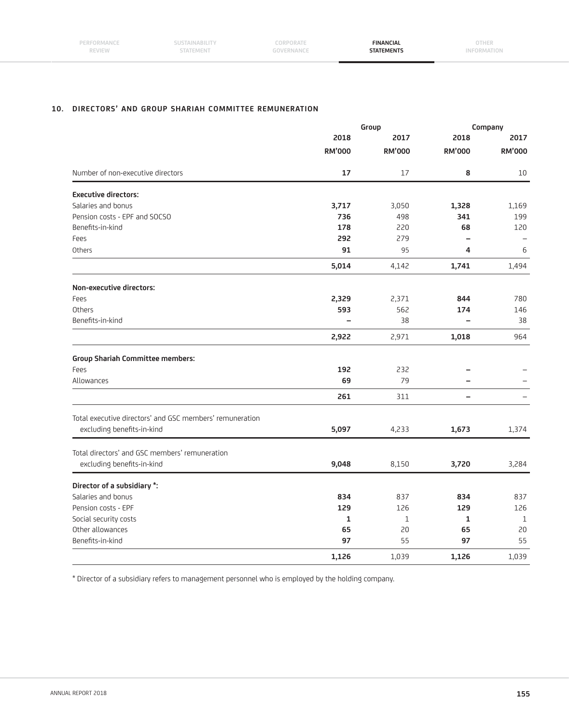| PERFORMANCE   | SUSTAINABILITY | CORPORATE  | <b>FINANCIAL</b>  | OTHER       |
|---------------|----------------|------------|-------------------|-------------|
| <b>REVIEW</b> | STATEMENT      | GOVERNANCE | <b>STATEMENTS</b> | INFORMATION |
|               |                |            |                   |             |

## **10. DIRECTORS' AND GROUP SHARIAH COMMITTEE REMUNERATION**

|                                                          | Group         |               | Company                  |               |
|----------------------------------------------------------|---------------|---------------|--------------------------|---------------|
|                                                          | 2018          | 2017          | 2018                     | 2017          |
|                                                          | <b>RM'000</b> | <b>RM'000</b> | <b>RM'000</b>            | <b>RM'000</b> |
| Number of non-executive directors                        | 17            | 17            | 8                        | 10            |
| <b>Executive directors:</b>                              |               |               |                          |               |
| Salaries and bonus                                       | 3,717         | 3,050         | 1,328                    | 1,169         |
| Pension costs - EPF and SOCSO                            | 736           | 498           | 341                      | 199           |
| Benefits-in-kind                                         | 178           | 220           | 68                       | 120           |
| Fees                                                     | 292           | 279           | $\overline{\phantom{0}}$ |               |
| Others                                                   | 91            | 95            | 4                        | 6             |
|                                                          | 5,014         | 4,142         | 1,741                    | 1,494         |
| Non-executive directors:                                 |               |               |                          |               |
| Fees                                                     | 2,329         | 2,371         | 844                      | 780           |
| Others                                                   | 593           | 562           | 174                      | 146           |
| Benefits-in-kind                                         |               | 38            | $\overline{\phantom{0}}$ | 38            |
|                                                          | 2,922         | 2,971         | 1,018                    | 964           |
| <b>Group Shariah Committee members:</b>                  |               |               |                          |               |
| Fees                                                     | 192           | 232           |                          |               |
| Allowances                                               | 69            | 79            | $\equiv$                 |               |
|                                                          | 261           | 311           | $\overline{\phantom{0}}$ |               |
| Total executive directors' and GSC members' remuneration |               |               |                          |               |
| excluding benefits-in-kind                               | 5,097         | 4,233         | 1,673                    | 1,374         |
| Total directors' and GSC members' remuneration           |               |               |                          |               |
| excluding benefits-in-kind                               | 9,048         | 8,150         | 3,720                    | 3,284         |
| Director of a subsidiary *:                              |               |               |                          |               |
| Salaries and bonus                                       | 834           | 837           | 834                      | 837           |
| Pension costs - EPF                                      | 129           | 126           | 129                      | 126           |
| Social security costs                                    | 1             | $\mathbf{1}$  | 1                        | $\mathbf{1}$  |
| Other allowances                                         | 65            | 20            | 65                       | 20            |
| Benefits-in-kind                                         | 97            | 55            | 97                       | 55            |
|                                                          | 1,126         | 1.039         | 1,126                    | 1,039         |

\* Director of a subsidiary refers to management personnel who is employed by the holding company.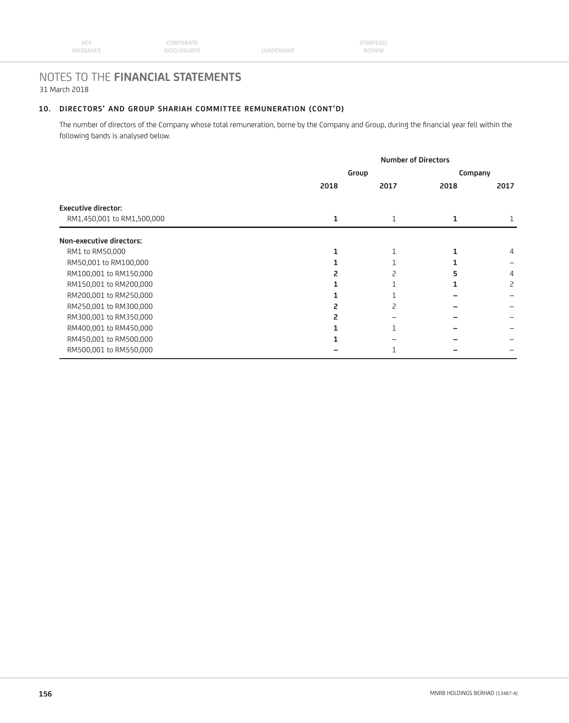## **10. DIRECTORS' AND GROUP SHARIAH COMMITTEE REMUNERATION (CONT'D)**

The number of directors of the Company whose total remuneration, borne by the Company and Group, during the financial year fell within the following bands is analysed below.

|                            |      |       | <b>Number of Directors</b> |         |  |
|----------------------------|------|-------|----------------------------|---------|--|
|                            |      | Group |                            | Company |  |
|                            | 2018 | 2017  | 2018                       | 2017    |  |
| <b>Executive director:</b> |      |       |                            |         |  |
| RM1,450,001 to RM1,500,000 |      | 1     |                            |         |  |
| Non-executive directors:   |      |       |                            |         |  |
| RM1 to RM50,000            |      |       |                            | 4       |  |
| RM50,001 to RM100,000      |      |       |                            |         |  |
| RM100,001 to RM150,000     |      |       |                            | 4       |  |
| RM150,001 to RM200,000     |      |       |                            | 2       |  |
| RM200,001 to RM250,000     |      |       |                            |         |  |
| RM250,001 to RM300,000     |      |       |                            |         |  |
| RM300,001 to RM350,000     |      |       |                            |         |  |
| RM400,001 to RM450,000     |      |       |                            |         |  |
| RM450,001 to RM500,000     |      |       |                            |         |  |
| RM500,001 to RM550,000     |      |       |                            |         |  |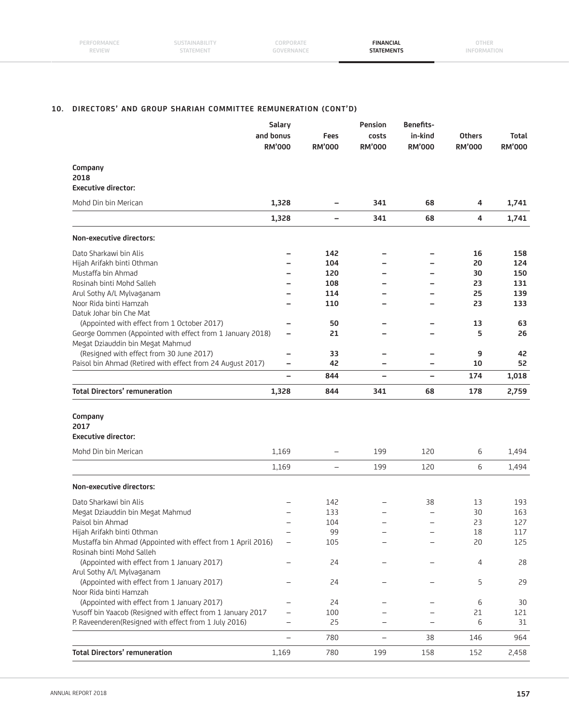### **10. DIRECTORS' AND GROUP SHARIAH COMMITTEE REMUNERATION (CONT'D)**

|                                                                                           | Salary                   |                          | Pension                  | Benefits-                |               |               |
|-------------------------------------------------------------------------------------------|--------------------------|--------------------------|--------------------------|--------------------------|---------------|---------------|
| and bonus                                                                                 |                          | <b>Fees</b>              | costs                    | in-kind                  | <b>Others</b> | Total         |
|                                                                                           | <b>RM'000</b>            | <b>RM'000</b>            | <b>RM'000</b>            | <b>RM'000</b>            | <b>RM'000</b> | <b>RM'000</b> |
| Company                                                                                   |                          |                          |                          |                          |               |               |
| 2018                                                                                      |                          |                          |                          |                          |               |               |
| <b>Executive director:</b>                                                                |                          |                          |                          |                          |               |               |
| Mohd Din bin Merican                                                                      | 1,328                    | $\qquad \qquad -$        | 341                      | 68                       | 4             | 1,741         |
|                                                                                           | 1,328                    | $\qquad \qquad -$        | 341                      | 68                       | 4             | 1,741         |
| Non-executive directors:                                                                  |                          |                          |                          |                          |               |               |
| Dato Sharkawi bin Alis                                                                    |                          | 142                      | -                        | $\overline{\phantom{0}}$ | 16            | 158           |
| Hijah Arifakh binti Othman                                                                |                          | 104                      |                          |                          | 20            | 124           |
| Mustaffa bin Ahmad                                                                        |                          | 120                      |                          |                          | 30            | 150           |
| Rosinah binti Mohd Salleh                                                                 |                          | 108                      |                          |                          | 23            | 131           |
| Arul Sothy A/L Mylvaganam                                                                 |                          | 114                      |                          |                          | 25            | 139           |
| Noor Rida binti Hamzah                                                                    |                          | 110                      |                          |                          | 23            | 133           |
| Datuk Johar bin Che Mat                                                                   |                          |                          |                          |                          |               |               |
| (Appointed with effect from 1 October 2017)                                               |                          | 50                       |                          | -                        | 13            | 63            |
| George Oommen (Appointed with effect from 1 January 2018)                                 | -                        | 21                       |                          |                          | 5             | 26            |
| Megat Dziauddin bin Megat Mahmud                                                          |                          |                          |                          |                          |               |               |
| (Resigned with effect from 30 June 2017)                                                  |                          | 33                       |                          | -                        | 9             | 42            |
| Paisol bin Ahmad (Retired with effect from 24 August 2017)                                | $\overline{\phantom{0}}$ | 42                       |                          |                          | 10            | 52            |
|                                                                                           | $\overline{\phantom{0}}$ | 844                      | $\overline{\phantom{0}}$ | $\qquad \qquad -$        | 174           | 1,018         |
| <b>Total Directors' remuneration</b>                                                      | 1,328                    | 844                      | 341                      | 68                       | 178           | 2,759         |
| Company<br>2017<br><b>Executive director:</b><br>Mohd Din bin Merican                     | 1,169                    | $\overline{\phantom{0}}$ | 199                      | 120                      | 6             | 1,494         |
|                                                                                           | 1,169                    | $\qquad \qquad -$        | 199                      | 120                      | 6             | 1,494         |
|                                                                                           |                          |                          |                          |                          |               |               |
| Non-executive directors:                                                                  |                          |                          |                          |                          |               |               |
| Dato Sharkawi bin Alis                                                                    |                          | 142                      |                          | 38                       | 13            | 193           |
| Megat Dziauddin bin Megat Mahmud                                                          |                          | 133                      |                          | $\overline{\phantom{0}}$ | 30            | 163           |
| Paisol bin Ahmad                                                                          |                          | 104                      |                          | $\overline{\phantom{0}}$ | 23            | 127           |
| Hijah Arifakh binti Othman                                                                |                          | 99                       |                          |                          | 18            | 117           |
| Mustaffa bin Ahmad (Appointed with effect from 1 April 2016)<br>Rosinah binti Mohd Salleh |                          | 105                      |                          |                          | 20            | 125           |
| (Appointed with effect from 1 January 2017)                                               |                          | 24                       |                          |                          | 4             | 28            |
| Arul Sothy A/L Mylvaganam                                                                 |                          |                          |                          |                          |               |               |
| (Appointed with effect from 1 January 2017)                                               |                          | 24                       |                          |                          | 5             | 29            |
| Noor Rida binti Hamzah                                                                    |                          |                          |                          |                          |               |               |
| (Appointed with effect from 1 January 2017)                                               |                          | 24                       |                          |                          | 6             | 30            |
| Yusoff bin Yaacob (Resigned with effect from 1 January 2017                               | $\overline{\phantom{0}}$ | 100                      |                          |                          | 21            | 121           |
| P. Raveenderen(Resigned with effect from 1 July 2016)                                     | $\overline{\phantom{0}}$ | 25                       |                          |                          | 6             | 31            |
|                                                                                           | $\overline{\phantom{0}}$ | 780                      |                          | 38                       | 146           | 964           |
| <b>Total Directors' remuneration</b>                                                      | 1,169                    | 780                      | 199                      | 158                      | 152           | 2,458         |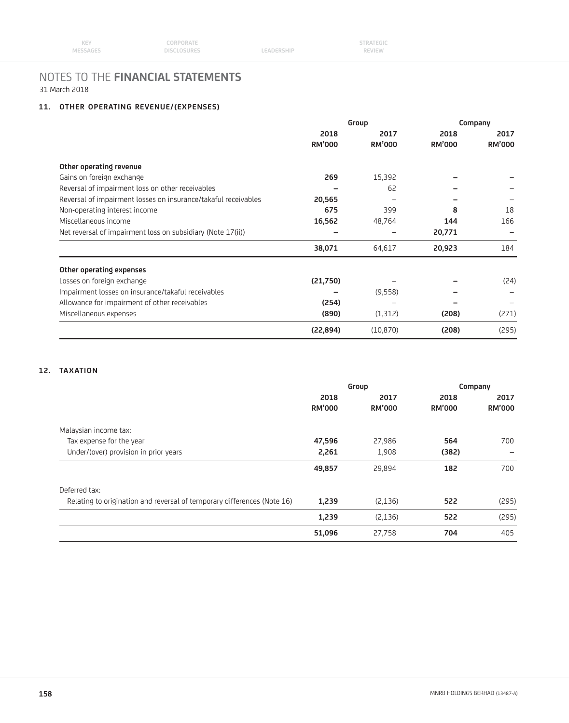## **11. OTHER OPERATING REVENUE/(EXPENSES)**

|                                                                | Group         |               | Company       |               |
|----------------------------------------------------------------|---------------|---------------|---------------|---------------|
|                                                                | 2018          | 2017          | 2018          | 2017          |
|                                                                | <b>RM'000</b> | <b>RM'000</b> | <b>RM'000</b> | <b>RM'000</b> |
| Other operating revenue                                        |               |               |               |               |
| Gains on foreign exchange                                      | 269           | 15,392        |               |               |
| Reversal of impairment loss on other receivables               |               | 62            |               |               |
| Reversal of impairment losses on insurance/takaful receivables | 20,565        |               |               |               |
| Non-operating interest income                                  | 675           | 399           | 8             | 18            |
| Miscellaneous income                                           | 16,562        | 48,764        | 144           | 166           |
| Net reversal of impairment loss on subsidiary (Note 17(ii))    |               |               | 20,771        |               |
|                                                                | 38,071        | 64,617        | 20,923        | 184           |
| Other operating expenses                                       |               |               |               |               |
| Losses on foreign exchange                                     | (21,750)      |               |               | (24)          |
| Impairment losses on insurance/takaful receivables             |               | (9,558)       |               |               |
| Allowance for impairment of other receivables                  | (254)         |               |               |               |
| Miscellaneous expenses                                         | (890)         | (1,312)       | (208)         | (271)         |
|                                                                | (22, 894)     | (10, 870)     | (208)         | (295)         |

## **12. TAXATION**

| Group                 |                       | Company               |                       |
|-----------------------|-----------------------|-----------------------|-----------------------|
| 2018<br><b>RM'000</b> | 2017<br><b>RM'000</b> | 2018<br><b>RM'000</b> | 2017<br><b>RM'000</b> |
|                       |                       |                       |                       |
| 47,596                | 27,986                | 564                   | 700                   |
| 2,261                 | 1,908                 | (382)                 |                       |
| 49,857                | 29,894                | 182                   | 700                   |
|                       |                       |                       |                       |
| 1,239                 | (2,136)               | 522                   | (295)                 |
| 1,239                 | (2,136)               | 522                   | (295)                 |
| 51,096                | 27,758                | 704                   | 405                   |
|                       |                       |                       |                       |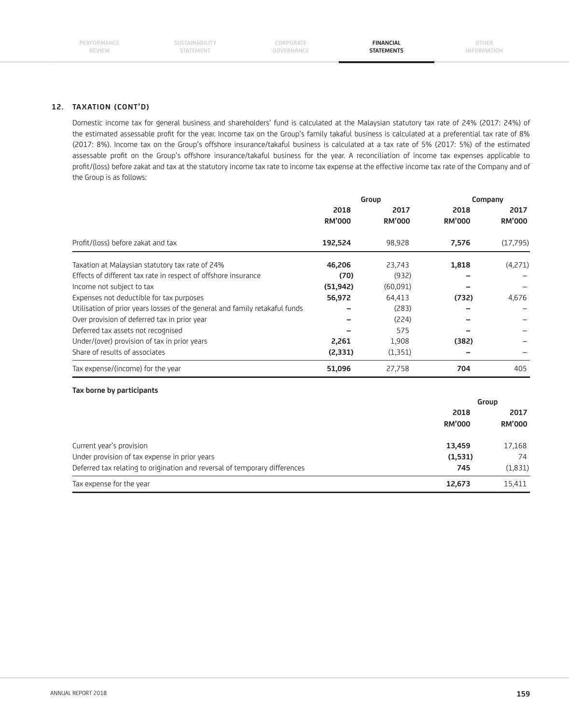**SUSTAINABILITY STATEMENT**

**CORPORATE GOVERNANCE**

**FINANCIAL STATEMENTS**

**OTHER INFORMATION**

## **12. TAXATION (CONT'D)**

 Domestic income tax for general business and shareholders' fund is calculated at the Malaysian statutory tax rate of 24% (2017: 24%) of the estimated assessable profit for the year. Income tax on the Group's family takaful business is calculated at a preferential tax rate of 8% (2017: 8%). Income tax on the Group's offshore insurance/takaful business is calculated at a tax rate of 5% (2017: 5%) of the estimated assessable profit on the Group's offshore insurance/takaful business for the year. A reconciliation of income tax expenses applicable to profit/(loss) before zakat and tax at the statutory income tax rate to income tax expense at the effective income tax rate of the Company and of the Group is as follows:

|                                                                             | Group                 |                       | Company               |                       |
|-----------------------------------------------------------------------------|-----------------------|-----------------------|-----------------------|-----------------------|
|                                                                             | 2018<br><b>RM'000</b> | 2017<br><b>RM'000</b> | 2018<br><b>RM'000</b> | 2017<br><b>RM'000</b> |
| Profit/(loss) before zakat and tax                                          | 192,524               | 98,928                | 7,576                 | (17,795)              |
| Taxation at Malaysian statutory tax rate of 24%                             | 46,206                | 23,743                | 1,818                 | (4,271)               |
| Effects of different tax rate in respect of offshore insurance              | (70)                  | (932)                 |                       |                       |
| Income not subject to tax                                                   | (51, 942)             | (60,091)              |                       |                       |
| Expenses not deductible for tax purposes                                    | 56,972                | 64,413                | (732)                 | 4,676                 |
| Utilisation of prior years losses of the general and family retakaful funds |                       | (283)                 |                       |                       |
| Over provision of deferred tax in prior year                                |                       | (224)                 |                       |                       |
| Deferred tax assets not recognised                                          |                       | 575                   |                       |                       |
| Under/(over) provision of tax in prior years                                | 2,261                 | 1,908                 | (382)                 |                       |
| Share of results of associates                                              | (2, 331)              | (1, 351)              |                       |                       |
| Tax expense/(income) for the year                                           | 51,096                | 27,758                | 704                   | 405                   |

#### **Tax borne by participants**

|                                                                            |               | Group         |  |
|----------------------------------------------------------------------------|---------------|---------------|--|
|                                                                            | 2018          | 2017          |  |
|                                                                            | <b>RM'000</b> | <b>RM'000</b> |  |
| Current year's provision                                                   | 13,459        | 17,168        |  |
| Under provision of tax expense in prior years                              | (1,531)       | 74            |  |
| Deferred tax relating to origination and reversal of temporary differences | 745           | (1,831)       |  |
| Tax expense for the year                                                   | 12,673        | 15,411        |  |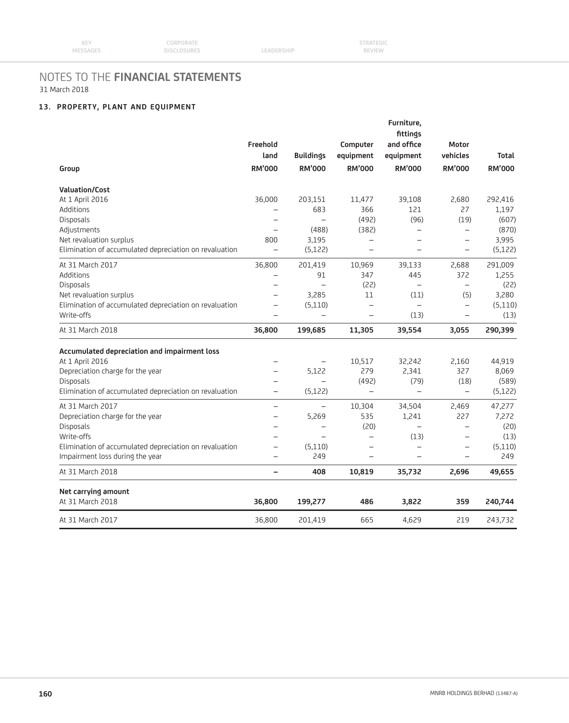## **13. PROPERTY, PLANT AND EQUIPMENT**

|                                                                                                                                                                              | Freehold<br>land         | <b>Buildings</b>         | Computer<br>equipment    | Furniture,<br>fittings<br>and office<br>equipment | Motor<br>vehicles        | Total                               |
|------------------------------------------------------------------------------------------------------------------------------------------------------------------------------|--------------------------|--------------------------|--------------------------|---------------------------------------------------|--------------------------|-------------------------------------|
| Group                                                                                                                                                                        | <b>RM'000</b>            | <b>RM'000</b>            | <b>RM'000</b>            | <b>RM'000</b>                                     | <b>RM'000</b>            | <b>RM'000</b>                       |
| <b>Valuation/Cost</b>                                                                                                                                                        |                          |                          |                          |                                                   |                          |                                     |
| At 1 April 2016                                                                                                                                                              | 36,000                   | 203,151                  | 11,477                   | 39,108                                            | 2,680                    | 292,416                             |
| Additions                                                                                                                                                                    | $\qquad \qquad -$        | 683                      | 366                      | 121                                               | 27                       | 1,197                               |
| Disposals                                                                                                                                                                    | $\overline{\phantom{0}}$ | $\overline{\phantom{0}}$ | (492)                    | (96)                                              | (19)                     | (607)                               |
| Adjustments                                                                                                                                                                  | $\overline{\phantom{0}}$ | (488)                    | (382)                    | $\overline{\phantom{0}}$                          | $\overline{\phantom{m}}$ | (870)                               |
| Net revaluation surplus                                                                                                                                                      | 800                      | 3,195                    | $\overline{\phantom{0}}$ | $\overline{\phantom{0}}$                          | $\qquad \qquad -$        | 3,995                               |
| Elimination of accumulated depreciation on revaluation                                                                                                                       | $\overline{\phantom{0}}$ | (5, 122)                 | $\overline{\phantom{0}}$ | $\overline{\phantom{0}}$                          | $\qquad \qquad -$        | (5, 122)                            |
| At 31 March 2017                                                                                                                                                             | 36,800                   | 201,419                  | 10,969                   | 39,133                                            | 2,688                    | 291,009                             |
| Additions                                                                                                                                                                    |                          | 91                       | 347                      | 445                                               | 372                      | 1,255                               |
| Disposals                                                                                                                                                                    |                          | $\overline{\phantom{0}}$ | (22)                     | $\overline{\phantom{m}}$                          | $\overline{\phantom{m}}$ | (22)                                |
| Net revaluation surplus                                                                                                                                                      | $\overline{\phantom{0}}$ | 3,285                    | 11                       | (11)                                              | (5)                      | 3,280                               |
| Elimination of accumulated depreciation on revaluation                                                                                                                       | $\overline{\phantom{0}}$ | (5,110)                  | $\overline{\phantom{0}}$ | $\overline{\phantom{m}}$                          | $\overline{\phantom{m}}$ | (5, 110)                            |
| Write-offs                                                                                                                                                                   | $\overline{\phantom{0}}$ | $\overline{\phantom{0}}$ |                          | (13)                                              | $\overline{\phantom{0}}$ | (13)                                |
| At 31 March 2018                                                                                                                                                             | 36,800                   | 199,685                  | 11,305                   | 39,554                                            | 3,055                    | 290,399                             |
|                                                                                                                                                                              |                          |                          |                          |                                                   |                          |                                     |
| Accumulated depreciation and impairment loss<br>At 1 April 2016                                                                                                              |                          |                          |                          | 32,242                                            |                          |                                     |
|                                                                                                                                                                              | $\overline{\phantom{0}}$ | $\overline{\phantom{0}}$ | 10,517                   |                                                   |                          |                                     |
|                                                                                                                                                                              |                          |                          |                          |                                                   | 2,160                    | 44,919                              |
|                                                                                                                                                                              | $\qquad \qquad -$        | 5,122                    | 279                      | 2,341                                             | 327                      | 8,069                               |
|                                                                                                                                                                              |                          |                          | (492)                    | (79)                                              | (18)                     | (589)                               |
| Depreciation charge for the year<br>Disposals<br>Elimination of accumulated depreciation on revaluation                                                                      | $\overline{\phantom{0}}$ | (5, 122)                 | $\overline{\phantom{m}}$ | $\overline{\phantom{0}}$                          | $\equiv$                 |                                     |
| At 31 March 2017                                                                                                                                                             | $\qquad \qquad -$        | $\qquad \qquad -$        | 10,304                   | 34,504                                            | 2,469                    | 47,277                              |
|                                                                                                                                                                              | $\qquad \qquad -$        | 5,269                    | 535                      | 1,241                                             | 227                      | 7,272                               |
|                                                                                                                                                                              | $\overline{\phantom{0}}$ | $\overline{\phantom{0}}$ | (20)                     | $\overline{\phantom{m}}$                          | $\overline{\phantom{0}}$ |                                     |
|                                                                                                                                                                              | $\equiv$                 | $\equiv$                 |                          | (13)                                              | $\qquad \qquad -$        |                                     |
|                                                                                                                                                                              | $\overline{\phantom{0}}$ | (5,110)                  |                          | $\equiv$                                          | $\overline{\phantom{0}}$ |                                     |
|                                                                                                                                                                              | $\overline{\phantom{0}}$ | 249                      | $\equiv$                 | $\equiv$                                          | $\equiv$                 | 249                                 |
| Depreciation charge for the year<br>Disposals<br>Write-offs<br>Elimination of accumulated depreciation on revaluation<br>Impairment loss during the year<br>At 31 March 2018 | -                        | 408                      | 10,819                   | 35,732                                            | 2,696                    | 49,655                              |
|                                                                                                                                                                              |                          |                          |                          |                                                   |                          | (5, 122)<br>(20)<br>(13)<br>(5,110) |
| Net carrying amount<br>At 31 March 2018                                                                                                                                      | 36,800                   | 199,277                  | 486                      | 3,822                                             | 359                      | 240,744                             |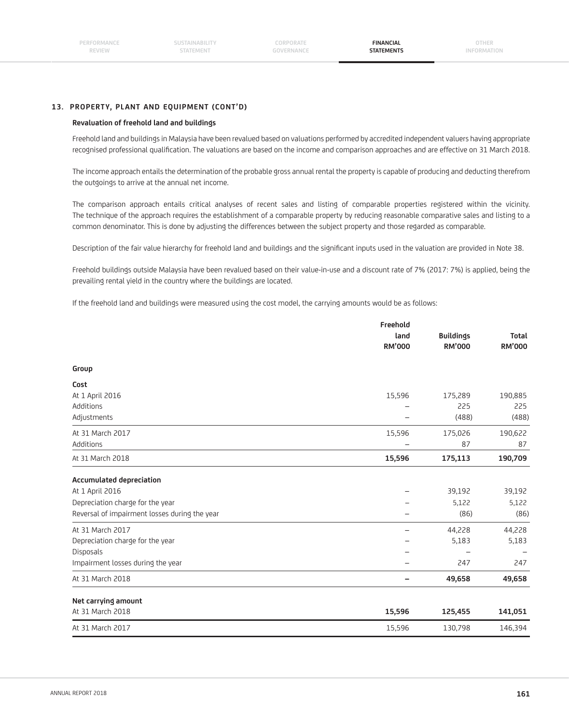**FINANCIAL STATEMENTS**

## **13. PROPERTY, PLANT AND EQUIPMENT (CONT'D)**

#### **Revaluation of freehold land and buildings**

 Freehold land and buildings in Malaysia have been revalued based on valuations performed by accredited independent valuers having appropriate recognised professional qualification. The valuations are based on the income and comparison approaches and are effective on 31 March 2018.

 The income approach entails the determination of the probable gross annual rental the property is capable of producing and deducting therefrom the outgoings to arrive at the annual net income.

 The comparison approach entails critical analyses of recent sales and listing of comparable properties registered within the vicinity. The technique of the approach requires the establishment of a comparable property by reducing reasonable comparative sales and listing to a common denominator. This is done by adjusting the differences between the subject property and those regarded as comparable.

Description of the fair value hierarchy for freehold land and buildings and the significant inputs used in the valuation are provided in Note 38.

 Freehold buildings outside Malaysia have been revalued based on their value-in-use and a discount rate of 7% (2017: 7%) is applied, being the prevailing rental yield in the country where the buildings are located.

If the freehold land and buildings were measured using the cost model, the carrying amounts would be as follows:

|                                               | Freehold                 |                  |               |
|-----------------------------------------------|--------------------------|------------------|---------------|
|                                               | land                     | <b>Buildings</b> | <b>Total</b>  |
|                                               | <b>RM'000</b>            | <b>RM'000</b>    | <b>RM'000</b> |
| Group                                         |                          |                  |               |
| Cost                                          |                          |                  |               |
| At 1 April 2016                               | 15,596                   | 175,289          | 190,885       |
| Additions                                     |                          | 225              | 225           |
| Adjustments                                   | $\overline{\phantom{0}}$ | (488)            | (488)         |
| At 31 March 2017                              | 15,596                   | 175,026          | 190,622       |
| Additions                                     |                          | 87               | 87            |
| At 31 March 2018                              | 15,596                   | 175,113          | 190,709       |
|                                               |                          |                  |               |
| <b>Accumulated depreciation</b>               |                          |                  |               |
| At 1 April 2016                               | $\overline{\phantom{0}}$ | 39,192           | 39,192        |
| Depreciation charge for the year              |                          | 5,122            | 5,122         |
| Reversal of impairment losses during the year | $\overline{\phantom{0}}$ | (86)             | (86)          |
| At 31 March 2017                              | -                        | 44,228           | 44,228        |
| Depreciation charge for the year              | $\overline{\phantom{0}}$ | 5,183            | 5,183         |
| Disposals                                     |                          |                  |               |
| Impairment losses during the year             |                          | 247              | 247           |
| At 31 March 2018                              | $\overline{\phantom{0}}$ | 49,658           | 49,658        |
| Net carrying amount                           |                          |                  |               |
| At 31 March 2018                              | 15,596                   | 125,455          | 141,051       |
| At 31 March 2017                              | 15,596                   | 130,798          | 146,394       |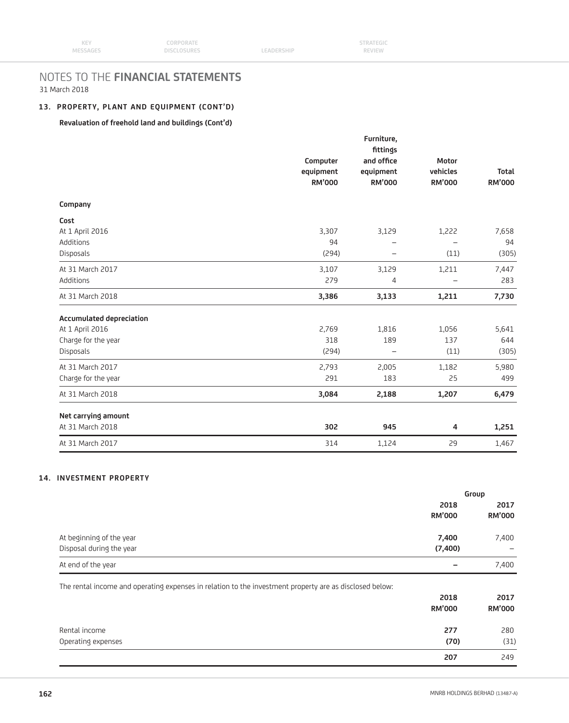## **13. PROPERTY, PLANT AND EQUIPMENT (CONT'D)**

## **Revaluation of freehold land and buildings (Cont'd)**

|                                 | Computer<br>equipment<br><b>RM'000</b> | Furniture,<br>fittings<br>and office<br>equipment<br><b>RM'000</b> | Motor<br>vehicles<br><b>RM'000</b> | <b>Total</b><br><b>RM'000</b> |
|---------------------------------|----------------------------------------|--------------------------------------------------------------------|------------------------------------|-------------------------------|
| Company                         |                                        |                                                                    |                                    |                               |
| Cost                            |                                        |                                                                    |                                    |                               |
| At 1 April 2016                 | 3,307                                  | 3,129                                                              | 1,222                              | 7,658                         |
| Additions                       | 94                                     |                                                                    |                                    | 94                            |
| Disposals                       | (294)                                  | $\overline{\phantom{0}}$                                           | (11)                               | (305)                         |
| At 31 March 2017                | 3,107                                  | 3,129                                                              | 1,211                              | 7,447                         |
| Additions                       | 279                                    | 4                                                                  |                                    | 283                           |
| At 31 March 2018                | 3,386                                  | 3,133                                                              | 1,211                              | 7,730                         |
| <b>Accumulated depreciation</b> |                                        |                                                                    |                                    |                               |
| At 1 April 2016                 | 2,769                                  | 1,816                                                              | 1,056                              | 5,641                         |
| Charge for the year             | 318                                    | 189                                                                | 137                                | 644                           |
| Disposals                       | (294)                                  |                                                                    | (11)                               | (305)                         |
| At 31 March 2017                | 2,793                                  | 2,005                                                              | 1,182                              | 5,980                         |
| Charge for the year             | 291                                    | 183                                                                | 25                                 | 499                           |
| At 31 March 2018                | 3,084                                  | 2,188                                                              | 1,207                              | 6,479                         |
| Net carrying amount             |                                        |                                                                    |                                    |                               |
| At 31 March 2018                | 302                                    | 945                                                                | 4                                  | 1,251                         |
| At 31 March 2017                | 314                                    | 1,124                                                              | 29                                 | 1,467                         |

## **14. INVESTMENT PROPERTY**

|                                                                                                         |                       | Group                 |
|---------------------------------------------------------------------------------------------------------|-----------------------|-----------------------|
|                                                                                                         | 2018                  | 2017                  |
|                                                                                                         | <b>RM'000</b>         | <b>RM'000</b>         |
| At beginning of the year                                                                                | 7,400                 | 7,400                 |
| Disposal during the year                                                                                | (7,400)               |                       |
| At end of the year                                                                                      |                       | 7,400                 |
| The rental income and operating expenses in relation to the investment property are as disclosed below: | 2018<br><b>RM'000</b> | 2017<br><b>RM'000</b> |
| Rental income                                                                                           |                       |                       |
|                                                                                                         | 277                   | 280                   |
| Operating expenses                                                                                      | (70)                  | (31)                  |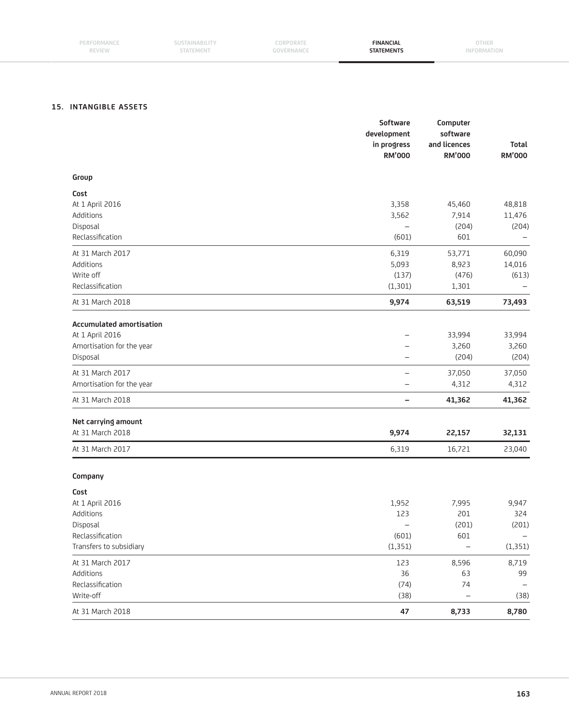## **15. INTANGIBLE ASSETS**

|                                 | Software<br>development<br>in progress<br><b>RM'000</b> | Computer<br>software<br>and licences<br><b>RM'000</b> | Total<br><b>RM'000</b> |
|---------------------------------|---------------------------------------------------------|-------------------------------------------------------|------------------------|
| Group                           |                                                         |                                                       |                        |
| Cost                            |                                                         |                                                       |                        |
| At 1 April 2016                 | 3,358                                                   | 45,460                                                | 48,818                 |
| Additions                       | 3,562                                                   | 7,914                                                 | 11,476                 |
| Disposal                        | $\overline{\phantom{m}}$                                | (204)                                                 | (204)                  |
| Reclassification                | (601)                                                   | 601                                                   |                        |
| At 31 March 2017                | 6,319                                                   | 53,771                                                | 60,090                 |
| Additions                       | 5,093                                                   | 8,923                                                 | 14,016                 |
| Write off                       | (137)                                                   | (476)                                                 | (613)                  |
| Reclassification                | (1, 301)                                                | 1,301                                                 |                        |
| At 31 March 2018                | 9,974                                                   | 63,519                                                | 73,493                 |
| <b>Accumulated amortisation</b> |                                                         |                                                       |                        |
| At 1 April 2016                 | $\overline{\phantom{0}}$                                | 33,994                                                | 33,994                 |
| Amortisation for the year       | -                                                       | 3,260                                                 | 3,260                  |
| Disposal                        | $\overline{\phantom{0}}$                                | (204)                                                 | (204)                  |
| At 31 March 2017                | $\overline{\phantom{m}}$                                | 37,050                                                | 37,050                 |
| Amortisation for the year       | $\overline{\phantom{0}}$                                | 4,312                                                 | 4,312                  |
| At 31 March 2018                | $\overline{\phantom{m}}$                                | 41,362                                                | 41,362                 |
| Net carrying amount             |                                                         |                                                       |                        |
| At 31 March 2018                | 9,974                                                   | 22,157                                                | 32,131                 |
| At 31 March 2017                | 6,319                                                   | 16,721                                                | 23,040                 |
| Company                         |                                                         |                                                       |                        |
| Cost                            |                                                         |                                                       |                        |
| At 1 April 2016                 | 1,952                                                   | 7,995                                                 | 9,947                  |
| Additions                       | 123                                                     | 201                                                   | 324                    |
| Disposal                        | -                                                       | (201)                                                 | (201)                  |
| Reclassification                | (601)                                                   | 601                                                   |                        |
| Transfers to subsidiary         | (1, 351)                                                | $\overline{\phantom{0}}$                              | (1, 351)               |
| At 31 March 2017                | 123                                                     | 8,596                                                 | 8,719                  |
| Additions                       | 36                                                      | 63                                                    | 99                     |
| Reclassification                | (74)                                                    | 74                                                    |                        |
| Write-off                       | (38)                                                    | $\qquad \qquad -$                                     | (38)                   |
| At 31 March 2018                | 47                                                      | 8,733                                                 | 8,780                  |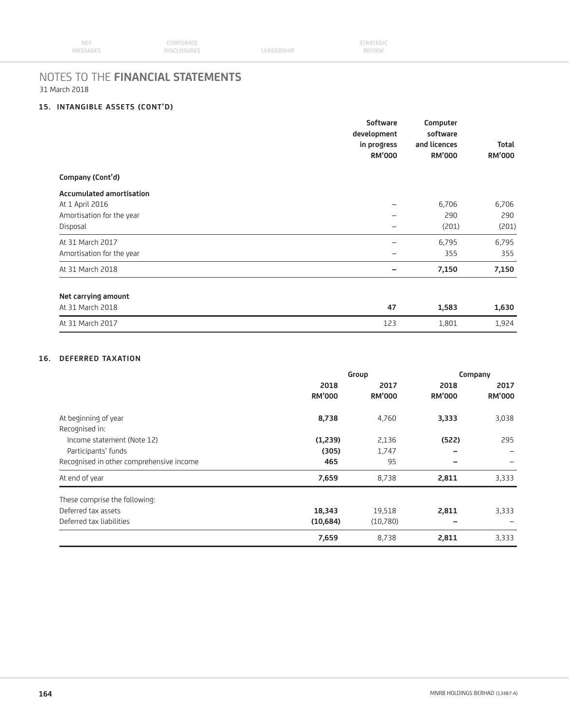## **15. INTANGIBLE ASSETS (CONT'D)**

|                                 | Software<br>development<br>in progress<br><b>RM'000</b> | Computer<br>software<br>and licences<br><b>RM'000</b> | <b>Total</b><br><b>RM'000</b> |
|---------------------------------|---------------------------------------------------------|-------------------------------------------------------|-------------------------------|
| Company (Cont'd)                |                                                         |                                                       |                               |
| <b>Accumulated amortisation</b> |                                                         |                                                       |                               |
| At 1 April 2016                 |                                                         | 6,706                                                 | 6,706                         |
| Amortisation for the year       | —                                                       | 290                                                   | 290                           |
| Disposal                        |                                                         | (201)                                                 | (201)                         |
| At 31 March 2017                | -                                                       | 6,795                                                 | 6,795                         |
| Amortisation for the year       | -                                                       | 355                                                   | 355                           |
| At 31 March 2018                |                                                         | 7,150                                                 | 7,150                         |
| Net carrying amount             |                                                         |                                                       |                               |
| At 31 March 2018                | 47                                                      | 1,583                                                 | 1,630                         |
| At 31 March 2017                | 123                                                     | 1,801                                                 | 1,924                         |

## **16. DEFERRED TAXATION**

|                                          | Group         |               | Company       |               |
|------------------------------------------|---------------|---------------|---------------|---------------|
|                                          | 2018          | 2017          | 2018          | 2017          |
|                                          | <b>RM'000</b> | <b>RM'000</b> | <b>RM'000</b> | <b>RM'000</b> |
| At beginning of year                     | 8,738         | 4,760         | 3,333         | 3,038         |
| Recognised in:                           |               |               |               |               |
| Income statement (Note 12)               | (1,239)       | 2,136         | (522)         | 295           |
| Participants' funds                      | (305)         | 1,747         | -             |               |
| Recognised in other comprehensive income | 465           | 95            |               |               |
| At end of year                           | 7,659         | 8,738         | 2,811         | 3,333         |
| These comprise the following:            |               |               |               |               |
| Deferred tax assets                      | 18,343        | 19,518        | 2,811         | 3,333         |
| Deferred tax liabilities                 | (10,684)      | (10,780)      |               |               |
|                                          | 7,659         | 8,738         | 2,811         | 3,333         |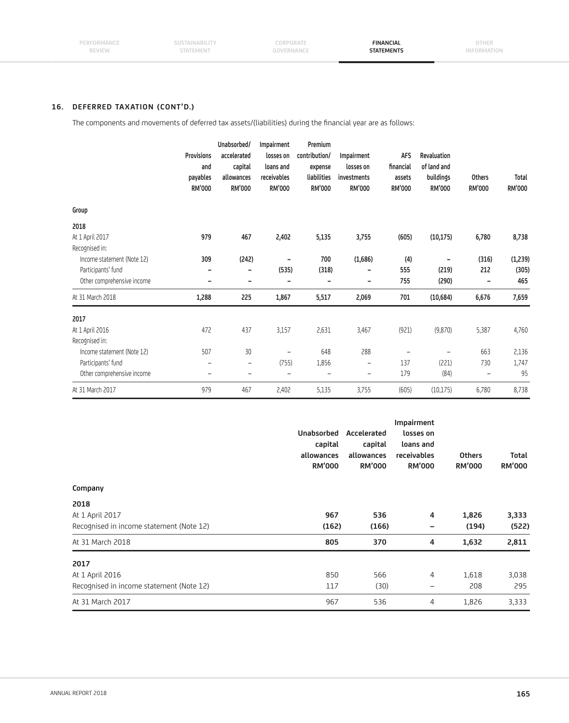## **16. DEFERRED TAXATION (CONT'D.)**

The components and movements of deferred tax assets/(liabilities) during the financial year are as follows:

|                            | <b>Provisions</b><br>and<br>payables<br><b>RM'000</b> | Unabsorbed/<br>accelerated<br>capital<br>allowances<br><b>RM'000</b> | Impairment<br>losses on<br>loans and<br>receivables<br><b>RM'000</b> | Premium<br>contribution/<br>expense<br>liabilities<br><b>RM'000</b> | Impairment<br>losses on<br>investments<br><b>RM'000</b> | <b>AFS</b><br>financial<br>assets<br><b>RM'000</b> | Revaluation<br>of land and<br>buildings<br><b>RM'000</b> | <b>Others</b><br>RM'000 | <b>Total</b><br><b>RM'000</b> |
|----------------------------|-------------------------------------------------------|----------------------------------------------------------------------|----------------------------------------------------------------------|---------------------------------------------------------------------|---------------------------------------------------------|----------------------------------------------------|----------------------------------------------------------|-------------------------|-------------------------------|
| Group                      |                                                       |                                                                      |                                                                      |                                                                     |                                                         |                                                    |                                                          |                         |                               |
| 2018                       |                                                       |                                                                      |                                                                      |                                                                     |                                                         |                                                    |                                                          |                         |                               |
| At 1 April 2017            | 979                                                   | 467                                                                  | 2,402                                                                | 5,135                                                               | 3,755                                                   | (605)                                              | (10, 175)                                                | 6,780                   | 8,738                         |
| Recognised in:             |                                                       |                                                                      |                                                                      |                                                                     |                                                         |                                                    |                                                          |                         |                               |
| Income statement (Note 12) | 309                                                   | (242)                                                                |                                                                      | 700                                                                 | (1,686)                                                 | (4)                                                |                                                          | (316)                   | (1,239)                       |
| Participants' fund         | ۰                                                     |                                                                      | (535)                                                                | (318)                                                               | ۰                                                       | 555                                                | (219)                                                    | 212                     | (305)                         |
| Other comprehensive income | -                                                     |                                                                      | -                                                                    | -                                                                   | $\qquad \qquad \blacksquare$                            | 755                                                | (290)                                                    | -                       | 465                           |
| At 31 March 2018           | 1,288                                                 | 225                                                                  | 1,867                                                                | 5,517                                                               | 2,069                                                   | 701                                                | (10, 684)                                                | 6,676                   | 7,659                         |
| 2017                       |                                                       |                                                                      |                                                                      |                                                                     |                                                         |                                                    |                                                          |                         |                               |
| At 1 April 2016            | 472                                                   | 437                                                                  | 3,157                                                                | 2,631                                                               | 3,467                                                   | (921)                                              | (9,870)                                                  | 5,387                   | 4,760                         |
| Recognised in:             |                                                       |                                                                      |                                                                      |                                                                     |                                                         |                                                    |                                                          |                         |                               |
| Income statement (Note 12) | 507                                                   | 30                                                                   | -                                                                    | 648                                                                 | 288                                                     | $\qquad \qquad -$                                  |                                                          | 663                     | 2,136                         |
| Participants' fund         | -                                                     | $\qquad \qquad -$                                                    | (755)                                                                | 1,856                                                               | -                                                       | 137                                                | (221)                                                    | 730                     | 1,747                         |
| Other comprehensive income | ۰                                                     | $\overline{\phantom{0}}$                                             | $\overline{\phantom{0}}$                                             | $\equiv$                                                            | ۳                                                       | 179                                                | (84)                                                     |                         | 95                            |
| At 31 March 2017           | 979                                                   | 467                                                                  | 2,402                                                                | 5,135                                                               | 3,755                                                   | (605)                                              | (10, 175)                                                | 6,780                   | 8,738                         |

| Company                                  | <b>Unabsorbed</b><br>capital<br>allowances<br><b>RM'000</b> | Accelerated<br>capital<br>allowances<br><b>RM'000</b> | Impairment<br>losses on<br>loans and<br>receivables<br><b>RM'000</b> | <b>Others</b><br><b>RM'000</b> | Total<br><b>RM'000</b> |
|------------------------------------------|-------------------------------------------------------------|-------------------------------------------------------|----------------------------------------------------------------------|--------------------------------|------------------------|
| 2018                                     |                                                             |                                                       |                                                                      |                                |                        |
| At 1 April 2017                          | 967                                                         | 536                                                   | $\overline{4}$                                                       | 1,826                          | 3,333                  |
| Recognised in income statement (Note 12) | (162)                                                       | (166)                                                 | -                                                                    | (194)                          | (522)                  |
| At 31 March 2018                         | 805                                                         | 370                                                   | 4                                                                    | 1,632                          | 2,811                  |
| 2017                                     |                                                             |                                                       |                                                                      |                                |                        |
| At 1 April 2016                          | 850                                                         | 566                                                   | 4                                                                    | 1,618                          | 3,038                  |
| Recognised in income statement (Note 12) | 117                                                         | (30)                                                  | -                                                                    | 208                            | 295                    |
| At 31 March 2017                         | 967                                                         | 536                                                   | 4                                                                    | 1,826                          | 3,333                  |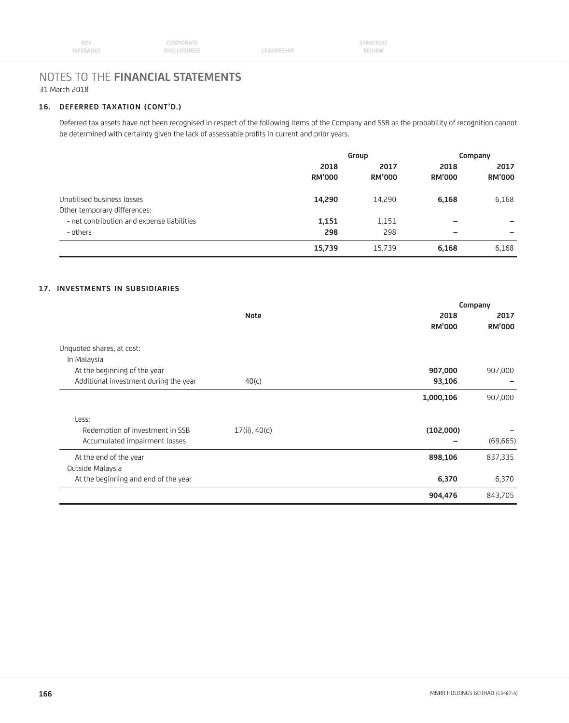## **16. DEFERRED TAXATION (CONT'D.)**

 Deferred tax assets have not been recognised in respect of the following items of the Company and SSB as the probability of recognition cannot be determined with certainty given the lack of assessable profits in current and prior years.

|                                            | Group                 |                       | Company               |                       |
|--------------------------------------------|-----------------------|-----------------------|-----------------------|-----------------------|
|                                            | 2018<br><b>RM'000</b> | 2017<br><b>RM'000</b> | 2018<br><b>RM'000</b> | 2017<br><b>RM'000</b> |
| Unutilised business losses                 | 14,290                | 14,290                | 6,168                 | 6,168                 |
| Other temporary differences:               |                       |                       |                       |                       |
| - net contribution and expense liabilities | 1,151                 | 1,151                 | -                     |                       |
| - others                                   | 298                   | 298                   | -                     | -                     |
|                                            | 15,739                | 15,739                | 6,168                 | 6,168                 |

## **17. INVESTMENTS IN SUBSIDIARIES**

|                                       |               |               | Company       |
|---------------------------------------|---------------|---------------|---------------|
|                                       | <b>Note</b>   | 2018          | 2017          |
|                                       |               | <b>RM'000</b> | <b>RM'000</b> |
| Unquoted shares, at cost:             |               |               |               |
| In Malaysia                           |               |               |               |
| At the beginning of the year          |               | 907,000       | 907,000       |
| Additional investment during the year | 40(c)         | 93,106        |               |
|                                       |               | 1,000,106     | 907,000       |
| Less:                                 |               |               |               |
| Redemption of investment in SSB       | 17(ii), 40(d) | (102,000)     |               |
| Accumulated impairment losses         |               |               | (69, 665)     |
| At the end of the year                |               | 898,106       | 837,335       |
| Outside Malaysia                      |               |               |               |
| At the beginning and end of the year  |               | 6,370         | 6,370         |
|                                       |               | 904,476       | 843,705       |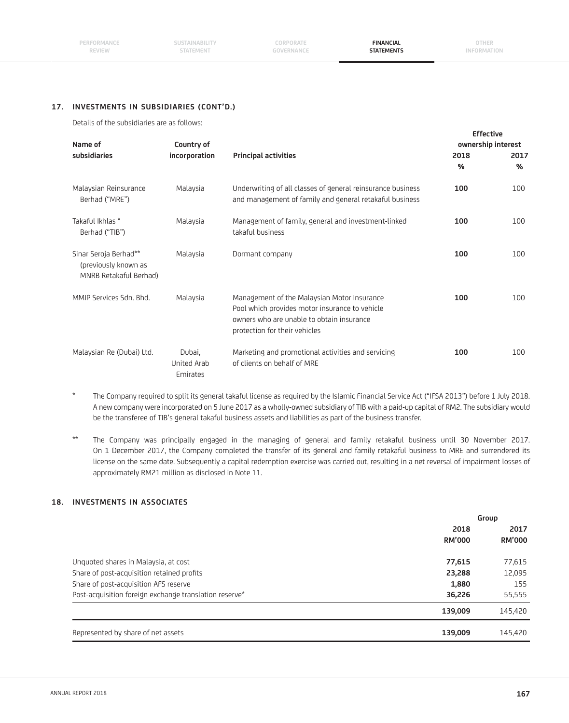#### **17. INVESTMENTS IN SUBSIDIARIES (CONT'D.)**

Details of the subsidiaries are as follows:

| Name of                                                                 | Country of                        |                                                                                                                                                                             | <b>Effective</b>      | ownership interest    |
|-------------------------------------------------------------------------|-----------------------------------|-----------------------------------------------------------------------------------------------------------------------------------------------------------------------------|-----------------------|-----------------------|
| subsidiaries                                                            | incorporation                     | <b>Principal activities</b>                                                                                                                                                 | 2018<br>$\frac{0}{0}$ | 2017<br>$\frac{0}{0}$ |
| Malaysian Reinsurance<br>Berhad ("MRE")                                 | Malaysia                          | Underwriting of all classes of general reinsurance business<br>and management of family and general retakaful business                                                      | 100                   | 100                   |
| Takaful Ikhlas *<br>Berhad ("TIB")                                      | Malaysia                          | Management of family, general and investment-linked<br>takaful business                                                                                                     | 100                   | 100                   |
| Sinar Seroja Berhad**<br>(previously known as<br>MNRB Retakaful Berhad) | Malaysia                          | Dormant company                                                                                                                                                             | 100                   | 100                   |
| MMIP Services Sdn. Bhd.                                                 | Malaysia                          | Management of the Malaysian Motor Insurance<br>Pool which provides motor insurance to vehicle<br>owners who are unable to obtain insurance<br>protection for their vehicles | 100                   | 100                   |
| Malaysian Re (Dubai) Ltd.                                               | Dubai,<br>United Arab<br>Emirates | Marketing and promotional activities and servicing<br>of clients on behalf of MRE                                                                                           | 100                   | 100                   |

- \* The Company required to split its general takaful license as required by the Islamic Financial Service Act ("IFSA 2013") before 1 July 2018. A new company were incorporated on 5 June 2017 as a wholly-owned subsidiary of TIB with a paid-up capital of RM2. The subsidiary would be the transferee of TIB's general takaful business assets and liabilities as part of the business transfer.
- \*\* The Company was principally engaged in the managing of general and family retakaful business until 30 November 2017. On 1 December 2017, the Company completed the transfer of its general and family retakaful business to MRE and surrendered its license on the same date. Subsequently a capital redemption exercise was carried out, resulting in a net reversal of impairment losses of approximately RM21 million as disclosed in Note 11.

## **18. INVESTMENTS IN ASSOCIATES**

| Group         |               |
|---------------|---------------|
| 2018          | 2017          |
| <b>RM'000</b> | <b>RM'000</b> |
| 77,615        | 77,615        |
| 23,288        | 12,095        |
| 1,880         | 155           |
| 36,226        | 55,555        |
| 139,009       | 145,420       |
| 139,009       | 145,420       |
|               |               |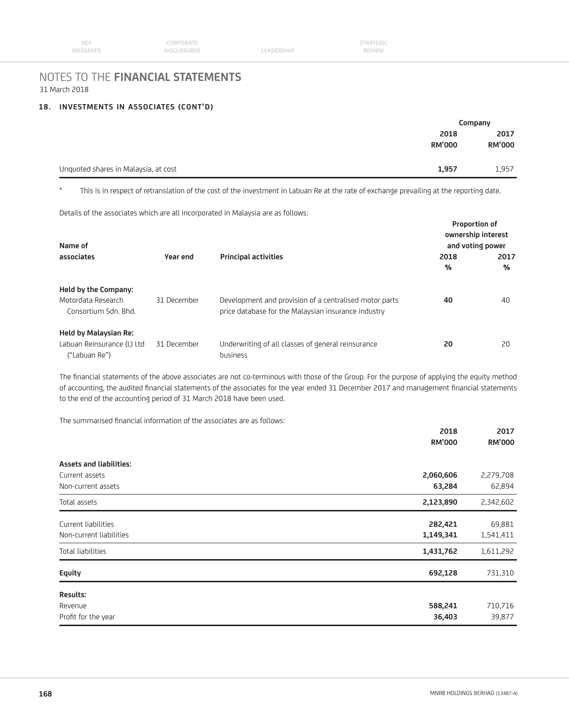#### **18. INVESTMENTS IN ASSOCIATES (CONT'D)**

|                                      |               | Company       |
|--------------------------------------|---------------|---------------|
|                                      | 2018          | 2017          |
|                                      | <b>RM'000</b> | <b>RM'000</b> |
|                                      |               |               |
| Unquoted shares in Malaysia, at cost | 1,957         | 1,957         |

\* This is in respect of retranslation of the cost of the investment in Labuan Re at the rate of exchange prevailing at the reporting date.

Details of the associates which are all incorporated in Malaysia are as follows:

| Name of                                                                     |             |                                                                                                               | <b>Proportion of</b> | ownership interest<br>and voting power |
|-----------------------------------------------------------------------------|-------------|---------------------------------------------------------------------------------------------------------------|----------------------|----------------------------------------|
| associates                                                                  | Year end    | <b>Principal activities</b>                                                                                   | 2018<br>%            | 2017<br>%                              |
| Held by the Company:<br>Motordata Research<br>Consortium Sdn. Bhd.          | 31 December | Development and provision of a centralised motor parts<br>price database for the Malaysian insurance industry | 40                   | 40                                     |
| <b>Held by Malaysian Re:</b><br>Labuan Reinsurance (L) Ltd<br>("Labuan Re") | 31 December | Underwriting of all classes of general reinsurance<br>business                                                | 20                   | 20                                     |

The financial statements of the above associates are not co-terminous with those of the Group. For the purpose of applying the equity method of accounting, the audited financial statements of the associates for the year ended 31 December 2017 and management financial statements to the end of the accounting period of 31 March 2018 have been used.

The summarised financial information of the associates are as follows:

|                                | 2018<br><b>RM'000</b> | 2017<br><b>RM'000</b> |
|--------------------------------|-----------------------|-----------------------|
| <b>Assets and liabilities:</b> |                       |                       |
| Current assets                 | 2,060,606             | 2,279,708             |
| Non-current assets             | 63,284                | 62,894                |
| Total assets                   | 2,123,890             | 2,342,602             |
| Current liabilities            | 282,421               | 69,881                |
| Non-current liabilities        | 1,149,341             | 1,541,411             |
| Total liabilities              | 1,431,762             | 1,611,292             |
| Equity                         | 692,128               | 731,310               |
| <b>Results:</b>                |                       |                       |
| Revenue                        | 588,241               | 710,716               |
| Profit for the year            | 36,403                | 39,877                |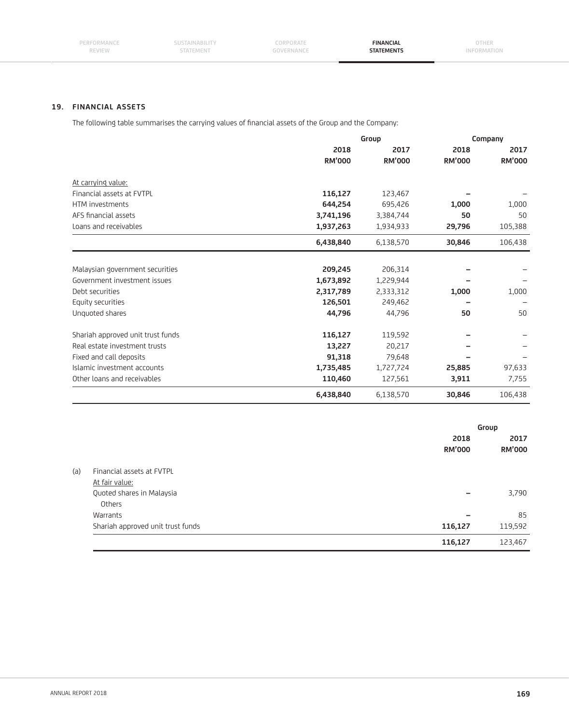**CORPORATE GOVERNANCE**

## **19. FINANCIAL ASSETS**

The following table summarises the carrying values of financial assets of the Group and the Company:

|                                   | Group         |               | Company       |               |  |
|-----------------------------------|---------------|---------------|---------------|---------------|--|
|                                   | 2018          | 2017          | 2018          | 2017          |  |
|                                   | <b>RM'000</b> | <b>RM'000</b> | <b>RM'000</b> | <b>RM'000</b> |  |
| At carrying value:                |               |               |               |               |  |
| Financial assets at FVTPL         | 116,127       | 123,467       |               |               |  |
| HTM investments                   | 644,254       | 695,426       | 1,000         | 1,000         |  |
| AFS financial assets              | 3,741,196     | 3,384,744     | 50            | 50            |  |
| Loans and receivables             | 1,937,263     | 1,934,933     | 29,796        | 105,388       |  |
|                                   | 6,438,840     | 6,138,570     | 30,846        | 106,438       |  |
|                                   |               |               |               |               |  |
| Malaysian government securities   | 209,245       | 206,314       |               |               |  |
| Government investment issues      | 1,673,892     | 1,229,944     |               |               |  |
| Debt securities                   | 2,317,789     | 2,333,312     | 1,000         | 1,000         |  |
| Equity securities                 | 126,501       | 249,462       |               |               |  |
| Unquoted shares                   | 44,796        | 44,796        | 50            | 50            |  |
| Shariah approved unit trust funds | 116,127       | 119,592       |               |               |  |
| Real estate investment trusts     | 13,227        | 20,217        |               |               |  |
| Fixed and call deposits           | 91,318        | 79,648        |               |               |  |
| Islamic investment accounts       | 1,735,485     | 1,727,724     | 25,885        | 97,633        |  |
| Other loans and receivables       | 110,460       | 127,561       | 3,911         | 7,755         |  |
|                                   | 6,438,840     | 6,138,570     | 30,846        | 106,438       |  |

|     |                                   |                       | Group                 |
|-----|-----------------------------------|-----------------------|-----------------------|
|     |                                   | 2018<br><b>RM'000</b> | 2017<br><b>RM'000</b> |
| (a) | Financial assets at FVTPL         |                       |                       |
|     | At fair value:                    |                       |                       |
|     | Quoted shares in Malaysia         |                       | 3,790                 |
|     | Others                            |                       |                       |
|     | Warrants                          | -                     | 85                    |
|     | Shariah approved unit trust funds | 116,127               | 119,592               |
|     |                                   | 116,127               | 123,467               |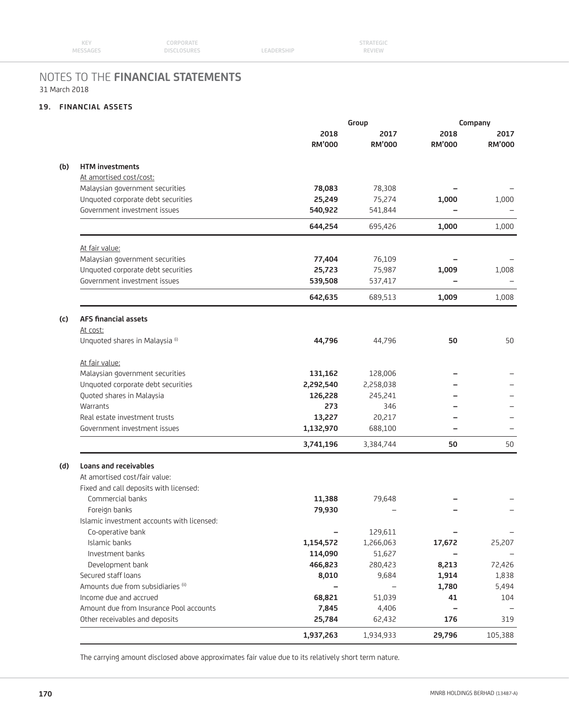| <b>KEY</b> | CORPORATE          |            | <b>STRATEGIC</b> |  |
|------------|--------------------|------------|------------------|--|
| MESSAGES   | <b>DISCLOSURES</b> | LEADERSHIP | <b>REVIEW</b>    |  |

## **19. FINANCIAL ASSETS**

|     |                                            | Group         |               | Company       |               |
|-----|--------------------------------------------|---------------|---------------|---------------|---------------|
|     |                                            | 2018          | 2017          | 2018          | 2017          |
|     |                                            | <b>RM'000</b> | <b>RM'000</b> | <b>RM'000</b> | <b>RM'000</b> |
| (b) | <b>HTM</b> investments                     |               |               |               |               |
|     | At amortised cost/cost:                    |               |               |               |               |
|     | Malaysian government securities            | 78,083        | 78,308        |               |               |
|     | Unquoted corporate debt securities         | 25,249        | 75,274        | 1,000         | 1,000         |
|     | Government investment issues               | 540,922       | 541,844       |               |               |
|     |                                            | 644,254       | 695,426       | 1,000         | 1,000         |
|     | At fair value:                             |               |               |               |               |
|     | Malaysian government securities            | 77,404        | 76,109        |               |               |
|     | Unquoted corporate debt securities         | 25,723        | 75,987        | 1,009         | 1,008         |
|     | Government investment issues               | 539,508       | 537,417       |               |               |
|     |                                            | 642,635       | 689,513       | 1,009         | 1,008         |
| (c) | <b>AFS financial assets</b>                |               |               |               |               |
|     | At cost:                                   |               |               |               |               |
|     | Unquoted shares in Malaysia (i)            | 44,796        | 44,796        | 50            | 50            |
|     | At fair value:                             |               |               |               |               |
|     | Malaysian government securities            | 131,162       | 128,006       |               |               |
|     | Unquoted corporate debt securities         | 2,292,540     | 2,258,038     |               |               |
|     | Quoted shares in Malaysia                  | 126,228       | 245,241       |               |               |
|     | Warrants                                   | 273           | 346           |               |               |
|     | Real estate investment trusts              | 13,227        | 20,217        |               |               |
|     | Government investment issues               | 1,132,970     | 688,100       |               |               |
|     |                                            | 3,741,196     | 3,384,744     | 50            | 50            |
| (d) | Loans and receivables                      |               |               |               |               |
|     | At amortised cost/fair value:              |               |               |               |               |
|     | Fixed and call deposits with licensed:     |               |               |               |               |
|     | Commercial banks                           | 11,388        | 79,648        |               |               |
|     | Foreign banks                              | 79,930        |               |               |               |
|     | Islamic investment accounts with licensed: |               |               |               |               |
|     | Co-operative bank                          | -             | 129,611       |               |               |
|     | Islamic banks                              | 1,154,572     | 1,266,063     | 17,672        | 25,207        |
|     | Investment banks                           | 114,090       | 51,627        |               |               |
|     | Development bank                           | 466,823       | 280,423       | 8,213         | 72,426        |
|     | Secured staff loans                        | 8,010         | 9,684         | 1,914         | 1,838         |
|     | Amounts due from subsidiaries (ii)         |               |               | 1,780         | 5,494         |
|     | Income due and accrued                     | 68,821        | 51,039        | 41            | 104           |
|     | Amount due from Insurance Pool accounts    | 7,845         | 4,406         |               |               |
|     | Other receivables and deposits             | 25,784        | 62,432        | 176           | 319           |
|     |                                            | 1,937,263     | 1,934,933     | 29,796        | 105,388       |

The carrying amount disclosed above approximates fair value due to its relatively short term nature.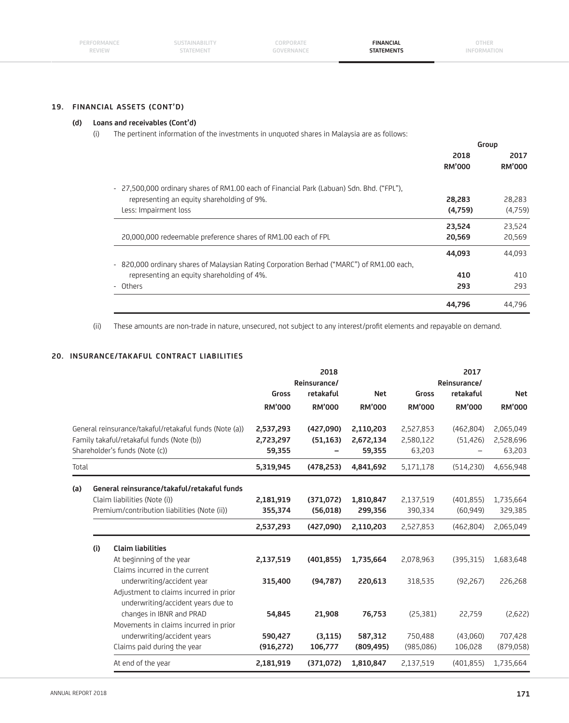## **19. FINANCIAL ASSETS (CONT'D)**

#### **(d) Loans and receivables (Cont'd)**

(i) The pertinent information of the investments in unquoted shares in Malaysia are as follows:

|                                                                                           | Group         |               |
|-------------------------------------------------------------------------------------------|---------------|---------------|
|                                                                                           | 2018          | 2017          |
|                                                                                           | <b>RM'000</b> | <b>RM'000</b> |
| - 27,500,000 ordinary shares of RM1.00 each of Financial Park (Labuan) Sdn. Bhd. ("FPL"), |               |               |
| representing an equity shareholding of 9%.                                                | 28,283        | 28,283        |
| Less: Impairment loss                                                                     | (4,759)       | (4,759)       |
|                                                                                           | 23,524        | 23,524        |
| 20,000,000 redeemable preference shares of RM1.00 each of FPL                             | 20,569        | 20,569        |
|                                                                                           | 44,093        | 44,093        |
| - 820,000 ordinary shares of Malaysian Rating Corporation Berhad ("MARC") of RM1.00 each, |               |               |
| representing an equity shareholding of 4%.                                                | 410           | 410           |
| - Others                                                                                  | 293           | 293           |
|                                                                                           | 44,796        | 44,796        |

(ii) These amounts are non-trade in nature, unsecured, not subject to any interest/profit elements and repayable on demand.

## **20. INSURANCE/TAKAFUL CONTRACT LIABILITIES**

|       |     |                                                                              |               | 2018                      |               |               | 2017                      |               |
|-------|-----|------------------------------------------------------------------------------|---------------|---------------------------|---------------|---------------|---------------------------|---------------|
|       |     |                                                                              | Gross         | Reinsurance/<br>retakaful | <b>Net</b>    | Gross         | Reinsurance/<br>retakaful | <b>Net</b>    |
|       |     |                                                                              | <b>RM'000</b> | <b>RM'000</b>             | <b>RM'000</b> | <b>RM'000</b> | <b>RM'000</b>             | <b>RM'000</b> |
|       |     | General reinsurance/takaful/retakaful funds (Note (a))                       | 2,537,293     | (427,090)                 | 2,110,203     | 2,527,853     | (462,804)                 | 2,065,049     |
|       |     | Family takaful/retakaful funds (Note (b))                                    | 2,723,297     | (51, 163)                 | 2,672,134     | 2,580,122     | (51, 426)                 | 2,528,696     |
|       |     | Shareholder's funds (Note (c))                                               | 59,355        | $\qquad \qquad -$         | 59,355        | 63,203        |                           | 63,203        |
| Total |     |                                                                              | 5,319,945     | (478, 253)                | 4,841,692     | 5,171,178     | (514, 230)                | 4,656,948     |
| (a)   |     | General reinsurance/takaful/retakaful funds                                  |               |                           |               |               |                           |               |
|       |     | Claim liabilities (Note (i))                                                 | 2,181,919     | (371,072)                 | 1,810,847     | 2,137,519     | (401, 855)                | 1,735,664     |
|       |     | Premium/contribution liabilities (Note (ii))                                 | 355,374       | (56,018)                  | 299,356       | 390,334       | (60, 949)                 | 329,385       |
|       |     |                                                                              | 2,537,293     | (427,090)                 | 2,110,203     | 2,527,853     | (462,804)                 | 2,065,049     |
|       | (i) | <b>Claim liabilities</b>                                                     |               |                           |               |               |                           |               |
|       |     | At beginning of the year                                                     | 2,137,519     | (401, 855)                | 1,735,664     | 2,078,963     | (395, 315)                | 1,683,648     |
|       |     | Claims incurred in the current                                               |               |                           |               |               |                           |               |
|       |     | underwriting/accident year                                                   | 315,400       | (94,787)                  | 220,613       | 318,535       | (92, 267)                 | 226,268       |
|       |     | Adjustment to claims incurred in prior<br>underwriting/accident years due to |               |                           |               |               |                           |               |
|       |     | changes in IBNR and PRAD                                                     | 54,845        | 21,908                    | 76,753        | (25, 381)     | 22,759                    | (2,622)       |
|       |     | Movements in claims incurred in prior                                        |               |                           |               |               |                           |               |
|       |     | underwriting/accident years                                                  | 590,427       | (3, 115)                  | 587,312       | 750,488       | (43,060)                  | 707,428       |
|       |     | Claims paid during the year                                                  | (916, 272)    | 106,777                   | (809, 495)    | (985,086)     | 106,028                   | (879,058)     |
|       |     | At end of the year                                                           | 2,181,919     | (371,072)                 | 1,810,847     | 2,137,519     | (401, 855)                | 1,735,664     |

 $\overline{a}$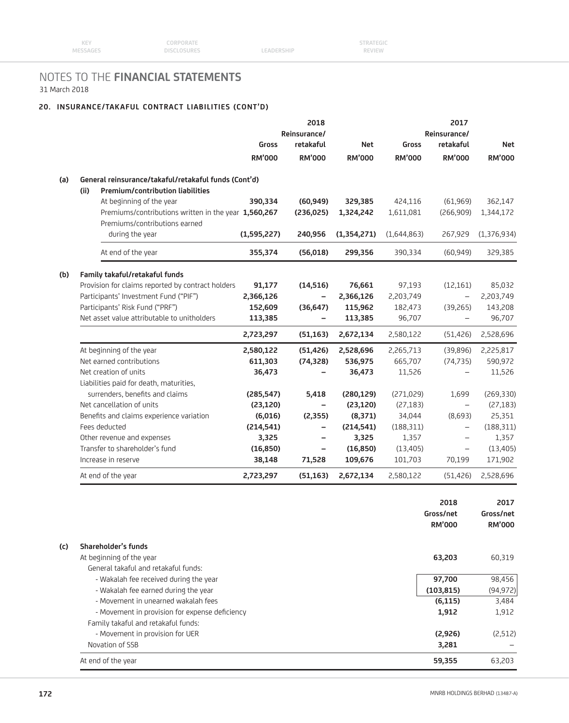## **20. INSURANCE/TAKAFUL CONTRACT LIABILITIES (CONT'D)**

| <b>Gross</b><br><b>RM'000</b> | Reinsurance/<br>retakaful<br><b>RM'000</b> | <b>Net</b>        |
|-------------------------------|--------------------------------------------|-------------------|
|                               |                                            |                   |
|                               |                                            |                   |
|                               |                                            | <b>RM'000</b>     |
|                               |                                            |                   |
|                               |                                            |                   |
| 424,116                       | (61,969)                                   | 362,147           |
| 1,611,081                     | (266,909)                                  | 1,344,172         |
|                               |                                            |                   |
| (1,644,863)                   | 267,929                                    | (1,376,934)       |
| 390,334                       | (60, 949)                                  | 329,385           |
|                               |                                            |                   |
| 97,193                        | (12,161)                                   | 85,032            |
| 2,203,749                     | $\overline{\phantom{0}}$                   | 2,203,749         |
| 182,473                       | (39, 265)                                  | 143,208           |
| 96,707                        |                                            | 96,707            |
| 2,580,122                     | (51, 426)                                  | 2,528,696         |
| 2,265,713                     | (39, 896)                                  | 2,225,817         |
| 665,707                       | (74, 735)                                  | 590,972           |
| 11,526                        |                                            | 11,526            |
|                               |                                            |                   |
| (271, 029)                    | 1,699                                      | (269, 330)        |
| (27, 183)                     | $\overline{\phantom{0}}$                   | (27, 183)         |
| 34,044                        | (8,693)                                    | 25,351            |
| (188, 311)                    | $\qquad \qquad -$                          | (188, 311)        |
| 1,357                         | $\overline{\phantom{0}}$                   | 1,357             |
| (13, 405)                     | $\overline{\phantom{m}}$                   | (13, 405)         |
|                               |                                            | 171,902           |
|                               |                                            |                   |
|                               |                                            | 101,703<br>70,199 |

|     |                                                | 2018          | 2017          |
|-----|------------------------------------------------|---------------|---------------|
|     |                                                | Gross/net     | Gross/net     |
|     |                                                | <b>RM'000</b> | <b>RM'000</b> |
| (c) | Shareholder's funds                            |               |               |
|     | At beginning of the year                       | 63,203        | 60,319        |
|     | General takaful and retakaful funds:           |               |               |
|     | - Wakalah fee received during the year         | 97,700        | 98,456        |
|     | - Wakalah fee earned during the year           | (103, 815)    | (94, 972)     |
|     | - Movement in unearned wakalah fees            | (6, 115)      | 3,484         |
|     | - Movement in provision for expense deficiency | 1,912         | 1,912         |
|     | Family takaful and retakaful funds:            |               |               |
|     | - Movement in provision for UER                | (2,926)       | (2,512)       |
|     | Novation of SSB                                | 3,281         |               |
|     | At end of the year                             | 59,355        | 63,203        |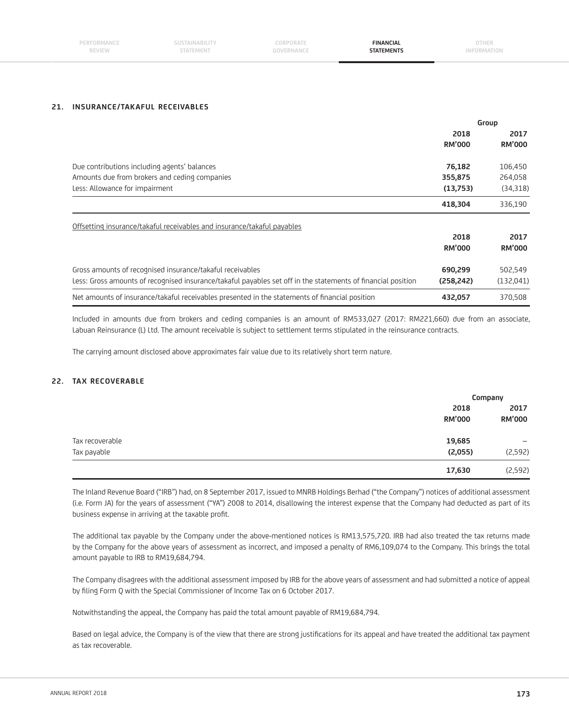| PERFORMANCE | SUSTAINABILITY | ORPORATE   | <b>FINANCIAL</b>  | DTHER .     |
|-------------|----------------|------------|-------------------|-------------|
| REVIEW      | STATEMENT      | GOVERNANCE | <b>STATEMENTS</b> | INFORMATION |
|             |                |            |                   |             |

#### **21. INSURANCE/TAKAFUL RECEIVABLES**

|                                                                                                              | Group         |               |
|--------------------------------------------------------------------------------------------------------------|---------------|---------------|
|                                                                                                              | 2018          | 2017          |
|                                                                                                              | <b>RM'000</b> | <b>RM'000</b> |
| Due contributions including agents' balances                                                                 | 76,182        | 106,450       |
| Amounts due from brokers and ceding companies                                                                | 355,875       | 264,058       |
| Less: Allowance for impairment                                                                               | (13,753)      | (34,318)      |
|                                                                                                              | 418,304       | 336,190       |
| Offsetting insurance/takaful receivables and insurance/takaful payables                                      |               |               |
|                                                                                                              | 2018          | 2017          |
|                                                                                                              | <b>RM'000</b> | <b>RM'000</b> |
| Gross amounts of recognised insurance/takaful receivables                                                    | 690,299       | 502,549       |
| Less: Gross amounts of recognised insurance/takaful payables set off in the statements of financial position | (258, 242)    | (132,041)     |
| Net amounts of insurance/takaful receivables presented in the statements of financial position               | 432,057       | 370,508       |

 Included in amounts due from brokers and ceding companies is an amount of RM533,027 (2017: RM221,660) due from an associate, Labuan Reinsurance (L) Ltd. The amount receivable is subject to settlement terms stipulated in the reinsurance contracts.

The carrying amount disclosed above approximates fair value due to its relatively short term nature.

## **22. TAX RECOVERABLE**

|                 |                       | Company               |  |
|-----------------|-----------------------|-----------------------|--|
|                 | 2018<br><b>RM'000</b> | 2017<br><b>RM'000</b> |  |
| Tax recoverable | 19,685                | -                     |  |
| Tax payable     | (2,055)               | (2,592)               |  |
|                 | 17,630                | (2,592)               |  |

 The Inland Revenue Board ("IRB") had, on 8 September 2017, issued to MNRB Holdings Berhad ("the Company") notices of additional assessment (i.e. Form JA) for the years of assessment ("YA") 2008 to 2014, disallowing the interest expense that the Company had deducted as part of its business expense in arriving at the taxable profit.

 The additional tax payable by the Company under the above-mentioned notices is RM13,575,720. IRB had also treated the tax returns made by the Company for the above years of assessment as incorrect, and imposed a penalty of RM6,109,074 to the Company. This brings the total amount payable to IRB to RM19,684,794.

 The Company disagrees with the additional assessment imposed by IRB for the above years of assessment and had submitted a notice of appeal by filing Form Q with the Special Commissioner of Income Tax on 6 October 2017.

Notwithstanding the appeal, the Company has paid the total amount payable of RM19,684,794.

Based on legal advice, the Company is of the view that there are strong justifications for its appeal and have treated the additional tax payment as tax recoverable.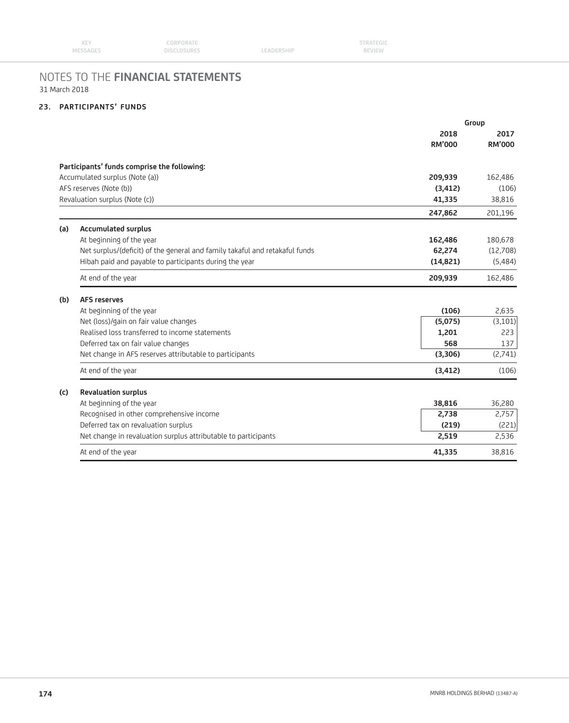## **23. PARTICIPANTS' FUNDS**

|     |                                                                             | Group         |               |
|-----|-----------------------------------------------------------------------------|---------------|---------------|
|     |                                                                             | 2018          | 2017          |
|     |                                                                             | <b>RM'000</b> | <b>RM'000</b> |
|     | Participants' funds comprise the following:                                 |               |               |
|     | Accumulated surplus (Note (a))                                              | 209,939       | 162,486       |
|     | AFS reserves (Note (b))                                                     | (3, 412)      | (106)         |
|     | Revaluation surplus (Note (c))                                              | 41,335        | 38,816        |
|     |                                                                             | 247,862       | 201,196       |
| (a) | <b>Accumulated surplus</b>                                                  |               |               |
|     | At beginning of the year                                                    | 162,486       | 180,678       |
|     | Net surplus/(deficit) of the general and family takaful and retakaful funds | 62,274        | (12,708)      |
|     | Hibah paid and payable to participants during the year                      | (14, 821)     | (5,484)       |
|     | At end of the year                                                          | 209,939       | 162,486       |
| (b) | <b>AFS reserves</b>                                                         |               |               |
|     | At beginning of the year                                                    | (106)         | 2,635         |
|     | Net (loss)/gain on fair value changes                                       | (5,075)       | (3,101)       |
|     | Realised loss transferred to income statements                              | 1,201         | 223           |
|     | Deferred tax on fair value changes                                          | 568           | 137           |
|     | Net change in AFS reserves attributable to participants                     | (3, 306)      | (2,741)       |
|     | At end of the year                                                          | (3, 412)      | (106)         |
| (c) | <b>Revaluation surplus</b>                                                  |               |               |
|     | At beginning of the year                                                    | 38,816        | 36,280        |
|     | Recognised in other comprehensive income                                    | 2,738         | 2,757         |
|     | Deferred tax on revaluation surplus                                         | (219)         | (221)         |
|     | Net change in revaluation surplus attributable to participants              | 2,519         | 2,536         |
|     | At end of the year                                                          | 41,335        | 38,816        |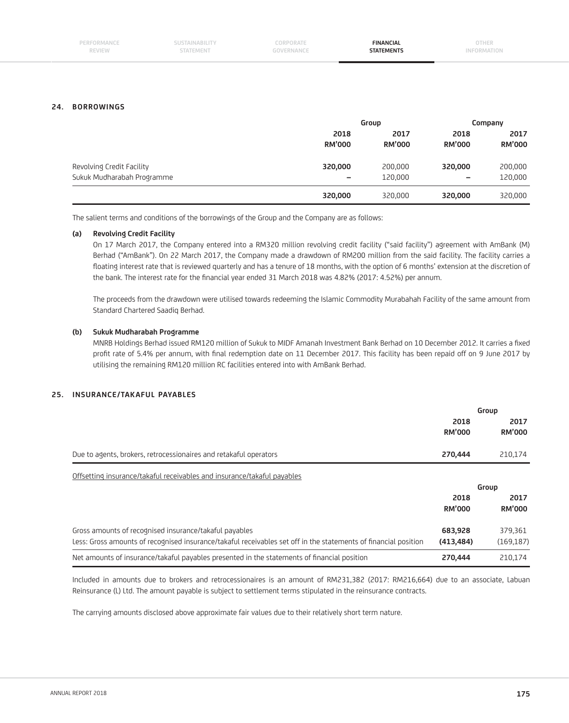| PERFORMANCE<br><b>REVIEW</b> | <b>SUSIAINADILII</b><br>STATEMENT | .ORPORATE<br>-- | <b>FINANCIAL</b><br><b>TATEMENTS</b> | OTHER |
|------------------------------|-----------------------------------|-----------------|--------------------------------------|-------|
|                              |                                   |                 |                                      |       |

#### **24. BORROWINGS**

|                            | Group                    |                       | Company                  |                       |
|----------------------------|--------------------------|-----------------------|--------------------------|-----------------------|
|                            | 2018<br><b>RM'000</b>    | 2017<br><b>RM'000</b> | 2018<br><b>RM'000</b>    | 2017<br><b>RM'000</b> |
| Revolving Credit Facility  | 320,000                  | 200,000               | 320,000                  | 200,000               |
| Sukuk Mudharabah Programme | $\overline{\phantom{m}}$ | 120,000               | $\overline{\phantom{0}}$ | 120,000               |
|                            | 320,000                  | 320,000               | 320,000                  | 320,000               |

The salient terms and conditions of the borrowings of the Group and the Company are as follows:

#### **(a) Revolving Credit Facility**

 On 17 March 2017, the Company entered into a RM320 million revolving credit facility ("said facility") agreement with AmBank (M) Berhad ("AmBank"). On 22 March 2017, the Company made a drawdown of RM200 million from the said facility. The facility carries a floating interest rate that is reviewed quarterly and has a tenure of 18 months, with the option of 6 months' extension at the discretion of the bank. The interest rate for the financial year ended 31 March 2018 was 4.82% (2017: 4.52%) per annum.

 The proceeds from the drawdown were utilised towards redeeming the Islamic Commodity Murabahah Facility of the same amount from Standard Chartered Saadiq Berhad.

#### **(b) Sukuk Mudharabah Programme**

MNRB Holdings Berhad issued RM120 million of Sukuk to MIDF Amanah Investment Bank Berhad on 10 December 2012. It carries a fixed profit rate of 5.4% per annum, with final redemption date on 11 December 2017. This facility has been repaid off on 9 June 2017 by utilising the remaining RM120 million RC facilities entered into with AmBank Berhad.

## **25. INSURANCE/TAKAFUL PAYABLES**

|                                                                                                                 |                       | Group                 |
|-----------------------------------------------------------------------------------------------------------------|-----------------------|-----------------------|
|                                                                                                                 | 2018<br><b>RM'000</b> | 2017<br><b>RM'000</b> |
| Due to agents, brokers, retrocessionaires and retakaful operators                                               | 270,444               | 210,174               |
| Offsetting insurance/takaful receivables and insurance/takaful payables                                         |                       |                       |
|                                                                                                                 |                       | Group                 |
|                                                                                                                 | 2018                  | 2017                  |
|                                                                                                                 | <b>RM'000</b>         | <b>RM'000</b>         |
| Gross amounts of recognised insurance/takaful payables                                                          | 683,928               | 379,361               |
| Less: Gross amounts of recognised insurance/takaful receivables set off in the statements of financial position | (413, 484)            | (169, 187)            |
| Net amounts of insurance/takaful payables presented in the statements of financial position                     | 270,444               | 210.174               |

 Included in amounts due to brokers and retrocessionaires is an amount of RM231,382 (2017: RM216,664) due to an associate, Labuan Reinsurance (L) Ltd. The amount payable is subject to settlement terms stipulated in the reinsurance contracts.

The carrying amounts disclosed above approximate fair values due to their relatively short term nature.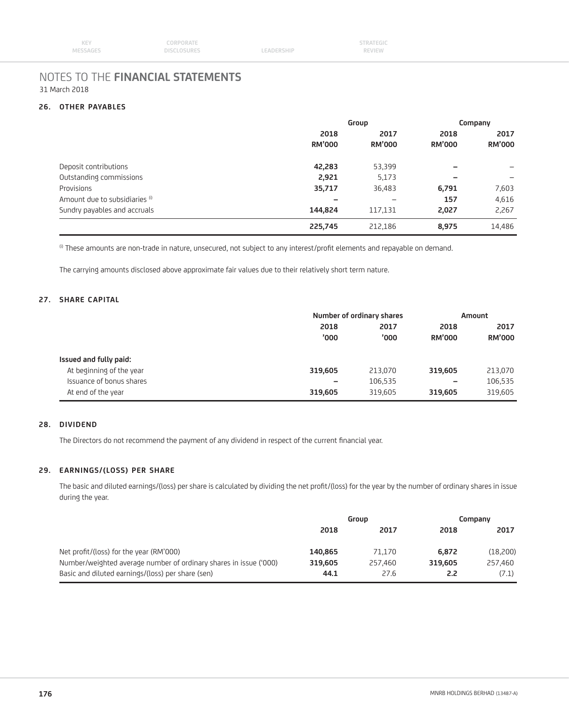| KEY      | CORPORATE   |            | <b>STRATEGIC</b> |  |
|----------|-------------|------------|------------------|--|
| MESSAGES | DISCLOSURES | LEADERSHIP | <b>REVIEW</b>    |  |

#### **26. OTHER PAYABLES**

|                                | Group         |               | Company       |               |      |      |
|--------------------------------|---------------|---------------|---------------|---------------|------|------|
|                                | 2018          |               |               | 2017          | 2018 | 2017 |
|                                | <b>RM'000</b> | <b>RM'000</b> | <b>RM'000</b> | <b>RM'000</b> |      |      |
| Deposit contributions          | 42,283        | 53,399        |               |               |      |      |
| Outstanding commissions        | 2,921         | 5,173         | -             |               |      |      |
| Provisions                     | 35,717        | 36,483        | 6,791         | 7,603         |      |      |
| Amount due to subsidiaries (i) | -             |               | 157           | 4,616         |      |      |
| Sundry payables and accruals   | 144.824       | 117,131       | 2,027         | 2,267         |      |      |
|                                | 225,745       | 212.186       | 8,975         | 14,486        |      |      |

<sup>(i)</sup> These amounts are non-trade in nature, unsecured, not subject to any interest/profit elements and repayable on demand.

The carrying amounts disclosed above approximate fair values due to their relatively short term nature.

## **27. SHARE CAPITAL**

|                          | Number of ordinary shares    |              | Amount                |                       |
|--------------------------|------------------------------|--------------|-----------------------|-----------------------|
|                          | 2018<br>'000                 | 2017<br>'000 | 2018<br><b>RM'000</b> | 2017<br><b>RM'000</b> |
| Issued and fully paid:   |                              |              |                       |                       |
| At beginning of the year | 319,605                      | 213,070      | 319.605               | 213,070               |
| Issuance of bonus shares | $\qquad \qquad \blacksquare$ | 106,535      |                       | 106,535               |
| At end of the year       | 319,605                      | 319.605      | 319.605               | 319,605               |

## **28. DIVIDEND**

The Directors do not recommend the payment of any dividend in respect of the current financial year.

#### **29. EARNINGS/(LOSS) PER SHARE**

The basic and diluted earnings/(loss) per share is calculated by dividing the net profit/(loss) for the year by the number of ordinary shares in issue during the year.

|                                                                   | Group   |         | Company |          |
|-------------------------------------------------------------------|---------|---------|---------|----------|
|                                                                   | 2018    | 2017    | 2018    | 2017     |
| Net profit/(loss) for the year (RM'000)                           | 140.865 | 71.170  | 6.872   | (18,200) |
| Number/weighted average number of ordinary shares in issue ('000) | 319.605 | 257,460 | 319.605 | 257,460  |
| Basic and diluted earnings/(loss) per share (sen)                 | 44.1    | 27.6    | 2.2     | (7.1)    |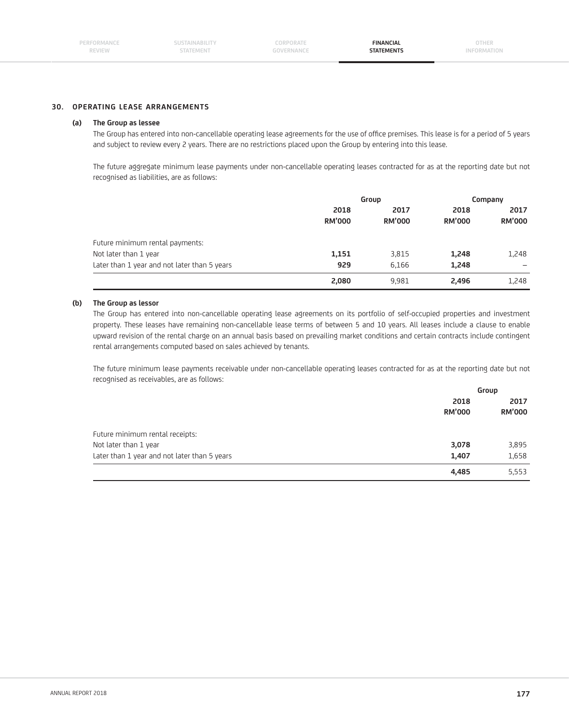**CORPORATE GOVERNANCE**

**FINANCIAL STATEMENTS**

#### **30. OPERATING LEASE ARRANGEMENTS**

#### **(a) The Group as lessee**

The Group has entered into non-cancellable operating lease agreements for the use of office premises. This lease is for a period of 5 years and subject to review every 2 years. There are no restrictions placed upon the Group by entering into this lease.

 The future aggregate minimum lease payments under non-cancellable operating leases contracted for as at the reporting date but not recognised as liabilities, are as follows:

|                                              | Group                 |                       | Company               |                          |
|----------------------------------------------|-----------------------|-----------------------|-----------------------|--------------------------|
|                                              | 2018<br><b>RM'000</b> | 2017<br><b>RM'000</b> | 2018<br><b>RM'000</b> | 2017<br><b>RM'000</b>    |
| Future minimum rental payments:              |                       |                       |                       |                          |
| Not later than 1 year                        | 1,151                 | 3,815                 | 1,248                 | 1,248                    |
| Later than 1 year and not later than 5 years | 929                   | 6.166                 | 1,248                 | $\overline{\phantom{0}}$ |
|                                              | 2,080                 | 9,981                 | 2.496                 | 1,248                    |

#### **(b) The Group as lessor**

 The Group has entered into non-cancellable operating lease agreements on its portfolio of self-occupied properties and investment property. These leases have remaining non-cancellable lease terms of between 5 and 10 years. All leases include a clause to enable upward revision of the rental charge on an annual basis based on prevailing market conditions and certain contracts include contingent rental arrangements computed based on sales achieved by tenants.

 The future minimum lease payments receivable under non-cancellable operating leases contracted for as at the reporting date but not recognised as receivables, are as follows:

|                                              | Group         |                       |
|----------------------------------------------|---------------|-----------------------|
|                                              | 2018          | 2017<br><b>RM'000</b> |
|                                              | <b>RM'000</b> |                       |
| Future minimum rental receipts:              |               |                       |
| Not later than 1 year                        | 3,078         | 3,895                 |
| Later than 1 year and not later than 5 years | 1,407         | 1,658                 |
|                                              | 4,485         | 5,553                 |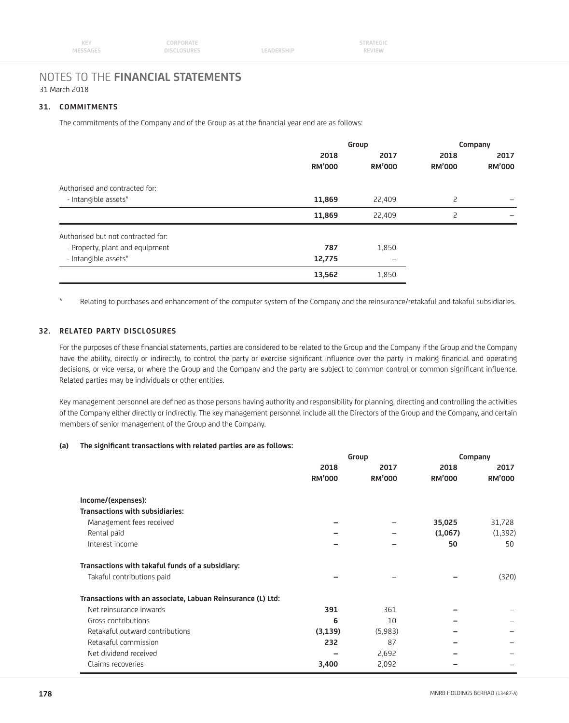#### **31. COMMITMENTS**

The commitments of the Company and of the Group as at the financial year end are as follows:

| Group                 |                       | Company               |                       |
|-----------------------|-----------------------|-----------------------|-----------------------|
| 2018<br><b>RM'000</b> | 2017<br><b>RM'000</b> | 2018<br><b>RM'000</b> | 2017<br><b>RM'000</b> |
|                       |                       |                       |                       |
| 11,869                | 22,409                | 2                     |                       |
| 11,869                | 22,409                | $\overline{c}$        |                       |
|                       |                       |                       |                       |
| 787                   | 1,850                 |                       |                       |
| 12,775                | -                     |                       |                       |
| 13,562                | 1,850                 |                       |                       |
|                       |                       |                       |                       |

\* Relating to purchases and enhancement of the computer system of the Company and the reinsurance/retakaful and takaful subsidiaries.

## **32. RELATED PARTY DISCLOSURES**

For the purposes of these financial statements, parties are considered to be related to the Group and the Company if the Group and the Company have the ability, directly or indirectly, to control the party or exercise significant influence over the party in making financial and operating decisions, or vice versa, or where the Group and the Company and the party are subject to common control or common significant influence. Related parties may be individuals or other entities.

Key management personnel are defined as those persons having authority and responsibility for planning, directing and controlling the activities of the Company either directly or indirectly. The key management personnel include all the Directors of the Group and the Company, and certain members of senior management of the Group and the Company.

#### (a) The significant transactions with related parties are as follows:

|                                                             | Group         |               | Company       |               |
|-------------------------------------------------------------|---------------|---------------|---------------|---------------|
|                                                             | 2018          | 2017          | 2018          | 2017          |
|                                                             | <b>RM'000</b> | <b>RM'000</b> | <b>RM'000</b> | <b>RM'000</b> |
| Income/(expenses):                                          |               |               |               |               |
| <b>Transactions with subsidiaries:</b>                      |               |               |               |               |
| Management fees received                                    |               |               | 35,025        | 31,728        |
| Rental paid                                                 |               |               | (1,067)       | (1, 392)      |
| Interest income                                             |               |               | 50            | 50            |
| Transactions with takaful funds of a subsidiary:            |               |               |               |               |
| Takaful contributions paid                                  |               |               |               | (320)         |
| Transactions with an associate, Labuan Reinsurance (L) Ltd: |               |               |               |               |
| Net reinsurance inwards                                     | 391           | 361           |               |               |
| Gross contributions                                         | 6             | 10            |               |               |
| Retakaful outward contributions                             | (3, 139)      | (5,983)       |               |               |
| Retakaful commission                                        | 232           | 87            |               |               |
| Net dividend received                                       |               | 2,692         |               |               |
| Claims recoveries                                           | 3,400         | 2,092         |               |               |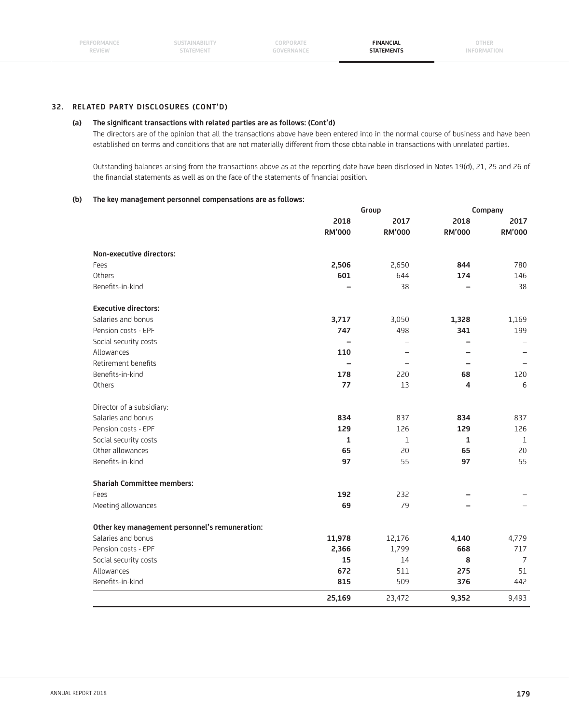**SUSTAINABILITY STATEMENT**

**CORPORATE GOVERNANCE**

**FINANCIAL STATEMENTS**

**OTHER INFORMATION**

#### **32. RELATED PARTY DISCLOSURES (CONT'D)**

### (a) The significant transactions with related parties are as follows: (Cont'd)

 The directors are of the opinion that all the transactions above have been entered into in the normal course of business and have been established on terms and conditions that are not materially different from those obtainable in transactions with unrelated parties.

 Outstanding balances arising from the transactions above as at the reporting date have been disclosed in Notes 19(d), 21, 25 and 26 of the financial statements as well as on the face of the statements of financial position.

#### **(b) The key management personnel compensations are as follows:**

|                                                |               | Group                    | Company       |               |  |
|------------------------------------------------|---------------|--------------------------|---------------|---------------|--|
|                                                | 2018          | 2017                     | 2018          | 2017          |  |
|                                                | <b>RM'000</b> | <b>RM'000</b>            | <b>RM'000</b> | <b>RM'000</b> |  |
| Non-executive directors:                       |               |                          |               |               |  |
| Fees                                           | 2,506         | 2,650                    | 844           | 780           |  |
| Others                                         | 601           | 644                      | 174           | 146           |  |
| Benefits-in-kind                               |               | 38                       |               | 38            |  |
| <b>Executive directors:</b>                    |               |                          |               |               |  |
| Salaries and bonus                             | 3,717         | 3,050                    | 1,328         | 1,169         |  |
| Pension costs - EPF                            | 747           | 498                      | 341           | 199           |  |
| Social security costs                          |               | $\overline{\phantom{0}}$ |               |               |  |
| Allowances                                     | 110           |                          |               |               |  |
| Retirement benefits                            |               |                          |               |               |  |
| Benefits-in-kind                               | 178           | 220                      | 68            | 120           |  |
| Others                                         | 77            | 13                       | 4             | 6             |  |
| Director of a subsidiary:                      |               |                          |               |               |  |
| Salaries and bonus                             | 834           | 837                      | 834           | 837           |  |
| Pension costs - EPF                            | 129           | 126                      | 129           | 126           |  |
| Social security costs                          | $\mathbf{1}$  | $\mathbf{1}$             | $\mathbf{1}$  | 1             |  |
| Other allowances                               | 65            | 20                       | 65            | 20            |  |
| Benefits-in-kind                               | 97            | 55                       | 97            | 55            |  |
| <b>Shariah Committee members:</b>              |               |                          |               |               |  |
| Fees                                           | 192           | 232                      |               |               |  |
| Meeting allowances                             | 69            | 79                       |               |               |  |
| Other key management personnel's remuneration: |               |                          |               |               |  |
| Salaries and bonus                             | 11,978        | 12,176                   | 4,140         | 4,779         |  |
| Pension costs - EPF                            | 2,366         | 1,799                    | 668           | 717           |  |
| Social security costs                          | 15            | 14                       | 8             | 7             |  |
| Allowances                                     | 672           | 511                      | 275           | 51            |  |
| Benefits-in-kind                               | 815           | 509                      | 376           | 442           |  |
|                                                | 25,169        | 23,472                   | 9,352         | 9,493         |  |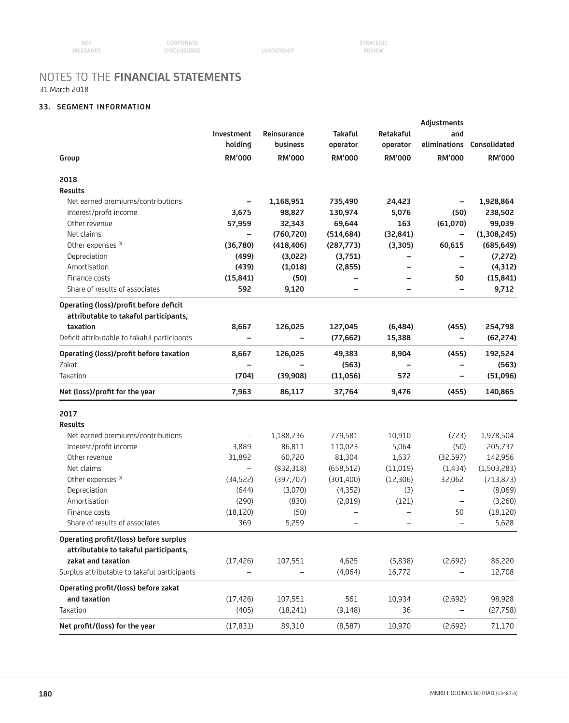# **33. SEGMENT INFORMATION**

|                                                                                 |                          | Adjustments              |                          |                          |                          |                           |
|---------------------------------------------------------------------------------|--------------------------|--------------------------|--------------------------|--------------------------|--------------------------|---------------------------|
|                                                                                 | Investment               | Reinsurance              | <b>Takaful</b>           | Retakaful                | and                      |                           |
|                                                                                 | holding                  | business                 | operator                 | operator                 |                          | eliminations Consolidated |
| Group                                                                           | <b>RM'000</b>            | <b>RM'000</b>            | <b>RM'000</b>            | <b>RM'000</b>            | <b>RM'000</b>            | <b>RM'000</b>             |
| 2018                                                                            |                          |                          |                          |                          |                          |                           |
| <b>Results</b>                                                                  |                          |                          |                          |                          |                          |                           |
| Net earned premiums/contributions                                               |                          | 1,168,951                | 735,490                  | 24,423                   |                          | 1,928,864                 |
| Interest/profit income                                                          | 3,675                    | 98,827                   | 130,974                  | 5,076                    | (50)                     | 238,502                   |
| Other revenue                                                                   | 57,959                   | 32,343                   | 69,644                   | 163                      | (61,070)                 | 99,039                    |
| Net claims                                                                      |                          | (760, 720)               | (514, 684)               | (32, 841)                | $\overline{\phantom{0}}$ | (1,308,245)               |
| Other expenses <sup>(i)</sup>                                                   | (36,780)                 | (418, 406)               | (287, 773)               | (3, 305)                 | 60,615                   | (685, 649)                |
| Depreciation                                                                    | (499)                    | (3,022)                  | (3,751)                  |                          |                          | (7, 272)                  |
| Amortisation                                                                    | (439)                    | (1,018)                  | (2,855)                  |                          |                          | (4, 312)                  |
| Finance costs                                                                   | (15, 841)                | (50)                     |                          |                          | 50                       | (15, 841)                 |
| Share of results of associates                                                  | 592                      | 9,120                    |                          |                          | $\overline{\phantom{0}}$ | 9,712                     |
| Operating (loss)/profit before deficit<br>attributable to takaful participants, |                          |                          |                          |                          |                          |                           |
| taxation                                                                        | 8,667                    | 126,025                  | 127,045                  | (6, 484)                 | (455)                    | 254,798                   |
| Deficit attributable to takaful participants                                    |                          | $\overline{\phantom{0}}$ | (77, 662)                | 15,388                   | $\overline{\phantom{0}}$ | (62, 274)                 |
| Operating (loss)/profit before taxation                                         | 8,667                    | 126,025                  | 49,383                   | 8,904                    | (455)                    | 192,524                   |
| Zakat                                                                           |                          |                          | (563)                    |                          |                          | (563)                     |
| Taxation                                                                        | (704)                    | (39,908)                 | (11,056)                 | 572                      | $\overline{\phantom{0}}$ | (51,096)                  |
| Net (loss)/profit for the year                                                  | 7,963                    | 86,117                   | 37,764                   | 9,476                    | (455)                    | 140,865                   |
| 2017                                                                            |                          |                          |                          |                          |                          |                           |
| <b>Results</b>                                                                  |                          |                          |                          |                          |                          |                           |
| Net earned premiums/contributions                                               | $\qquad \qquad -$        | 1,188,736                | 779,581                  | 10,910                   | (723)                    | 1,978,504                 |
| Interest/profit income                                                          | 3,889                    | 86,811                   | 110,023                  | 5,064                    | (50)                     | 205,737                   |
| Other revenue                                                                   | 31,892                   | 60,720                   | 81,304                   | 1,637                    | (32,597)                 | 142,956                   |
| Net claims                                                                      | $\overline{\phantom{0}}$ | (832,318)                | (658, 512)               | (11,019)                 | (1, 434)                 | (1,503,283)               |
| Other expenses <sup>(i)</sup>                                                   | (34, 522)                | (397,707)                | (301, 400)               | (12, 306)                | 32,062                   | (713, 873)                |
| Depreciation                                                                    | (644)                    | (3,070)                  | (4,352)                  | (3)                      | $\overline{\phantom{0}}$ | (8,069)                   |
| Amortisation                                                                    | (290)                    | (830)                    | (2,019)                  | (121)                    | $\overline{\phantom{0}}$ | (3,260)                   |
| Finance costs                                                                   | (18, 120)                | (50)                     | $\overline{\phantom{0}}$ |                          | 50                       | (18, 120)                 |
| Share of results of associates                                                  | 369                      | 5,259                    | $\overline{\phantom{0}}$ | $\overline{\phantom{0}}$ | $\overline{\phantom{0}}$ | 5,628                     |
| Operating profit/(loss) before surplus                                          |                          |                          |                          |                          |                          |                           |
| attributable to takaful participants,                                           |                          |                          |                          |                          |                          |                           |
| zakat and taxation                                                              | (17, 426)                | 107,551                  | 4,625                    | (5,838)                  | (2,692)                  | 86,220                    |
| Surplus attributable to takaful participants                                    |                          |                          | (4,064)                  | 16,772                   |                          | 12,708                    |
| Operating profit/(loss) before zakat                                            |                          |                          |                          |                          |                          |                           |
| and taxation                                                                    | (17, 426)                | 107,551                  | 561                      | 10,934                   | (2,692)                  | 98,928                    |
| Taxation                                                                        | (405)                    | (18,241)                 | (9, 148)                 | 36                       |                          | (27,758)                  |
| Net profit/(loss) for the year                                                  | (17, 831)                | 89,310                   | (8,587)                  | 10,970                   | (2,692)                  | 71,170                    |
|                                                                                 |                          |                          |                          |                          |                          |                           |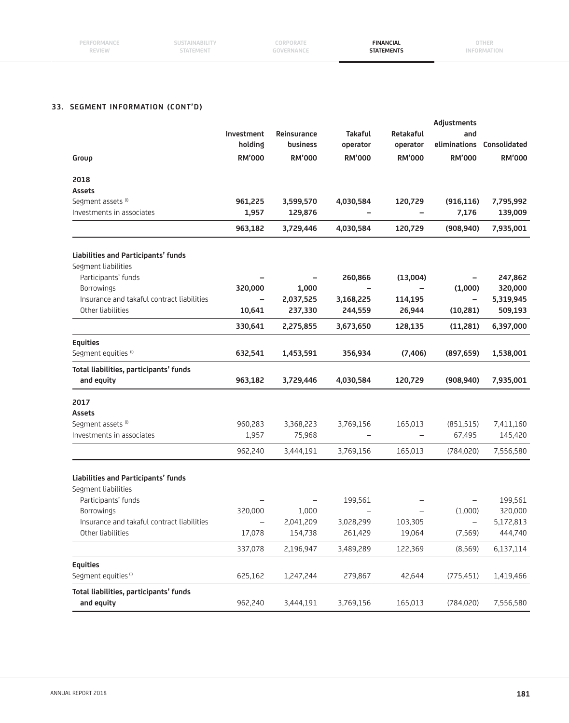| PERFORMAN<br>REVIEW | STATEMEN, | <b>LUKPUKAIE</b><br>The S. P. Lee Bolt And Are<br>----- | <b>FINANCIAL</b><br>EMENTS | 7HER. |
|---------------------|-----------|---------------------------------------------------------|----------------------------|-------|
|                     |           |                                                         |                            |       |

# **33. SEGMENT INFORMATION (CONT'D)**

|                                                      |                          |                          |                          | <b>Adjustments</b> |                   |                           |  |  |  |
|------------------------------------------------------|--------------------------|--------------------------|--------------------------|--------------------|-------------------|---------------------------|--|--|--|
|                                                      | Investment               | Reinsurance              | <b>Takaful</b>           | Retakaful          | and               |                           |  |  |  |
|                                                      | holding                  | business                 | operator                 | operator           |                   | eliminations Consolidated |  |  |  |
| Group                                                | <b>RM'000</b>            | <b>RM'000</b>            | <b>RM'000</b>            | <b>RM'000</b>      | <b>RM'000</b>     | <b>RM'000</b>             |  |  |  |
| 2018                                                 |                          |                          |                          |                    |                   |                           |  |  |  |
| Assets                                               |                          |                          |                          |                    |                   |                           |  |  |  |
| Segment assets <sup>(i)</sup>                        | 961,225                  | 3,599,570                | 4,030,584                | 120,729            | (916, 116)        | 7,795,992                 |  |  |  |
| Investments in associates                            | 1,957                    | 129,876                  |                          |                    | 7,176             | 139,009                   |  |  |  |
|                                                      | 963,182                  | 3,729,446                | 4,030,584                | 120,729            | (908, 940)        | 7,935,001                 |  |  |  |
| Liabilities and Participants' funds                  |                          |                          |                          |                    |                   |                           |  |  |  |
| Segment liabilities                                  |                          |                          |                          |                    |                   |                           |  |  |  |
| Participants' funds                                  |                          |                          | 260,866                  | (13,004)           |                   | 247,862                   |  |  |  |
| Borrowings                                           | 320,000                  | 1,000                    |                          |                    | (1,000)           | 320,000                   |  |  |  |
| Insurance and takaful contract liabilities           | $\qquad \qquad -$        | 2,037,525                | 3,168,225                | 114,195            | $\qquad \qquad -$ | 5,319,945                 |  |  |  |
| Other liabilities                                    | 10,641                   | 237,330                  | 244,559                  | 26,944             | (10, 281)         | 509,193                   |  |  |  |
|                                                      | 330,641                  | 2,275,855                | 3,673,650                | 128,135            | (11,281)          | 6,397,000                 |  |  |  |
| <b>Equities</b>                                      |                          |                          |                          |                    |                   |                           |  |  |  |
| Segment equities <sup>(i)</sup>                      | 632,541                  | 1,453,591                | 356,934                  | (7, 406)           | (897, 659)        | 1,538,001                 |  |  |  |
| Total liabilities, participants' funds<br>and equity | 963,182                  | 3,729,446                | 4,030,584                | 120,729            | (908, 940)        | 7,935,001                 |  |  |  |
|                                                      |                          |                          |                          |                    |                   |                           |  |  |  |
| 2017                                                 |                          |                          |                          |                    |                   |                           |  |  |  |
| Assets                                               |                          |                          |                          |                    |                   |                           |  |  |  |
| Segment assets <sup>(i)</sup>                        | 960,283                  | 3,368,223                | 3,769,156                | 165,013            | (851, 515)        | 7,411,160                 |  |  |  |
| Investments in associates                            | 1,957                    | 75,968                   |                          |                    | 67,495            | 145,420                   |  |  |  |
|                                                      | 962,240                  | 3,444,191                | 3,769,156                | 165,013            | (784, 020)        | 7,556,580                 |  |  |  |
| Liabilities and Participants' funds                  |                          |                          |                          |                    |                   |                           |  |  |  |
| Segment liabilities                                  |                          |                          |                          |                    |                   |                           |  |  |  |
| Participants' funds                                  |                          | $\overline{\phantom{0}}$ | 199,561                  |                    |                   | 199,561                   |  |  |  |
| Borrowings                                           | 320,000                  | 1,000                    | $\overline{\phantom{m}}$ |                    | (1,000)           | 320,000                   |  |  |  |
| Insurance and takaful contract liabilities           | $\overline{\phantom{0}}$ | 2,041,209                | 3,028,299                | 103,305            | $\qquad \qquad -$ | 5,172,813                 |  |  |  |
| Other liabilities                                    | 17,078                   | 154,738                  | 261,429                  | 19,064             | (7, 569)          | 444,740                   |  |  |  |
|                                                      | 337,078                  | 2,196,947                | 3,489,289                | 122,369            | (8, 569)          | 6,137,114                 |  |  |  |
| <b>Equities</b>                                      |                          |                          |                          |                    |                   |                           |  |  |  |
| Segment equities <sup>(i)</sup>                      | 625,162                  | 1,247,244                | 279,867                  | 42,644             | (775, 451)        | 1,419,466                 |  |  |  |
| Total liabilities, participants' funds<br>and equity | 962,240                  | 3,444,191                | 3,769,156                | 165,013            | (784, 020)        | 7,556,580                 |  |  |  |
|                                                      |                          |                          |                          |                    |                   |                           |  |  |  |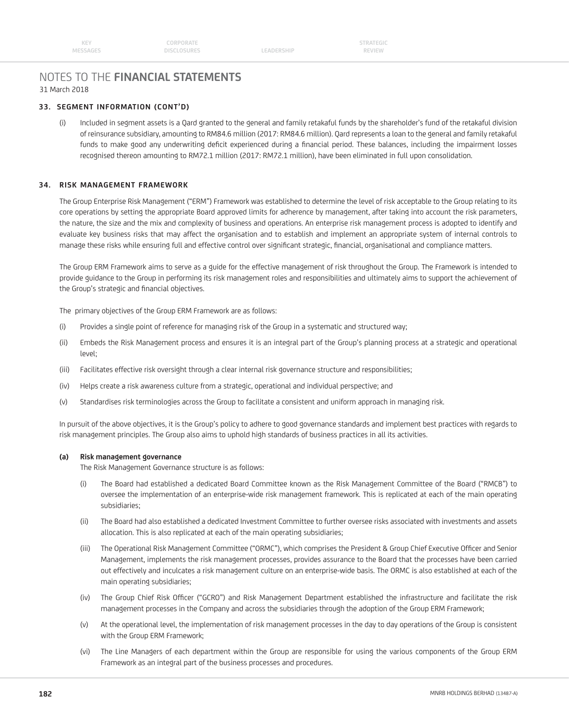# **33. SEGMENT INFORMATION (CONT'D)**

(i) Included in segment assets is a Qard granted to the general and family retakaful funds by the shareholder's fund of the retakaful division of reinsurance subsidiary, amounting to RM84.6 million (2017: RM84.6 million). Qard represents a loan to the general and family retakaful funds to make good any underwriting deficit experienced during a financial period. These balances, including the impairment losses recognised thereon amounting to RM72.1 million (2017: RM72.1 million), have been eliminated in full upon consolidation.

## **34. RISK MANAGEMENT FRAMEWORK**

The Group Enterprise Risk Management ("ERM") Framework was established to determine the level of risk acceptable to the Group relating to its core operations by setting the appropriate Board approved limits for adherence by management, after taking into account the risk parameters, the nature, the size and the mix and complexity of business and operations. An enterprise risk management process is adopted to identify and evaluate key business risks that may affect the organisation and to establish and implement an appropriate system of internal controls to manage these risks while ensuring full and effective control over significant strategic, financial, organisational and compliance matters.

 The Group ERM Framework aims to serve as a guide for the effective management of risk throughout the Group. The Framework is intended to provide guidance to the Group in performing its risk management roles and responsibilities and ultimately aims to support the achievement of the Group's strategic and financial objectives.

The primary objectives of the Group ERM Framework are as follows:

- (i) Provides a single point of reference for managing risk of the Group in a systematic and structured way;
- (ii) Embeds the Risk Management process and ensures it is an integral part of the Group's planning process at a strategic and operational level;
- (iii) Facilitates effective risk oversight through a clear internal risk governance structure and responsibilities;
- (iv) Helps create a risk awareness culture from a strategic, operational and individual perspective; and
- (v) Standardises risk terminologies across the Group to facilitate a consistent and uniform approach in managing risk.

 In pursuit of the above objectives, it is the Group's policy to adhere to good governance standards and implement best practices with regards to risk management principles. The Group also aims to uphold high standards of business practices in all its activities.

#### **(a) Risk management governance**

The Risk Management Governance structure is as follows:

- (i) The Board had established a dedicated Board Committee known as the Risk Management Committee of the Board ("RMCB") to oversee the implementation of an enterprise-wide risk management framework. This is replicated at each of the main operating subsidiaries;
- (ii) The Board had also established a dedicated Investment Committee to further oversee risks associated with investments and assets allocation. This is also replicated at each of the main operating subsidiaries;
- (iii) The Operational Risk Management Committee ("ORMC"), which comprises the President & Group Chief Executive Officer and Senior Management, implements the risk management processes, provides assurance to the Board that the processes have been carried out effectively and inculcates a risk management culture on an enterprise-wide basis. The ORMC is also established at each of the main operating subsidiaries;
- (iv) The Group Chief Risk Officer ("GCRO") and Risk Management Department established the infrastructure and facilitate the risk management processes in the Company and across the subsidiaries through the adoption of the Group ERM Framework;
- (v) At the operational level, the implementation of risk management processes in the day to day operations of the Group is consistent with the Group ERM Framework;
- (vi) The Line Managers of each department within the Group are responsible for using the various components of the Group ERM Framework as an integral part of the business processes and procedures.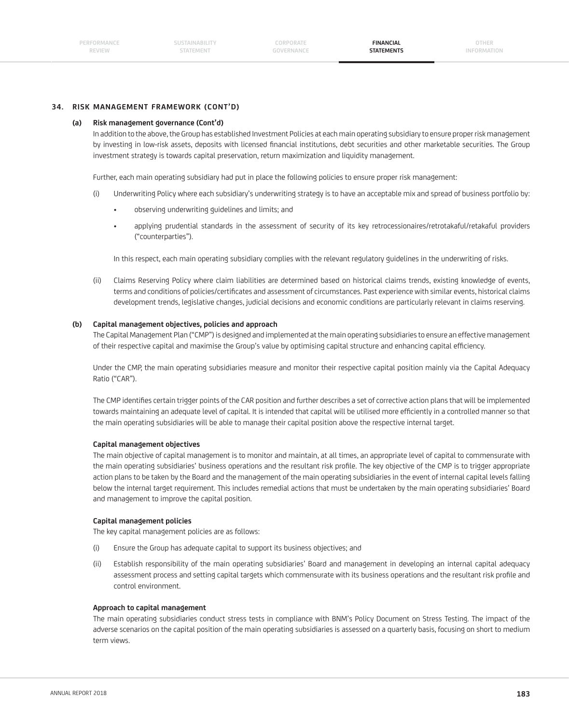## **34. RISK MANAGEMENT FRAMEWORK (CONT'D)**

#### **(a) Risk management governance (Cont'd)**

 In addition to the above, the Group has established Investment Policies at each main operating subsidiary to ensure proper risk management by investing in low-risk assets, deposits with licensed financial institutions, debt securities and other marketable securities. The Group investment strategy is towards capital preservation, return maximization and liquidity management.

Further, each main operating subsidiary had put in place the following policies to ensure proper risk management:

- (i) Underwriting Policy where each subsidiary's underwriting strategy is to have an acceptable mix and spread of business portfolio by:
	- observing underwriting guidelines and limits; and
	- applying prudential standards in the assessment of security of its key retrocessionaires/retrotakaful/retakaful providers ("counterparties").

In this respect, each main operating subsidiary complies with the relevant regulatory guidelines in the underwriting of risks.

 (ii) Claims Reserving Policy where claim liabilities are determined based on historical claims trends, existing knowledge of events, terms and conditions of policies/certificates and assessment of circumstances. Past experience with similar events, historical claims development trends, legislative changes, judicial decisions and economic conditions are particularly relevant in claims reserving.

#### **(b) Capital management objectives, policies and approach**

 The Capital Management Plan ("CMP") is designed and implemented at the main operating subsidiaries to ensure an effective management of their respective capital and maximise the Group's value by optimising capital structure and enhancing capital efficiency.

 Under the CMP, the main operating subsidiaries measure and monitor their respective capital position mainly via the Capital Adequacy Ratio ("CAR").

The CMP identifies certain trigger points of the CAR position and further describes a set of corrective action plans that will be implemented towards maintaining an adequate level of capital. It is intended that capital will be utilised more efficiently in a controlled manner so that the main operating subsidiaries will be able to manage their capital position above the respective internal target.

## **Capital management objectives**

 The main objective of capital management is to monitor and maintain, at all times, an appropriate level of capital to commensurate with the main operating subsidiaries' business operations and the resultant risk profile. The key objective of the CMP is to trigger appropriate action plans to be taken by the Board and the management of the main operating subsidiaries in the event of internal capital levels falling below the internal target requirement. This includes remedial actions that must be undertaken by the main operating subsidiaries' Board and management to improve the capital position.

#### **Capital management policies**

The key capital management policies are as follows:

- (i) Ensure the Group has adequate capital to support its business objectives; and
- (ii) Establish responsibility of the main operating subsidiaries' Board and management in developing an internal capital adequacy assessment process and setting capital targets which commensurate with its business operations and the resultant risk profile and control environment.

#### **Approach to capital management**

 The main operating subsidiaries conduct stress tests in compliance with BNM's Policy Document on Stress Testing. The impact of the adverse scenarios on the capital position of the main operating subsidiaries is assessed on a quarterly basis, focusing on short to medium term views.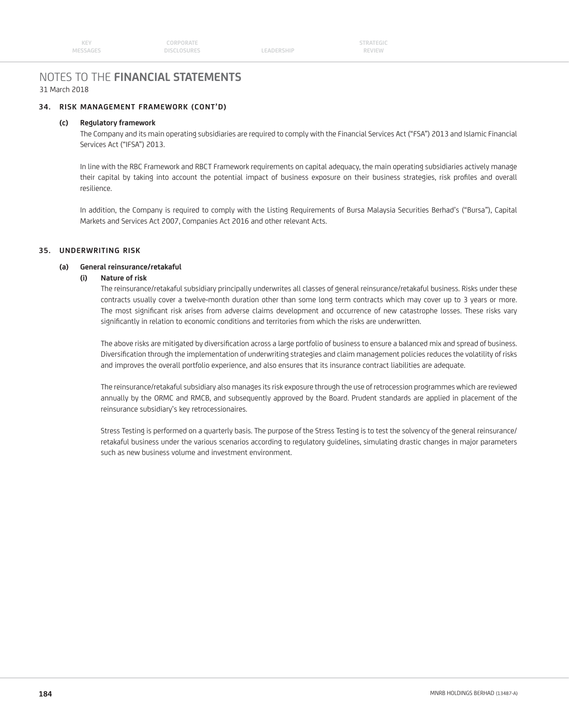# NOTES TO THE **FINANCIAL STATEMENTS**

## 31 March 2018

# **34. RISK MANAGEMENT FRAMEWORK (CONT'D)**

## **(c) Regulatory framework**

 The Company and its main operating subsidiaries are required to comply with the Financial Services Act ("FSA") 2013 and Islamic Financial Services Act ("IFSA") 2013.

 In line with the RBC Framework and RBCT Framework requirements on capital adequacy, the main operating subsidiaries actively manage their capital by taking into account the potential impact of business exposure on their business strategies, risk profiles and overall resilience.

 In addition, the Company is required to comply with the Listing Requirements of Bursa Malaysia Securities Berhad's ("Bursa"), Capital Markets and Services Act 2007, Companies Act 2016 and other relevant Acts.

#### **35. UNDERWRITING RISK**

## **(a) General reinsurance/retakaful**

### **(i) Nature of risk**

 The reinsurance/retakaful subsidiary principally underwrites all classes of general reinsurance/retakaful business. Risks under these contracts usually cover a twelve-month duration other than some long term contracts which may cover up to 3 years or more. The most significant risk arises from adverse claims development and occurrence of new catastrophe losses. These risks vary significantly in relation to economic conditions and territories from which the risks are underwritten.

The above risks are mitigated by diversification across a large portfolio of business to ensure a balanced mix and spread of business. Diversifi cation through the implementation of underwriting strategies and claim management policies reduces the volatility of risks and improves the overall portfolio experience, and also ensures that its insurance contract liabilities are adequate.

 The reinsurance/retakaful subsidiary also manages its risk exposure through the use of retrocession programmes which are reviewed annually by the ORMC and RMCB, and subsequently approved by the Board. Prudent standards are applied in placement of the reinsurance subsidiary's key retrocessionaires.

 Stress Testing is performed on a quarterly basis. The purpose of the Stress Testing is to test the solvency of the general reinsurance/ retakaful business under the various scenarios according to regulatory guidelines, simulating drastic changes in major parameters such as new business volume and investment environment.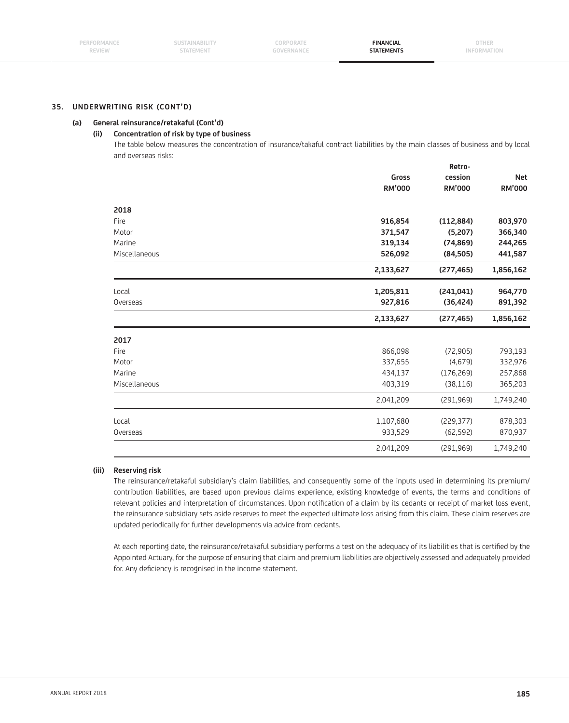#### **(a) General reinsurance/retakaful (Cont'd)**

#### **(ii) Concentration of risk by type of business**

 The table below measures the concentration of insurance/takaful contract liabilities by the main classes of business and by local and overseas risks:

|               |               | Retro-        |               |
|---------------|---------------|---------------|---------------|
|               | Gross         | cession       | <b>Net</b>    |
|               | <b>RM'000</b> | <b>RM'000</b> | <b>RM'000</b> |
| 2018          |               |               |               |
| Fire          | 916,854       | (112, 884)    | 803,970       |
| Motor         | 371,547       | (5,207)       | 366,340       |
| Marine        | 319,134       | (74, 869)     | 244,265       |
| Miscellaneous | 526,092       | (84, 505)     | 441,587       |
|               | 2,133,627     | (277, 465)    | 1,856,162     |
| Local         | 1,205,811     | (241, 041)    | 964,770       |
| Overseas      | 927,816       | (36, 424)     | 891,392       |
|               | 2,133,627     | (277, 465)    | 1,856,162     |
| 2017          |               |               |               |
| Fire          | 866,098       | (72, 905)     | 793,193       |
| Motor         | 337,655       | (4,679)       | 332,976       |
| Marine        | 434,137       | (176, 269)    | 257,868       |
| Miscellaneous | 403,319       | (38, 116)     | 365,203       |
|               | 2,041,209     | (291, 969)    | 1,749,240     |
| Local         | 1,107,680     | (229, 377)    | 878,303       |
| Overseas      | 933,529       | (62, 592)     | 870,937       |
|               |               |               |               |

# **(iii) Reserving risk**

 The reinsurance/retakaful subsidiary's claim liabilities, and consequently some of the inputs used in determining its premium/ contribution liabilities, are based upon previous claims experience, existing knowledge of events, the terms and conditions of relevant policies and interpretation of circumstances. Upon notification of a claim by its cedants or receipt of market loss event, the reinsurance subsidiary sets aside reserves to meet the expected ultimate loss arising from this claim. These claim reserves are updated periodically for further developments via advice from cedants.

At each reporting date, the reinsurance/retakaful subsidiary performs a test on the adequacy of its liabilities that is certified by the Appointed Actuary, for the purpose of ensuring that claim and premium liabilities are objectively assessed and adequately provided for. Any deficiency is recognised in the income statement.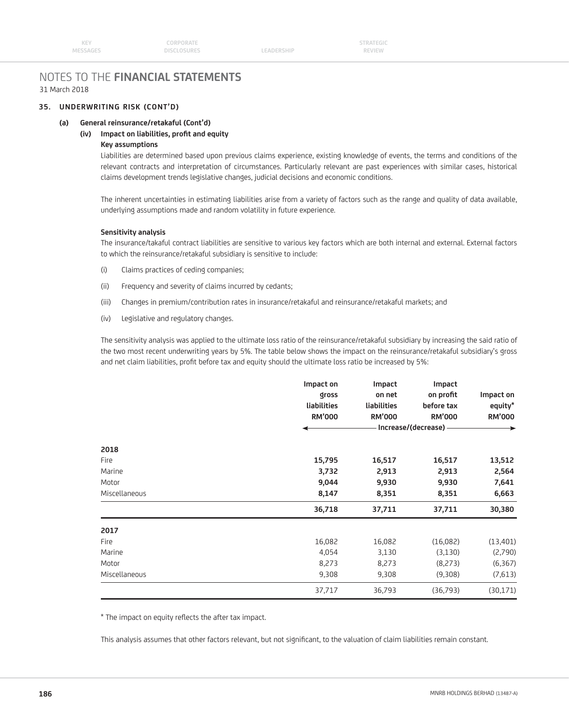# **35. UNDERWRITING RISK (CONT'D)**

# **(a) General reinsurance/retakaful (Cont'd)**

# **(iv) Impact on liabilities, profi t and equity**

# **Key assumptions**

 Liabilities are determined based upon previous claims experience, existing knowledge of events, the terms and conditions of the relevant contracts and interpretation of circumstances. Particularly relevant are past experiences with similar cases, historical claims development trends legislative changes, judicial decisions and economic conditions.

 The inherent uncertainties in estimating liabilities arise from a variety of factors such as the range and quality of data available, underlying assumptions made and random volatility in future experience.

#### **Sensitivity analysis**

 The insurance/takaful contract liabilities are sensitive to various key factors which are both internal and external. External factors to which the reinsurance/retakaful subsidiary is sensitive to include:

- (i) Claims practices of ceding companies;
- (ii) Frequency and severity of claims incurred by cedants;
- (iii) Changes in premium/contribution rates in insurance/retakaful and reinsurance/retakaful markets; and
- (iv) Legislative and regulatory changes.

 The sensitivity analysis was applied to the ultimate loss ratio of the reinsurance/retakaful subsidiary by increasing the said ratio of the two most recent underwriting years by 5%. The table below shows the impact on the reinsurance/retakaful subsidiary's gross and net claim liabilities, profit before tax and equity should the ultimate loss ratio be increased by 5%:

|               | Impact on   | Impact        | Impact                |                      |  |  |
|---------------|-------------|---------------|-----------------------|----------------------|--|--|
|               | gross       | on net        | on profit             | Impact on<br>equity* |  |  |
|               | liabilities | liabilities   | before tax            |                      |  |  |
|               | RM'000      | <b>RM'000</b> | <b>RM'000</b>         | <b>RM'000</b>        |  |  |
|               |             |               | Increase/(decrease) - | ▸                    |  |  |
| 2018          |             |               |                       |                      |  |  |
| Fire          | 15,795      | 16,517        | 16,517                | 13,512               |  |  |
| Marine        | 3,732       | 2,913         | 2,913                 | 2,564                |  |  |
| Motor         | 9,044       | 9,930         | 9,930                 | 7,641                |  |  |
| Miscellaneous | 8,147       | 8,351         | 8,351                 | 6,663                |  |  |
|               | 36,718      | 37,711        | 37,711                | 30,380               |  |  |
| 2017          |             |               |                       |                      |  |  |
| Fire          | 16,082      | 16,082        | (16,082)              | (13, 401)            |  |  |
| Marine        | 4,054       | 3,130         | (3, 130)              | (2,790)              |  |  |
| Motor         | 8,273       | 8,273         | (8,273)               | (6, 367)             |  |  |
| Miscellaneous | 9,308       | 9,308         | (9,308)               | (7,613)              |  |  |
|               | 37,717      | 36,793        | (36,793)              | (30, 171)            |  |  |

\* The impact on equity reflects the after tax impact.

This analysis assumes that other factors relevant, but not significant, to the valuation of claim liabilities remain constant.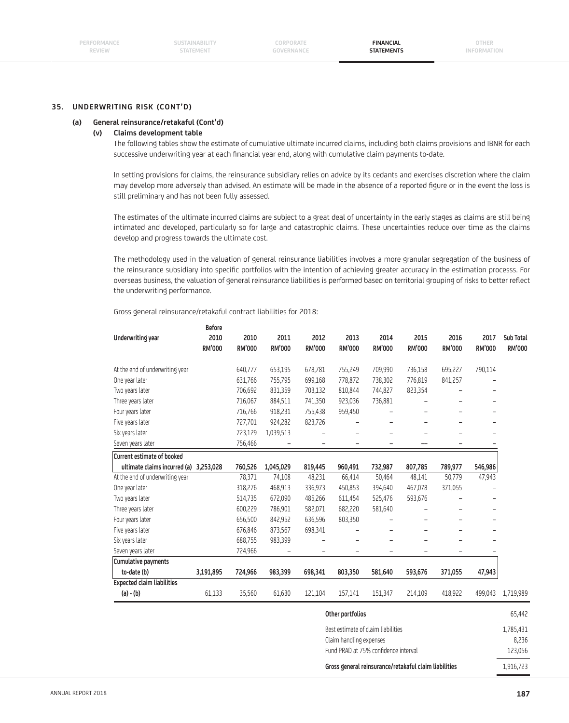### **(a) General reinsurance/retakaful (Cont'd)**

#### **(v) Claims development table**

 The following tables show the estimate of cumulative ultimate incurred claims, including both claims provisions and IBNR for each successive underwriting year at each financial year end, along with cumulative claim payments to-date.

 In setting provisions for claims, the reinsurance subsidiary relies on advice by its cedants and exercises discretion where the claim may develop more adversely than advised. An estimate will be made in the absence of a reported fiqure or in the event the loss is still preliminary and has not been fully assessed.

 The estimates of the ultimate incurred claims are subject to a great deal of uncertainty in the early stages as claims are still being intimated and developed, particularly so for large and catastrophic claims. These uncertainties reduce over time as the claims develop and progress towards the ultimate cost.

 The methodology used in the valuation of general reinsurance liabilities involves a more granular segregation of the business of the reinsurance subsidiary into specific portfolios with the intention of achieving greater accuracy in the estimation processs. For overseas business, the valuation of general reinsurance liabilities is performed based on territorial grouping of risks to better reflect the underwriting performance.

Gross general reinsurance/retakaful contract liabilities for 2018:

|                                   | <b>Before</b>         |                |                       |                       |                       |                |                       |                       |                       |                            |
|-----------------------------------|-----------------------|----------------|-----------------------|-----------------------|-----------------------|----------------|-----------------------|-----------------------|-----------------------|----------------------------|
| Underwriting year                 | 2010<br><b>RM'000</b> | 2010<br>RM'000 | 2011<br><b>RM'000</b> | 2012<br><b>RM'000</b> | 2013<br><b>RM'000</b> | 2014<br>RM'000 | 2015<br><b>RM'000</b> | 2016<br><b>RM'000</b> | 2017<br><b>RM'000</b> | Sub Total<br><b>RM'000</b> |
| At the end of underwriting year   |                       | 640,777        | 653,195               | 678,781               | 755,249               | 709,990        | 736,158               | 695,227               | 790,114               |                            |
| One year later                    |                       | 631,766        | 755,795               | 699,168               | 778,872               | 738,302        | 776,819               | 841,257               |                       |                            |
| Two years later                   |                       | 706,692        | 831,359               | 703,132               | 810,844               | 744,827        | 823,354               |                       |                       |                            |
| Three years later                 |                       | 716,067        | 884,511               | 741,350               | 923,036               | 736,881        |                       |                       | -                     |                            |
| Four years later                  |                       | 716,766        | 918,231               | 755,438               | 959,450               |                |                       |                       | -                     |                            |
| Five years later                  |                       | 727,701        | 924,282               | 823,726               |                       |                |                       |                       | -                     |                            |
| Six years later                   |                       | 723,129        | 1,039,513             |                       |                       |                |                       |                       |                       |                            |
| Seven years later                 |                       | 756,466        |                       |                       |                       |                |                       |                       |                       |                            |
| <b>Current estimate of booked</b> |                       |                |                       |                       |                       |                |                       |                       |                       |                            |
| ultimate claims incurred (a)      | 3,253,028             | 760,526        | 1,045,029             | 819,445               | 960,491               | 732,987        | 807,785               | 789,977               | 546,986               |                            |
| At the end of underwriting year   |                       | 78,371         | 74,108                | 48,231                | 66,414                | 50,464         | 48,141                | 50,779                | 47,943                |                            |
| One year later                    |                       | 318,276        | 468,913               | 336,973               | 450,853               | 394,640        | 467,078               | 371,055               |                       |                            |
| Two years later                   |                       | 514,735        | 672,090               | 485,266               | 611,454               | 525,476        | 593,676               |                       | -                     |                            |
| Three years later                 |                       | 600,229        | 786,901               | 582,071               | 682,220               | 581,640        |                       |                       | -                     |                            |
| Four years later                  |                       | 656,500        | 842,952               | 636,596               | 803,350               |                |                       | -                     | -                     |                            |
| Five years later                  |                       | 676,846        | 873,567               | 698,341               |                       |                |                       |                       | -                     |                            |
| Six years later                   |                       | 688,755        | 983,399               |                       |                       |                |                       |                       |                       |                            |
| Seven years later                 |                       | 724,966        |                       |                       |                       |                |                       |                       |                       |                            |
| <b>Cumulative payments</b>        |                       |                |                       |                       |                       |                |                       |                       |                       |                            |
| to-date (b)                       | 3,191,895             | 724,966        | 983,399               | 698,341               | 803,350               | 581,640        | 593,676               | 371,055               | 47,943                |                            |
| <b>Expected claim liabilities</b> |                       |                |                       |                       |                       |                |                       |                       |                       |                            |
| (a) - (b)                         | 61,133                | 35,560         | 61,630                | 121,104               | 157,141               | 151,347        | 214,109               | 418,922               | 499,043               | 1,719,989                  |

| Other portfolios                                      | 65.442    |
|-------------------------------------------------------|-----------|
| Best estimate of claim liabilities                    | 1,785,431 |
| Claim handling expenses                               | 8,236     |
| Fund PRAD at 75% confidence interval                  | 123.056   |
| Gross general reinsurance/retakaful claim liabilities | 1,916,723 |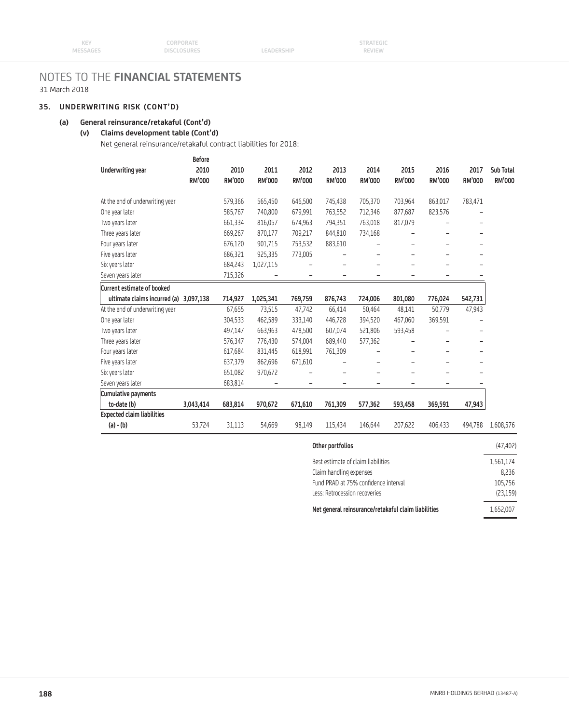# **35. UNDERWRITING RISK (CONT'D)**

# **(a) General reinsurance/retakaful (Cont'd)**

# **(v) Claims development table (Cont'd)**

Net general reinsurance/retakaful contract liabilities for 2018:

|                                   | <b>Before</b>         |                       |                       |                       |                       |                       |                |                |                          |                            |
|-----------------------------------|-----------------------|-----------------------|-----------------------|-----------------------|-----------------------|-----------------------|----------------|----------------|--------------------------|----------------------------|
| Underwriting year                 | 2010<br><b>RM'000</b> | 2010<br><b>RM'000</b> | 2011<br><b>RM'000</b> | 2012<br><b>RM'000</b> | 2013<br><b>RM'000</b> | 2014<br><b>RM'000</b> | 2015<br>RM'000 | 2016<br>RM'000 | 2017<br>RM'000           | Sub Total<br><b>RM'000</b> |
| At the end of underwriting year   |                       | 579,366               | 565,450               | 646,500               | 745,438               | 705,370               | 703,964        | 863,017        | 783,471                  |                            |
| One year later                    |                       | 585,767               | 740,800               | 679,991               | 763,552               | 712,346               | 877,687        | 823,576        |                          |                            |
| Two years later                   |                       | 661,334               | 816,057               | 674,963               | 794,351               | 763,018               | 817,079        |                |                          |                            |
| Three years later                 |                       | 669,267               | 870,177               | 709,217               | 844,810               | 734,168               |                |                |                          |                            |
| Four years later                  |                       | 676,120               | 901,715               | 753,532               | 883,610               |                       |                |                |                          |                            |
| Five years later                  |                       | 686,321               | 925,335               | 773,005               |                       |                       |                | ۳              |                          |                            |
| Six years later                   |                       | 684,243               | 1,027,115             |                       |                       |                       |                |                |                          |                            |
| Seven years later                 |                       | 715,326               |                       |                       |                       |                       |                |                |                          |                            |
| <b>Current estimate of booked</b> |                       |                       |                       |                       |                       |                       |                |                |                          |                            |
| ultimate claims incurred (a)      | 3,097,138             | 714,927               | 1,025,341             | 769,759               | 876,743               | 724,006               | 801,080        | 776,024        | 542,731                  |                            |
| At the end of underwriting year   |                       | 67,655                | 73,515                | 47,742                | 66,414                | 50,464                | 48,141         | 50,779         | 47,943                   |                            |
| One year later                    |                       | 304,533               | 462,589               | 333,140               | 446,728               | 394,520               | 467,060        | 369,591        |                          |                            |
| Two years later                   |                       | 497,147               | 663,963               | 478,500               | 607,074               | 521,806               | 593,458        |                |                          |                            |
| Three years later                 |                       | 576,347               | 776,430               | 574,004               | 689,440               | 577,362               |                |                |                          |                            |
| Four years later                  |                       | 617,684               | 831,445               | 618,991               | 761,309               |                       |                |                | $\overline{\phantom{0}}$ |                            |
| Five years later                  |                       | 637,379               | 862,696               | 671,610               |                       |                       |                |                |                          |                            |
| Six years later                   |                       | 651,082               | 970,672               |                       |                       |                       |                |                | $\overline{\phantom{0}}$ |                            |
| Seven years later                 |                       | 683,814               |                       |                       |                       |                       |                |                |                          |                            |
| Cumulative payments               |                       |                       |                       |                       |                       |                       |                |                |                          |                            |
| to-date (b)                       | 3,043,414             | 683,814               | 970,672               | 671,610               | 761,309               | 577,362               | 593,458        | 369,591        | 47,943                   |                            |
| <b>Expected claim liabilities</b> |                       |                       |                       |                       |                       |                       |                |                |                          |                            |
| (a) - (b)                         | 53,724                | 31,113                | 54,669                | 98,149                | 115,434               | 146,644               | 207,622        | 406,433        | 494,788                  | 1,608,576                  |

| Other portfolios                                    | (47, 402) |
|-----------------------------------------------------|-----------|
| Best estimate of claim liabilities                  | 1,561,174 |
| Claim handling expenses                             | 8.236     |
| Fund PRAD at 75% confidence interval                | 105,756   |
| Less: Retrocession recoveries                       | (23, 159) |
| Net general reinsurance/retakaful claim liabilities | 1,652,007 |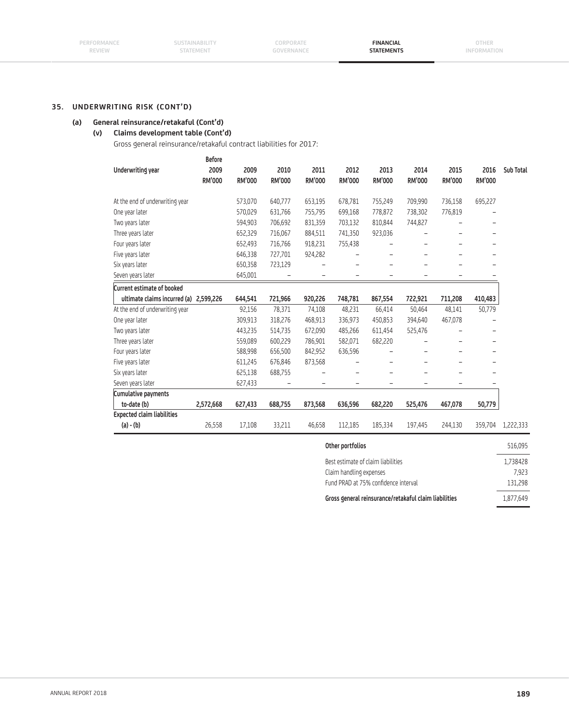# **(a) General reinsurance/retakaful (Cont'd)**

# **(v) Claims development table (Cont'd)**

Gross general reinsurance/retakaful contract liabilities for 2017:

|                                        | Before                |                       |                       |                          |                       |                       |                       |                       |                          |           |
|----------------------------------------|-----------------------|-----------------------|-----------------------|--------------------------|-----------------------|-----------------------|-----------------------|-----------------------|--------------------------|-----------|
| Underwriting year                      | 2009<br><b>RM'000</b> | 2009<br><b>RM'000</b> | 2010<br><b>RM'000</b> | 2011<br><b>RM'000</b>    | 2012<br><b>RM'000</b> | 2013<br><b>RM'000</b> | 2014<br><b>RM'000</b> | 2015<br><b>RM'000</b> | 2016<br><b>RM'000</b>    | Sub Total |
| At the end of underwriting year        |                       | 573,070               | 640,777               | 653,195                  | 678,781               | 755,249               | 709,990               | 736,158               | 695,227                  |           |
| One year later                         |                       | 570,029               | 631,766               | 755,795                  | 699,168               | 778,872               | 738,302               | 776,819               |                          |           |
| Two years later                        |                       | 594,903               | 706,692               | 831,359                  | 703,132               | 810,844               | 744,827               |                       |                          |           |
| Three years later                      |                       | 652,329               | 716,067               | 884,511                  | 741,350               | 923,036               |                       |                       | $\overline{\phantom{0}}$ |           |
| Four years later                       |                       | 652,493               | 716,766               | 918,231                  | 755,438               |                       |                       |                       |                          |           |
| Five years later                       |                       | 646,338               | 727,701               | 924,282                  |                       |                       |                       |                       |                          |           |
| Six years later                        |                       | 650,358               | 723,129               |                          |                       |                       |                       |                       |                          |           |
| Seven years later                      |                       | 645,001               |                       | $\overline{\phantom{0}}$ | -                     | -                     | -                     | -                     |                          |           |
| <b>Current estimate of booked</b>      |                       |                       |                       |                          |                       |                       |                       |                       |                          |           |
| ultimate claims incurred (a) 2,599,226 |                       | 644,541               | 721,966               | 920,226                  | 748,781               | 867,554               | 722,921               | 711,208               | 410,483                  |           |
| At the end of underwriting year        |                       | 92,156                | 78,371                | 74,108                   | 48,231                | 66,414                | 50,464                | 48,141                | 50,779                   |           |
| One year later                         |                       | 309,913               | 318,276               | 468,913                  | 336,973               | 450,853               | 394,640               | 467,078               |                          |           |
| Two years later                        |                       | 443,235               | 514,735               | 672,090                  | 485,266               | 611,454               | 525,476               |                       |                          |           |
| Three years later                      |                       | 559,089               | 600,229               | 786,901                  | 582,071               | 682,220               |                       |                       |                          |           |
| Four years later                       |                       | 588,998               | 656,500               | 842,952                  | 636,596               |                       |                       |                       |                          |           |
| Five years later                       |                       | 611,245               | 676,846               | 873,568                  |                       |                       |                       |                       |                          |           |
| Six years later                        |                       | 625,138               | 688,755               |                          |                       |                       |                       |                       |                          |           |
| Seven years later                      |                       | 627,433               |                       |                          | -                     |                       |                       |                       |                          |           |
| Cumulative payments                    |                       |                       |                       |                          |                       |                       |                       |                       |                          |           |
| to-date (b)                            | 2,572,668             | 627,433               | 688,755               | 873,568                  | 636,596               | 682,220               | 525,476               | 467,078               | 50,779                   |           |
| <b>Expected claim liabilities</b>      |                       |                       |                       |                          |                       |                       |                       |                       |                          |           |
| $(a) - (b)$                            | 26,558                | 17,108                | 33,211                | 46,658                   | 112,185               | 185,334               | 197,445               | 244,130               | 359,704                  | 1,222,333 |
|                                        |                       |                       |                       |                          |                       |                       |                       |                       |                          |           |

| Other portfolios                                      | 516,095   |
|-------------------------------------------------------|-----------|
| Best estimate of claim liabilities                    | L,738428  |
| Claim handling expenses                               | 7.923     |
| Fund PRAD at 75% confidence interval                  | 131,298   |
| Gross general reinsurance/retakaful claim liabilities | 1,877,649 |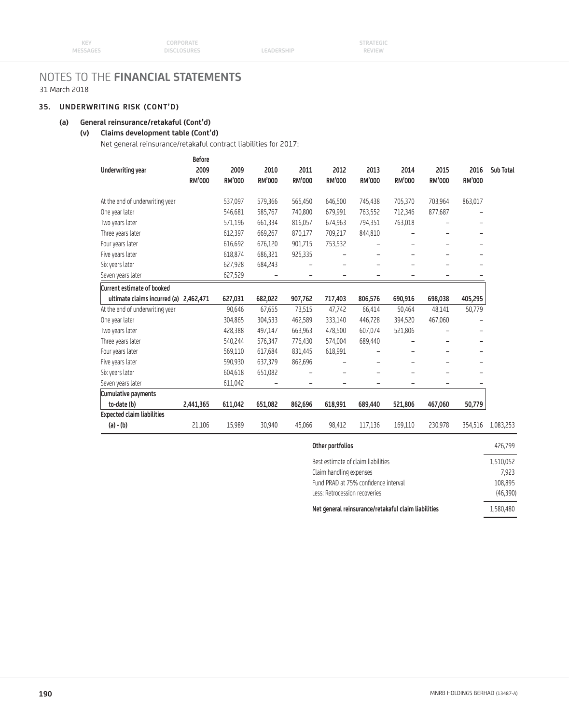# **35. UNDERWRITING RISK (CONT'D)**

# **(a) General reinsurance/retakaful (Cont'd)**

# **(v) Claims development table (Cont'd)**

Net general reinsurance/retakaful contract liabilities for 2017:

|                                        | <b>Before</b>         |                       |                |                          |                       |                       |                       |                       |                |           |
|----------------------------------------|-----------------------|-----------------------|----------------|--------------------------|-----------------------|-----------------------|-----------------------|-----------------------|----------------|-----------|
| Underwriting year                      | 2009<br><b>RM'000</b> | 2009<br><b>RM'000</b> | 2010<br>RM'000 | 2011<br><b>RM'000</b>    | 2012<br><b>RM'000</b> | 2013<br><b>RM'000</b> | 2014<br><b>RM'000</b> | 2015<br><b>RM'000</b> | 2016<br>RM'000 | Sub Total |
| At the end of underwriting year        |                       | 537,097               | 579,366        | 565,450                  | 646,500               | 745,438               | 705,370               | 703,964               | 863,017        |           |
| One year later                         |                       | 546,681               | 585,767        | 740,800                  | 679,991               | 763,552               | 712,346               | 877,687               |                |           |
| Two years later                        |                       | 571,196               | 661,334        | 816,057                  | 674,963               | 794,351               | 763,018               |                       |                |           |
| Three years later                      |                       | 612,397               | 669,267        | 870,177                  | 709,217               | 844,810               |                       |                       |                |           |
| Four years later                       |                       | 616,692               | 676,120        | 901,715                  | 753,532               |                       |                       |                       |                |           |
| Five years later                       |                       | 618,874               | 686,321        | 925,335                  |                       |                       |                       | ۳                     |                |           |
| Six years later                        |                       | 627,928               | 684,243        |                          |                       |                       |                       |                       |                |           |
| Seven years later                      |                       | 627,529               |                |                          | -                     |                       |                       |                       |                |           |
| Current estimate of booked             |                       |                       |                |                          |                       |                       |                       |                       |                |           |
| ultimate claims incurred (a) 2,462,471 |                       | 627,031               | 682,022        | 907,762                  | 717,403               | 806,576               | 690,916               | 698,038               | 405,295        |           |
| At the end of underwriting year        |                       | 90,646                | 67,655         | 73,515                   | 47,742                | 66,414                | 50,464                | 48,141                | 50,779         |           |
| One year later                         |                       | 304,865               | 304,533        | 462,589                  | 333,140               | 446,728               | 394,520               | 467,060               |                |           |
| Two years later                        |                       | 428,388               | 497,147        | 663,963                  | 478,500               | 607,074               | 521,806               |                       |                |           |
| Three years later                      |                       | 540,244               | 576,347        | 776,430                  | 574,004               | 689,440               |                       |                       |                |           |
| Four years later                       |                       | 569,110               | 617,684        | 831,445                  | 618,991               |                       |                       |                       |                |           |
| Five years later                       |                       | 590,930               | 637,379        | 862,696                  |                       |                       |                       |                       |                |           |
| Six years later                        |                       | 604,618               | 651,082        |                          |                       |                       |                       |                       |                |           |
| Seven years later                      |                       | 611,042               |                | $\overline{\phantom{0}}$ | -                     | -                     |                       | -                     |                |           |
| Cumulative payments                    |                       |                       |                |                          |                       |                       |                       |                       |                |           |
| to-date (b)                            | 2,441,365             | 611,042               | 651,082        | 862,696                  | 618,991               | 689,440               | 521,806               | 467,060               | 50,779         |           |
| <b>Expected claim liabilities</b>      |                       |                       |                |                          |                       |                       |                       |                       |                |           |
| $(a) - (b)$                            | 21,106                | 15,989                | 30,940         | 45,066                   | 98.412                | 117,136               | 169,110               | 230,978               | 354,516        | 1,083,253 |
|                                        |                       |                       |                |                          |                       |                       |                       |                       |                |           |

| Other portfolios                                    | 426,799   |
|-----------------------------------------------------|-----------|
| Best estimate of claim liabilities                  | 1,510,052 |
| Claim handling expenses                             | 7.923     |
| Fund PRAD at 75% confidence interval                | 108,895   |
| Less: Retrocession recoveries                       | (46,390)  |
| Net general reinsurance/retakaful claim liabilities | 1,580,480 |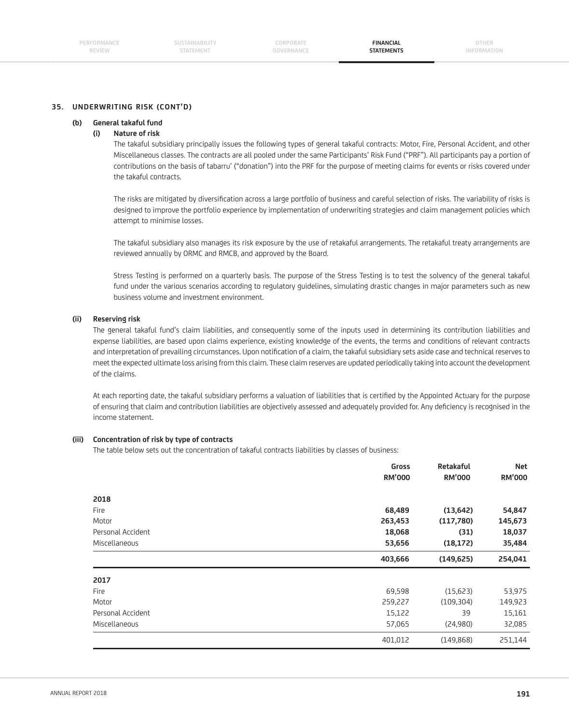#### **(b) General takaful fund**

#### **(i) Nature of risk**

 The takaful subsidiary principally issues the following types of general takaful contracts: Motor, Fire, Personal Accident, and other Miscellaneous classes. The contracts are all pooled under the same Participants' Risk Fund ("PRF"). All participants pay a portion of contributions on the basis of tabarru' ("donation") into the PRF for the purpose of meeting claims for events or risks covered under the takaful contracts.

The risks are mitigated by diversification across a large portfolio of business and careful selection of risks. The variability of risks is designed to improve the portfolio experience by implementation of underwriting strategies and claim management policies which attempt to minimise losses.

 The takaful subsidiary also manages its risk exposure by the use of retakaful arrangements. The retakaful treaty arrangements are reviewed annually by ORMC and RMCB, and approved by the Board.

 Stress Testing is performed on a quarterly basis. The purpose of the Stress Testing is to test the solvency of the general takaful fund under the various scenarios according to regulatory guidelines, simulating drastic changes in major parameters such as new business volume and investment environment.

#### **(ii) Reserving risk**

 The general takaful fund's claim liabilities, and consequently some of the inputs used in determining its contribution liabilities and expense liabilities, are based upon claims experience, existing knowledge of the events, the terms and conditions of relevant contracts and interpretation of prevailing circumstances. Upon notification of a claim, the takaful subsidiary sets aside case and technical reserves to meet the expected ultimate loss arising from this claim. These claim reserves are updated periodically taking into account the development of the claims.

At each reporting date, the takaful subsidiary performs a valuation of liabilities that is certified by the Appointed Actuary for the purpose of ensuring that claim and contribution liabilities are objectively assessed and adequately provided for. Any deficiency is recognised in the income statement.

## **(iii) Concentration of risk by type of contracts**

The table below sets out the concentration of takaful contracts liabilities by classes of business:

| Gross<br><b>RM'000</b> | Retakaful<br><b>RM'000</b> | <b>Net</b><br><b>RM'000</b> |
|------------------------|----------------------------|-----------------------------|
|                        |                            |                             |
| 68,489                 | (13, 642)                  | 54,847                      |
| 263,453                | (117,780)                  | 145,673                     |
| 18,068                 | (31)                       | 18,037                      |
| 53,656                 | (18, 172)                  | 35,484                      |
| 403,666                | (149, 625)                 | 254,041                     |
|                        |                            |                             |
| 69,598                 | (15,623)                   | 53,975                      |
| 259,227                | (109, 304)                 | 149,923                     |
| 15,122                 | 39                         | 15,161                      |
|                        | (24,980)                   | 32,085                      |
|                        |                            |                             |
|                        | 57,065                     |                             |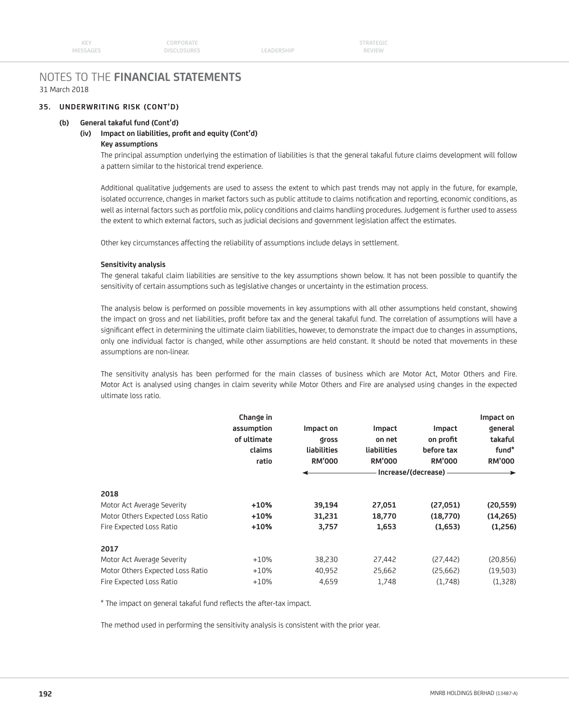# **35. UNDERWRITING RISK (CONT'D)**

### **(b) General takaful fund (Cont'd)**

# (iv) Impact on liabilities, profit and equity (Cont'd)

# **Key assumptions**

 The principal assumption underlying the estimation of liabilities is that the general takaful future claims development will follow a pattern similar to the historical trend experience.

 Additional qualitative judgements are used to assess the extent to which past trends may not apply in the future, for example, isolated occurrence, changes in market factors such as public attitude to claims notification and reporting, economic conditions, as well as internal factors such as portfolio mix, policy conditions and claims handling procedures. Judgement is further used to assess the extent to which external factors, such as judicial decisions and government legislation affect the estimates.

Other key circumstances affecting the reliability of assumptions include delays in settlement.

#### **Sensitivity analysis**

 The general takaful claim liabilities are sensitive to the key assumptions shown below. It has not been possible to quantify the sensitivity of certain assumptions such as legislative changes or uncertainty in the estimation process.

 The analysis below is performed on possible movements in key assumptions with all other assumptions held constant, showing the impact on gross and net liabilities, profit before tax and the general takaful fund. The correlation of assumptions will have a significant effect in determining the ultimate claim liabilities, however, to demonstrate the impact due to changes in assumptions, only one individual factor is changed, while other assumptions are held constant. It should be noted that movements in these assumptions are non-linear.

 The sensitivity analysis has been performed for the main classes of business which are Motor Act, Motor Others and Fire. Motor Act is analysed using changes in claim severity while Motor Others and Fire are analysed using changes in the expected ultimate loss ratio.

|                                  | Change in<br>assumption<br>of ultimate | Impact on<br><b>Qross</b> | Impact<br>on net | <b>Impact</b><br>on profit<br>before tax | Impact on<br>general<br>takaful |  |
|----------------------------------|----------------------------------------|---------------------------|------------------|------------------------------------------|---------------------------------|--|
|                                  | claims                                 | liabilities               | liabilities      |                                          | fund*                           |  |
|                                  | ratio                                  | <b>RM'000</b>             | <b>RM'000</b>    | <b>RM'000</b>                            | <b>RM'000</b>                   |  |
|                                  |                                        |                           |                  | Increase/(decrease) -                    |                                 |  |
| 2018                             |                                        |                           |                  |                                          |                                 |  |
| Motor Act Average Severity       | $+10%$                                 | 39,194                    | 27,051           | (27,051)                                 | (20, 559)                       |  |
| Motor Others Expected Loss Ratio | $+10%$                                 | 31,231                    | 18,770           | (18,770)                                 | (14,265)                        |  |
| Fire Expected Loss Ratio         | $+10%$                                 | 3,757                     | 1,653            | (1,653)                                  | (1,256)                         |  |
| 2017                             |                                        |                           |                  |                                          |                                 |  |
| Motor Act Average Severity       | $+10%$                                 | 38,230                    | 27,442           | (27, 442)                                | (20, 856)                       |  |
| Motor Others Expected Loss Ratio | $+10%$                                 | 40,952                    | 25,662           | (25,662)                                 | (19,503)                        |  |
| Fire Expected Loss Ratio         | $+10%$                                 | 4,659                     | 1,748            | (1,748)                                  | (1,328)                         |  |

\* The impact on general takaful fund reflects the after-tax impact.

The method used in performing the sensitivity analysis is consistent with the prior year.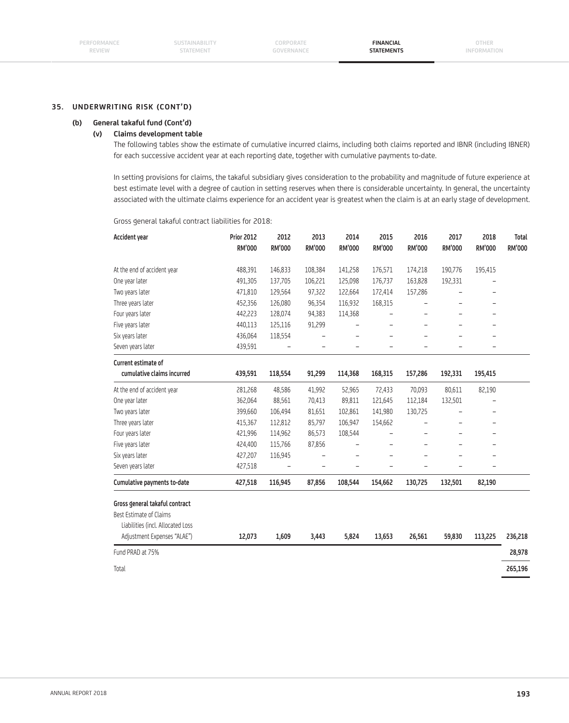#### **(b) General takaful fund (Cont'd)**

## **(v) Claims development table**

 The following tables show the estimate of cumulative incurred claims, including both claims reported and IBNR (including IBNER) for each successive accident year at each reporting date, together with cumulative payments to-date.

 In setting provisions for claims, the takaful subsidiary gives consideration to the probability and magnitude of future experience at best estimate level with a degree of caution in setting reserves when there is considerable uncertainty. In general, the uncertainty associated with the ultimate claims experience for an accident year is greatest when the claim is at an early stage of development.

Gross general takaful contract liabilities for 2018:

| <b>Accident year</b>              | <b>Prior 2012</b><br>RM'000 | 2012<br>RM'000           | 2013<br>RM'000           | 2014<br>RM'000           | 2015<br>RM'000           | 2016<br>RM'000           | 2017<br>RM'000           | 2018<br>RM'000           | <b>Total</b><br>RM'000 |
|-----------------------------------|-----------------------------|--------------------------|--------------------------|--------------------------|--------------------------|--------------------------|--------------------------|--------------------------|------------------------|
|                                   |                             |                          |                          |                          |                          |                          |                          |                          |                        |
| At the end of accident year       | 488,391                     | 146,833                  | 108,384                  | 141,258                  | 176,571                  | 174,218                  | 190,776                  | 195,415                  |                        |
| One year later                    | 491,305                     | 137,705                  | 106,221                  | 125,098                  | 176,737                  | 163,828                  | 192,331                  |                          |                        |
| Two years later                   | 471,810                     | 129,564                  | 97,322                   | 122,664                  | 172,414                  | 157,286                  |                          |                          |                        |
| Three years later                 | 452,356                     | 126,080                  | 96,354                   | 116,932                  | 168,315                  |                          |                          | $\overline{\phantom{0}}$ |                        |
| Four years later                  | 442,223                     | 128,074                  | 94,383                   | 114,368                  |                          |                          | $\overline{\phantom{0}}$ |                          |                        |
| Five years later                  | 440,113                     | 125,116                  | 91,299                   |                          | L.                       | L.                       |                          | $\equiv$                 |                        |
| Six years later                   | 436,064                     | 118,554                  |                          | $\overline{\phantom{0}}$ |                          |                          |                          |                          |                        |
| Seven years later                 | 439,591                     | $\overline{\phantom{a}}$ |                          |                          |                          |                          |                          |                          |                        |
| Current estimate of               |                             |                          |                          |                          |                          |                          |                          |                          |                        |
| cumulative claims incurred        | 439,591                     | 118,554                  | 91,299                   | 114,368                  | 168,315                  | 157,286                  | 192,331                  | 195,415                  |                        |
| At the end of accident year       | 281,268                     | 48,586                   | 41,992                   | 52,965                   | 72,433                   | 70,093                   | 80,611                   | 82,190                   |                        |
| One year later                    | 362,064                     | 88,561                   | 70,413                   | 89,811                   | 121,645                  | 112,184                  | 132,501                  |                          |                        |
| Two years later                   | 399,660                     | 106,494                  | 81,651                   | 102,861                  | 141,980                  | 130,725                  |                          |                          |                        |
| Three years later                 | 415,367                     | 112,812                  | 85,797                   | 106,947                  | 154,662                  |                          |                          | $\overline{\phantom{0}}$ |                        |
| Four years later                  | 421,996                     | 114,962                  | 86,573                   | 108,544                  | $\overline{\phantom{0}}$ | $\overline{\phantom{0}}$ | $\overline{\phantom{0}}$ | $\qquad \qquad -$        |                        |
| Five years later                  | 424,400                     | 115,766                  | 87,856                   |                          |                          | $\overline{\phantom{0}}$ |                          | $\qquad \qquad -$        |                        |
| Six years later                   | 427,207                     | 116,945                  |                          | $\overline{\phantom{0}}$ | ۳                        | $\overline{\phantom{0}}$ |                          | $\overline{\phantom{0}}$ |                        |
| Seven years later                 | 427,518                     |                          | $\overline{\phantom{0}}$ | $\overline{\phantom{0}}$ |                          |                          |                          |                          |                        |
| Cumulative payments to-date       | 427,518                     | 116,945                  | 87,856                   | 108,544                  | 154,662                  | 130,725                  | 132,501                  | 82,190                   |                        |
| Gross general takaful contract    |                             |                          |                          |                          |                          |                          |                          |                          |                        |
| Best Estimate of Claims           |                             |                          |                          |                          |                          |                          |                          |                          |                        |
| Liabilities (incl. Allocated Loss |                             |                          |                          |                          |                          |                          |                          |                          |                        |
| Adjustment Expenses "ALAE")       | 12,073                      | 1,609                    | 3,443                    | 5,824                    | 13,653                   | 26,561                   | 59,830                   | 113,225                  | 236,218                |
| Fund PRAD at 75%                  |                             |                          |                          |                          |                          |                          |                          |                          | 28,978                 |
| Total                             |                             |                          |                          |                          |                          |                          |                          |                          | 265,196                |
|                                   |                             |                          |                          |                          |                          |                          |                          |                          |                        |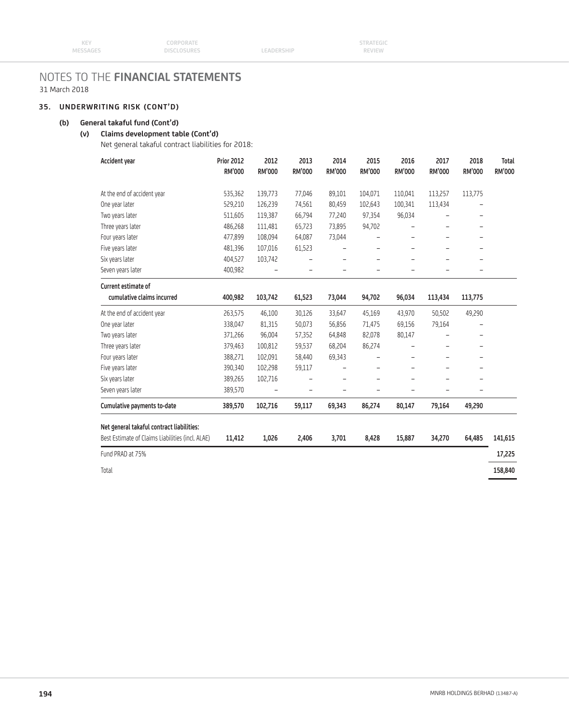# **35. UNDERWRITING RISK (CONT'D)**

# **(b) General takaful fund (Cont'd)**

# **(v) Claims development table (Cont'd)**

Net general takaful contract liabilities for 2018:

| <b>Accident year</b>                                                                          | <b>Prior 2012</b> | 2012          | 2013                     | 2014          | 2015                     | 2016                     | 2017          | 2018                     | <b>Total</b>  |
|-----------------------------------------------------------------------------------------------|-------------------|---------------|--------------------------|---------------|--------------------------|--------------------------|---------------|--------------------------|---------------|
|                                                                                               | <b>RM'000</b>     | <b>RM'000</b> | <b>RM'000</b>            | <b>RM'000</b> | <b>RM'000</b>            | <b>RM'000</b>            | <b>RM'000</b> | <b>RM'000</b>            | <b>RM'000</b> |
| At the end of accident year                                                                   | 535,362           | 139,773       | 77,046                   | 89,101        | 104,071                  | 110,041                  | 113,257       | 113,775                  |               |
| One year later                                                                                | 529,210           | 126,239       | 74,561                   | 80,459        | 102,643                  | 100,341                  | 113,434       |                          |               |
| Two years later                                                                               | 511,605           | 119,387       | 66,794                   | 77,240        | 97,354                   | 96,034                   |               |                          |               |
| Three years later                                                                             | 486,268           | 111,481       | 65,723                   | 73,895        | 94,702                   | $\qquad \qquad -$        |               | $\qquad \qquad -$        |               |
| Four years later                                                                              | 477,899           | 108,094       | 64,087                   | 73,044        | -                        | $\overline{\phantom{0}}$ | -             | $\overline{\phantom{0}}$ |               |
| Five years later                                                                              | 481,396           | 107,016       | 61,523                   |               | -                        | $\qquad \qquad -$        |               | -                        |               |
| Six years later                                                                               | 404,527           | 103,742       |                          |               |                          |                          |               |                          |               |
| Seven years later                                                                             | 400,982           |               | $\overline{\phantom{0}}$ |               | -                        | $\overline{\phantom{0}}$ |               | $\qquad \qquad -$        |               |
| Current estimate of                                                                           |                   |               |                          |               |                          |                          |               |                          |               |
| cumulative claims incurred                                                                    | 400,982           | 103,742       | 61,523                   | 73,044        | 94,702                   | 96,034                   | 113,434       | 113,775                  |               |
| At the end of accident year                                                                   | 263,575           | 46,100        | 30,126                   | 33,647        | 45,169                   | 43,970                   | 50,502        | 49,290                   |               |
| One year later                                                                                | 338,047           | 81,315        | 50,073                   | 56,856        | 71,475                   | 69,156                   | 79,164        |                          |               |
| Two years later                                                                               | 371,266           | 96,004        | 57,352                   | 64,848        | 82,078                   | 80,147                   |               | $\overline{\phantom{0}}$ |               |
| Three years later                                                                             | 379,463           | 100,812       | 59,537                   | 68,204        | 86,274                   |                          |               | ÷                        |               |
| Four years later                                                                              | 388,271           | 102,091       | 58,440                   | 69,343        | -                        | $\overline{\phantom{0}}$ |               | ۰                        |               |
| Five years later                                                                              | 390,340           | 102,298       | 59,117                   |               |                          |                          |               |                          |               |
| Six years later                                                                               | 389,265           | 102,716       |                          |               |                          |                          |               |                          |               |
| Seven years later                                                                             | 389,570           |               | -                        |               | $\overline{\phantom{0}}$ | -                        |               | -                        |               |
| Cumulative payments to-date                                                                   | 389,570           | 102,716       | 59,117                   | 69,343        | 86,274                   | 80,147                   | 79,164        | 49,290                   |               |
|                                                                                               |                   |               |                          |               |                          |                          |               |                          |               |
| Net general takaful contract liabilities:<br>Best Estimate of Claims Liabilities (incl. ALAE) | 11,412            | 1,026         | 2,406                    | 3,701         | 8,428                    | 15,887                   | 34,270        | 64,485                   | 141,615       |
| Fund PRAD at 75%                                                                              |                   |               |                          |               |                          |                          |               |                          | 17,225        |
| Total                                                                                         |                   |               |                          |               |                          |                          |               |                          | 158,840       |
|                                                                                               |                   |               |                          |               |                          |                          |               |                          |               |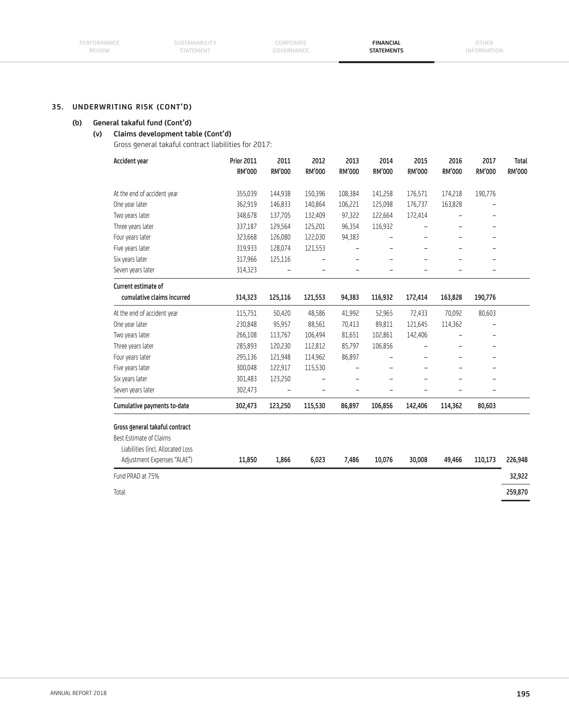## **(b) General takaful fund (Cont'd)**

# **(v) Claims development table (Cont'd)**

Gross general takaful contract liabilities for 2017:

| Accident year                     | <b>Prior 2011</b> | 2011          | 2012          | 2013          | 2014                     | 2015                     | 2016          | 2017                     | <b>Total</b>  |
|-----------------------------------|-------------------|---------------|---------------|---------------|--------------------------|--------------------------|---------------|--------------------------|---------------|
|                                   | <b>RM'000</b>     | <b>RM'000</b> | <b>RM'000</b> | <b>RM'000</b> | <b>RM'000</b>            | <b>RM'000</b>            | <b>RM'000</b> | <b>RM'000</b>            | <b>RM'000</b> |
| At the end of accident year       | 355,039           | 144,938       | 150,396       | 108,384       | 141,258                  | 176,571                  | 174,218       | 190,776                  |               |
| One year later                    | 362,919           | 146,833       | 140,864       | 106,221       | 125,098                  | 176,737                  | 163,828       | $\overline{\phantom{0}}$ |               |
| Two years later                   | 348,678           | 137,705       | 132,409       | 97,322        | 122,664                  | 172,414                  |               | $\overline{\phantom{0}}$ |               |
| Three years later                 | 337,187           | 129,564       | 125,201       | 96,354        | 116,932                  |                          |               | -                        |               |
| Four years later                  | 323,668           | 126,080       | 122,030       | 94,383        |                          |                          |               |                          |               |
| Five years later                  | 319,933           | 128,074       | 121,553       |               | $\overline{a}$           | ÷,                       |               | L,                       |               |
| Six years later                   | 317,966           | 125,116       |               |               | -                        |                          |               | ۳                        |               |
| Seven years later                 | 314,323           |               |               |               |                          |                          |               |                          |               |
| Current estimate of               |                   |               |               |               |                          |                          |               |                          |               |
| cumulative claims incurred        | 314,323           | 125,116       | 121,553       | 94,383        | 116,932                  | 172,414                  | 163,828       | 190,776                  |               |
| At the end of accident year       | 115,751           | 50,420        | 48,586        | 41,992        | 52,965                   | 72,433                   | 70,092        | 80,603                   |               |
| One year later                    | 230,848           | 95,957        | 88,561        | 70,413        | 89,811                   | 121,645                  | 114,362       |                          |               |
| Two years later                   | 266,108           | 113,767       | 106,494       | 81,651        | 102,861                  | 142,406                  |               |                          |               |
| Three years later                 | 285,893           | 120,230       | 112,812       | 85,797        | 106,856                  | $\overline{\phantom{0}}$ |               | -                        |               |
| Four years later                  | 295,136           | 121,948       | 114,962       | 86,897        |                          |                          |               | $\overline{\phantom{0}}$ |               |
| Five years later                  | 300,048           | 122,917       | 115,530       |               | $\overline{\phantom{0}}$ | $\qquad \qquad -$        |               | $\overline{\phantom{m}}$ |               |
| Six years later                   | 301,483           | 123,250       |               |               |                          |                          |               | $\overline{\phantom{0}}$ |               |
| Seven years later                 | 302,473           |               |               |               | -                        | $\overline{\phantom{0}}$ |               | -                        |               |
| Cumulative payments to-date       | 302,473           | 123,250       | 115,530       | 86,897        | 106,856                  | 142,406                  | 114,362       | 80,603                   |               |
| Gross general takaful contract    |                   |               |               |               |                          |                          |               |                          |               |
| Best Estimate of Claims           |                   |               |               |               |                          |                          |               |                          |               |
| Liabilities (incl. Allocated Loss |                   |               |               |               |                          |                          |               |                          |               |
| Adjustment Expenses "ALAE")       | 11,850            | 1,866         | 6,023         | 7,486         | 10,076                   | 30,008                   | 49,466        | 110,173                  | 226,948       |
| Fund PRAD at 75%                  |                   |               |               |               |                          |                          |               |                          | 32,922        |
| Total                             |                   |               |               |               |                          |                          |               |                          | 259,870       |
|                                   |                   |               |               |               |                          |                          |               |                          |               |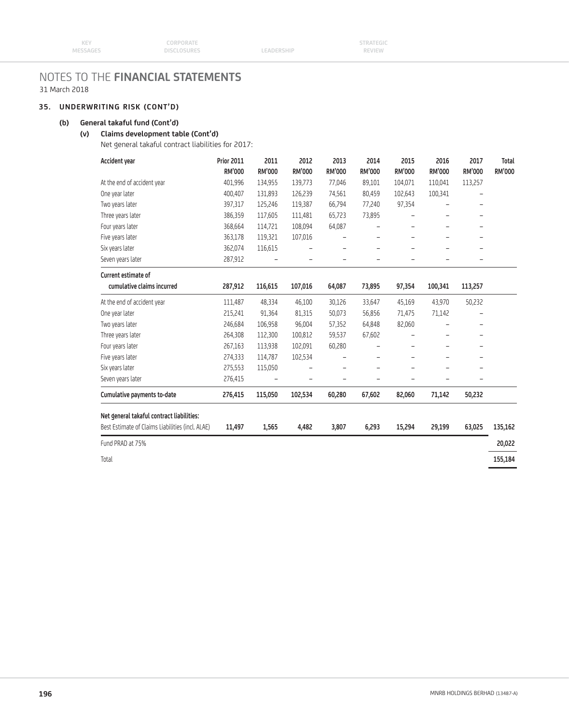# **35. UNDERWRITING RISK (CONT'D)**

# **(b) General takaful fund (Cont'd)**

# **(v) Claims development table (Cont'd)**

Net general takaful contract liabilities for 2017:

| Accident year                                    | <b>Prior 2011</b> | 2011                     | 2012    | 2013                     | 2014              | 2015                     | 2016          | 2017          | <b>Total</b> |
|--------------------------------------------------|-------------------|--------------------------|---------|--------------------------|-------------------|--------------------------|---------------|---------------|--------------|
|                                                  | <b>RM'000</b>     | <b>RM'000</b>            | RM'000  | <b>RM'000</b>            | <b>RM'000</b>     | <b>RM'000</b>            | <b>RM'000</b> | <b>RM'000</b> | RM'000       |
| At the end of accident year                      | 401,996           | 134,955                  | 139,773 | 77,046                   | 89,101            | 104,071                  | 110,041       | 113,257       |              |
| One year later                                   | 400,407           | 131,893                  | 126,239 | 74,561                   | 80,459            | 102,643                  | 100,341       |               |              |
| Two years later                                  | 397,317           | 125,246                  | 119,387 | 66,794                   | 77,240            | 97,354                   |               | L,            |              |
| Three years later                                | 386,359           | 117,605                  | 111,481 | 65,723                   | 73,895            |                          |               |               |              |
| Four years later                                 | 368,664           | 114,721                  | 108,094 | 64,087                   |                   |                          |               |               |              |
| Five years later                                 | 363,178           | 119,321                  | 107,016 |                          | $\qquad \qquad -$ |                          |               |               |              |
| Six years later                                  | 362,074           | 116,615                  | ۰       | $\overline{\phantom{0}}$ | $\qquad \qquad -$ | $\overline{\phantom{0}}$ |               | -             |              |
| Seven years later                                | 287,912           | $\overline{\phantom{a}}$ |         |                          |                   |                          |               |               |              |
| Current estimate of                              |                   |                          |         |                          |                   |                          |               |               |              |
| cumulative claims incurred                       | 287,912           | 116,615                  | 107,016 | 64,087                   | 73,895            | 97,354                   | 100,341       | 113,257       |              |
| At the end of accident year                      | 111,487           | 48,334                   | 46,100  | 30,126                   | 33,647            | 45,169                   | 43,970        | 50,232        |              |
| One year later                                   | 215,241           | 91,364                   | 81,315  | 50,073                   | 56,856            | 71,475                   | 71,142        |               |              |
| Two years later                                  | 246,684           | 106,958                  | 96,004  | 57,352                   | 64,848            | 82,060                   |               | -             |              |
| Three years later                                | 264,308           | 112,300                  | 100,812 | 59,537                   | 67,602            |                          |               |               |              |
| Four years later                                 | 267,163           | 113,938                  | 102,091 | 60,280                   |                   |                          |               |               |              |
| Five years later                                 | 274,333           | 114,787                  | 102,534 |                          | $\qquad \qquad -$ | -                        |               | -             |              |
| Six years later                                  | 275,553           | 115,050                  |         |                          |                   |                          |               |               |              |
| Seven years later                                | 276,415           |                          |         |                          |                   |                          |               |               |              |
| Cumulative payments to-date                      | 276,415           | 115,050                  | 102,534 | 60,280                   | 67,602            | 82,060                   | 71,142        | 50,232        |              |
| Net general takaful contract liabilities:        |                   |                          |         |                          |                   |                          |               |               |              |
| Best Estimate of Claims Liabilities (incl. ALAE) | 11,497            | 1,565                    | 4,482   | 3,807                    | 6,293             | 15,294                   | 29,199        | 63,025        | 135,162      |
| Fund PRAD at 75%                                 |                   |                          |         |                          |                   |                          |               |               | 20,022       |
| Total                                            |                   |                          |         |                          |                   |                          |               |               | 155,184      |
|                                                  |                   |                          |         |                          |                   |                          |               |               |              |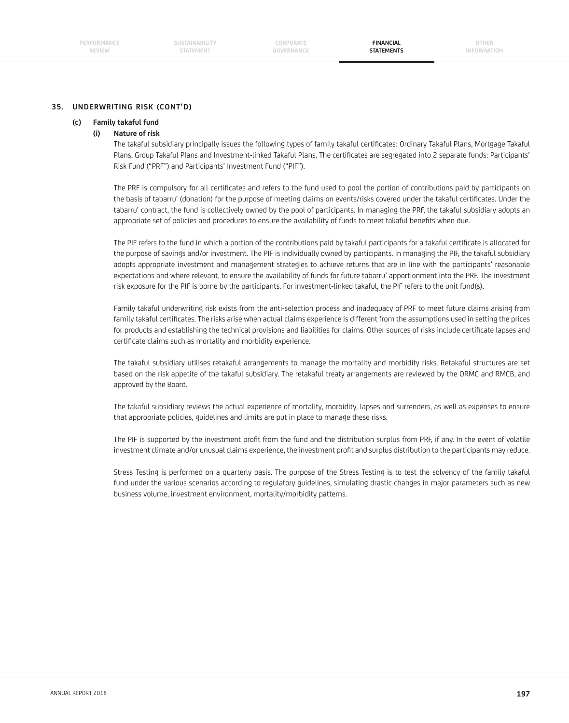**OTHER INFORMATION**

### **35. UNDERWRITING RISK (CONT'D)**

#### **(c) Family takaful fund**

#### **(i) Nature of risk**

The takaful subsidiary principally issues the following types of family takaful certificates: Ordinary Takaful Plans, Mortgage Takaful Plans, Group Takaful Plans and Investment-linked Takaful Plans. The certificates are segregated into 2 separate funds: Participants' Risk Fund ("PRF") and Participants' Investment Fund ("PIF").

The PRF is compulsory for all certificates and refers to the fund used to pool the portion of contributions paid by participants on the basis of tabarru' (donation) for the purpose of meeting claims on events/risks covered under the takaful certificates. Under the tabarru' contract, the fund is collectively owned by the pool of participants. In managing the PRF, the takaful subsidiary adopts an appropriate set of policies and procedures to ensure the availability of funds to meet takaful benefits when due.

The PIF refers to the fund in which a portion of the contributions paid by takaful participants for a takaful certificate is allocated for the purpose of savings and/or investment. The PIF is individually owned by participants. In managing the PIF, the takaful subsidiary adopts appropriate investment and management strategies to achieve returns that are in line with the participants' reasonable expectations and where relevant, to ensure the availability of funds for future tabarru' apportionment into the PRF. The investment risk exposure for the PIF is borne by the participants. For investment-linked takaful, the PIF refers to the unit fund(s).

 Family takaful underwriting risk exists from the anti-selection process and inadequacy of PRF to meet future claims arising from family takaful certificates. The risks arise when actual claims experience is different from the assumptions used in setting the prices for products and establishing the technical provisions and liabilities for claims. Other sources of risks include certificate lapses and certificate claims such as mortality and morbidity experience.

 The takaful subsidiary utilises retakaful arrangements to manage the mortality and morbidity risks. Retakaful structures are set based on the risk appetite of the takaful subsidiary. The retakaful treaty arrangements are reviewed by the ORMC and RMCB, and approved by the Board.

 The takaful subsidiary reviews the actual experience of mortality, morbidity, lapses and surrenders, as well as expenses to ensure that appropriate policies, guidelines and limits are put in place to manage these risks.

The PIF is supported by the investment profit from the fund and the distribution surplus from PRF, if any. In the event of volatile investment climate and/or unusual claims experience, the investment profit and surplus distribution to the participants may reduce.

 Stress Testing is performed on a quarterly basis. The purpose of the Stress Testing is to test the solvency of the family takaful fund under the various scenarios according to regulatory guidelines, simulating drastic changes in major parameters such as new business volume, investment environment, mortality/morbidity patterns.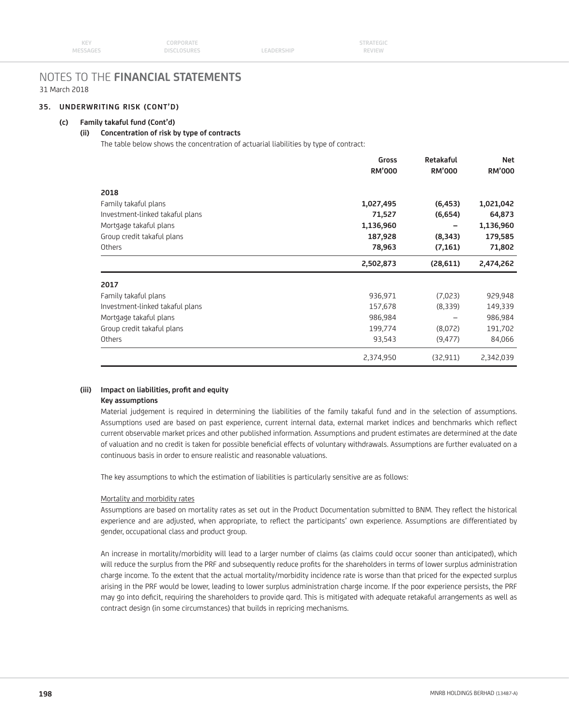### **35. UNDERWRITING RISK (CONT'D)**

#### **(c) Family takaful fund (Cont'd)**

# **(ii) Concentration of risk by type of contracts**

The table below shows the concentration of actuarial liabilities by type of contract:

|                                                                           | Gross<br><b>RM'000</b> | Retakaful<br><b>RM'000</b> | <b>Net</b><br><b>RM'000</b> |
|---------------------------------------------------------------------------|------------------------|----------------------------|-----------------------------|
| 2018                                                                      |                        |                            |                             |
| Family takaful plans                                                      | 1,027,495              | (6, 453)                   | 1,021,042                   |
| Investment-linked takaful plans                                           | 71,527                 | (6,654)                    | 64,873                      |
| Mortgage takaful plans                                                    | 1,136,960              |                            | 1,136,960                   |
| Group credit takaful plans                                                | 187,928                | (8,343)                    | 179,585                     |
| Others<br>2017<br>Family takaful plans<br>Investment-linked takaful plans | 78,963                 | (7, 161)                   | 71,802                      |
|                                                                           | 2,502,873              | (28, 611)                  | 2,474,262                   |
|                                                                           |                        |                            |                             |
|                                                                           | 936,971                | (7,023)                    | 929,948                     |
|                                                                           | 157,678                | (8,339)                    | 149,339                     |
| Mortgage takaful plans                                                    | 986,984                |                            | 986,984                     |
|                                                                           |                        |                            |                             |
| Group credit takaful plans                                                | 199,774                | (8,072)                    | 191,702                     |
| Others                                                                    | 93,543                 | (9, 477)                   | 84,066                      |
|                                                                           | 2,374,950              | (32, 911)                  | 2,342,039                   |

### (iii) Impact on liabilities, profit and equity

# **Key assumptions**

 Material judgement is required in determining the liabilities of the family takaful fund and in the selection of assumptions. Assumptions used are based on past experience, current internal data, external market indices and benchmarks which reflect current observable market prices and other published information. Assumptions and prudent estimates are determined at the date of valuation and no credit is taken for possible beneficial effects of voluntary withdrawals. Assumptions are further evaluated on a continuous basis in order to ensure realistic and reasonable valuations.

The key assumptions to which the estimation of liabilities is particularly sensitive are as follows:

#### Mortality and morbidity rates

Assumptions are based on mortality rates as set out in the Product Documentation submitted to BNM. They reflect the historical experience and are adjusted, when appropriate, to reflect the participants' own experience. Assumptions are differentiated by gender, occupational class and product group.

 An increase in mortality/morbidity will lead to a larger number of claims (as claims could occur sooner than anticipated), which will reduce the surplus from the PRF and subsequently reduce profits for the shareholders in terms of lower surplus administration charge income. To the extent that the actual mortality/morbidity incidence rate is worse than that priced for the expected surplus arising in the PRF would be lower, leading to lower surplus administration charge income. If the poor experience persists, the PRF may go into deficit, requiring the shareholders to provide gard. This is mitigated with adequate retakaful arrangements as well as contract design (in some circumstances) that builds in repricing mechanisms.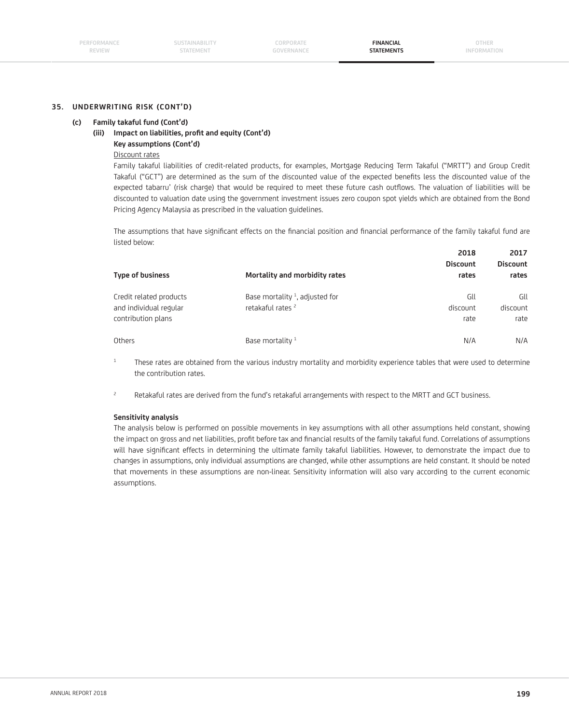#### **(c) Family takaful fund (Cont'd)**

# (iii) Impact on liabilities, profit and equity (Cont'd)

# **Key assumptions (Cont'd)**

# Discount rates

 Family takaful liabilities of credit-related products, for examples, Mortgage Reducing Term Takaful ("MRTT") and Group Credit Takaful ("GCT") are determined as the sum of the discounted value of the expected benefits less the discounted value of the expected tabarru' (risk charge) that would be required to meet these future cash outflows. The valuation of liabilities will be discounted to valuation date using the government investment issues zero coupon spot yields which are obtained from the Bond Pricing Agency Malaysia as prescribed in the valuation guidelines.

The assumptions that have significant effects on the financial position and financial performance of the family takaful fund are listed below:

| 2017<br><b>Discount</b><br>rates | 2018<br><b>Discount</b><br>rates | Mortality and morbidity rates                                               | <b>Type of business</b>                                                 |  |
|----------------------------------|----------------------------------|-----------------------------------------------------------------------------|-------------------------------------------------------------------------|--|
| Gll<br>discount<br>rate          | Gll<br>discount<br>rate          | Base mortality $\frac{1}{2}$ , adjusted for<br>retakaful rates <sup>2</sup> | Credit related products<br>and individual regular<br>contribution plans |  |
| N/A                              | N/A                              | Base mortality <sup>1</sup>                                                 | Others                                                                  |  |

 $1$  These rates are obtained from the various industry mortality and morbidity experience tables that were used to determine the contribution rates.

<sup>2</sup> Retakaful rates are derived from the fund's retakaful arrangements with respect to the MRTT and GCT business.

#### **Sensitivity analysis**

 The analysis below is performed on possible movements in key assumptions with all other assumptions held constant, showing the impact on gross and net liabilities, profit before tax and financial results of the family takaful fund. Correlations of assumptions will have significant effects in determining the ultimate family takaful liabilities. However, to demonstrate the impact due to changes in assumptions, only individual assumptions are changed, while other assumptions are held constant. It should be noted that movements in these assumptions are non-linear. Sensitivity information will also vary according to the current economic assumptions.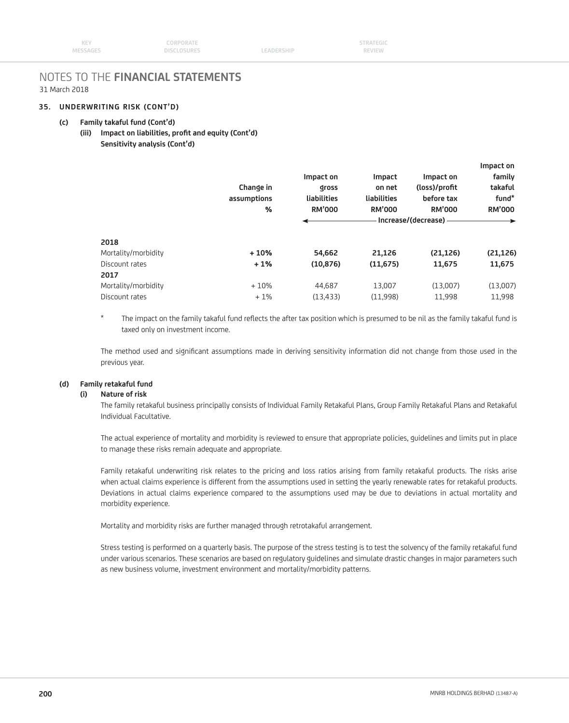#### **35. UNDERWRITING RISK (CONT'D)**

#### **(c) Family takaful fund (Cont'd)**

(iii) Impact on liabilities, profit and equity (Cont'd)  **Sensitivity analysis (Cont'd)**

|                     |               |               |                     |               | Impact on     |
|---------------------|---------------|---------------|---------------------|---------------|---------------|
|                     |               | Impact on     | Impact              | Impact on     | family        |
|                     | Change in     | <b>Qross</b>  | on net              | (loss)/profit | takaful       |
|                     | assumptions   | liabilities   | liabilities         | before tax    | fund*         |
|                     | $\frac{9}{6}$ | <b>RM'000</b> | <b>RM'000</b>       | <b>RM'000</b> | <b>RM'000</b> |
|                     |               |               | Increase/(decrease) |               |               |
| 2018                |               |               |                     |               |               |
| Mortality/morbidity | $+10%$        | 54,662        | 21,126              | (21, 126)     | (21, 126)     |
| Discount rates      | $+1%$         | (10, 876)     | (11, 675)           | 11,675        | 11,675        |
| 2017                |               |               |                     |               |               |
| Mortality/morbidity | $+10%$        | 44.687        | 13,007              | (13,007)      | (13,007)      |
| Discount rates      | $+1%$         | (13, 433)     | (11,998)            | 11,998        | 11,998        |
|                     |               |               |                     |               |               |

\* The impact on the family takaful fund reflects the after tax position which is presumed to be nil as the family takaful fund is taxed only on investment income.

The method used and significant assumptions made in deriving sensitivity information did not change from those used in the previous year.

#### **(d) Family retakaful fund**

#### **(i) Nature of risk**

 The family retakaful business principally consists of Individual Family Retakaful Plans, Group Family Retakaful Plans and Retakaful Individual Facultative.

 The actual experience of mortality and morbidity is reviewed to ensure that appropriate policies, guidelines and limits put in place to manage these risks remain adequate and appropriate.

 Family retakaful underwriting risk relates to the pricing and loss ratios arising from family retakaful products. The risks arise when actual claims experience is different from the assumptions used in setting the yearly renewable rates for retakaful products. Deviations in actual claims experience compared to the assumptions used may be due to deviations in actual mortality and morbidity experience.

Mortality and morbidity risks are further managed through retrotakaful arrangement.

 Stress testing is performed on a quarterly basis. The purpose of the stress testing is to test the solvency of the family retakaful fund under various scenarios. These scenarios are based on regulatory guidelines and simulate drastic changes in major parameters such as new business volume, investment environment and mortality/morbidity patterns.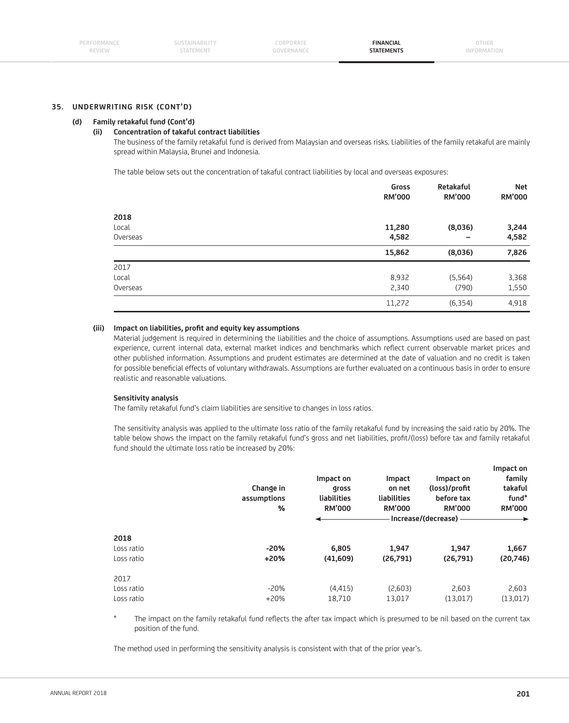#### **(d) Family retakaful fund (Cont'd)**

#### **(ii) Concentration of takaful contract liabilities**

 The business of the family retakaful fund is derived from Malaysian and overseas risks. Liabilities of the family retakaful are mainly spread within Malaysia, Brunei and Indonesia.

The table below sets out the concentration of takaful contract liabilities by local and overseas exposures:

|                   | Gross<br><b>RM'000</b> | Retakaful<br><b>RM'000</b> | <b>Net</b><br><b>RM'000</b> |  |
|-------------------|------------------------|----------------------------|-----------------------------|--|
| 2018              |                        |                            |                             |  |
| Local<br>Overseas | 11,280                 | (8,036)                    | 3,244                       |  |
|                   | 4,582                  | $\overline{\phantom{m}}$   | 4,582                       |  |
|                   | 15,862                 | (8,036)                    | 7,826                       |  |
| 2017              |                        |                            |                             |  |
| Local             | 8,932                  | (5, 564)                   | 3,368                       |  |
| Overseas          | 2,340                  | (790)                      | 1,550                       |  |
|                   | 11,272                 | (6, 354)                   | 4,918                       |  |
|                   |                        |                            |                             |  |

#### **(iii) Impact on liabilities, profi t and equity key assumptions**

 Material judgement is required in determining the liabilities and the choice of assumptions. Assumptions used are based on past experience, current internal data, external market indices and benchmarks which reflect current observable market prices and other published information. Assumptions and prudent estimates are determined at the date of valuation and no credit is taken for possible beneficial effects of voluntary withdrawals. Assumptions are further evaluated on a continuous basis in order to ensure realistic and reasonable valuations.

#### **Sensitivity analysis**

The family retakaful fund's claim liabilities are sensitive to changes in loss ratios.

 The sensitivity analysis was applied to the ultimate loss ratio of the family retakaful fund by increasing the said ratio by 20%. The table below shows the impact on the family retakaful fund's gross and net liabilities, profit/(loss) before tax and family retakaful fund should the ultimate loss ratio be increased by 20%:

|                                  | Change in<br>assumptions<br>% | Impact on<br><b>Qross</b><br>liabilities<br><b>RM'000</b> | Impact<br>on net<br>liabilities<br><b>RM'000</b> | Impact on<br>(loss)/profit<br>before tax<br><b>RM'000</b><br>Increase/(decrease) - | Impact on<br>family<br>takaful<br>fund*<br><b>RM'000</b> |
|----------------------------------|-------------------------------|-----------------------------------------------------------|--------------------------------------------------|------------------------------------------------------------------------------------|----------------------------------------------------------|
| 2018<br>Loss ratio<br>Loss ratio | $-20%$<br>$+20%$              | 6,805<br>(41,609)                                         | 1,947<br>(26,791)                                | 1,947<br>(26,791)                                                                  | 1,667<br>(20,746)                                        |
| 2017<br>Loss ratio<br>Loss ratio | $-20%$<br>$+20%$              | (4, 415)<br>18,710                                        | (2,603)<br>13,017                                | 2,603<br>(13,017)                                                                  | 2,603<br>(13,017)                                        |

The impact on the family retakaful fund reflects the after tax impact which is presumed to be nil based on the current tax position of the fund.

The method used in performing the sensitivity analysis is consistent with that of the prior year's.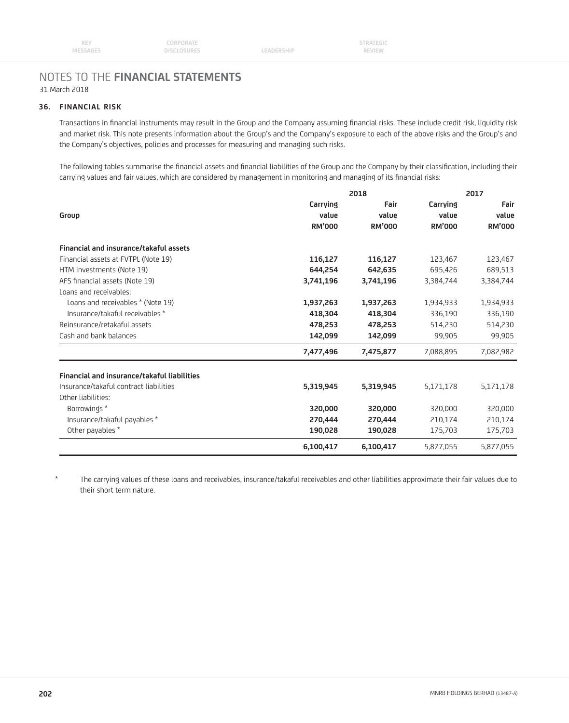## **36. FINANCIAL RISK**

Transactions in financial instruments may result in the Group and the Company assuming financial risks. These include credit risk, liquidity risk and market risk. This note presents information about the Group's and the Company's exposure to each of the above risks and the Group's and the Company's objectives, policies and processes for measuring and managing such risks.

The following tables summarise the financial assets and financial liabilities of the Group and the Company by their classification, including their carrying values and fair values, which are considered by management in monitoring and managing of its financial risks:

|                                             | 2018                               | 2017                           |                   |                                |
|---------------------------------------------|------------------------------------|--------------------------------|-------------------|--------------------------------|
| Group                                       | Carrying<br>value<br><b>RM'000</b> | Fair<br>value<br><b>RM'000</b> | Carrying<br>value | Fair<br>value<br><b>RM'000</b> |
|                                             |                                    |                                | <b>RM'000</b>     |                                |
| Financial and insurance/takaful assets      |                                    |                                |                   |                                |
| Financial assets at FVTPL (Note 19)         | 116,127                            | 116,127                        | 123,467           | 123,467                        |
| HTM investments (Note 19)                   | 644,254                            | 642,635                        | 695,426           | 689,513                        |
| AFS financial assets (Note 19)              | 3,741,196                          | 3,741,196                      | 3,384,744         | 3,384,744                      |
| Loans and receivables:                      |                                    |                                |                   |                                |
| Loans and receivables * (Note 19)           | 1,937,263                          | 1,937,263                      | 1,934,933         | 1,934,933                      |
| Insurance/takaful receivables *             | 418,304                            | 418,304                        | 336,190           | 336,190                        |
| Reinsurance/retakaful assets                | 478,253                            | 478,253                        | 514,230           | 514,230                        |
| Cash and bank balances                      | 142,099                            | 142,099                        | 99,905            | 99,905                         |
|                                             | 7,477,496                          | 7,475,877                      | 7,088,895         | 7,082,982                      |
| Financial and insurance/takaful liabilities |                                    |                                |                   |                                |
| Insurance/takaful contract liabilities      | 5,319,945                          | 5,319,945                      | 5,171,178         | 5,171,178                      |
| Other liabilities:                          |                                    |                                |                   |                                |
| Borrowings*                                 | 320,000                            | 320,000                        | 320,000           | 320,000                        |
| Insurance/takaful payables *                | 270,444                            | 270,444                        | 210,174           | 210,174                        |
| Other payables *                            | 190,028                            | 190,028                        | 175,703           | 175,703                        |
|                                             | 6,100,417                          | 6,100,417                      | 5.877.055         | 5,877,055                      |

The carrying values of these loans and receivables, insurance/takaful receivables and other liabilities approximate their fair values due to their short term nature.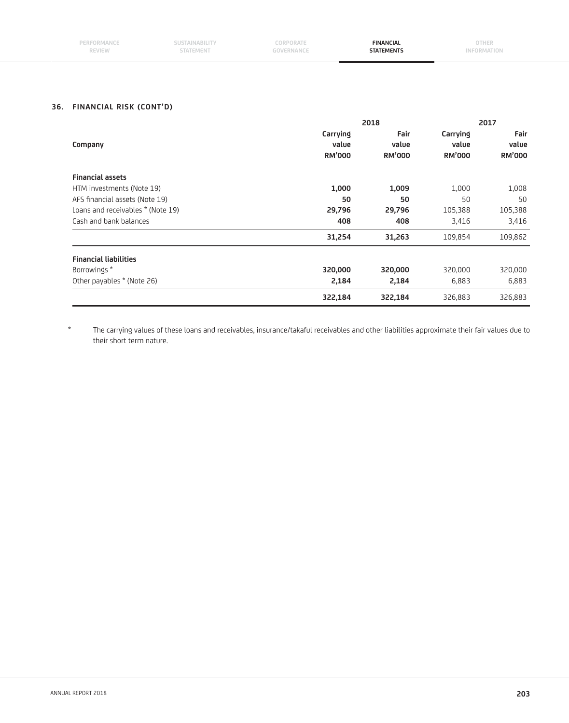| PERFORMANCE<br>REVIEW | <b>SUSIAINADILII</b><br><b>STATEMENT</b> | CORPORATE | <b>FINANCIAL</b><br><b>STATEMENTS</b> | OTHER<br>INFU.<br><b>KIVIAI IUI</b> |
|-----------------------|------------------------------------------|-----------|---------------------------------------|-------------------------------------|
|                       |                                          |           |                                       |                                     |

# **36. FINANCIAL RISK (CONT'D)**

|                                   |               | 2018          | 2017          |               |  |
|-----------------------------------|---------------|---------------|---------------|---------------|--|
|                                   | Carrying      | Fair          | Carrying      | Fair          |  |
| Company                           | value         | value         | value         | value         |  |
|                                   | <b>RM'000</b> | <b>RM'000</b> | <b>RM'000</b> | <b>RM'000</b> |  |
| <b>Financial assets</b>           |               |               |               |               |  |
| HTM investments (Note 19)         | 1,000         | 1,009         | 1,000         | 1,008         |  |
| AFS financial assets (Note 19)    | 50            | 50            | 50            | 50            |  |
| Loans and receivables * (Note 19) | 29,796        | 29,796        | 105,388       | 105,388       |  |
| Cash and bank balances            | 408           | 408           | 3,416         | 3,416         |  |
|                                   | 31,254        | 31,263        | 109,854       | 109,862       |  |
| <b>Financial liabilities</b>      |               |               |               |               |  |
| Borrowings*                       | 320,000       | 320,000       | 320,000       | 320,000       |  |
| Other payables * (Note 26)        | 2,184         | 2,184         | 6,883         | 6,883         |  |
|                                   | 322,184       | 322,184       | 326,883       | 326,883       |  |

 \* The carrying values of these loans and receivables, insurance/takaful receivables and other liabilities approximate their fair values due to their short term nature.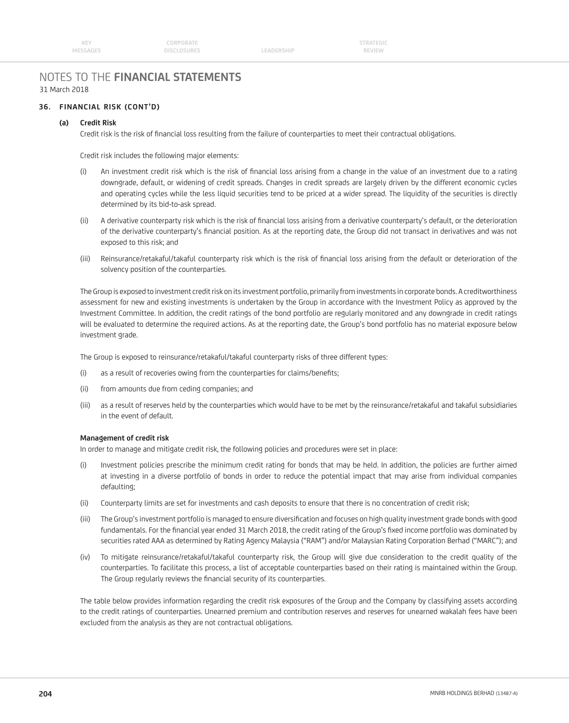LEADERSHIP

# NOTES TO THE **FINANCIAL STATEMENTS** 31 March 2018

# **36. FINANCIAL RISK (CONT'D)**

# **(a) Credit Risk**

Credit risk is the risk of financial loss resulting from the failure of counterparties to meet their contractual obligations.

Credit risk includes the following major elements:

- (i) An investment credit risk which is the risk of financial loss arising from a change in the value of an investment due to a rating downgrade, default, or widening of credit spreads. Changes in credit spreads are largely driven by the different economic cycles and operating cycles while the less liquid securities tend to be priced at a wider spread. The liquidity of the securities is directly determined by its bid-to-ask spread.
- (ii) A derivative counterparty risk which is the risk of financial loss arising from a derivative counterparty's default, or the deterioration of the derivative counterparty's financial position. As at the reporting date, the Group did not transact in derivatives and was not exposed to this risk; and
- (iii) Reinsurance/retakaful/takaful counterparty risk which is the risk of financial loss arising from the default or deterioration of the solvency position of the counterparties.

 The Group is exposed to investment credit risk on its investment portfolio, primarily from investments in corporate bonds. A creditworthiness assessment for new and existing investments is undertaken by the Group in accordance with the Investment Policy as approved by the Investment Committee. In addition, the credit ratings of the bond portfolio are regularly monitored and any downgrade in credit ratings will be evaluated to determine the required actions. As at the reporting date, the Group's bond portfolio has no material exposure below investment grade.

The Group is exposed to reinsurance/retakaful/takaful counterparty risks of three different types:

- (i) as a result of recoveries owing from the counterparties for claims/benefits;
- (ii) from amounts due from ceding companies; and
- (iii) as a result of reserves held by the counterparties which would have to be met by the reinsurance/retakaful and takaful subsidiaries in the event of default.

## **Management of credit risk**

In order to manage and mitigate credit risk, the following policies and procedures were set in place:

- (i) Investment policies prescribe the minimum credit rating for bonds that may be held. In addition, the policies are further aimed at investing in a diverse portfolio of bonds in order to reduce the potential impact that may arise from individual companies defaulting;
- (ii) Counterparty limits are set for investments and cash deposits to ensure that there is no concentration of credit risk;
- (iii) The Group's investment portfolio is managed to ensure diversification and focuses on high quality investment grade bonds with good fundamentals. For the financial year ended 31 March 2018, the credit rating of the Group's fixed income portfolio was dominated by securities rated AAA as determined by Rating Agency Malaysia ("RAM") and/or Malaysian Rating Corporation Berhad ("MARC"); and
- (iv) To mitigate reinsurance/retakaful/takaful counterparty risk, the Group will give due consideration to the credit quality of the counterparties. To facilitate this process, a list of acceptable counterparties based on their rating is maintained within the Group. The Group regularly reviews the financial security of its counterparties.

 The table below provides information regarding the credit risk exposures of the Group and the Company by classifying assets according to the credit ratings of counterparties. Unearned premium and contribution reserves and reserves for unearned wakalah fees have been excluded from the analysis as they are not contractual obligations.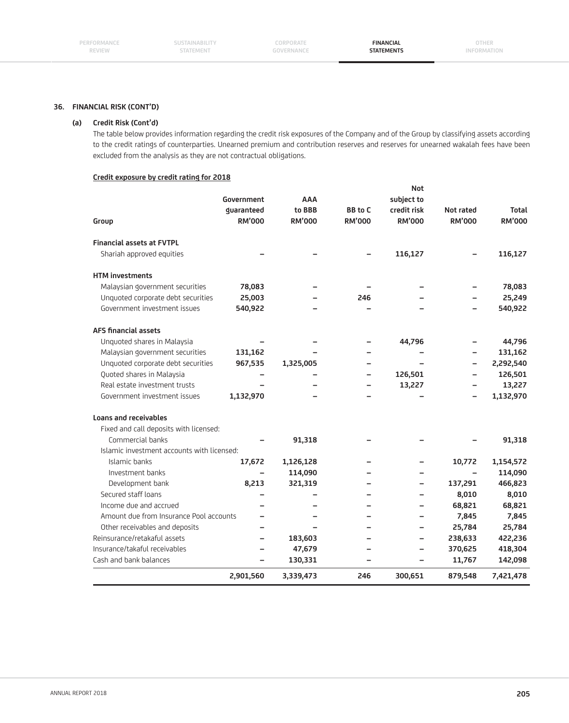**CORPORATE GOVERNANCE**

**FINANCIAL STATEMENTS**

# **36. FINANCIAL RISK (CONT'D)**

### **(a) Credit Risk (Cont'd)**

 The table below provides information regarding the credit risk exposures of the Company and of the Group by classifying assets according to the credit ratings of counterparties. Unearned premium and contribution reserves and reserves for unearned wakalah fees have been excluded from the analysis as they are not contractual obligations.

#### **Credit exposure by credit rating for 2018**

|                                            |                             |                         |                                 | <b>Not</b>                   |                            |                               |
|--------------------------------------------|-----------------------------|-------------------------|---------------------------------|------------------------------|----------------------------|-------------------------------|
|                                            | Government                  | <b>AAA</b>              |                                 | subject to                   |                            |                               |
| Group                                      | guaranteed<br><b>RM'000</b> | to BBB<br><b>RM'000</b> | <b>BB</b> to C<br><b>RM'000</b> | credit risk<br><b>RM'000</b> | Not rated<br><b>RM'000</b> | <b>Total</b><br><b>RM'000</b> |
|                                            |                             |                         |                                 |                              |                            |                               |
| <b>Financial assets at FVTPL</b>           |                             |                         |                                 |                              |                            |                               |
| Shariah approved equities                  |                             |                         |                                 | 116,127                      |                            | 116,127                       |
| <b>HTM</b> investments                     |                             |                         |                                 |                              |                            |                               |
| Malaysian government securities            | 78,083                      |                         |                                 |                              |                            | 78,083                        |
| Unquoted corporate debt securities         | 25,003                      |                         | 246                             |                              |                            | 25,249                        |
| Government investment issues               | 540,922                     |                         |                                 |                              |                            | 540,922                       |
| <b>AFS financial assets</b>                |                             |                         |                                 |                              |                            |                               |
| Unquoted shares in Malaysia                |                             |                         |                                 | 44,796                       |                            | 44,796                        |
| Malaysian government securities            | 131,162                     |                         |                                 |                              |                            | 131,162                       |
| Unquoted corporate debt securities         | 967,535                     | 1,325,005               |                                 |                              |                            | 2,292,540                     |
| Quoted shares in Malaysia                  |                             |                         |                                 | 126,501                      |                            | 126,501                       |
| Real estate investment trusts              |                             |                         |                                 | 13,227                       |                            | 13,227                        |
| Government investment issues               | 1,132,970                   |                         |                                 |                              | $\equiv$                   | 1,132,970                     |
| Loans and receivables                      |                             |                         |                                 |                              |                            |                               |
| Fixed and call deposits with licensed:     |                             |                         |                                 |                              |                            |                               |
| Commercial banks                           |                             | 91,318                  |                                 |                              |                            | 91,318                        |
| Islamic investment accounts with licensed: |                             |                         |                                 |                              |                            |                               |
| Islamic banks                              | 17,672                      | 1,126,128               |                                 |                              | 10,772                     | 1,154,572                     |
| Investment banks                           |                             | 114,090                 |                                 |                              |                            | 114,090                       |
| Development bank                           | 8,213                       | 321,319                 |                                 |                              | 137,291                    | 466,823                       |
| Secured staff loans                        |                             |                         |                                 |                              | 8,010                      | 8,010                         |
| Income due and accrued                     |                             |                         |                                 |                              | 68,821                     | 68,821                        |
| Amount due from Insurance Pool accounts    |                             |                         |                                 |                              | 7,845                      | 7,845                         |
| Other receivables and deposits             |                             |                         |                                 |                              | 25,784                     | 25,784                        |
| Reinsurance/retakaful assets               | $\overline{\phantom{0}}$    | 183,603                 |                                 |                              | 238,633                    | 422,236                       |
| Insurance/takaful receivables              |                             | 47,679                  |                                 |                              | 370,625                    | 418,304                       |
| Cash and bank balances                     |                             | 130,331                 |                                 |                              | 11,767                     | 142,098                       |
|                                            | 2,901,560                   | 3,339,473               | 246                             | 300,651                      | 879,548                    | 7,421,478                     |
|                                            |                             |                         |                                 |                              |                            |                               |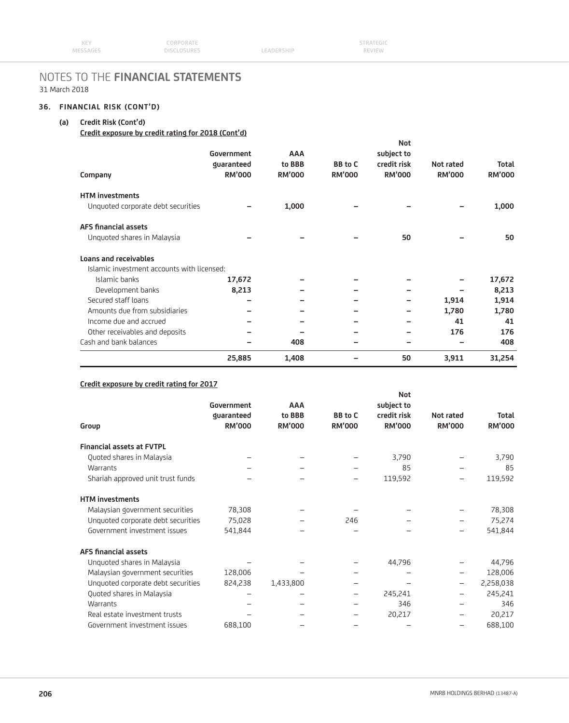# **36. FINANCIAL RISK (CONT'D)**

# **(a) Credit Risk (Cont'd)**

# **Credit exposure by credit rating for 2018 (Cont'd)**

|                                            |               |               |                | <b>Not</b>    |               |               |
|--------------------------------------------|---------------|---------------|----------------|---------------|---------------|---------------|
|                                            | Government    | <b>AAA</b>    |                | subject to    |               |               |
|                                            | guaranteed    | to BBB        | <b>BB</b> to C | credit risk   | Not rated     | Total         |
| Company                                    | <b>RM'000</b> | <b>RM'000</b> | <b>RM'000</b>  | <b>RM'000</b> | <b>RM'000</b> | <b>RM'000</b> |
| <b>HTM</b> investments                     |               |               |                |               |               |               |
| Unquoted corporate debt securities         |               | 1,000         |                |               |               | 1,000         |
| <b>AFS financial assets</b>                |               |               |                |               |               |               |
| Unquoted shares in Malaysia                |               |               |                | 50            |               | 50            |
| <b>Loans and receivables</b>               |               |               |                |               |               |               |
| Islamic investment accounts with licensed: |               |               |                |               |               |               |
| Islamic banks                              | 17,672        |               |                |               |               | 17,672        |
| Development banks                          | 8,213         |               |                |               |               | 8,213         |
| Secured staff loans                        |               |               |                |               | 1,914         | 1,914         |
| Amounts due from subsidiaries              |               |               |                |               | 1,780         | 1,780         |
| Income due and accrued                     |               |               |                |               | 41            | 41            |
| Other receivables and deposits             |               |               |                |               | 176           | 176           |
| Cash and bank balances                     |               | 408           |                |               |               | 408           |
|                                            | 25,885        | 1,408         |                | 50            | 3,911         | 31,254        |

# **Credit exposure by credit rating for 2017**

|                                    |               |               |                   | <b>Not</b>    |                          |               |
|------------------------------------|---------------|---------------|-------------------|---------------|--------------------------|---------------|
|                                    | Government    | <b>AAA</b>    |                   | subject to    |                          |               |
|                                    | guaranteed    | to BBB        | <b>BB</b> to C    | credit risk   | Not rated                | <b>Total</b>  |
| Group                              | <b>RM'000</b> | <b>RM'000</b> | <b>RM'000</b>     | <b>RM'000</b> | <b>RM'000</b>            | <b>RM'000</b> |
| <b>Financial assets at FVTPL</b>   |               |               |                   |               |                          |               |
| Quoted shares in Malaysia          |               |               |                   | 3,790         |                          | 3,790         |
| Warrants                           |               |               |                   | 85            |                          | 85            |
| Shariah approved unit trust funds  |               |               | -                 | 119,592       | -                        | 119,592       |
| <b>HTM investments</b>             |               |               |                   |               |                          |               |
| Malaysian government securities    | 78,308        |               |                   |               |                          | 78,308        |
| Unquoted corporate debt securities | 75,028        |               | 246               |               | -                        | 75,274        |
| Government investment issues       | 541,844       |               |                   |               | $\overline{\phantom{0}}$ | 541,844       |
| <b>AFS financial assets</b>        |               |               |                   |               |                          |               |
| Unquoted shares in Malaysia        |               |               |                   | 44,796        |                          | 44,796        |
| Malaysian government securities    | 128,006       |               |                   |               |                          | 128,006       |
| Unquoted corporate debt securities | 824,238       | 1,433,800     |                   |               | -                        | 2,258,038     |
| Quoted shares in Malaysia          |               |               | $\qquad \qquad -$ | 245,241       | -                        | 245,241       |
| Warrants                           |               |               |                   | 346           |                          | 346           |
| Real estate investment trusts      |               |               |                   | 20,217        |                          | 20,217        |
| Government investment issues       | 688,100       |               |                   |               |                          | 688,100       |
|                                    |               |               |                   |               |                          |               |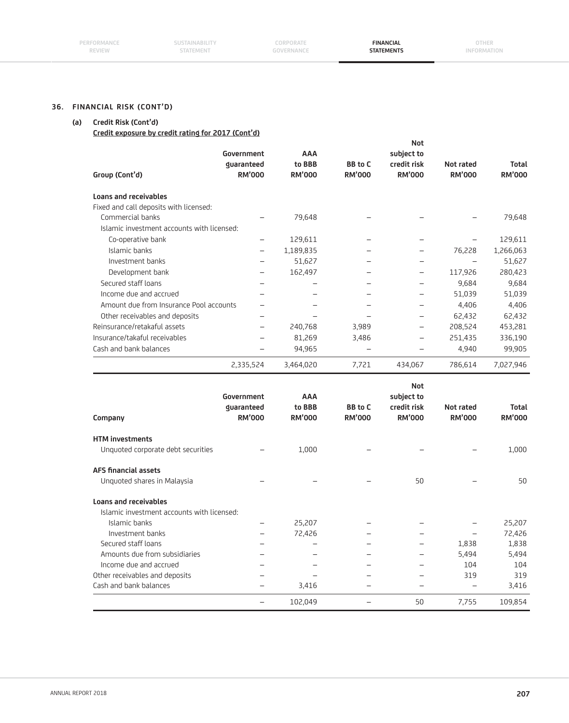**CORPORATE GOVERNANCE**

**FINANCIAL STATEMENTS**

# **36. FINANCIAL RISK (CONT'D)**

# **(a) Credit Risk (Cont'd)**

**Credit exposure by credit rating for 2017 (Cont'd)**

|                                                        |                             |                          |                                 | <b>Not</b>                   |                            |                        |
|--------------------------------------------------------|-----------------------------|--------------------------|---------------------------------|------------------------------|----------------------------|------------------------|
|                                                        | Government                  | AAA                      |                                 | subject to                   |                            |                        |
| Group (Cont'd)                                         | guaranteed<br><b>RM'000</b> | to BBB<br><b>RM'000</b>  | <b>BB</b> to C<br><b>RM'000</b> | credit risk<br><b>RM'000</b> | Not rated<br><b>RM'000</b> | Total<br><b>RM'000</b> |
|                                                        |                             |                          |                                 |                              |                            |                        |
| <b>Loans and receivables</b>                           |                             |                          |                                 |                              |                            |                        |
| Fixed and call deposits with licensed:                 |                             |                          |                                 |                              |                            |                        |
| Commercial banks                                       |                             | 79,648                   |                                 |                              |                            | 79,648                 |
| Islamic investment accounts with licensed:             |                             |                          |                                 |                              |                            |                        |
| Co-operative bank                                      | $\overline{\phantom{0}}$    | 129,611                  |                                 |                              |                            | 129,611                |
| Islamic banks                                          |                             | 1,189,835                |                                 |                              | 76,228                     | 1,266,063              |
| Investment banks                                       | $\overline{\phantom{0}}$    | 51,627                   |                                 | $\overline{\phantom{0}}$     | $\overline{\phantom{0}}$   | 51,627                 |
| Development bank                                       |                             | 162,497                  |                                 |                              | 117,926                    | 280,423                |
| Secured staff loans                                    | ÷                           |                          |                                 | $\overline{\phantom{0}}$     | 9,684                      | 9,684                  |
| Income due and accrued                                 |                             | $\overline{\phantom{0}}$ |                                 |                              | 51,039                     | 51,039                 |
| Amount due from Insurance Pool accounts                |                             | $\equiv$                 | $\equiv$                        |                              | 4,406                      | 4,406                  |
| Other receivables and deposits                         |                             | $\equiv$                 | $\equiv$                        |                              | 62,432                     | 62,432                 |
| Reinsurance/retakaful assets                           |                             | 240,768                  | 3,989                           |                              | 208,524                    | 453,281                |
| Insurance/takaful receivables                          | $\overline{\phantom{0}}$    | 81,269                   | 3,486                           |                              | 251,435                    | 336,190                |
| Cash and bank balances                                 |                             | 94,965                   | $\overline{\phantom{0}}$        |                              | 4,940                      | 99,905                 |
|                                                        |                             |                          |                                 |                              |                            |                        |
|                                                        |                             | 3,464,020                | 7,721                           | 434,067                      | 786,614                    |                        |
|                                                        | 2,335,524                   |                          |                                 |                              |                            | 7,027,946              |
|                                                        |                             |                          |                                 | <b>Not</b>                   |                            |                        |
|                                                        | Government                  | <b>AAA</b>               |                                 | subject to                   |                            |                        |
|                                                        | guaranteed<br><b>RM'000</b> | to BBB<br><b>RM'000</b>  | <b>BB</b> to C<br><b>RM'000</b> | credit risk<br><b>RM'000</b> | Not rated<br><b>RM'000</b> | Total<br><b>RM'000</b> |
| Company                                                |                             |                          |                                 |                              |                            |                        |
| <b>HTM investments</b>                                 |                             |                          |                                 |                              |                            |                        |
| Unquoted corporate debt securities                     |                             | 1,000                    |                                 |                              |                            | 1,000                  |
| <b>AFS financial assets</b>                            |                             |                          |                                 |                              |                            |                        |
| Unquoted shares in Malaysia                            |                             |                          |                                 | 50                           |                            | 50                     |
|                                                        |                             |                          |                                 |                              |                            |                        |
| Islamic investment accounts with licensed:             |                             |                          |                                 |                              |                            |                        |
| Islamic banks                                          |                             | 25,207                   |                                 |                              |                            | 25,207                 |
| Investment banks                                       |                             | 72,426                   |                                 |                              |                            | 72,426                 |
| Secured staff loans                                    |                             |                          |                                 |                              | 1,838                      | 1,838                  |
| Loans and receivables<br>Amounts due from subsidiaries |                             | $\equiv$                 | $\equiv$                        |                              | 5,494                      | 5,494                  |
| Income due and accrued                                 |                             |                          |                                 |                              | 104                        | 104                    |
| Other receivables and deposits                         |                             |                          |                                 |                              | 319                        | 319                    |
| Cash and bank balances                                 |                             | 3,416                    |                                 |                              |                            | 3,416                  |

 $-$  102,049  $-$  50 7,755 109,854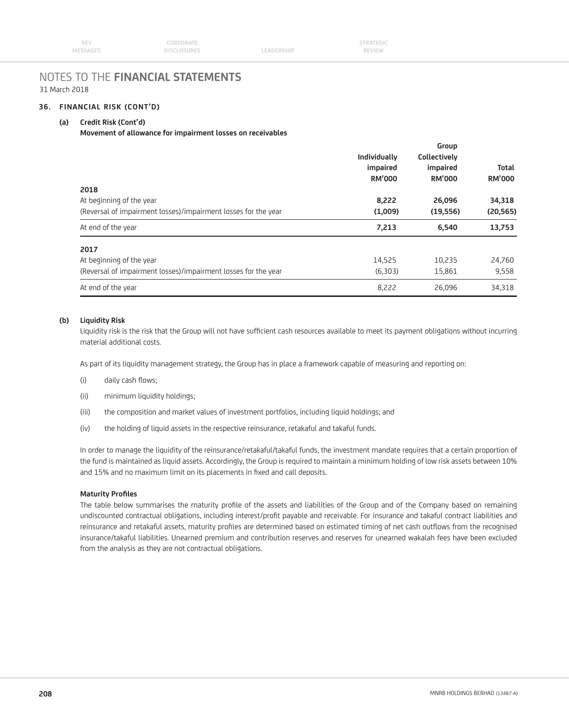## **36. FINANCIAL RISK (CONT'D)**

### **(a) Credit Risk (Cont'd)**

#### **Movement of allowance for impairment losses on receivables**

|                                                                | Individually<br>impaired<br><b>RM'000</b> | Group<br>Collectively<br>impaired<br><b>RM'000</b> | <b>Total</b><br><b>RM'000</b> |
|----------------------------------------------------------------|-------------------------------------------|----------------------------------------------------|-------------------------------|
| 2018<br>At beginning of the year                               | 8,222                                     | 26,096                                             | 34,318                        |
| (Reversal of impairment losses)/impairment losses for the year | (1,009)                                   | (19, 556)                                          | (20, 565)                     |
| At end of the year                                             | 7,213                                     | 6,540                                              | 13,753                        |
| 2017                                                           |                                           |                                                    |                               |
| At beginning of the year                                       | 14,525                                    | 10,235                                             | 24,760                        |
| (Reversal of impairment losses)/impairment losses for the year | (6,303)                                   | 15,861                                             | 9,558                         |
| At end of the year                                             | 8,222                                     | 26,096                                             | 34,318                        |

#### **(b) Liquidity Risk**

Liquidity risk is the risk that the Group will not have sufficient cash resources available to meet its payment obligations without incurring material additional costs.

As part of its liquidity management strategy, the Group has in place a framework capable of measuring and reporting on:

- (i) daily cash flows;
- (ii) minimum liquidity holdings;
- (iii) the composition and market values of investment portfolios, including liquid holdings; and
- (iv) the holding of liquid assets in the respective reinsurance, retakaful and takaful funds.

 In order to manage the liquidity of the reinsurance/retakaful/takaful funds, the investment mandate requires that a certain proportion of the fund is maintained as liquid assets. Accordingly, the Group is required to maintain a minimum holding of low risk assets between 10% and 15% and no maximum limit on its placements in fixed and call deposits.

#### **Maturity Profiles**

The table below summarises the maturity profile of the assets and liabilities of the Group and of the Company based on remaining undiscounted contractual obligations, including interest/profit payable and receivable. For insurance and takaful contract liabilities and reinsurance and retakaful assets, maturity profiles are determined based on estimated timing of net cash outflows from the recognised insurance/takaful liabilities. Unearned premium and contribution reserves and reserves for unearned wakalah fees have been excluded from the analysis as they are not contractual obligations.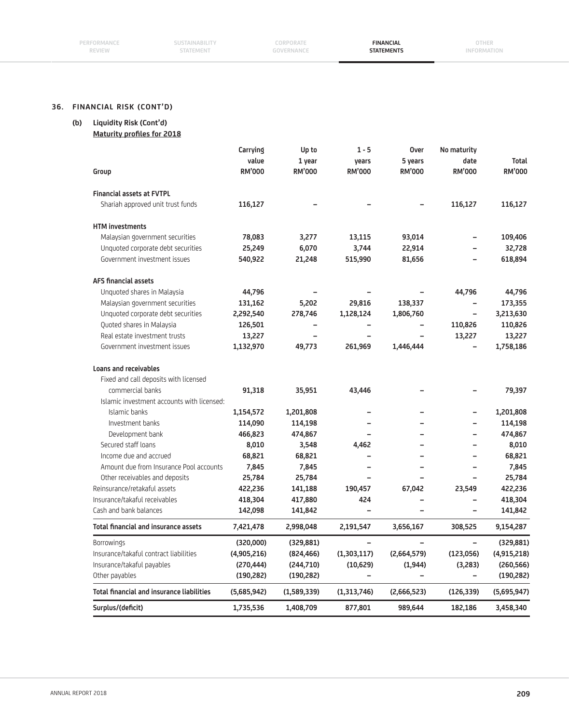| PERFORMANCE   | <b>SUSTAINABILITY</b> | CORPORATE  | <b>FINANCIAL</b>  | OTHER       |
|---------------|-----------------------|------------|-------------------|-------------|
| <b>REVIEW</b> | <b>STATEMENT</b>      | GOVERNANCE | <b>STATEMENTS</b> | INFORMATION |
|               |                       |            |                   |             |
|               |                       |            |                   |             |

# **36. FINANCIAL RISK (CONT'D)**

# **(b) Liquidity Risk (Cont'd)**

**Maturity profiles for 2018** 

| Surplus/(deficit)                                                     | 1,735,536            | 1,408,709     | 877,801                  | 989,644       | 182,186                  | 3,458,340         |
|-----------------------------------------------------------------------|----------------------|---------------|--------------------------|---------------|--------------------------|-------------------|
| <b>Total financial and insurance liabilities</b>                      | (5,685,942)          | (1,589,339)   | (1,313,746)              | (2,666,523)   | (126, 339)               | (5,695,947)       |
| Other payables                                                        | (190, 282)           | (190, 282)    | $\overline{\phantom{0}}$ |               | -                        | (190, 282)        |
| Insurance/takaful payables                                            | (270,444)            | (244,710)     | (10,629)                 | (1, 944)      | (3,283)                  | (260, 566)        |
| Insurance/takaful contract liabilities                                | (4,905,216)          | (824,466)     | (1, 303, 117)            | (2,664,579)   | (123, 056)               | (4,915,218)       |
| <b>Borrowings</b>                                                     | (320,000)            | (329, 881)    |                          |               |                          | (329, 881)        |
| <b>Total financial and insurance assets</b>                           | 7,421,478            | 2,998,048     | 2,191,547                | 3,656,167     | 308,525                  | 9,154,287         |
| Cash and bank balances                                                | 142,098              | 141,842       | $\overline{a}$           |               | $\overline{\phantom{0}}$ | 141,842           |
| Insurance/takaful receivables                                         | 418,304              | 417,880       | 424                      |               |                          | 418,304           |
| Reinsurance/retakaful assets                                          | 422,236              | 141,188       | 190,457                  | 67,042        | 23,549                   | 422,236           |
| Other receivables and deposits                                        | 25,784               | 25,784        |                          |               |                          | 25,784            |
| Amount due from Insurance Pool accounts                               | 7,845                | 7,845         |                          |               |                          | 7,845             |
| Income due and accrued                                                | 68,821               | 68,821        |                          |               |                          | 68,821            |
| Secured staff loans                                                   | 8,010                | 3,548         | 4,462                    |               | -                        | 8,010             |
| Development bank                                                      | 466,823              | 474,867       |                          |               | -                        | 474,867           |
| Investment banks                                                      | 114,090              | 114,198       |                          |               |                          | 114,198           |
| Islamic banks                                                         | 1,154,572            | 1,201,808     |                          |               | -                        | 1,201,808         |
| Islamic investment accounts with licensed:                            | 91,318               | 35,951        | 43,446                   |               |                          |                   |
| Fixed and call deposits with licensed<br>commercial banks             |                      |               |                          |               |                          | 79,397            |
| <b>Loans and receivables</b>                                          |                      |               |                          |               |                          |                   |
|                                                                       |                      |               |                          |               |                          |                   |
| Government investment issues                                          | 1,132,970            | 49,773        | 261,969                  | 1,446,444     |                          | 1,758,186         |
| Real estate investment trusts                                         | 13,227               |               |                          |               | 13,227                   | 13,227            |
| Quoted shares in Malaysia                                             | 126,501              | -             |                          |               | 110,826                  | 110,826           |
| Malaysian government securities<br>Unquoted corporate debt securities | 131,162<br>2,292,540 | 278,746       | 1,128,124                | 1,806,760     | $\qquad \qquad -$        | 3,213,630         |
| Unquoted shares in Malaysia                                           | 44,796               | 5,202         | 29,816                   | 138,337       | 44,796                   | 44,796<br>173,355 |
| <b>AFS financial assets</b>                                           |                      |               |                          |               |                          |                   |
|                                                                       |                      |               |                          |               |                          |                   |
| Government investment issues                                          | 540,922              | 21,248        | 515,990                  | 81,656        |                          | 618,894           |
| Unquoted corporate debt securities                                    | 25,249               | 6,070         | 3,744                    | 22,914        |                          | 32,728            |
| <b>HTM</b> investments<br>Malaysian government securities             | 78,083               | 3,277         | 13,115                   | 93,014        | $\qquad \qquad -$        | 109,406           |
|                                                                       |                      |               |                          |               |                          |                   |
| Shariah approved unit trust funds                                     | 116,127              |               |                          |               | 116,127                  | 116,127           |
| <b>Financial assets at FVTPL</b>                                      |                      |               |                          |               |                          |                   |
| Group                                                                 | <b>RM'000</b>        | <b>RM'000</b> | <b>RM'000</b>            | <b>RM'000</b> | <b>RM'000</b>            | <b>RM'000</b>     |
|                                                                       | value                | 1 year        | years                    | 5 years       | date                     | Total             |
|                                                                       | Carrying             | Up to         |                          | Over          | No maturity              |                   |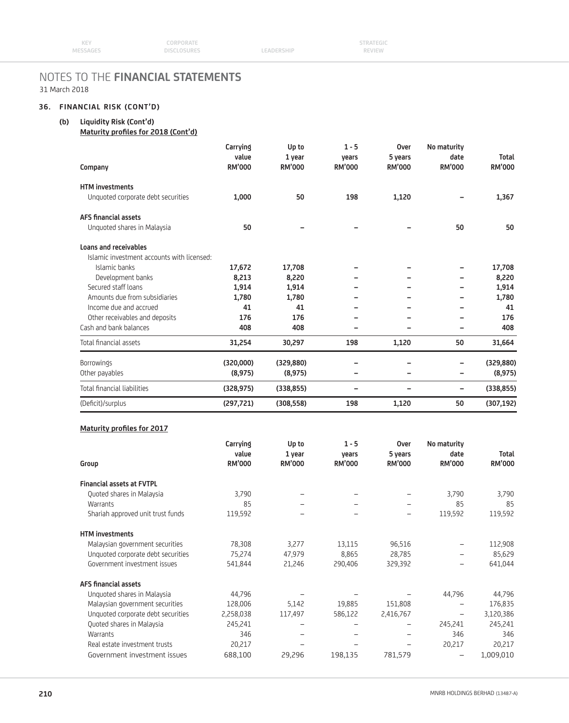# **36. FINANCIAL RISK (CONT'D)**

# **(b) Liquidity Risk (Cont'd)**

**Maturity profiles for 2018 (Cont'd)** 

| Company                                    | Carrying<br>value<br>RM'000 | Up to<br>1 year<br><b>RM'000</b> | $1 - 5$<br>vears<br>RM'000 | <b>Over</b><br>5 years<br><b>RM'000</b> | No maturity<br>date<br><b>RM'000</b> | <b>Total</b><br>RM'000 |
|--------------------------------------------|-----------------------------|----------------------------------|----------------------------|-----------------------------------------|--------------------------------------|------------------------|
| <b>HTM investments</b>                     |                             |                                  |                            |                                         |                                      |                        |
| Unquoted corporate debt securities         | 1,000                       | 50                               | 198                        | 1,120                                   |                                      | 1,367                  |
| <b>AFS financial assets</b>                |                             |                                  |                            |                                         |                                      |                        |
| Unquoted shares in Malaysia                | 50                          |                                  |                            |                                         | 50                                   | 50                     |
| Loans and receivables                      |                             |                                  |                            |                                         |                                      |                        |
| Islamic investment accounts with licensed: |                             |                                  |                            |                                         |                                      |                        |
| Islamic banks                              | 17,672                      | 17,708                           |                            |                                         |                                      | 17,708                 |
| Development banks                          | 8,213                       | 8,220                            |                            |                                         |                                      | 8,220                  |
| Secured staff loans                        | 1,914                       | 1,914                            |                            |                                         |                                      | 1,914                  |
| Amounts due from subsidiaries              | 1,780                       | 1,780                            |                            |                                         |                                      | 1,780                  |
| Income due and accrued                     | 41                          | 41                               |                            |                                         |                                      | 41                     |
| Other receivables and deposits             | 176                         | 176                              |                            |                                         |                                      | 176                    |
| Cash and bank balances                     | 408                         | 408                              |                            |                                         |                                      | 408                    |
| Total financial assets                     | 31,254                      | 30,297                           | 198                        | 1,120                                   | 50                                   | 31,664                 |
| Borrowings                                 | (320,000)                   | (329, 880)                       |                            |                                         | -                                    | (329, 880)             |
| Other payables                             | (8,975)                     | (8,975)                          | -                          |                                         | -                                    | (8,975)                |
| Total financial liabilities                | (328, 975)                  | (338, 855)                       | -                          |                                         | -                                    | (338, 855)             |
| (Deficit)/surplus                          | (297, 721)                  | (308, 558)                       | 198                        | 1,120                                   | 50                                   | (307, 192)             |

#### **Maturity profiles for 2017**

| Group                              | Carrying<br>value<br><b>RM'000</b> | Up to<br>1 year<br><b>RM'000</b> | $1 - 5$<br>vears<br><b>RM'000</b> | <b>Over</b><br>5 years<br><b>RM'000</b> | No maturity<br>date<br><b>RM'000</b> | <b>Total</b><br><b>RM'000</b> |
|------------------------------------|------------------------------------|----------------------------------|-----------------------------------|-----------------------------------------|--------------------------------------|-------------------------------|
|                                    |                                    |                                  |                                   |                                         |                                      |                               |
| <b>Financial assets at FVTPL</b>   |                                    |                                  |                                   |                                         |                                      |                               |
| Quoted shares in Malaysia          | 3,790                              |                                  |                                   |                                         | 3,790                                | 3,790                         |
| Warrants                           | 85                                 |                                  |                                   |                                         | 85                                   | 85                            |
| Shariah approved unit trust funds  | 119,592                            |                                  |                                   | -                                       | 119,592                              | 119,592                       |
| <b>HTM</b> investments             |                                    |                                  |                                   |                                         |                                      |                               |
| Malaysian government securities    | 78,308                             | 3,277                            | 13,115                            | 96,516                                  | -                                    | 112,908                       |
| Unquoted corporate debt securities | 75,274                             | 47,979                           | 8,865                             | 28,785                                  |                                      | 85,629                        |
| Government investment issues       | 541,844                            | 21,246                           | 290,406                           | 329,392                                 |                                      | 641,044                       |
| <b>AFS financial assets</b>        |                                    |                                  |                                   |                                         |                                      |                               |
| Unquoted shares in Malaysia        | 44,796                             |                                  |                                   |                                         | 44,796                               | 44,796                        |
| Malaysian government securities    | 128,006                            | 5,142                            | 19,885                            | 151,808                                 | $\qquad \qquad -$                    | 176,835                       |
| Unquoted corporate debt securities | 2,258,038                          | 117,497                          | 586,122                           | 2,416,767                               | $\qquad \qquad -$                    | 3,120,386                     |
| Quoted shares in Malaysia          | 245,241                            | $\overline{\phantom{0}}$         |                                   |                                         | 245,241                              | 245,241                       |
| Warrants                           | 346                                | $\qquad \qquad -$                |                                   |                                         | 346                                  | 346                           |
| Real estate investment trusts      | 20,217                             |                                  |                                   |                                         | 20,217                               | 20,217                        |
| Government investment issues       | 688,100                            | 29,296                           | 198,135                           | 781,579                                 |                                      | 1,009,010                     |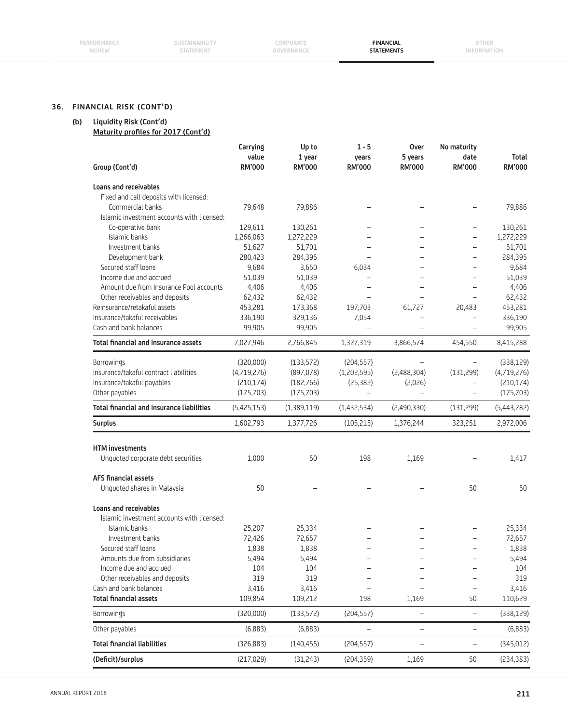| PERFORMANCE   |
|---------------|
| <b>REVIEW</b> |

**CORPORATE GOVERNANCE**

**FINANCIAL STATEMENTS**

# **36. FINANCIAL RISK (CONT'D)**

# **(b) Liquidity Risk (Cont'd)**

**Maturity profiles for 2017 (Cont'd)** 

| Group (Cont'd)                                   | Carrying<br>value<br><b>RM'000</b> | Up to<br>1 year<br><b>RM'000</b> | $1 - 5$<br>years<br><b>RM'000</b> | <b>Over</b><br>5 years<br><b>RM'000</b> | No maturity<br>date<br><b>RM'000</b> | <b>Total</b><br>RM'000 |
|--------------------------------------------------|------------------------------------|----------------------------------|-----------------------------------|-----------------------------------------|--------------------------------------|------------------------|
| <b>Loans and receivables</b>                     |                                    |                                  |                                   |                                         |                                      |                        |
| Fixed and call deposits with licensed:           |                                    |                                  |                                   |                                         |                                      |                        |
| Commercial banks                                 | 79,648                             | 79,886                           |                                   |                                         |                                      | 79,886                 |
| Islamic investment accounts with licensed:       |                                    |                                  |                                   |                                         |                                      |                        |
| Co-operative bank                                | 129,611                            | 130,261                          |                                   |                                         | $\overline{\phantom{0}}$             | 130,261                |
| Islamic banks                                    | 1,266,063                          | 1,272,229                        |                                   |                                         | -                                    | 1,272,229              |
| Investment banks                                 | 51,627                             | 51,701                           |                                   |                                         |                                      | 51,701                 |
| Development bank                                 | 280,423                            | 284,395                          |                                   |                                         |                                      | 284,395                |
| Secured staff loans                              | 9,684                              | 3,650                            | 6,034                             |                                         |                                      | 9,684                  |
| Income due and accrued                           | 51,039                             | 51,039                           | $\overline{\phantom{0}}$          |                                         | ÷,                                   | 51,039                 |
| Amount due from Insurance Pool accounts          | 4,406                              | 4,406                            |                                   |                                         |                                      | 4,406                  |
| Other receivables and deposits                   | 62,432                             | 62,432                           |                                   |                                         |                                      | 62,432                 |
| Reinsurance/retakaful assets                     | 453,281                            | 173,368                          | 197,703                           | 61,727                                  | 20,483                               | 453,281                |
| Insurance/takaful receivables                    | 336,190                            | 329,136                          | 7,054                             |                                         |                                      | 336,190                |
| Cash and bank balances                           | 99,905                             | 99,905                           | $\overline{\phantom{0}}$          |                                         | $\overline{\phantom{0}}$             | 99,905                 |
| <b>Total financial and insurance assets</b>      | 7,027,946                          | 2,766,845                        | 1,327,319                         | 3,866,574                               | 454,550                              | 8,415,288              |
| Borrowings                                       | (320,000)                          | (133, 572)                       | (204, 557)                        |                                         | $\overline{\phantom{0}}$             | (338, 129)             |
| Insurance/takaful contract liabilities           | (4,719,276)                        | (897, 078)                       | (1,202,595)                       | (2,488,304)                             | (131, 299)                           | (4,719,276)            |
| Insurance/takaful payables                       | (210, 174)                         | (182,766)                        | (25, 382)                         | (2,026)                                 |                                      | (210, 174)             |
| Other payables                                   | (175, 703)                         | (175, 703)                       | $\equiv$                          |                                         | $\overline{\phantom{0}}$             | (175, 703)             |
| <b>Total financial and insurance liabilities</b> | (5,425,153)                        | (1,389,119)                      | (1, 432, 534)                     | (2,490,330)                             | (131, 299)                           | (5,443,282)            |
| <b>Surplus</b>                                   | 1,602,793                          | 1,377,726                        | (105, 215)                        | 1,376,244                               | 323,251                              | 2,972,006              |
|                                                  |                                    |                                  |                                   |                                         |                                      |                        |
| <b>HTM</b> investments                           |                                    |                                  |                                   |                                         |                                      |                        |
| Unquoted corporate debt securities               | 1,000                              | 50                               | 198                               | 1,169                                   |                                      | 1,417                  |
| AFS financial assets                             |                                    |                                  |                                   |                                         |                                      |                        |
| Unquoted shares in Malaysia                      | 50                                 |                                  |                                   |                                         | 50                                   | 50                     |
| <b>Loans and receivables</b>                     |                                    |                                  |                                   |                                         |                                      |                        |
| Islamic investment accounts with licensed:       |                                    |                                  |                                   |                                         |                                      |                        |
| Islamic banks                                    | 25,207                             | 25,334                           |                                   |                                         |                                      | 25,334                 |
| Investment banks                                 | 72,426                             | 72,657                           |                                   |                                         |                                      | 72,657                 |
| Secured staff loans                              | 1,838                              | 1,838                            |                                   |                                         |                                      | 1,838                  |
| Amounts due from subsidiaries                    | 5,494                              | 5,494                            |                                   |                                         |                                      | 5,494                  |
| Income due and accrued                           | 104                                | 104                              |                                   |                                         |                                      | 104                    |
| Other receivables and deposits                   | 319                                | 319                              |                                   |                                         |                                      | 319                    |
| Cash and bank balances                           | 3,416                              | 3,416                            |                                   |                                         | $\qquad \qquad -$                    | 3,416                  |
| <b>Total financial assets</b>                    | 109,854                            | 109,212                          | 198                               | 1,169                                   | 50                                   | 110,629                |
| Borrowings                                       | (320,000)                          | (133, 572)                       | (204, 557)                        | $\overline{\phantom{a}}$                | $\overline{\phantom{m}}$             | (338, 129)             |
| Other payables                                   | (6,883)                            | (6,883)                          |                                   |                                         | $\qquad \qquad -$                    | (6,883)                |
|                                                  |                                    |                                  |                                   |                                         |                                      |                        |
| <b>Total financial liabilities</b>               | (326, 883)                         | (140, 455)                       | (204, 557)                        | $\overline{\phantom{0}}$                | $\qquad \qquad -$                    | (345, 012)             |

 $\overline{a}$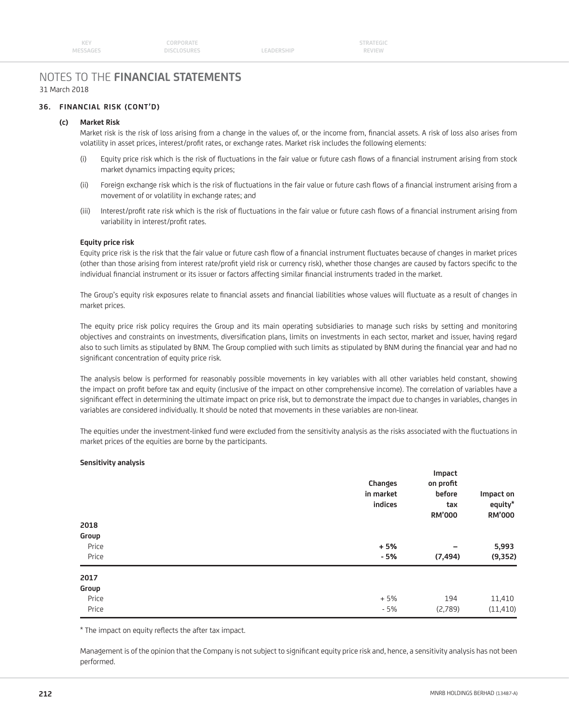LEADERSHIP

# NOTES TO THE **FINANCIAL STATEMENTS** 31 March 2018

## **36. FINANCIAL RISK (CONT'D)**

### **(c) Market Risk**

Market risk is the risk of loss arising from a change in the values of, or the income from, financial assets. A risk of loss also arises from volatility in asset prices, interest/profit rates, or exchange rates. Market risk includes the following elements:

- (i) Equity price risk which is the risk of fluctuations in the fair value or future cash flows of a financial instrument arising from stock market dynamics impacting equity prices;
- (ii) Foreign exchange risk which is the risk of fluctuations in the fair value or future cash flows of a financial instrument arising from a movement of or volatility in exchange rates; and
- (iii) Interest/profit rate risk which is the risk of fluctuations in the fair value or future cash flows of a financial instrument arising from variability in interest/profit rates.

#### **Equity price risk**

Equity price risk is the risk that the fair value or future cash flow of a financial instrument fluctuates because of changes in market prices (other than those arising from interest rate/profit yield risk or currency risk), whether those changes are caused by factors specific to the individual financial instrument or its issuer or factors affecting similar financial instruments traded in the market.

The Group's equity risk exposures relate to financial assets and financial liabilities whose values will fluctuate as a result of changes in market prices.

 The equity price risk policy requires the Group and its main operating subsidiaries to manage such risks by setting and monitoring objectives and constraints on investments, diversification plans, limits on investments in each sector, market and issuer, having regard also to such limits as stipulated by BNM. The Group complied with such limits as stipulated by BNM during the financial year and had no significant concentration of equity price risk.

 The analysis below is performed for reasonably possible movements in key variables with all other variables held constant, showing the impact on profit before tax and equity (inclusive of the impact on other comprehensive income). The correlation of variables have a significant effect in determining the ultimate impact on price risk, but to demonstrate the impact due to changes in variables, changes in variables are considered individually. It should be noted that movements in these variables are non-linear.

The equities under the investment-linked fund were excluded from the sensitivity analysis as the risks associated with the fluctuations in market prices of the equities are borne by the participants.

#### **Sensitivity analysis**

|                                 | Changes<br>in market<br>indices | Impact<br>on profit<br>before<br>tax<br><b>RM'000</b> | Impact on<br>equity*<br><b>RM'000</b> |
|---------------------------------|---------------------------------|-------------------------------------------------------|---------------------------------------|
| 2018<br>Group<br>Price<br>Price | $+5%$<br>$-5%$                  | $\overline{\phantom{0}}$<br>(7, 494)                  | 5,993<br>(9, 352)                     |
| 2017<br>Group<br>Price<br>Price | $+5%$<br>$-5%$                  | 194<br>(2,789)                                        | 11,410<br>(11, 410)                   |

\* The impact on equity reflects the after tax impact.

Management is of the opinion that the Company is not subject to significant equity price risk and, hence, a sensitivity analysis has not been performed.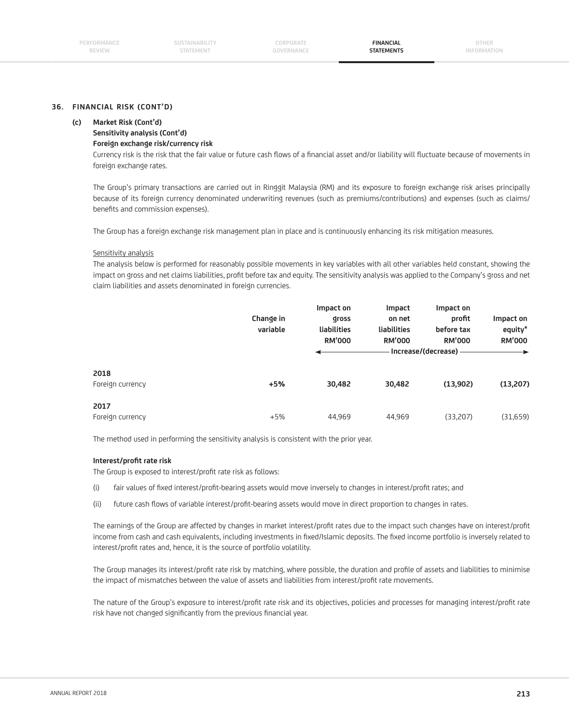# **36. FINANCIAL RISK (CONT'D)**

#### **(c) Market Risk (Cont'd)**

# **Sensitivity analysis (Cont'd)**

 **Foreign exchange risk/currency risk**

Currency risk is the risk that the fair value or future cash flows of a financial asset and/or liability will fluctuate because of movements in foreign exchange rates.

 The Group's primary transactions are carried out in Ringgit Malaysia (RM) and its exposure to foreign exchange risk arises principally because of its foreign currency denominated underwriting revenues (such as premiums/contributions) and expenses (such as claims/ benefits and commission expenses).

The Group has a foreign exchange risk management plan in place and is continuously enhancing its risk mitigation measures.

#### Sensitivity analysis

 The analysis below is performed for reasonably possible movements in key variables with all other variables held constant, showing the impact on gross and net claims liabilities, profit before tax and equity. The sensitivity analysis was applied to the Company's gross and net claim liabilities and assets denominated in foreign currencies.

|                          | Change in<br>variable | Impact on<br>gross<br>liabilities<br><b>RM'000</b> | Impact<br>on net<br>liabilities<br><b>RM'000</b> | Impact on<br>profit<br>before tax<br><b>RM'000</b><br>· Increase/(decrease) - | Impact on<br>equity*<br><b>RM'000</b><br>$\rightarrow$ |
|--------------------------|-----------------------|----------------------------------------------------|--------------------------------------------------|-------------------------------------------------------------------------------|--------------------------------------------------------|
| 2018<br>Foreign currency | $+5%$                 | 30,482                                             | 30,482                                           | (13,902)                                                                      | (13,207)                                               |
| 2017<br>Foreign currency | $+5%$                 | 44,969                                             | 44,969                                           | (33,207)                                                                      | (31,659)                                               |

The method used in performing the sensitivity analysis is consistent with the prior year.

#### **Interest/profit rate risk**

The Group is exposed to interest/profit rate risk as follows:

- (i) fair values of fixed interest/profit-bearing assets would move inversely to changes in interest/profit rates; and
- (ii) future cash flows of variable interest/profit-bearing assets would move in direct proportion to changes in rates.

The earnings of the Group are affected by changes in market interest/profit rates due to the impact such changes have on interest/profit income from cash and cash equivalents, including investments in fixed/Islamic deposits. The fixed income portfolio is inversely related to interest/profit rates and, hence, it is the source of portfolio volatility.

The Group manages its interest/profit rate risk by matching, where possible, the duration and profile of assets and liabilities to minimise the impact of mismatches between the value of assets and liabilities from interest/profit rate movements.

The nature of the Group's exposure to interest/profit rate risk and its objectives, policies and processes for managing interest/profit rate risk have not changed significantly from the previous financial year.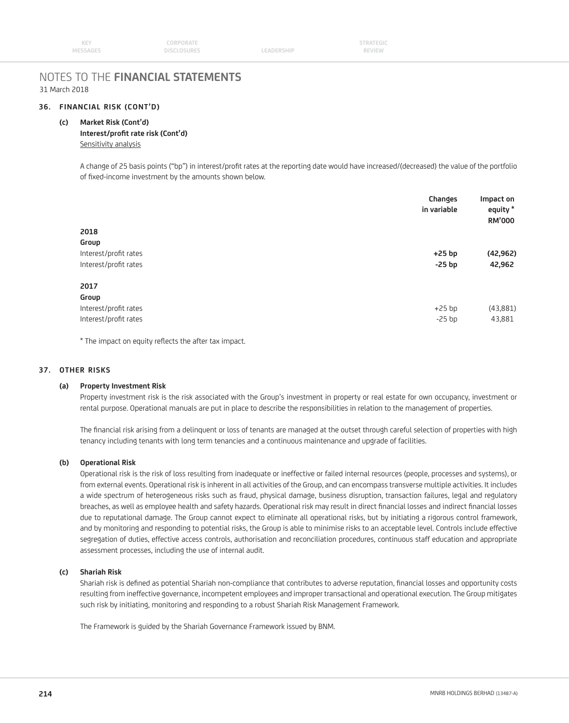| KEY      | CORPORATE          |                   | <b>STRATEGIC</b> |  |
|----------|--------------------|-------------------|------------------|--|
| MESSAGES | <b>DISCLOSURES</b> | <b>LEADERSHIP</b> | <b>REVIEW</b>    |  |

#### **36. FINANCIAL RISK (CONT'D)**

#### **(c) Market Risk (Cont'd)**

## Interest/profit rate risk (Cont'd) Sensitivity analysis

 A change of 25 basis points ("bp") in interest/profi t rates at the reporting date would have increased/(decreased) the value of the portfolio of fixed-income investment by the amounts shown below.

| Impact on<br>equity *<br><b>RM'000</b> |
|----------------------------------------|
|                                        |
| (42, 962)                              |
| 42,962                                 |
|                                        |
|                                        |
| (43,881)                               |
| 43,881                                 |
|                                        |

\* The impact on equity reflects the after tax impact.

### **37. OTHER RISKS**

#### **(a) Property Investment Risk**

 Property investment risk is the risk associated with the Group's investment in property or real estate for own occupancy, investment or rental purpose. Operational manuals are put in place to describe the responsibilities in relation to the management of properties.

The financial risk arising from a delinquent or loss of tenants are managed at the outset through careful selection of properties with high tenancy including tenants with long term tenancies and a continuous maintenance and upgrade of facilities.

#### **(b) Operational Risk**

 Operational risk is the risk of loss resulting from inadequate or ineffective or failed internal resources (people, processes and systems), or from external events. Operational risk is inherent in all activities of the Group, and can encompass transverse multiple activities. It includes a wide spectrum of heterogeneous risks such as fraud, physical damage, business disruption, transaction failures, legal and regulatory breaches, as well as employee health and safety hazards. Operational risk may result in direct financial losses and indirect financial losses due to reputational damage. The Group cannot expect to eliminate all operational risks, but by initiating a rigorous control framework, and by monitoring and responding to potential risks, the Group is able to minimise risks to an acceptable level. Controls include effective segregation of duties, effective access controls, authorisation and reconciliation procedures, continuous staff education and appropriate assessment processes, including the use of internal audit.

#### **(c) Shariah Risk**

Shariah risk is defined as potential Shariah non-compliance that contributes to adverse reputation, financial losses and opportunity costs resulting from ineffective governance, incompetent employees and improper transactional and operational execution. The Group mitigates such risk by initiating, monitoring and responding to a robust Shariah Risk Management Framework.

The Framework is guided by the Shariah Governance Framework issued by BNM.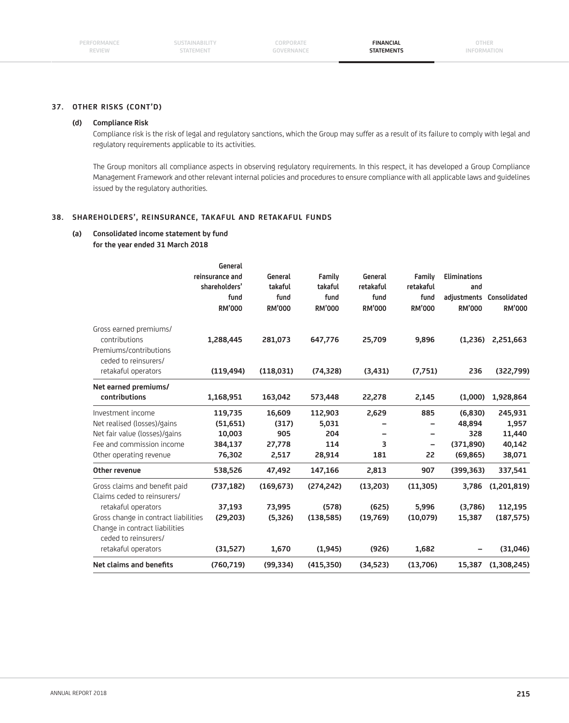**CORPORATE GOVERNANCE**

**FINANCIAL STATEMENTS**

**OTHER INFORMATION**

#### **37. OTHER RISKS (CONT'D)**

#### **(d) Compliance Risk**

 Compliance risk is the risk of legal and regulatory sanctions, which the Group may suffer as a result of its failure to comply with legal and regulatory requirements applicable to its activities.

 The Group monitors all compliance aspects in observing regulatory requirements. In this respect, it has developed a Group Compliance Management Framework and other relevant internal policies and procedures to ensure compliance with all applicable laws and guidelines issued by the regulatory authorities.

#### **38. SHAREHOLDERS', REINSURANCE, TAKAFUL AND RETAKAFUL FUNDS**

# **(a) Consolidated income statement by fund**

 **for the year ended 31 March 2018**

|                                                                       | General<br>reinsurance and<br>shareholders'<br>fund<br><b>RM'000</b> | General<br>takaful<br>fund<br><b>RM'000</b> | Family<br>takaful<br>fund<br><b>RM'000</b> | General<br>retakaful<br>fund<br><b>RM'000</b> | Family<br>retakaful<br>fund<br><b>RM'000</b> | <b>Eliminations</b><br>and<br><b>RM'000</b> | adjustments Consolidated<br><b>RM'000</b> |
|-----------------------------------------------------------------------|----------------------------------------------------------------------|---------------------------------------------|--------------------------------------------|-----------------------------------------------|----------------------------------------------|---------------------------------------------|-------------------------------------------|
| Gross earned premiums/<br>contributions                               | 1,288,445                                                            | 281,073                                     | 647,776                                    | 25,709                                        | 9,896                                        | (1,236)                                     | 2,251,663                                 |
| Premiums/contributions<br>ceded to reinsurers/<br>retakaful operators | (119, 494)                                                           | (118,031)                                   | (74, 328)                                  | (3,431)                                       | (7,751)                                      | 236                                         | (322,799)                                 |
| Net earned premiums/<br>contributions                                 | 1,168,951                                                            | 163,042                                     | 573,448                                    | 22,278                                        | 2,145                                        | (1,000)                                     | 1,928,864                                 |
| Investment income                                                     | 119,735                                                              | 16,609                                      | 112,903                                    | 2,629                                         | 885                                          | (6,830)                                     | 245,931                                   |
| Net realised (losses)/gains                                           | (51, 651)                                                            | (317)                                       | 5,031                                      |                                               |                                              | 48,894                                      | 1,957                                     |
| Net fair value (losses)/gains                                         | 10,003                                                               | 905                                         | 204                                        |                                               |                                              | 328                                         | 11,440                                    |
| Fee and commission income                                             | 384,137                                                              | 27,778                                      | 114                                        | 3                                             | $\overline{\phantom{0}}$                     | (371, 890)                                  | 40,142                                    |
| Other operating revenue                                               | 76,302                                                               | 2,517                                       | 28,914                                     | 181                                           | 22                                           | (69, 865)                                   | 38,071                                    |
| <b>Other revenue</b>                                                  | 538,526                                                              | 47,492                                      | 147,166                                    | 2,813                                         | 907                                          | (399, 363)                                  | 337,541                                   |
| Gross claims and benefit paid                                         | (737, 182)                                                           | (169, 673)                                  | (274, 242)                                 | (13,203)                                      | (11, 305)                                    | 3,786                                       | (1,201,819)                               |
| Claims ceded to reinsurers/                                           |                                                                      |                                             |                                            |                                               |                                              |                                             |                                           |
| retakaful operators                                                   | 37,193                                                               | 73,995                                      | (578)                                      | (625)                                         | 5.996                                        | (3,786)                                     | 112,195                                   |
| Gross change in contract liabilities                                  | (29, 203)                                                            | (5,326)                                     | (138, 585)                                 | (19,769)                                      | (10,079)                                     | 15,387                                      | (187, 575)                                |
| Change in contract liabilities<br>ceded to reinsurers/                |                                                                      |                                             |                                            |                                               |                                              |                                             |                                           |
| retakaful operators                                                   | (31,527)                                                             | 1,670                                       | (1, 945)                                   | (926)                                         | 1,682                                        |                                             | (31,046)                                  |
| Net claims and benefits                                               | (760, 719)                                                           | (99, 334)                                   | (415,350)                                  | (34, 523)                                     | (13,706)                                     | 15,387                                      | (1,308,245)                               |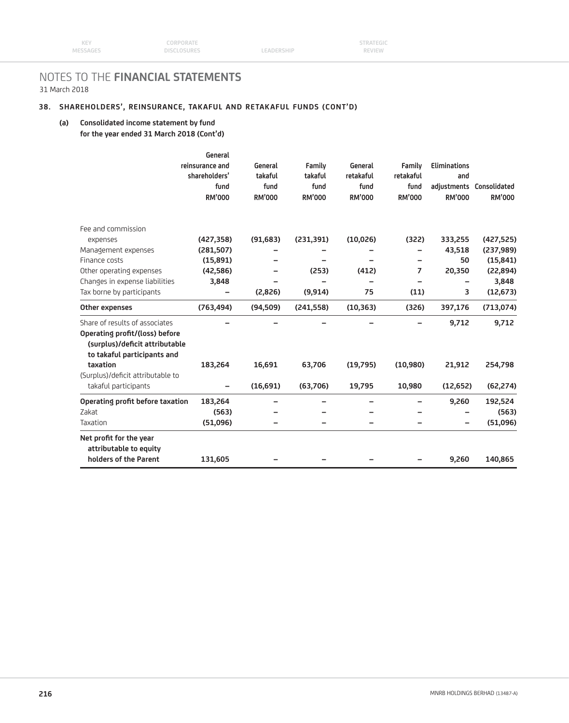## **38. SHAREHOLDERS', REINSURANCE, TAKAFUL AND RETAKAFUL FUNDS (CONT'D)**

### **(a) Consolidated income statement by fund for the year ended 31 March 2018 (Cont'd)**

|                                                                                                                                   | General<br>reinsurance and<br>shareholders'<br>fund<br><b>RM'000</b> | General<br>takaful<br>fund<br><b>RM'000</b> | Family<br>takaful<br>fund<br><b>RM'000</b> | General<br>retakaful<br>fund<br><b>RM'000</b> | Family<br>retakaful<br>fund<br><b>RM'000</b> | <b>Eliminations</b><br>and<br><b>RM'000</b> | adjustments Consolidated<br><b>RM'000</b> |
|-----------------------------------------------------------------------------------------------------------------------------------|----------------------------------------------------------------------|---------------------------------------------|--------------------------------------------|-----------------------------------------------|----------------------------------------------|---------------------------------------------|-------------------------------------------|
| Fee and commission                                                                                                                |                                                                      |                                             |                                            |                                               |                                              |                                             |                                           |
| expenses                                                                                                                          | (427, 358)                                                           | (91, 683)                                   | (231, 391)                                 | (10,026)                                      | (322)                                        | 333,255                                     | (427, 525)                                |
| Management expenses                                                                                                               | (281, 507)                                                           |                                             |                                            |                                               |                                              | 43,518                                      | (237, 989)                                |
| Finance costs                                                                                                                     | (15,891)                                                             |                                             |                                            |                                               |                                              | 50                                          | (15, 841)                                 |
| Other operating expenses                                                                                                          | (42, 586)                                                            |                                             | (253)                                      | (412)                                         | $\overline{7}$                               | 20,350                                      | (22, 894)                                 |
| Changes in expense liabilities                                                                                                    | 3,848                                                                |                                             |                                            |                                               |                                              |                                             | 3,848                                     |
| Tax borne by participants                                                                                                         |                                                                      | (2,826)                                     | (9, 914)                                   | 75                                            | (11)                                         | 3                                           | (12, 673)                                 |
| Other expenses                                                                                                                    | (763, 494)                                                           | (94, 509)                                   | (241, 558)                                 | (10, 363)                                     | (326)                                        | 397,176                                     | (713, 074)                                |
| Share of results of associates<br>Operating profit/(loss) before<br>(surplus)/deficit attributable<br>to takaful participants and |                                                                      |                                             |                                            |                                               |                                              | 9,712                                       | 9,712                                     |
| taxation                                                                                                                          | 183,264                                                              | 16,691                                      | 63,706                                     | (19,795)                                      | (10,980)                                     | 21,912                                      | 254,798                                   |
| (Surplus)/deficit attributable to                                                                                                 |                                                                      |                                             |                                            |                                               |                                              |                                             |                                           |
| takaful participants                                                                                                              | $\qquad \qquad -$                                                    | (16,691)                                    | (63,706)                                   | 19,795                                        | 10,980                                       | (12, 652)                                   | (62, 274)                                 |
| Operating profit before taxation                                                                                                  | 183,264                                                              |                                             | -                                          |                                               | -                                            | 9,260                                       | 192,524                                   |
| Zakat                                                                                                                             | (563)                                                                |                                             |                                            |                                               |                                              |                                             | (563)                                     |
| Taxation                                                                                                                          | (51,096)                                                             |                                             |                                            |                                               |                                              |                                             | (51,096)                                  |
| Net profit for the year<br>attributable to equity<br>holders of the Parent                                                        | 131,605                                                              |                                             |                                            |                                               |                                              | 9,260                                       | 140,865                                   |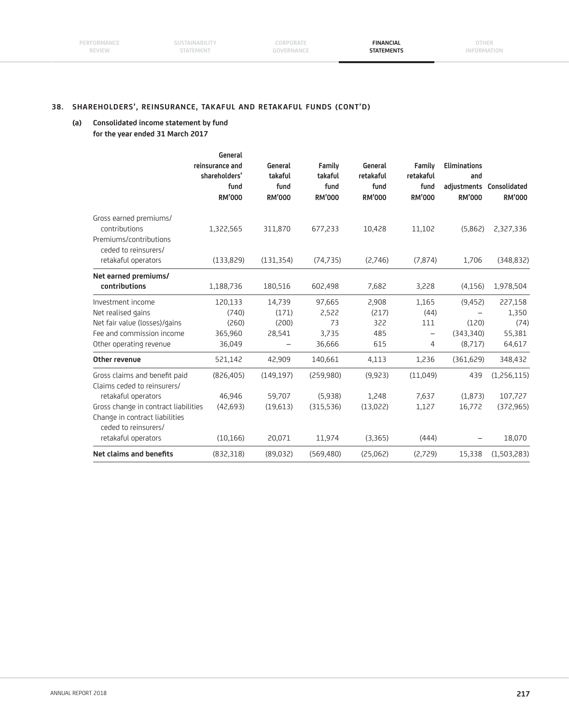**SUSTAINABILITY** STATEMENT

**CORPORATE GOVERNANCE**

**FINANCIAL STATEMENTS**

## **38. SHAREHOLDERS', REINSURANCE, TAKAFUL AND RETAKAFUL FUNDS (CONT'D)**

## **(a) Consolidated income statement by fund for the year ended 31 March 2017**

|                                                                   | General<br>reinsurance and<br>shareholders'<br>fund<br><b>RM'000</b> | General<br>takaful<br>fund<br><b>RM'000</b> | Family<br>takaful<br>fund<br><b>RM'000</b> | General<br>retakaful<br>fund<br><b>RM'000</b> | Family<br>retakaful<br>fund<br><b>RM'000</b> | <b>Eliminations</b><br>and<br><b>RM'000</b> | adjustments Consolidated<br><b>RM'000</b> |
|-------------------------------------------------------------------|----------------------------------------------------------------------|---------------------------------------------|--------------------------------------------|-----------------------------------------------|----------------------------------------------|---------------------------------------------|-------------------------------------------|
| Gross earned premiums/<br>contributions<br>Premiums/contributions | 1,322,565                                                            | 311,870                                     | 677,233                                    | 10,428                                        | 11,102                                       | (5,862)                                     | 2,327,336                                 |
| ceded to reinsurers/<br>retakaful operators                       | (133, 829)                                                           | (131, 354)                                  | (74, 735)                                  | (2,746)                                       | (7, 874)                                     | 1,706                                       | (348, 832)                                |
| Net earned premiums/<br>contributions                             | 1,188,736                                                            | 180,516                                     | 602,498                                    | 7,682                                         | 3,228                                        | (4, 156)                                    | 1,978,504                                 |
| Investment income                                                 | 120,133                                                              | 14,739                                      | 97,665                                     | 2,908                                         | 1,165                                        | (9, 452)                                    | 227,158                                   |
| Net realised gains                                                | (740)                                                                | (171)                                       | 2,522                                      | (217)                                         | (44)                                         |                                             | 1,350                                     |
| Net fair value (losses)/gains                                     | (260)                                                                | (200)                                       | 73                                         | 322                                           | 111                                          | (120)                                       | (74)                                      |
| Fee and commission income                                         | 365,960                                                              | 28,541                                      | 3,735                                      | 485                                           | $\overline{\phantom{0}}$                     | (343,340)                                   | 55,381                                    |
| Other operating revenue                                           | 36,049                                                               |                                             | 36,666                                     | 615                                           | 4                                            | (8,717)                                     | 64,617                                    |
| <b>Other revenue</b>                                              | 521,142                                                              | 42,909                                      | 140,661                                    | 4,113                                         | 1,236                                        | (361, 629)                                  | 348,432                                   |
| Gross claims and benefit paid<br>Claims ceded to reinsurers/      | (826, 405)                                                           | (149, 197)                                  | (259,980)                                  | (9,923)                                       | (11,049)                                     | 439                                         | (1,256,115)                               |
| retakaful operators                                               | 46,946                                                               | 59,707                                      | (5,938)                                    | 1,248                                         | 7,637                                        | (1,873)                                     | 107,727                                   |
| Gross change in contract liabilities                              | (42, 693)                                                            | (19,613)                                    | (315,536)                                  | (13,022)                                      | 1,127                                        | 16,772                                      | (372, 965)                                |
| Change in contract liabilities<br>ceded to reinsurers/            |                                                                      |                                             |                                            |                                               |                                              |                                             |                                           |
| retakaful operators                                               | (10, 166)                                                            | 20,071                                      | 11,974                                     | (3,365)                                       | (444)                                        |                                             | 18,070                                    |
| Net claims and benefits                                           | (832, 318)                                                           | (89,032)                                    | (569, 480)                                 | (25,062)                                      | (2,729)                                      | 15,338                                      | (1,503,283)                               |
|                                                                   |                                                                      |                                             |                                            |                                               |                                              |                                             |                                           |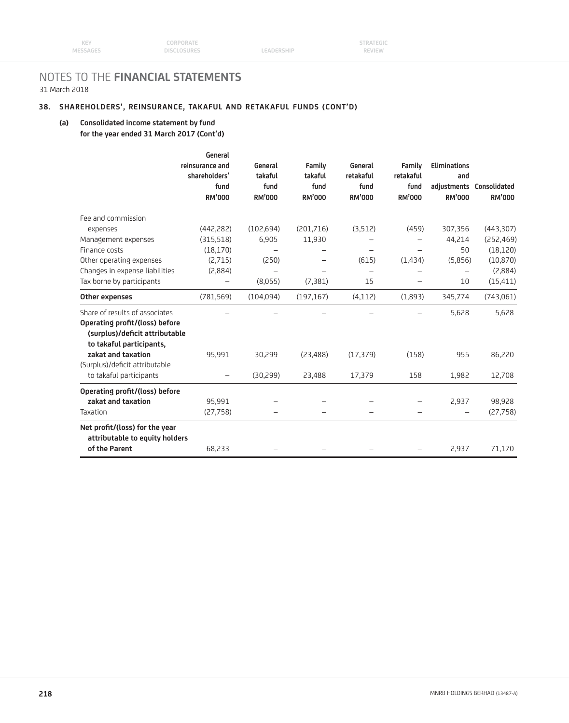## **38. SHAREHOLDERS', REINSURANCE, TAKAFUL AND RETAKAFUL FUNDS (CONT'D)**

## **(a) Consolidated income statement by fund for the year ended 31 March 2017 (Cont'd)**

|                                                                                              | General<br>reinsurance and | General         | Family          | General                            | Family                   | <b>Eliminations</b>  |                          |
|----------------------------------------------------------------------------------------------|----------------------------|-----------------|-----------------|------------------------------------|--------------------------|----------------------|--------------------------|
|                                                                                              | shareholders'<br>fund      | takaful<br>fund | takaful<br>fund | retakaful<br>fund<br><b>RM'000</b> | retakaful<br>fund        | and<br><b>RM'000</b> | adjustments Consolidated |
|                                                                                              | <b>RM'000</b>              | <b>RM'000</b>   | <b>RM'000</b>   |                                    | <b>RM'000</b>            |                      | <b>RM'000</b>            |
| Fee and commission                                                                           |                            |                 |                 |                                    |                          |                      |                          |
| expenses                                                                                     | (442, 282)                 | (102, 694)      | (201,716)       | (3,512)                            | (459)                    | 307,356              | (443, 307)               |
| Management expenses                                                                          | (315,518)                  | 6,905           | 11,930          |                                    |                          | 44,214               | (252, 469)               |
| Finance costs                                                                                | (18, 170)                  |                 |                 |                                    |                          | 50                   | (18, 120)                |
| Other operating expenses                                                                     | (2,715)                    | (250)           |                 | (615)                              | (1,434)                  | (5,856)              | (10, 870)                |
| Changes in expense liabilities                                                               | (2,884)                    |                 |                 |                                    |                          |                      | (2,884)                  |
| Tax borne by participants                                                                    | $\overline{\phantom{0}}$   | (8,055)         | (7, 381)        | 15                                 | $\overline{\phantom{0}}$ | 10                   | (15, 411)                |
| Other expenses                                                                               | (781, 569)                 | (104,094)       | (197, 167)      | (4, 112)                           | (1,893)                  | 345,774              | (743,061)                |
| Share of results of associates                                                               |                            |                 |                 |                                    |                          | 5,628                | 5,628                    |
| Operating profit/(loss) before<br>(surplus)/deficit attributable<br>to takaful participants, |                            |                 |                 |                                    |                          |                      |                          |
| zakat and taxation                                                                           | 95,991                     | 30,299          | (23, 488)       | (17, 379)                          | (158)                    | 955                  | 86,220                   |
| (Surplus)/deficit attributable                                                               |                            |                 |                 |                                    |                          |                      |                          |
| to takaful participants                                                                      | $\qquad \qquad -$          | (30,299)        | 23,488          | 17,379                             | 158                      | 1,982                | 12,708                   |
| Operating profit/(loss) before                                                               |                            |                 |                 |                                    |                          |                      |                          |
| zakat and taxation                                                                           | 95,991                     |                 |                 |                                    |                          | 2,937                | 98,928                   |
| Taxation                                                                                     | (27,758)                   |                 |                 |                                    |                          |                      | (27, 758)                |
| Net profit/(loss) for the year<br>attributable to equity holders                             |                            |                 |                 |                                    |                          |                      |                          |
| of the Parent                                                                                | 68,233                     |                 |                 |                                    |                          | 2,937                | 71,170                   |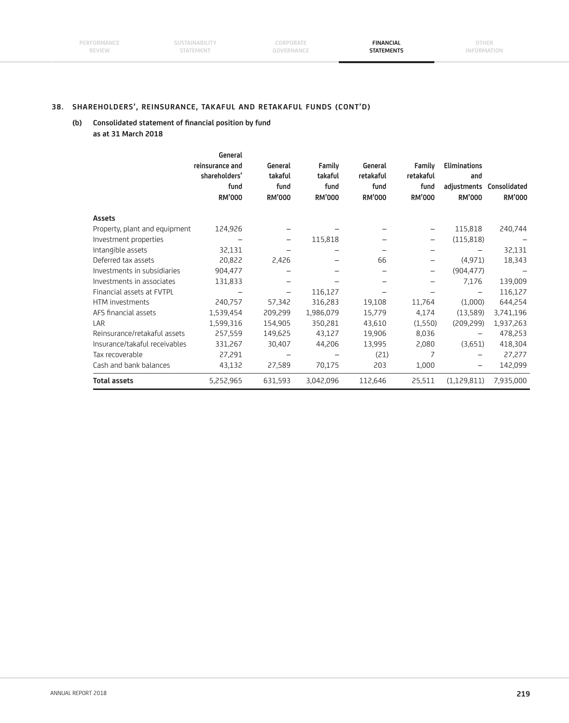**SUSTAINABILITY** STATEMENT

**CORPORATE GOVERNANCE**

**FINANCIAL STATEMENTS**

## **38. SHAREHOLDERS', REINSURANCE, TAKAFUL AND RETAKAFUL FUNDS (CONT'D)**

## (b) Consolidated statement of financial position by fund  **as at 31 March 2018**

|                               | General<br>reinsurance and<br>shareholders'<br>fund<br><b>RM'000</b> | General<br>takaful<br>fund<br><b>RM'000</b> | Family<br>takaful<br>fund<br><b>RM'000</b> | General<br>retakaful<br>fund<br><b>RM'000</b> | Family<br>retakaful<br>fund<br><b>RM'000</b> | <b>Eliminations</b><br>and<br><b>RM'000</b> | adjustments Consolidated<br><b>RM'000</b> |
|-------------------------------|----------------------------------------------------------------------|---------------------------------------------|--------------------------------------------|-----------------------------------------------|----------------------------------------------|---------------------------------------------|-------------------------------------------|
| Assets                        |                                                                      |                                             |                                            |                                               |                                              |                                             |                                           |
| Property, plant and equipment | 124,926                                                              |                                             |                                            |                                               | $\qquad \qquad -$                            | 115,818                                     | 240,744                                   |
| Investment properties         |                                                                      | -                                           | 115,818                                    |                                               | $\qquad \qquad -$                            | (115, 818)                                  |                                           |
| Intangible assets             | 32,131                                                               |                                             |                                            |                                               |                                              |                                             | 32,131                                    |
| Deferred tax assets           | 20,822                                                               | 2,426                                       |                                            | 66                                            | -                                            | (4, 971)                                    | 18,343                                    |
| Investments in subsidiaries   | 904,477                                                              |                                             |                                            |                                               | $\qquad \qquad -$                            | (904, 477)                                  |                                           |
| Investments in associates     | 131,833                                                              |                                             |                                            |                                               |                                              | 7,176                                       | 139,009                                   |
| Financial assets at FVTPL     |                                                                      | -                                           | 116,127                                    |                                               |                                              |                                             | 116,127                                   |
| HTM investments               | 240,757                                                              | 57,342                                      | 316,283                                    | 19,108                                        | 11,764                                       | (1,000)                                     | 644,254                                   |
| AFS financial assets          | 1,539,454                                                            | 209,299                                     | 1,986,079                                  | 15,779                                        | 4,174                                        | (13,589)                                    | 3,741,196                                 |
| LAR                           | 1,599,316                                                            | 154,905                                     | 350,281                                    | 43,610                                        | (1,550)                                      | (209, 299)                                  | 1,937,263                                 |
| Reinsurance/retakaful assets  | 257,559                                                              | 149,625                                     | 43,127                                     | 19,906                                        | 8,036                                        | -                                           | 478,253                                   |
| Insurance/takaful receivables | 331,267                                                              | 30,407                                      | 44,206                                     | 13,995                                        | 2,080                                        | (3,651)                                     | 418,304                                   |
| Tax recoverable               | 27,291                                                               |                                             |                                            | (21)                                          | 7                                            |                                             | 27,277                                    |
| Cash and bank balances        | 43,132                                                               | 27,589                                      | 70,175                                     | 203                                           | 1,000                                        |                                             | 142,099                                   |
| <b>Total assets</b>           | 5,252,965                                                            | 631,593                                     | 3,042,096                                  | 112,646                                       | 25,511                                       | (1, 129, 811)                               | 7,935,000                                 |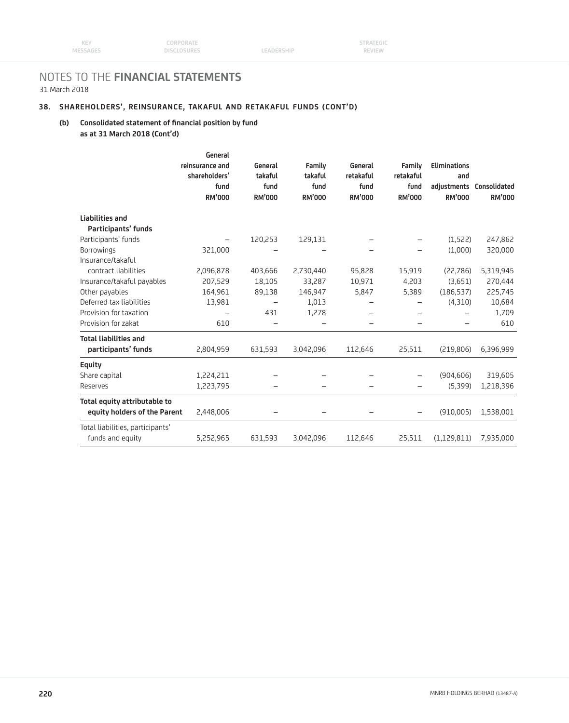## **38. SHAREHOLDERS', REINSURANCE, TAKAFUL AND RETAKAFUL FUNDS (CONT'D)**

### (b) Consolidated statement of financial position by fund  **as at 31 March 2018 (Cont'd)**

| General<br>shareholders'<br>fund<br><b>RM'000</b> | General<br>takaful<br>fund<br><b>RM'000</b>                         | Family<br>takaful<br>fund<br><b>RM'000</b> | General<br>retakaful<br>fund<br><b>RM'000</b>    | Family<br>retakaful<br>fund<br><b>RM'000</b> | <b>Eliminations</b><br>and<br><b>RM'000</b> | <b>RM'000</b>                                                                       |
|---------------------------------------------------|---------------------------------------------------------------------|--------------------------------------------|--------------------------------------------------|----------------------------------------------|---------------------------------------------|-------------------------------------------------------------------------------------|
|                                                   |                                                                     |                                            |                                                  |                                              |                                             |                                                                                     |
|                                                   |                                                                     |                                            |                                                  |                                              |                                             |                                                                                     |
|                                                   | 120,253                                                             | 129,131                                    |                                                  |                                              | (1,522)                                     | 247,862                                                                             |
| 321,000                                           |                                                                     |                                            |                                                  |                                              |                                             | 320,000                                                                             |
|                                                   |                                                                     |                                            |                                                  |                                              |                                             |                                                                                     |
|                                                   |                                                                     |                                            |                                                  |                                              |                                             | 5,319,945                                                                           |
|                                                   |                                                                     |                                            |                                                  |                                              |                                             | 270,444                                                                             |
|                                                   |                                                                     |                                            |                                                  |                                              |                                             | 225,745                                                                             |
|                                                   | —                                                                   |                                            |                                                  | -                                            |                                             | 10,684                                                                              |
|                                                   |                                                                     |                                            |                                                  | $\overline{\phantom{0}}$                     |                                             | 1,709                                                                               |
|                                                   |                                                                     |                                            |                                                  |                                              |                                             | 610                                                                                 |
|                                                   |                                                                     |                                            |                                                  |                                              |                                             |                                                                                     |
| 2,804,959                                         | 631,593                                                             | 3,042,096                                  | 112,646                                          | 25,511                                       | (219, 806)                                  | 6,396,999                                                                           |
|                                                   |                                                                     |                                            |                                                  |                                              |                                             |                                                                                     |
| 1,224,211                                         |                                                                     |                                            |                                                  | $\overline{\phantom{0}}$                     | (904, 606)                                  | 319,605                                                                             |
| 1,223,795                                         |                                                                     |                                            |                                                  |                                              | (5,399)                                     | 1,218,396                                                                           |
| 2,448,006                                         |                                                                     |                                            |                                                  | -                                            | (910,005)                                   | 1,538,001                                                                           |
| 5,252,965                                         | 631,593                                                             | 3,042,096                                  | 112,646                                          | 25,511                                       | (1, 129, 811)                               | 7,935,000                                                                           |
|                                                   | reinsurance and<br>2,096,878<br>207,529<br>164,961<br>13,981<br>610 | 403,666<br>18,105<br>89,138<br>431         | 2,730,440<br>33,287<br>146,947<br>1,013<br>1,278 | 95,828<br>10,971<br>5,847                    | 15,919<br>4,203<br>5,389                    | adjustments Consolidated<br>(1,000)<br>(22,786)<br>(3,651)<br>(186, 537)<br>(4,310) |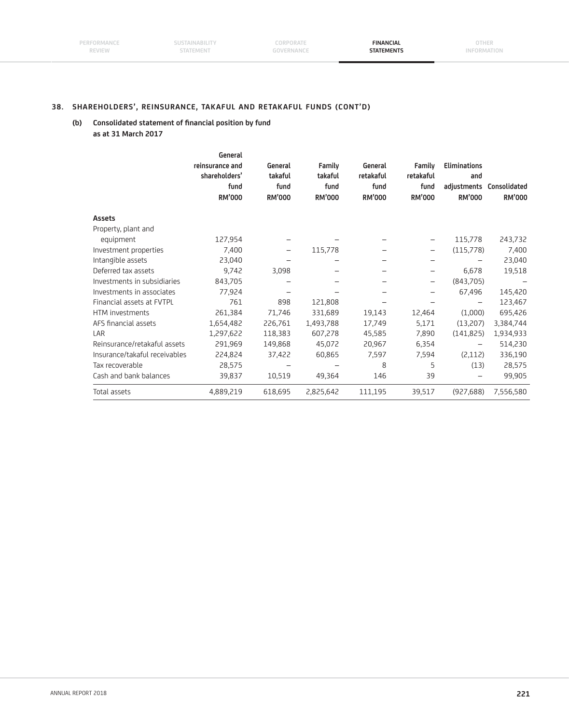**SUSTAINABILITY** STATEMENT

**CORPORATE GOVERNANCE**

**FINANCIAL STATEMENTS**

## **38. SHAREHOLDERS', REINSURANCE, TAKAFUL AND RETAKAFUL FUNDS (CONT'D)**

## (b) Consolidated statement of financial position by fund  **as at 31 March 2017**

|                               | General<br>reinsurance and<br>shareholders'<br>fund<br><b>RM'000</b> | General<br>takaful<br>fund<br><b>RM'000</b> | Family<br>takaful<br>fund<br><b>RM'000</b> | General<br>retakaful<br>fund<br><b>RM'000</b> | Family<br>retakaful<br>fund<br><b>RM'000</b> | <b>Eliminations</b><br>and<br><b>RM'000</b> | adjustments Consolidated<br><b>RM'000</b> |
|-------------------------------|----------------------------------------------------------------------|---------------------------------------------|--------------------------------------------|-----------------------------------------------|----------------------------------------------|---------------------------------------------|-------------------------------------------|
| <b>Assets</b>                 |                                                                      |                                             |                                            |                                               |                                              |                                             |                                           |
| Property, plant and           |                                                                      |                                             |                                            |                                               |                                              |                                             |                                           |
| equipment                     | 127,954                                                              |                                             |                                            |                                               | $\qquad \qquad -$                            | 115,778                                     | 243,732                                   |
| Investment properties         | 7,400                                                                | $\qquad \qquad -$                           | 115,778                                    | -                                             | $\qquad \qquad -$                            | (115,778)                                   | 7,400                                     |
| Intangible assets             | 23,040                                                               |                                             |                                            | -                                             | $\qquad \qquad -$                            |                                             | 23,040                                    |
| Deferred tax assets           | 9,742                                                                | 3,098                                       |                                            | —                                             | $\qquad \qquad -$                            | 6,678                                       | 19,518                                    |
| Investments in subsidiaries   | 843,705                                                              |                                             |                                            |                                               | $\qquad \qquad -$                            | (843,705)                                   |                                           |
| Investments in associates     | 77,924                                                               |                                             |                                            |                                               | —                                            | 67,496                                      | 145,420                                   |
| Financial assets at FVTPL     | 761                                                                  | 898                                         | 121,808                                    |                                               |                                              |                                             | 123,467                                   |
| HTM investments               | 261,384                                                              | 71,746                                      | 331,689                                    | 19,143                                        | 12,464                                       | (1,000)                                     | 695,426                                   |
| AFS financial assets          | 1,654,482                                                            | 226,761                                     | 1,493,788                                  | 17,749                                        | 5,171                                        | (13,207)                                    | 3,384,744                                 |
| LAR                           | 1,297,622                                                            | 118,383                                     | 607,278                                    | 45,585                                        | 7,890                                        | (141, 825)                                  | 1,934,933                                 |
| Reinsurance/retakaful assets  | 291,969                                                              | 149,868                                     | 45,072                                     | 20,967                                        | 6,354                                        | —                                           | 514,230                                   |
| Insurance/takaful receivables | 224,824                                                              | 37,422                                      | 60,865                                     | 7,597                                         | 7,594                                        | (2,112)                                     | 336,190                                   |
| Tax recoverable               | 28,575                                                               |                                             |                                            | 8                                             | 5                                            | (13)                                        | 28,575                                    |
| Cash and bank balances        | 39,837                                                               | 10,519                                      | 49,364                                     | 146                                           | 39                                           |                                             | 99,905                                    |
| Total assets                  | 4,889,219                                                            | 618,695                                     | 2,825,642                                  | 111,195                                       | 39,517                                       | (927, 688)                                  | 7,556,580                                 |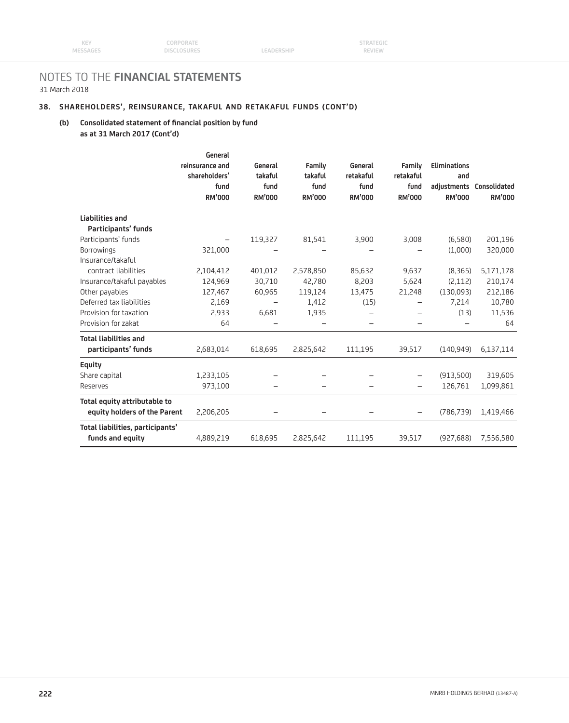## **38. SHAREHOLDERS', REINSURANCE, TAKAFUL AND RETAKAFUL FUNDS (CONT'D)**

### (b) Consolidated statement of financial position by fund  **as at 31 March 2017 (Cont'd)**

| shareholders'<br>fund<br><b>RM'000</b>    | General<br>takaful<br>fund<br><b>RM'000</b>                                     | Family<br>takaful<br>fund<br><b>RM'000</b>      | General<br>retakaful<br>fund<br><b>RM'000</b>                 | Family<br>retakaful<br>fund<br><b>RM'000</b> | <b>Eliminations</b><br>and<br><b>RM'000</b> | <b>RM'000</b>                                                                                          |
|-------------------------------------------|---------------------------------------------------------------------------------|-------------------------------------------------|---------------------------------------------------------------|----------------------------------------------|---------------------------------------------|--------------------------------------------------------------------------------------------------------|
|                                           |                                                                                 |                                                 |                                                               |                                              |                                             |                                                                                                        |
|                                           |                                                                                 |                                                 |                                                               |                                              |                                             |                                                                                                        |
|                                           | 119,327                                                                         | 81,541                                          | 3,900                                                         |                                              | (6,580)                                     | 201,196                                                                                                |
|                                           |                                                                                 |                                                 |                                                               |                                              |                                             | 320,000                                                                                                |
|                                           |                                                                                 |                                                 |                                                               |                                              |                                             |                                                                                                        |
|                                           |                                                                                 |                                                 |                                                               |                                              |                                             | 5,171,178                                                                                              |
|                                           |                                                                                 |                                                 |                                                               |                                              |                                             | 210,174                                                                                                |
|                                           |                                                                                 |                                                 |                                                               |                                              |                                             | 212,186                                                                                                |
|                                           | $\overline{\phantom{0}}$                                                        |                                                 |                                                               | -                                            |                                             | 10,780                                                                                                 |
|                                           |                                                                                 |                                                 |                                                               | $\overline{\phantom{0}}$                     |                                             | 11,536                                                                                                 |
|                                           |                                                                                 |                                                 |                                                               |                                              |                                             | 64                                                                                                     |
|                                           |                                                                                 |                                                 |                                                               |                                              |                                             |                                                                                                        |
| 2,683,014                                 | 618,695                                                                         | 2,825,642                                       | 111,195                                                       | 39,517                                       | (140.949)                                   | 6,137,114                                                                                              |
|                                           |                                                                                 |                                                 |                                                               |                                              |                                             |                                                                                                        |
| 1,233,105                                 |                                                                                 |                                                 |                                                               | -                                            | (913,500)                                   | 319,605                                                                                                |
| 973,100                                   |                                                                                 |                                                 |                                                               |                                              | 126,761                                     | 1,099,861                                                                                              |
| equity holders of the Parent<br>2,206,205 |                                                                                 |                                                 |                                                               | -                                            | (786, 739)                                  | 1,419,466                                                                                              |
| Total liabilities, participants'          |                                                                                 |                                                 |                                                               |                                              |                                             | 7,556,580                                                                                              |
|                                           | 321,000<br>2,104,412<br>124,969<br>127,467<br>2,169<br>2,933<br>64<br>4,889,219 | 401,012<br>30,710<br>60,965<br>6,681<br>618,695 | 2,578,850<br>42,780<br>119,124<br>1,412<br>1,935<br>2,825,642 | 85,632<br>8,203<br>13,475<br>(15)<br>111,195 | 3,008<br>9,637<br>5,624<br>21,248<br>39,517 | adjustments Consolidated<br>(1,000)<br>(8, 365)<br>(2,112)<br>(130,093)<br>7,214<br>(13)<br>(927, 688) |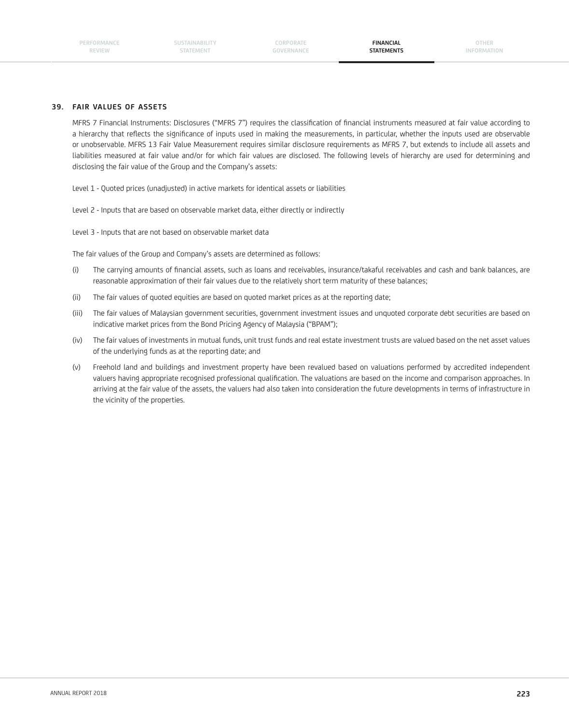#### **39. FAIR VALUES OF ASSETS**

MFRS 7 Financial Instruments: Disclosures ("MFRS 7") requires the classification of financial instruments measured at fair value according to a hierarchy that reflects the significance of inputs used in making the measurements, in particular, whether the inputs used are observable or unobservable. MFRS 13 Fair Value Measurement requires similar disclosure requirements as MFRS 7, but extends to include all assets and liabilities measured at fair value and/or for which fair values are disclosed. The following levels of hierarchy are used for determining and disclosing the fair value of the Group and the Company's assets:

Level 1 - Quoted prices (unadjusted) in active markets for identical assets or liabilities

Level 2 - Inputs that are based on observable market data, either directly or indirectly

Level 3 - Inputs that are not based on observable market data

The fair values of the Group and Company's assets are determined as follows:

- (i) The carrying amounts of financial assets, such as loans and receivables, insurance/takaful receivables and cash and bank balances, are reasonable approximation of their fair values due to the relatively short term maturity of these balances;
- (ii) The fair values of quoted equities are based on quoted market prices as at the reporting date;
- (iii) The fair values of Malaysian government securities, government investment issues and unquoted corporate debt securities are based on indicative market prices from the Bond Pricing Agency of Malaysia ("BPAM");
- (iv) The fair values of investments in mutual funds, unit trust funds and real estate investment trusts are valued based on the net asset values of the underlying funds as at the reporting date; and
- (v) Freehold land and buildings and investment property have been revalued based on valuations performed by accredited independent valuers having appropriate recognised professional qualification. The valuations are based on the income and comparison approaches. In arriving at the fair value of the assets, the valuers had also taken into consideration the future developments in terms of infrastructure in the vicinity of the properties.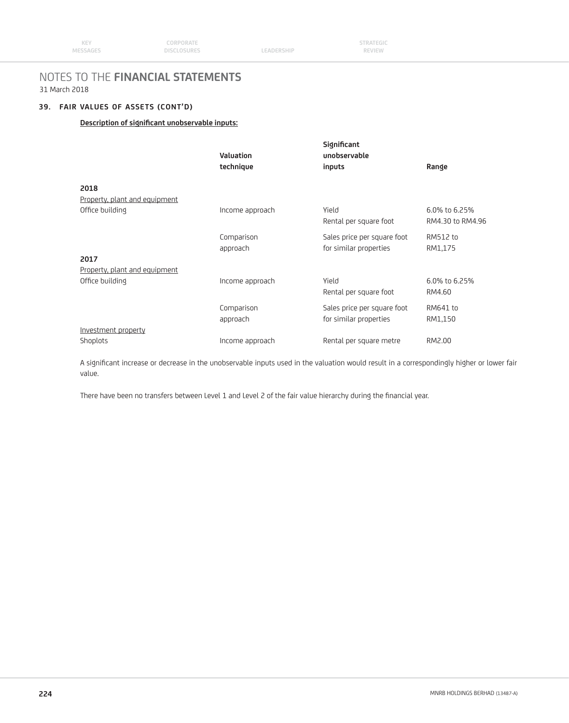## **39. FAIR VALUES OF ASSETS (CONT'D)**

### **Description of significant unobservable inputs:**

|                               | <b>Valuation</b><br>technique         | Significant<br>unobservable<br>inputs | Range            |
|-------------------------------|---------------------------------------|---------------------------------------|------------------|
|                               |                                       |                                       |                  |
|                               |                                       |                                       |                  |
|                               |                                       |                                       |                  |
| Office building               | Income approach                       | Yield                                 | 6.0% to 6.25%    |
|                               |                                       | Rental per square foot                | RM4.30 to RM4.96 |
|                               | Comparison                            | Sales price per square foot           | RM512 to         |
|                               | approach                              | for similar properties                | RM1,175          |
| 2017                          |                                       |                                       |                  |
| Property, plant and equipment |                                       |                                       |                  |
| Office building               | Income approach                       | Yield                                 | 6.0% to 6.25%    |
|                               |                                       | Rental per square foot                | RM4.60           |
|                               | Comparison                            | Sales price per square foot           | RM641 to         |
|                               | approach                              | for similar properties                | RM1,150          |
| Investment property           |                                       |                                       |                  |
| Shoplots                      | Income approach                       | Rental per square metre               | RM2.00           |
|                               | 2018<br>Property, plant and equipment |                                       |                  |

A significant increase or decrease in the unobservable inputs used in the valuation would result in a correspondingly higher or lower fair value.

There have been no transfers between Level 1 and Level 2 of the fair value hierarchy during the financial year.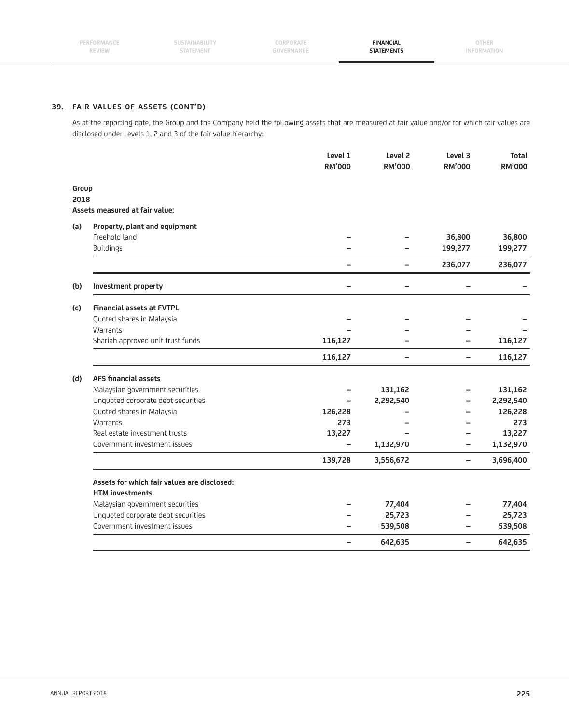### **39. FAIR VALUES OF ASSETS (CONT'D)**

 As at the reporting date, the Group and the Company held the following assets that are measured at fair value and/or for which fair values are disclosed under Levels 1, 2 and 3 of the fair value hierarchy:

|               |                                             | Level 1<br><b>RM'000</b> | Level <sub>2</sub><br><b>RM'000</b> | Level 3<br><b>RM'000</b> | <b>Total</b><br><b>RM'000</b> |
|---------------|---------------------------------------------|--------------------------|-------------------------------------|--------------------------|-------------------------------|
|               |                                             |                          |                                     |                          |                               |
| Group<br>2018 |                                             |                          |                                     |                          |                               |
|               | Assets measured at fair value:              |                          |                                     |                          |                               |
| (a)           | Property, plant and equipment               |                          |                                     |                          |                               |
|               | Freehold land                               |                          |                                     | 36,800                   | 36,800                        |
|               | Buildings                                   |                          |                                     | 199,277                  | 199,277                       |
|               |                                             |                          | $\overline{\phantom{0}}$            | 236,077                  | 236,077                       |
| (b)           | Investment property                         |                          |                                     |                          |                               |
| (c)           | <b>Financial assets at FVTPL</b>            |                          |                                     |                          |                               |
|               | Quoted shares in Malaysia                   |                          |                                     |                          |                               |
|               | Warrants                                    |                          |                                     |                          |                               |
|               | Shariah approved unit trust funds           | 116,127                  |                                     |                          | 116,127                       |
|               |                                             | 116,127                  | $\overline{\phantom{0}}$            | -                        | 116,127                       |
| (d)           | <b>AFS financial assets</b>                 |                          |                                     |                          |                               |
|               | Malaysian government securities             |                          | 131,162                             |                          | 131,162                       |
|               | Unquoted corporate debt securities          |                          | 2,292,540                           |                          | 2,292,540                     |
|               | Quoted shares in Malaysia                   | 126,228                  |                                     |                          | 126,228                       |
|               | Warrants                                    | 273                      |                                     |                          | 273                           |
|               | Real estate investment trusts               | 13,227                   |                                     |                          | 13,227                        |
|               | Government investment issues                |                          | 1,132,970                           |                          | 1,132,970                     |
|               |                                             | 139,728                  | 3,556,672                           | $\overline{\phantom{0}}$ | 3,696,400                     |
|               | Assets for which fair values are disclosed: |                          |                                     |                          |                               |
|               | <b>HTM</b> investments                      |                          |                                     |                          |                               |
|               | Malaysian government securities             |                          | 77,404                              |                          | 77,404                        |
|               | Unquoted corporate debt securities          |                          | 25,723                              |                          | 25,723                        |
|               | Government investment issues                |                          | 539,508                             | -                        | 539,508                       |
|               |                                             | $\equiv$                 | 642,635                             | $\overline{\phantom{0}}$ | 642,635                       |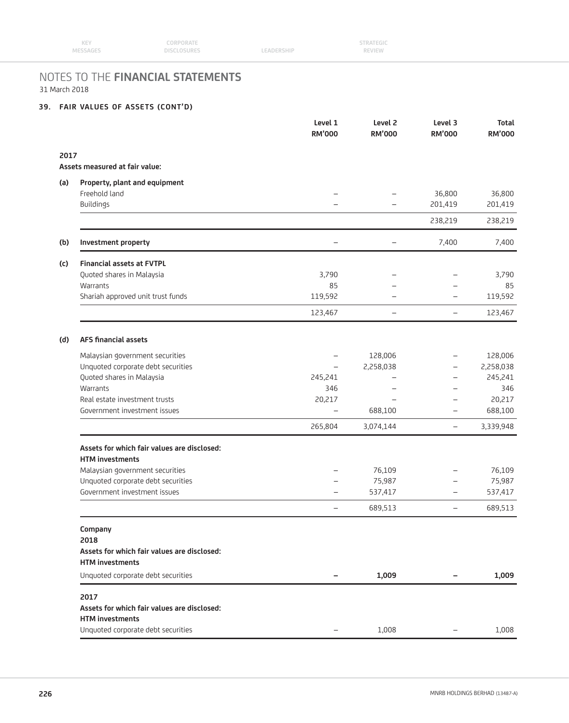| <b>KEY</b> | CORPORATE   |            | <b>STRATEGIC</b> |  |
|------------|-------------|------------|------------------|--|
| MESSAGES   | DISCLOSURES | LEADERSHIP | <b>REVIEW</b>    |  |

### **39. FAIR VALUES OF ASSETS (CONT'D)**

|      |                                                                       | Level 1<br><b>RM'000</b> | Level <sub>2</sub><br><b>RM'000</b> | Level 3<br><b>RM'000</b> | <b>Total</b><br><b>RM'000</b> |
|------|-----------------------------------------------------------------------|--------------------------|-------------------------------------|--------------------------|-------------------------------|
| 2017 |                                                                       |                          |                                     |                          |                               |
|      | Assets measured at fair value:                                        |                          |                                     |                          |                               |
| (a)  | Property, plant and equipment                                         |                          |                                     |                          |                               |
|      | Freehold land                                                         |                          |                                     | 36,800                   | 36,800                        |
|      | Buildings                                                             |                          | $\overline{\phantom{0}}$            | 201,419                  | 201,419                       |
|      |                                                                       |                          |                                     | 238,219                  | 238,219                       |
| (b)  | Investment property                                                   | -                        |                                     | 7,400                    | 7,400                         |
| (c)  | <b>Financial assets at FVTPL</b>                                      |                          |                                     |                          |                               |
|      | Quoted shares in Malaysia                                             | 3,790                    | $\overline{\phantom{0}}$            |                          | 3,790                         |
|      | Warrants                                                              | 85                       |                                     |                          | 85                            |
|      | Shariah approved unit trust funds                                     | 119,592                  |                                     | $\overline{\phantom{0}}$ | 119,592                       |
|      |                                                                       | 123,467                  | $\overline{\phantom{m}}$            | $\overline{\phantom{0}}$ | 123,467                       |
| (d)  | <b>AFS financial assets</b>                                           |                          |                                     |                          |                               |
|      | Malaysian government securities                                       |                          | 128,006                             | $\overline{\phantom{0}}$ | 128,006                       |
|      | Unquoted corporate debt securities                                    | -                        | 2,258,038                           | -                        | 2,258,038                     |
|      | Quoted shares in Malaysia                                             | 245,241                  |                                     | $\overline{\phantom{0}}$ | 245,241                       |
|      | Warrants                                                              | 346                      |                                     | $\overline{\phantom{0}}$ | 346                           |
|      | Real estate investment trusts                                         | 20,217                   | $\overline{\phantom{0}}$            | -                        | 20,217                        |
|      | Government investment issues                                          | $\equiv$                 | 688,100                             | $\overline{\phantom{0}}$ | 688,100                       |
|      |                                                                       | 265,804                  | 3,074,144                           | $\overline{\phantom{0}}$ | 3,339,948                     |
|      | Assets for which fair values are disclosed:<br><b>HTM</b> investments |                          |                                     |                          |                               |
|      | Malaysian government securities                                       |                          | 76,109                              | $\overline{\phantom{0}}$ | 76,109                        |
|      | Unquoted corporate debt securities                                    |                          | 75,987                              | -                        | 75,987                        |
|      | Government investment issues                                          | $\overline{\phantom{0}}$ | 537,417                             | $\overline{\phantom{0}}$ | 537,417                       |
|      |                                                                       | —                        | 689,513                             | $\overline{\phantom{0}}$ | 689,513                       |
|      | Company<br>2018                                                       |                          |                                     |                          |                               |
|      | Assets for which fair values are disclosed:<br><b>HTM investments</b> |                          |                                     |                          |                               |
|      | Unquoted corporate debt securities                                    |                          | 1,009                               |                          | 1,009                         |
|      | 2017                                                                  |                          |                                     |                          |                               |
|      | Assets for which fair values are disclosed:<br><b>HTM</b> investments |                          |                                     |                          |                               |
|      |                                                                       |                          |                                     |                          |                               |